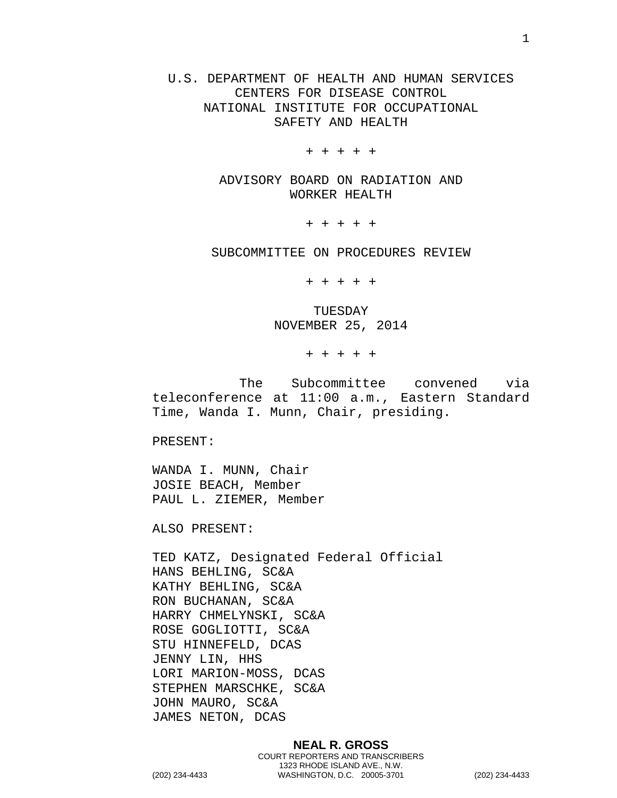U.S. DEPARTMENT OF HEALTH AND HUMAN SERVICES CENTERS FOR DISEASE CONTROL NATIONAL INSTITUTE FOR OCCUPATIONAL SAFETY AND HEALTH

+ + + + +

ADVISORY BOARD ON RADIATION AND WORKER HEALTH

+ + + + +

SUBCOMMITTEE ON PROCEDURES REVIEW

+ + + + +

TUESDAY NOVEMBER 25, 2014

+ + + + +

The Subcommittee convened via teleconference at 11:00 a.m., Eastern Standard Time, Wanda I. Munn, Chair, presiding.

PRESENT:

WANDA I. MUNN, Chair JOSIE BEACH, Member PAUL L. ZIEMER, Member

ALSO PRESENT:

TED KATZ, Designated Federal Official HANS BEHLING, SC&A KATHY BEHLING, SC&A RON BUCHANAN, SC&A HARRY CHMELYNSKI, SC&A ROSE GOGLIOTTI, SC&A STU HINNEFELD, DCAS JENNY LIN, HHS LORI MARION-MOSS, DCAS STEPHEN MARSCHKE, SC&A JOHN MAURO, SC&A JAMES NETON, DCAS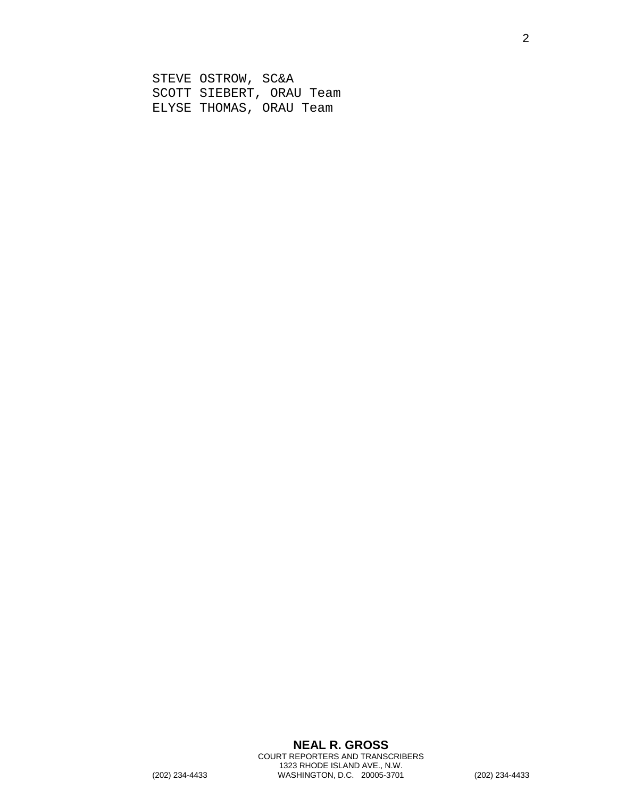STEVE OSTROW, SC&A SCOTT SIEBERT, ORAU Team ELYSE THOMAS, ORAU Team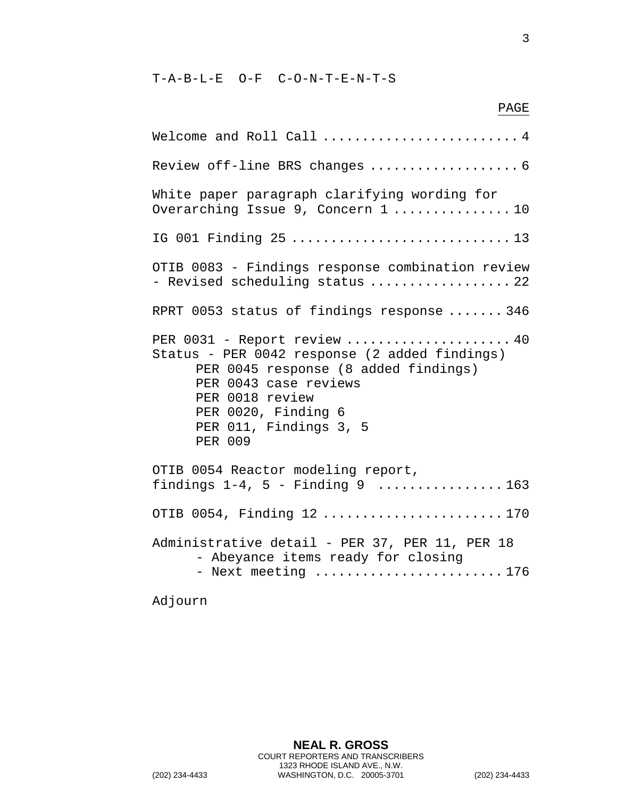T-A-B-L-E O-F C-O-N-T-E-N-T-S

3

PAGE

Welcome and Roll Call .......................... 4 Review off-line BRS changes ........................... 6 White paper paragraph clarifying wording for Overarching Issue 9, Concern 1 ................10 IG 001 Finding 25 ............................ 13 OTIB 0083 - Findings response combination review - Revised scheduling status .................. 22 RPRT 0053 status of findings response ....... 346 PER 0031 - Report review ...................... 40 Status - PER 0042 response (2 added findings) PER 0045 response (8 added findings) PER 0043 case reviews PER 0018 review PER 0020, Finding 6 PER 011, Findings 3, 5 PER 009 OTIB 0054 Reactor modeling report, findings  $1-4$ ,  $5$  - Finding  $9$  ...................163 OTIB 0054, Finding 12 ....................... 170 Administrative detail - PER 37, PER 11, PER 18 - Abeyance items ready for closing - Next meeting ..........................176

Adjourn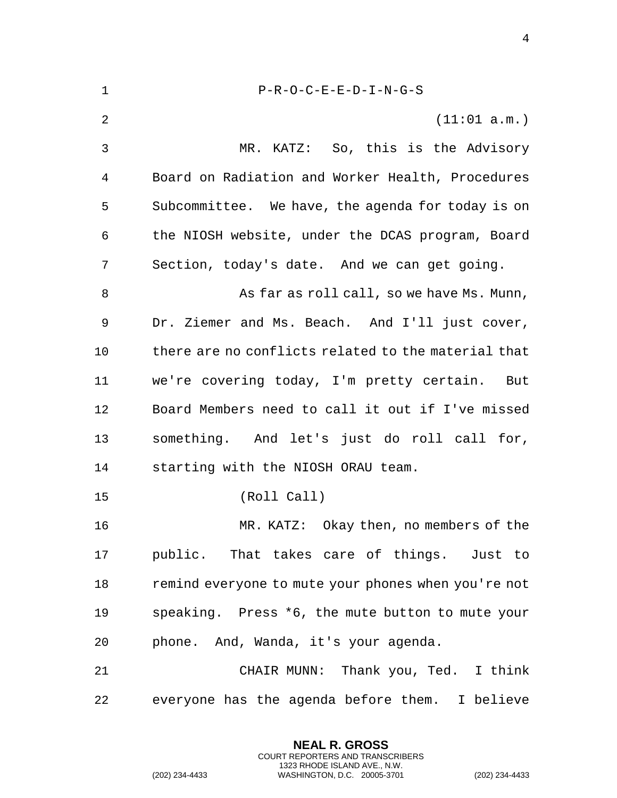| $\mathbf 1$ | $P-R-O-C-E-E-D-I-N-G-S$                             |
|-------------|-----------------------------------------------------|
| 2           | (11:01 a.m.)                                        |
| 3           | MR. KATZ: So, this is the Advisory                  |
| 4           | Board on Radiation and Worker Health, Procedures    |
| 5           | Subcommittee. We have, the agenda for today is on   |
| 6           | the NIOSH website, under the DCAS program, Board    |
| 7           | Section, today's date. And we can get going.        |
| 8           | As far as roll call, so we have Ms. Munn,           |
| 9           | Dr. Ziemer and Ms. Beach. And I'll just cover,      |
| 10          | there are no conflicts related to the material that |
| 11          | we're covering today, I'm pretty certain. But       |
| 12          | Board Members need to call it out if I've missed    |
| 13          | something. And let's just do roll call for,         |
| 14          | starting with the NIOSH ORAU team.                  |
| 15          | (Roll Call)                                         |
| 16          | MR. KATZ: Okay then, no members of the              |
| 17          | public. That takes care of things. Just to          |
| 18          | remind everyone to mute your phones when you're not |
| 19          | speaking. Press *6, the mute button to mute your    |
| 20          | phone. And, Wanda, it's your agenda.                |
| 21          | CHAIR MUNN: Thank you, Ted. I think                 |
| 22          | everyone has the agenda before them. I believe      |

**NEAL R. GROSS** COURT REPORTERS AND TRANSCRIBERS 1323 RHODE ISLAND AVE., N.W.

(202) 234-4433 WASHINGTON, D.C. 20005-3701 (202) 234-4433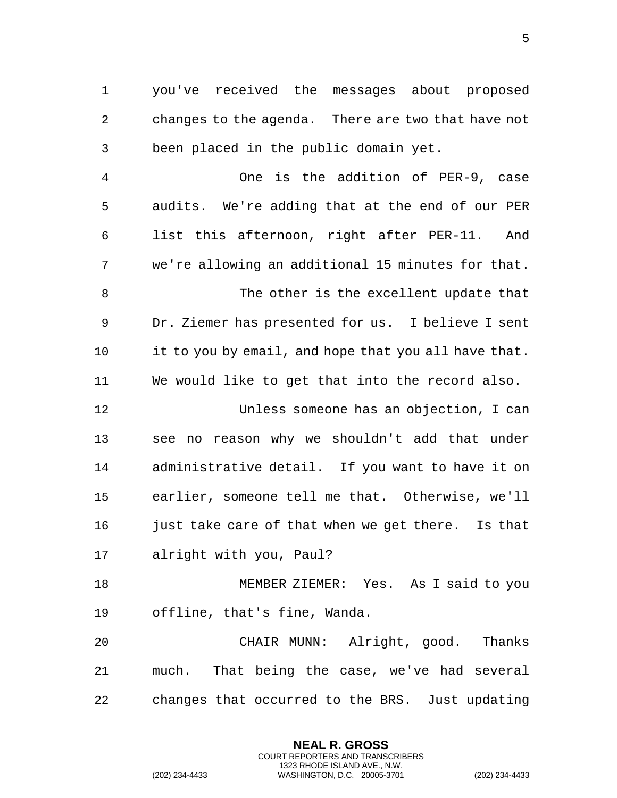you've received the messages about proposed changes to the agenda. There are two that have not been placed in the public domain yet.

 One is the addition of PER-9, case audits. We're adding that at the end of our PER list this afternoon, right after PER-11. And we're allowing an additional 15 minutes for that. 8 The other is the excellent update that Dr. Ziemer has presented for us. I believe I sent it to you by email, and hope that you all have that. We would like to get that into the record also.

 Unless someone has an objection, I can see no reason why we shouldn't add that under administrative detail. If you want to have it on earlier, someone tell me that. Otherwise, we'll 16 just take care of that when we get there. Is that alright with you, Paul?

 MEMBER ZIEMER: Yes. As I said to you offline, that's fine, Wanda.

 CHAIR MUNN: Alright, good. Thanks much. That being the case, we've had several changes that occurred to the BRS. Just updating

> **NEAL R. GROSS** COURT REPORTERS AND TRANSCRIBERS 1323 RHODE ISLAND AVE., N.W.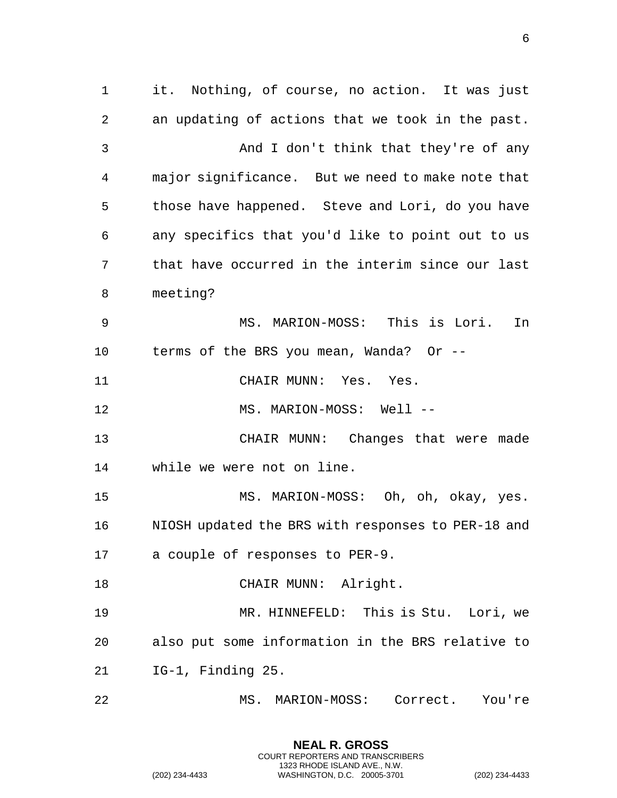it. Nothing, of course, no action. It was just an updating of actions that we took in the past. And I don't think that they're of any major significance. But we need to make note that those have happened. Steve and Lori, do you have any specifics that you'd like to point out to us that have occurred in the interim since our last meeting? MS. MARION-MOSS: This is Lori. In terms of the BRS you mean, Wanda? Or -- CHAIR MUNN: Yes. Yes. 12 MS. MARION-MOSS: Well -- CHAIR MUNN: Changes that were made while we were not on line. MS. MARION-MOSS: Oh, oh, okay, yes. NIOSH updated the BRS with responses to PER-18 and a couple of responses to PER-9. 18 CHAIR MUNN: Alright. MR. HINNEFELD: This is Stu. Lori, we also put some information in the BRS relative to IG-1, Finding 25. MS. MARION-MOSS: Correct. You're

> **NEAL R. GROSS** COURT REPORTERS AND TRANSCRIBERS 1323 RHODE ISLAND AVE., N.W.

(202) 234-4433 WASHINGTON, D.C. 20005-3701 (202) 234-4433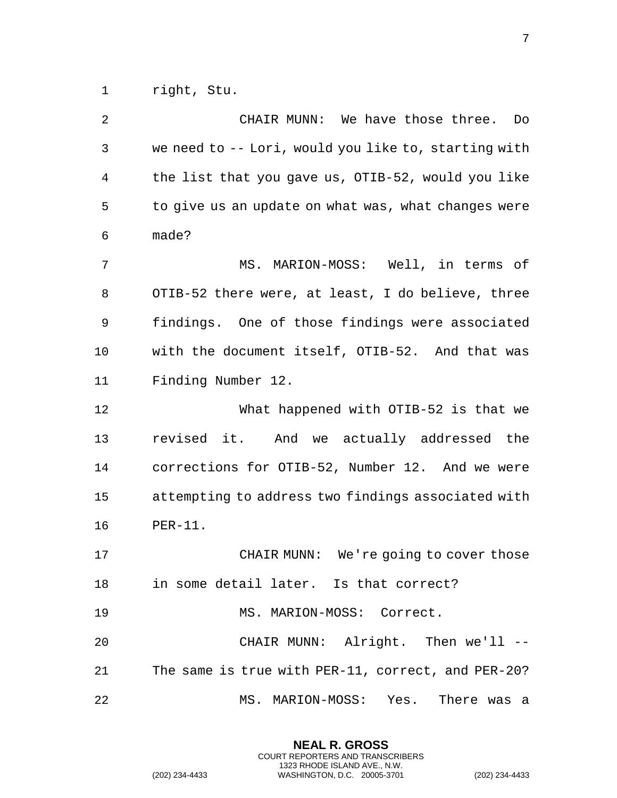right, Stu.

 CHAIR MUNN: We have those three. Do we need to -- Lori, would you like to, starting with the list that you gave us, OTIB-52, would you like to give us an update on what was, what changes were made? MS. MARION-MOSS: Well, in terms of OTIB-52 there were, at least, I do believe, three findings. One of those findings were associated with the document itself, OTIB-52. And that was Finding Number 12. What happened with OTIB-52 is that we revised it. And we actually addressed the corrections for OTIB-52, Number 12. And we were attempting to address two findings associated with PER-11. CHAIR MUNN: We're going to cover those in some detail later. Is that correct? 19 MS. MARION-MOSS: Correct. CHAIR MUNN: Alright. Then we'll -- The same is true with PER-11, correct, and PER-20? MS. MARION-MOSS: Yes. There was a

> **NEAL R. GROSS** COURT REPORTERS AND TRANSCRIBERS 1323 RHODE ISLAND AVE., N.W.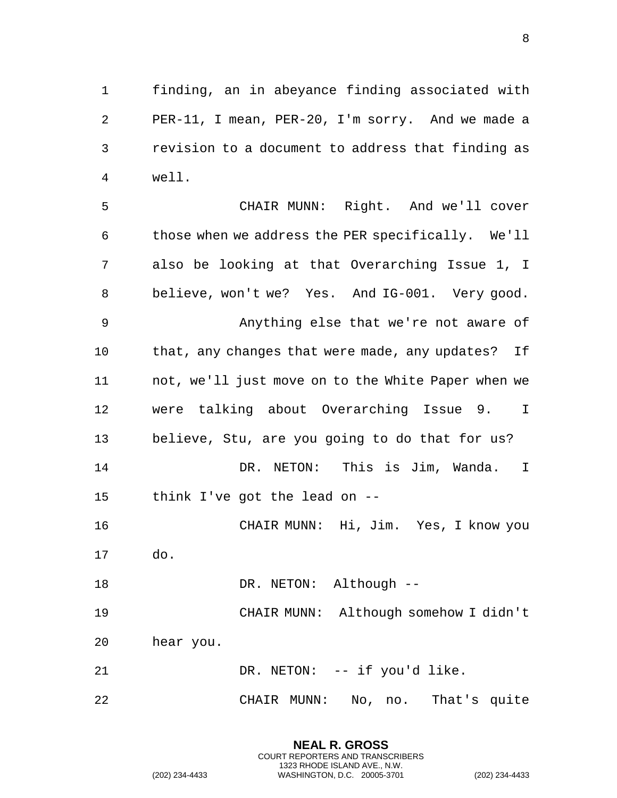finding, an in abeyance finding associated with PER-11, I mean, PER-20, I'm sorry. And we made a revision to a document to address that finding as well.

 CHAIR MUNN: Right. And we'll cover those when we address the PER specifically. We'll also be looking at that Overarching Issue 1, I believe, won't we? Yes. And IG-001. Very good. Anything else that we're not aware of that, any changes that were made, any updates? If not, we'll just move on to the White Paper when we were talking about Overarching Issue 9. I believe, Stu, are you going to do that for us? DR. NETON: This is Jim, Wanda. I think I've got the lead on -- CHAIR MUNN: Hi, Jim. Yes, I know you do. 18 DR. NETON: Although -- CHAIR MUNN: Although somehow I didn't hear you. 21 DR. NETON: -- if you'd like. CHAIR MUNN: No, no. That's quite

> **NEAL R. GROSS** COURT REPORTERS AND TRANSCRIBERS 1323 RHODE ISLAND AVE., N.W.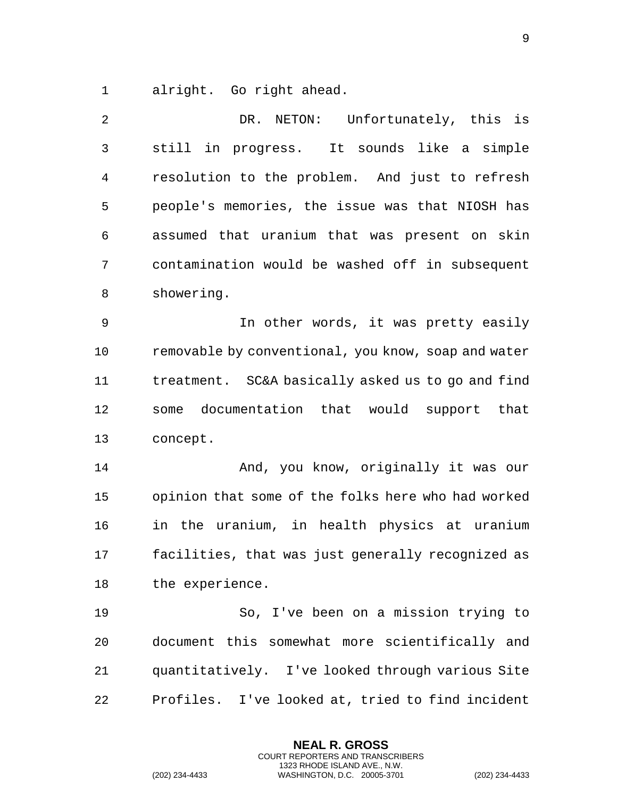alright. Go right ahead.

 DR. NETON: Unfortunately, this is still in progress. It sounds like a simple resolution to the problem. And just to refresh people's memories, the issue was that NIOSH has assumed that uranium that was present on skin contamination would be washed off in subsequent showering.

 In other words, it was pretty easily removable by conventional, you know, soap and water treatment. SC&A basically asked us to go and find some documentation that would support that concept.

14 And, you know, originally it was our opinion that some of the folks here who had worked in the uranium, in health physics at uranium facilities, that was just generally recognized as the experience.

 So, I've been on a mission trying to document this somewhat more scientifically and quantitatively. I've looked through various Site Profiles. I've looked at, tried to find incident

> **NEAL R. GROSS** COURT REPORTERS AND TRANSCRIBERS 1323 RHODE ISLAND AVE., N.W.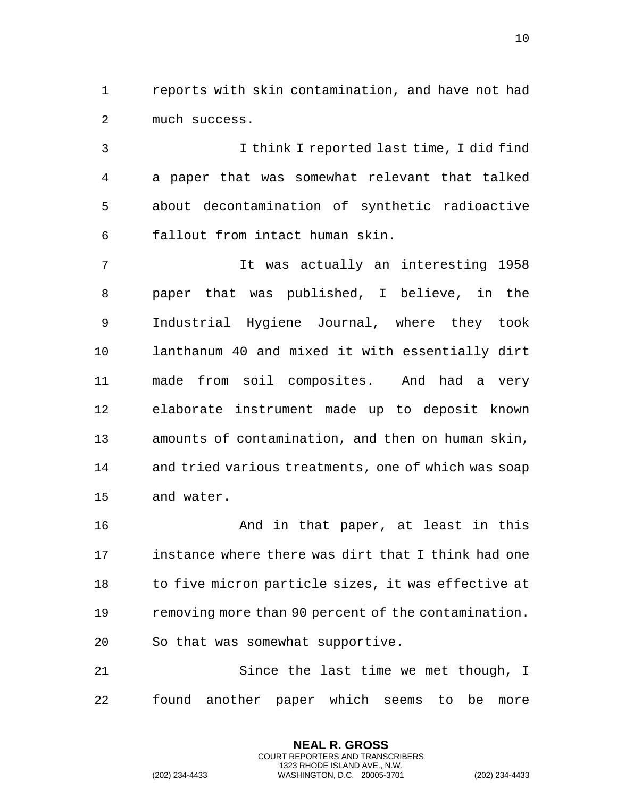reports with skin contamination, and have not had much success.

 I think I reported last time, I did find a paper that was somewhat relevant that talked about decontamination of synthetic radioactive fallout from intact human skin.

 It was actually an interesting 1958 paper that was published, I believe, in the Industrial Hygiene Journal, where they took lanthanum 40 and mixed it with essentially dirt made from soil composites. And had a very elaborate instrument made up to deposit known amounts of contamination, and then on human skin, and tried various treatments, one of which was soap and water.

16 And in that paper, at least in this instance where there was dirt that I think had one 18 to five micron particle sizes, it was effective at removing more than 90 percent of the contamination. So that was somewhat supportive.

 Since the last time we met though, I found another paper which seems to be more

> **NEAL R. GROSS** COURT REPORTERS AND TRANSCRIBERS 1323 RHODE ISLAND AVE., N.W.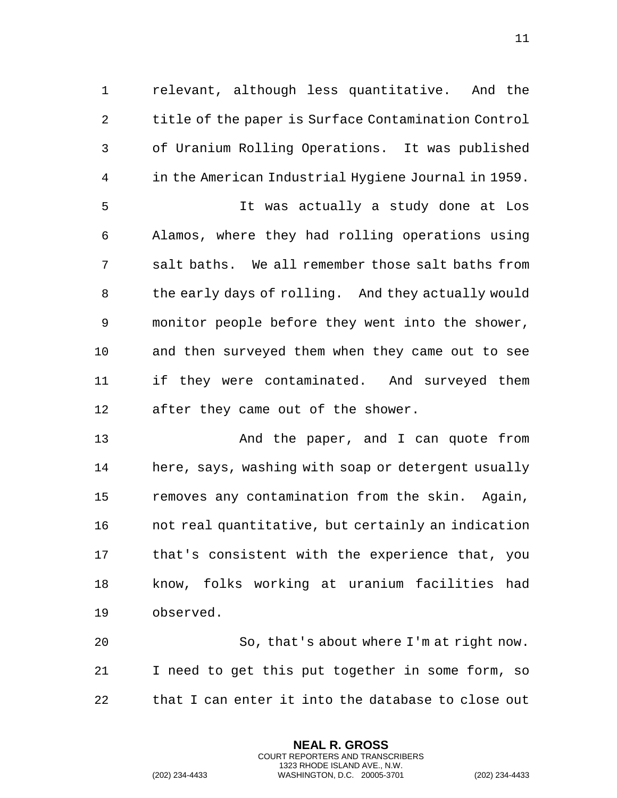relevant, although less quantitative. And the title of the paper is Surface Contamination Control of Uranium Rolling Operations. It was published in the American Industrial Hygiene Journal in 1959. It was actually a study done at Los Alamos, where they had rolling operations using salt baths. We all remember those salt baths from the early days of rolling. And they actually would monitor people before they went into the shower, and then surveyed them when they came out to see if they were contaminated. And surveyed them after they came out of the shower.

 And the paper, and I can quote from here, says, washing with soap or detergent usually removes any contamination from the skin. Again, not real quantitative, but certainly an indication that's consistent with the experience that, you know, folks working at uranium facilities had observed.

 So, that's about where I'm at right now. I need to get this put together in some form, so that I can enter it into the database to close out

> **NEAL R. GROSS** COURT REPORTERS AND TRANSCRIBERS 1323 RHODE ISLAND AVE., N.W.

(202) 234-4433 WASHINGTON, D.C. 20005-3701 (202) 234-4433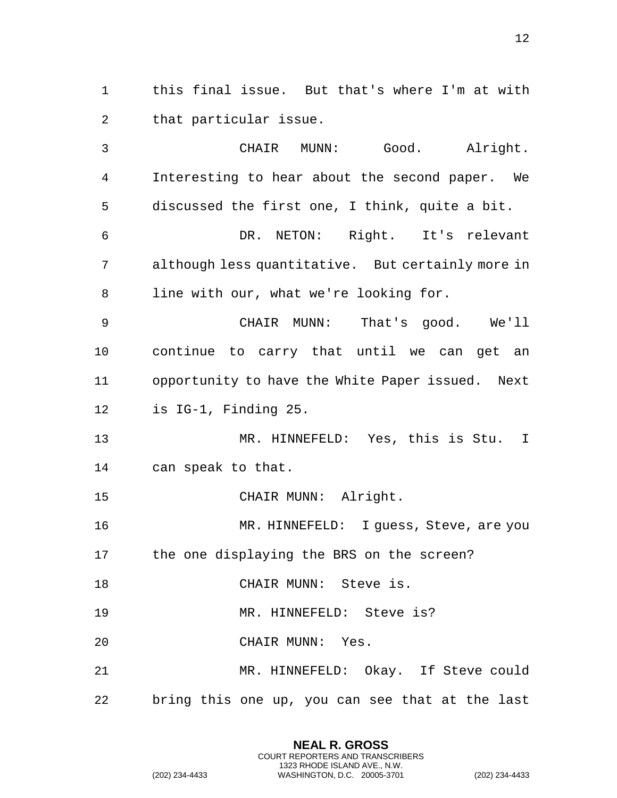this final issue. But that's where I'm at with that particular issue.

 CHAIR MUNN: Good. Alright. Interesting to hear about the second paper. We discussed the first one, I think, quite a bit. DR. NETON: Right. It's relevant although less quantitative. But certainly more in line with our, what we're looking for. CHAIR MUNN: That's good. We'll continue to carry that until we can get an opportunity to have the White Paper issued. Next is IG-1, Finding 25. MR. HINNEFELD: Yes, this is Stu. I can speak to that. CHAIR MUNN: Alright. MR. HINNEFELD: I guess, Steve, are you the one displaying the BRS on the screen? 18 CHAIR MUNN: Steve is. 19 MR. HINNEFELD: Steve is? CHAIR MUNN: Yes. MR. HINNEFELD: Okay. If Steve could bring this one up, you can see that at the last

> **NEAL R. GROSS** COURT REPORTERS AND TRANSCRIBERS 1323 RHODE ISLAND AVE., N.W.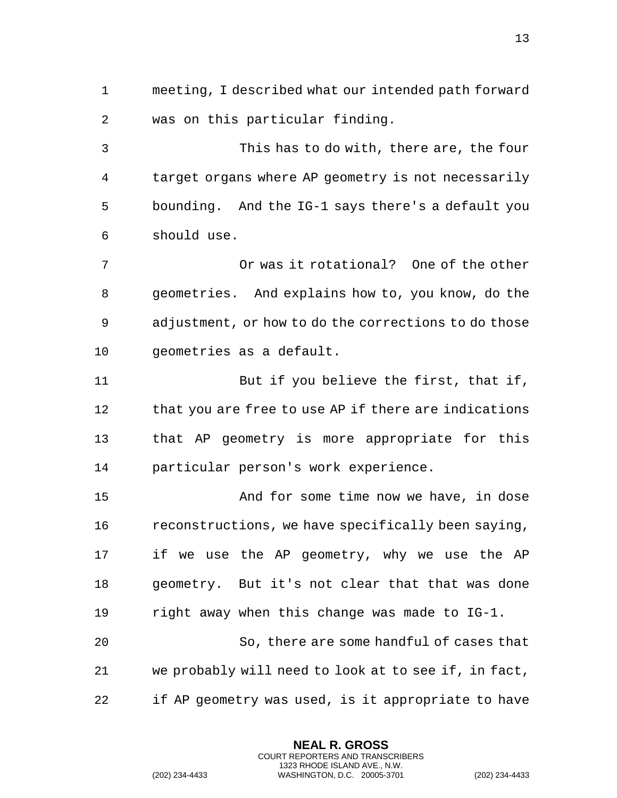meeting, I described what our intended path forward was on this particular finding.

 This has to do with, there are, the four target organs where AP geometry is not necessarily bounding. And the IG-1 says there's a default you should use.

 Or was it rotational? One of the other geometries. And explains how to, you know, do the adjustment, or how to do the corrections to do those geometries as a default.

11 But if you believe the first, that if, 12 that you are free to use AP if there are indications that AP geometry is more appropriate for this particular person's work experience.

 And for some time now we have, in dose reconstructions, we have specifically been saying, if we use the AP geometry, why we use the AP geometry. But it's not clear that that was done right away when this change was made to IG-1. So, there are some handful of cases that we probably will need to look at to see if, in fact,

if AP geometry was used, is it appropriate to have

**NEAL R. GROSS** COURT REPORTERS AND TRANSCRIBERS 1323 RHODE ISLAND AVE., N.W.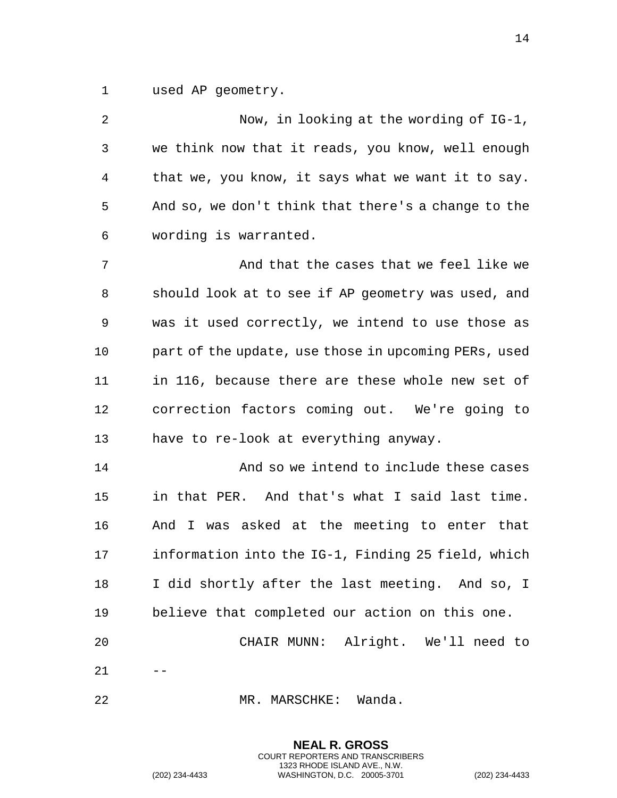used AP geometry.

| 2  | Now, in looking at the wording of IG-1,              |
|----|------------------------------------------------------|
| 3  | we think now that it reads, you know, well enough    |
| 4  | that we, you know, it says what we want it to say.   |
| 5  | And so, we don't think that there's a change to the  |
| 6  | wording is warranted.                                |
| 7  | And that the cases that we feel like we              |
| 8  | should look at to see if AP geometry was used, and   |
| 9  | was it used correctly, we intend to use those as     |
| 10 | part of the update, use those in upcoming PERs, used |
| 11 | in 116, because there are these whole new set of     |
| 12 | correction factors coming out. We're going to        |
| 13 | have to re-look at everything anyway.                |
| 14 | And so we intend to include these cases              |
| 15 | in that PER. And that's what I said last time.       |
| 16 | And I was asked at the meeting to enter that         |
| 17 | information into the IG-1, Finding 25 field, which   |
| 18 | I did shortly after the last meeting. And so, I      |
| 19 | believe that completed our action on this one.       |
| 20 | CHAIR MUNN: Alright. We'll need to                   |
| 21 |                                                      |
| 22 | Wanda.<br>MR. MARSCHKE:                              |

**NEAL R. GROSS** COURT REPORTERS AND TRANSCRIBERS 1323 RHODE ISLAND AVE., N.W.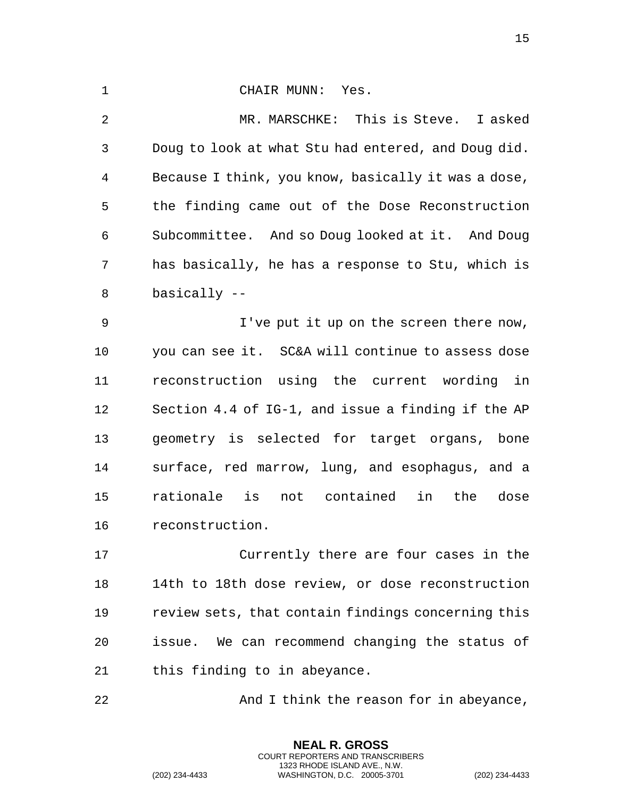1 CHAIR MUNN: Yes. MR. MARSCHKE: This is Steve. I asked

 Doug to look at what Stu had entered, and Doug did. Because I think, you know, basically it was a dose, the finding came out of the Dose Reconstruction Subcommittee. And so Doug looked at it. And Doug has basically, he has a response to Stu, which is basically --

 I've put it up on the screen there now, you can see it. SC&A will continue to assess dose reconstruction using the current wording in Section 4.4 of IG-1, and issue a finding if the AP geometry is selected for target organs, bone surface, red marrow, lung, and esophagus, and a rationale is not contained in the dose reconstruction.

 Currently there are four cases in the 14th to 18th dose review, or dose reconstruction review sets, that contain findings concerning this issue. We can recommend changing the status of this finding to in abeyance.

**And I think the reason for in abeyance,** 

**NEAL R. GROSS** COURT REPORTERS AND TRANSCRIBERS 1323 RHODE ISLAND AVE., N.W.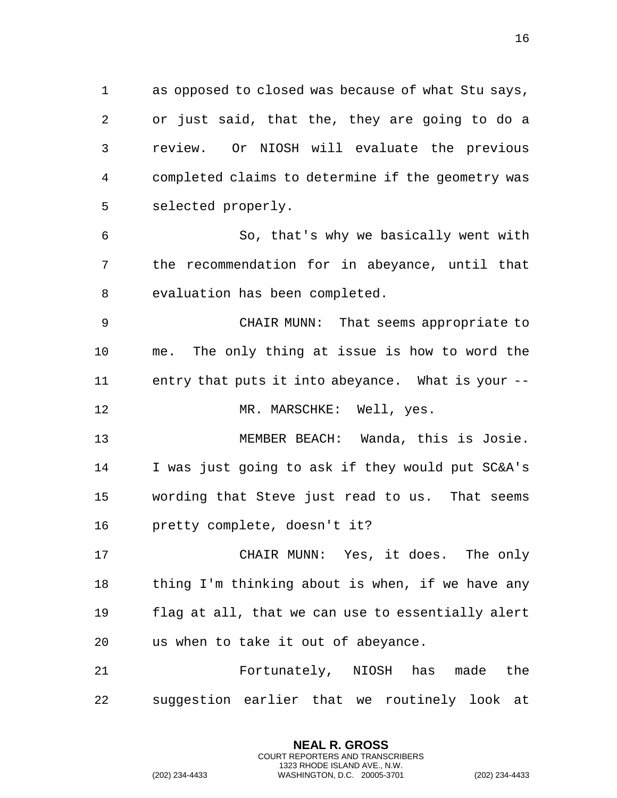as opposed to closed was because of what Stu says, or just said, that the, they are going to do a review. Or NIOSH will evaluate the previous completed claims to determine if the geometry was selected properly.

 So, that's why we basically went with the recommendation for in abeyance, until that evaluation has been completed.

 CHAIR MUNN: That seems appropriate to me. The only thing at issue is how to word the entry that puts it into abeyance. What is your --

12 MR. MARSCHKE: Well, yes.

 MEMBER BEACH: Wanda, this is Josie. I was just going to ask if they would put SC&A's wording that Steve just read to us. That seems pretty complete, doesn't it?

 CHAIR MUNN: Yes, it does. The only thing I'm thinking about is when, if we have any flag at all, that we can use to essentially alert us when to take it out of abeyance.

 Fortunately, NIOSH has made the suggestion earlier that we routinely look at

> **NEAL R. GROSS** COURT REPORTERS AND TRANSCRIBERS 1323 RHODE ISLAND AVE., N.W.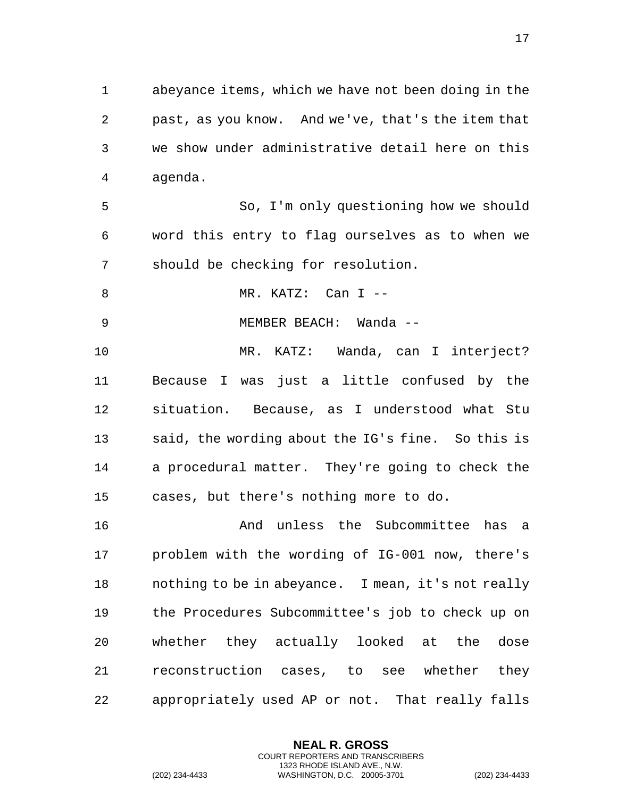abeyance items, which we have not been doing in the past, as you know. And we've, that's the item that we show under administrative detail here on this agenda.

 So, I'm only questioning how we should word this entry to flag ourselves as to when we should be checking for resolution.

8 MR. KATZ: Can I --

MEMBER BEACH: Wanda --

 MR. KATZ: Wanda, can I interject? Because I was just a little confused by the situation. Because, as I understood what Stu said, the wording about the IG's fine. So this is a procedural matter. They're going to check the cases, but there's nothing more to do.

16 And unless the Subcommittee has a problem with the wording of IG-001 now, there's nothing to be in abeyance. I mean, it's not really the Procedures Subcommittee's job to check up on whether they actually looked at the dose reconstruction cases, to see whether they appropriately used AP or not. That really falls

> **NEAL R. GROSS** COURT REPORTERS AND TRANSCRIBERS 1323 RHODE ISLAND AVE., N.W.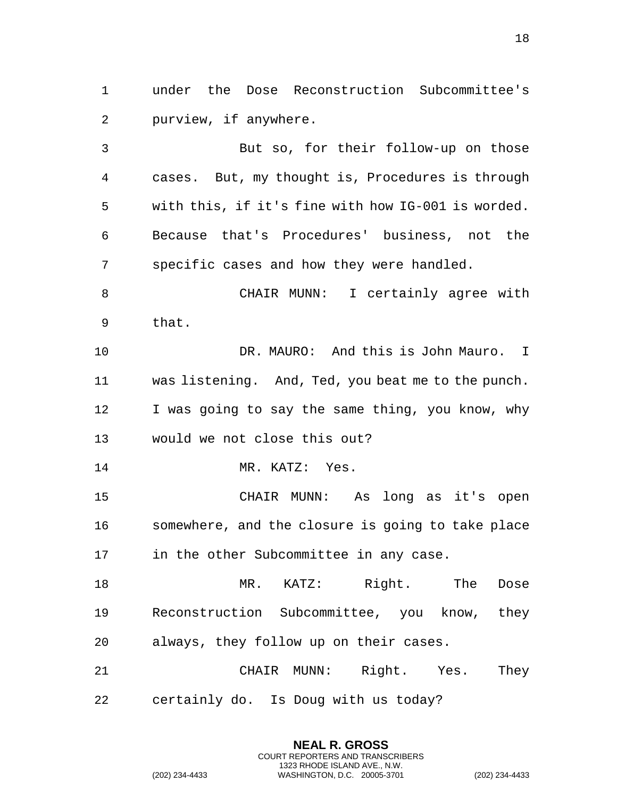under the Dose Reconstruction Subcommittee's purview, if anywhere.

 But so, for their follow-up on those cases. But, my thought is, Procedures is through with this, if it's fine with how IG-001 is worded. Because that's Procedures' business, not the specific cases and how they were handled. CHAIR MUNN: I certainly agree with that. DR. MAURO: And this is John Mauro. I was listening. And, Ted, you beat me to the punch. 12 I was going to say the same thing, you know, why would we not close this out? MR. KATZ: Yes. CHAIR MUNN: As long as it's open somewhere, and the closure is going to take place in the other Subcommittee in any case. 18 MR. KATZ: Right. The Dose Reconstruction Subcommittee, you know, they always, they follow up on their cases. CHAIR MUNN: Right. Yes. They

certainly do. Is Doug with us today?

**NEAL R. GROSS** COURT REPORTERS AND TRANSCRIBERS 1323 RHODE ISLAND AVE., N.W.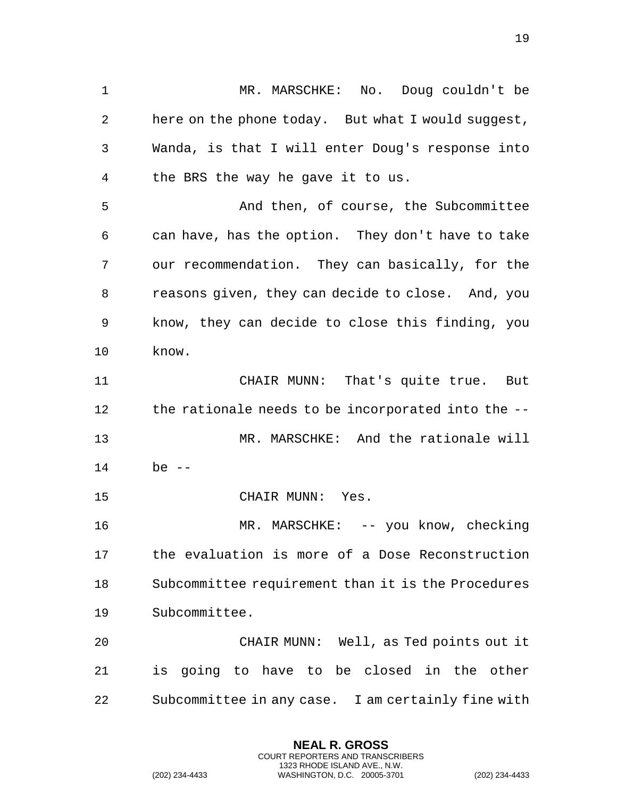MR. MARSCHKE: No. Doug couldn't be here on the phone today. But what I would suggest, Wanda, is that I will enter Doug's response into the BRS the way he gave it to us. And then, of course, the Subcommittee can have, has the option. They don't have to take our recommendation. They can basically, for the reasons given, they can decide to close. And, you know, they can decide to close this finding, you know. CHAIR MUNN: That's quite true. But the rationale needs to be incorporated into the -- MR. MARSCHKE: And the rationale will be -- CHAIR MUNN: Yes. MR. MARSCHKE: -- you know, checking the evaluation is more of a Dose Reconstruction Subcommittee requirement than it is the Procedures Subcommittee. CHAIR MUNN: Well, as Ted points out it is going to have to be closed in the other

Subcommittee in any case. I am certainly fine with

**NEAL R. GROSS** COURT REPORTERS AND TRANSCRIBERS 1323 RHODE ISLAND AVE., N.W.

(202) 234-4433 WASHINGTON, D.C. 20005-3701 (202) 234-4433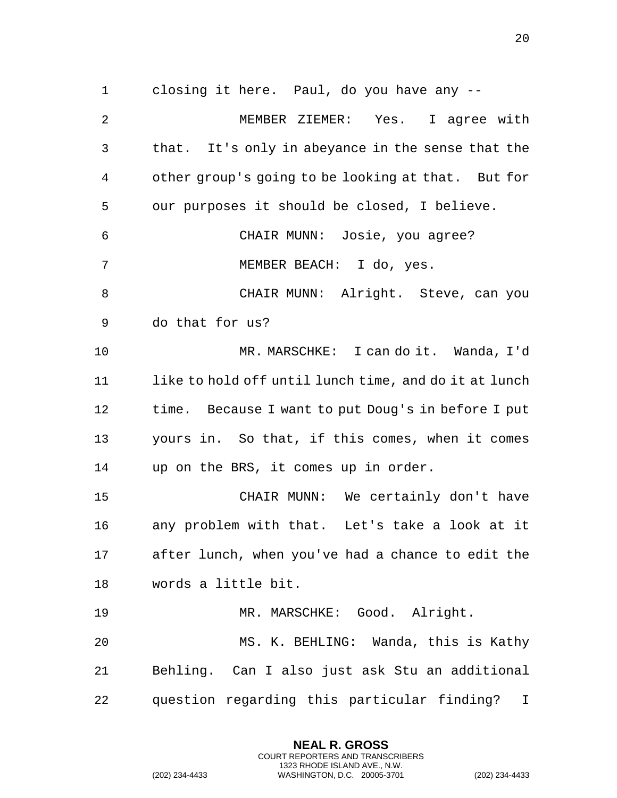closing it here. Paul, do you have any -- MEMBER ZIEMER: Yes. I agree with that. It's only in abeyance in the sense that the other group's going to be looking at that. But for our purposes it should be closed, I believe. CHAIR MUNN: Josie, you agree? MEMBER BEACH: I do, yes. 8 CHAIR MUNN: Alright. Steve, can you do that for us? MR. MARSCHKE: I can do it. Wanda, I'd 11 like to hold off until lunch time, and do it at lunch time. Because I want to put Doug's in before I put yours in. So that, if this comes, when it comes up on the BRS, it comes up in order. CHAIR MUNN: We certainly don't have any problem with that. Let's take a look at it after lunch, when you've had a chance to edit the words a little bit. MR. MARSCHKE: Good. Alright.

 MS. K. BEHLING: Wanda, this is Kathy Behling. Can I also just ask Stu an additional question regarding this particular finding? I

> **NEAL R. GROSS** COURT REPORTERS AND TRANSCRIBERS 1323 RHODE ISLAND AVE., N.W.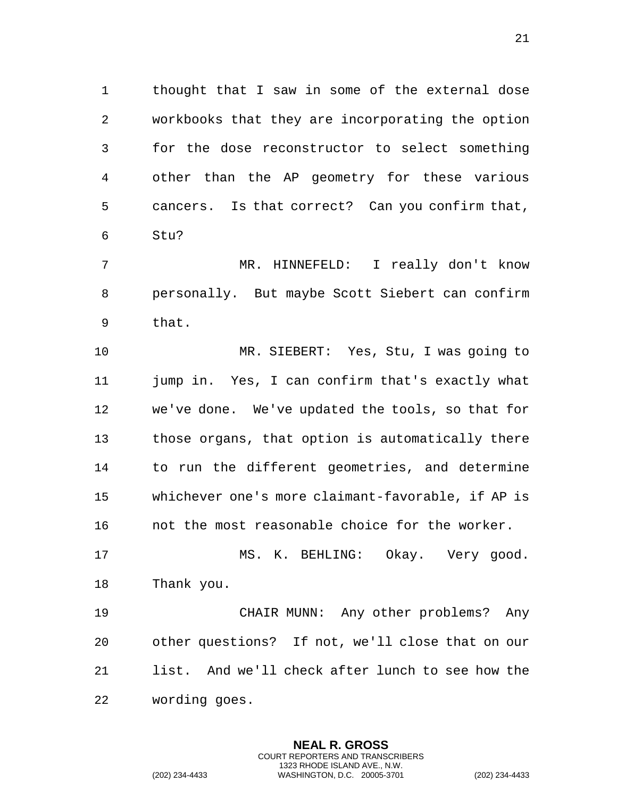thought that I saw in some of the external dose workbooks that they are incorporating the option for the dose reconstructor to select something other than the AP geometry for these various cancers. Is that correct? Can you confirm that, Stu?

 MR. HINNEFELD: I really don't know personally. But maybe Scott Siebert can confirm that.

 MR. SIEBERT: Yes, Stu, I was going to jump in. Yes, I can confirm that's exactly what we've done. We've updated the tools, so that for those organs, that option is automatically there to run the different geometries, and determine whichever one's more claimant-favorable, if AP is not the most reasonable choice for the worker.

 MS. K. BEHLING: Okay. Very good. Thank you.

 CHAIR MUNN: Any other problems? Any other questions? If not, we'll close that on our list. And we'll check after lunch to see how the wording goes.

> **NEAL R. GROSS** COURT REPORTERS AND TRANSCRIBERS 1323 RHODE ISLAND AVE., N.W.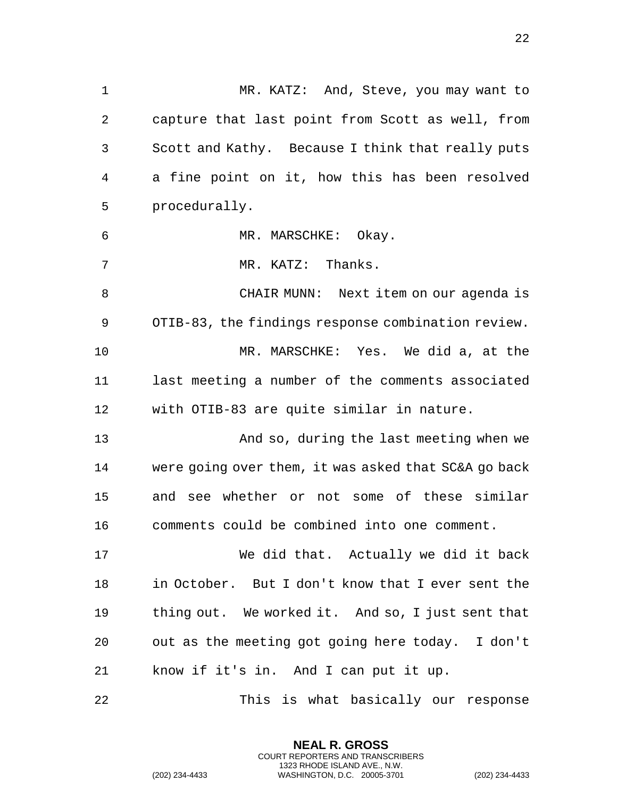MR. KATZ: And, Steve, you may want to capture that last point from Scott as well, from Scott and Kathy. Because I think that really puts a fine point on it, how this has been resolved procedurally. MR. MARSCHKE: Okay. 7 MR. KATZ: Thanks. CHAIR MUNN: Next item on our agenda is OTIB-83, the findings response combination review. MR. MARSCHKE: Yes. We did a, at the last meeting a number of the comments associated with OTIB-83 are quite similar in nature. And so, during the last meeting when we were going over them, it was asked that SC&A go back and see whether or not some of these similar comments could be combined into one comment. We did that. Actually we did it back in October. But I don't know that I ever sent the thing out. We worked it. And so, I just sent that out as the meeting got going here today. I don't

know if it's in. And I can put it up.

This is what basically our response

**NEAL R. GROSS** COURT REPORTERS AND TRANSCRIBERS 1323 RHODE ISLAND AVE., N.W.

(202) 234-4433 WASHINGTON, D.C. 20005-3701 (202) 234-4433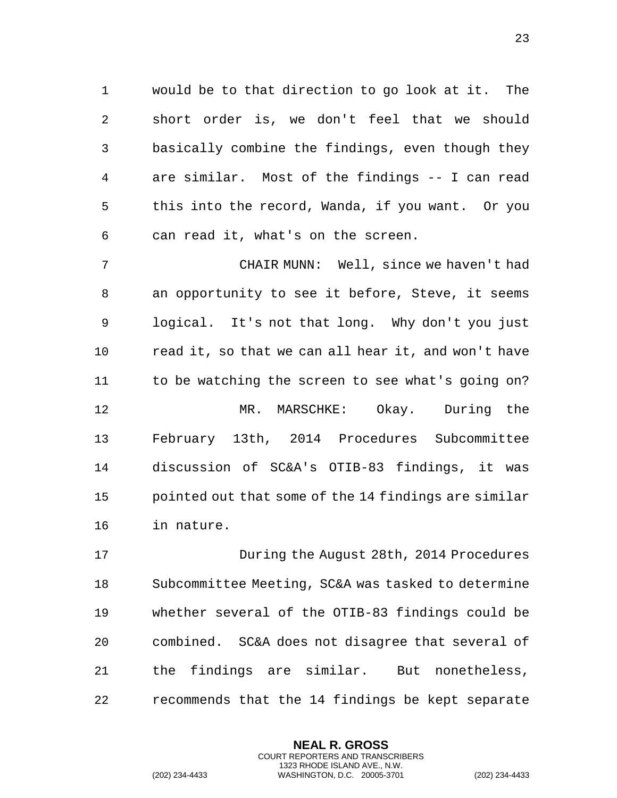would be to that direction to go look at it. The short order is, we don't feel that we should basically combine the findings, even though they are similar. Most of the findings -- I can read this into the record, Wanda, if you want. Or you can read it, what's on the screen.

 CHAIR MUNN: Well, since we haven't had an opportunity to see it before, Steve, it seems logical. It's not that long. Why don't you just read it, so that we can all hear it, and won't have to be watching the screen to see what's going on? MR. MARSCHKE: Okay. During the February 13th, 2014 Procedures Subcommittee discussion of SC&A's OTIB-83 findings, it was pointed out that some of the 14 findings are similar in nature.

 During the August 28th, 2014 Procedures Subcommittee Meeting, SC&A was tasked to determine whether several of the OTIB-83 findings could be combined. SC&A does not disagree that several of the findings are similar. But nonetheless, recommends that the 14 findings be kept separate

> **NEAL R. GROSS** COURT REPORTERS AND TRANSCRIBERS 1323 RHODE ISLAND AVE., N.W.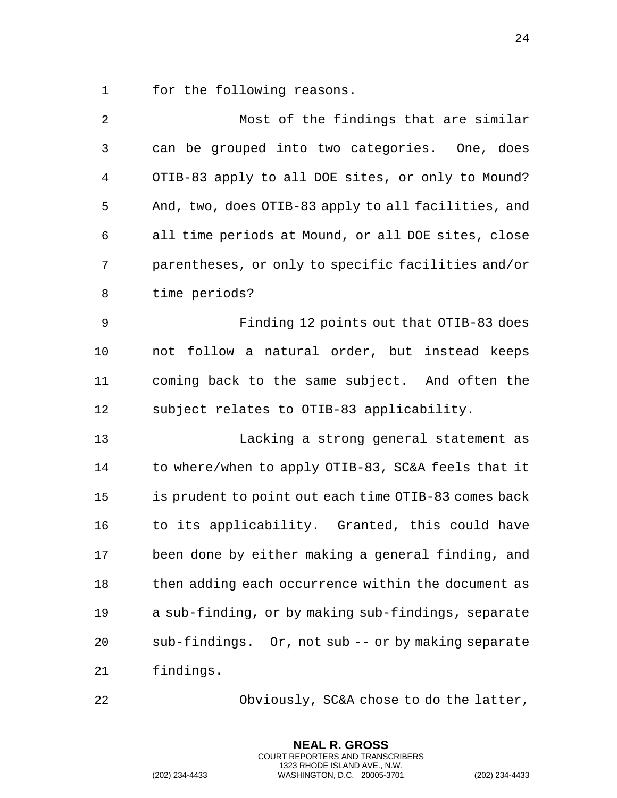for the following reasons.

| 2           | Most of the findings that are similar                 |
|-------------|-------------------------------------------------------|
| 3           | can be grouped into two categories. One, does         |
| 4           | OTIB-83 apply to all DOE sites, or only to Mound?     |
| 5           | And, two, does OTIB-83 apply to all facilities, and   |
| 6           | all time periods at Mound, or all DOE sites, close    |
| 7           | parentheses, or only to specific facilities and/or    |
| 8           | time periods?                                         |
| $\mathsf 9$ | Finding 12 points out that OTIB-83 does               |
| 10          | not follow a natural order, but instead keeps         |
| 11          | coming back to the same subject. And often the        |
| 12          | subject relates to OTIB-83 applicability.             |
| 13          | Lacking a strong general statement as                 |
| 14          | to where/when to apply OTIB-83, SC&A feels that it    |
| 15          | is prudent to point out each time OTIB-83 comes back  |
| 16          | to its applicability. Granted, this could have        |
| 17          | been done by either making a general finding, and     |
| 18          | then adding each occurrence within the document as    |
| 19          | a sub-finding, or by making sub-findings, separate    |
| 20          | sub-findings.<br>Or, not sub -- or by making separate |
| 21          | findings.                                             |
|             |                                                       |

Obviously, SC&A chose to do the latter,

**NEAL R. GROSS** COURT REPORTERS AND TRANSCRIBERS 1323 RHODE ISLAND AVE., N.W.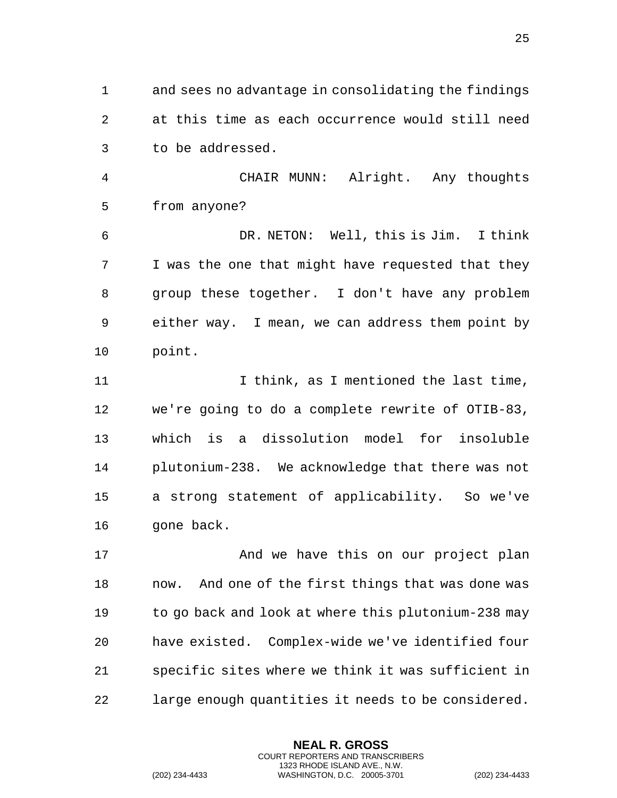and sees no advantage in consolidating the findings at this time as each occurrence would still need to be addressed.

 CHAIR MUNN: Alright. Any thoughts from anyone?

 DR. NETON: Well, this is Jim. I think I was the one that might have requested that they group these together. I don't have any problem either way. I mean, we can address them point by point.

 I think, as I mentioned the last time, we're going to do a complete rewrite of OTIB-83, which is a dissolution model for insoluble plutonium-238. We acknowledge that there was not a strong statement of applicability. So we've 16 gone back.

**And we have this on our project plan**  now. And one of the first things that was done was to go back and look at where this plutonium-238 may have existed. Complex-wide we've identified four specific sites where we think it was sufficient in large enough quantities it needs to be considered.

> **NEAL R. GROSS** COURT REPORTERS AND TRANSCRIBERS 1323 RHODE ISLAND AVE., N.W.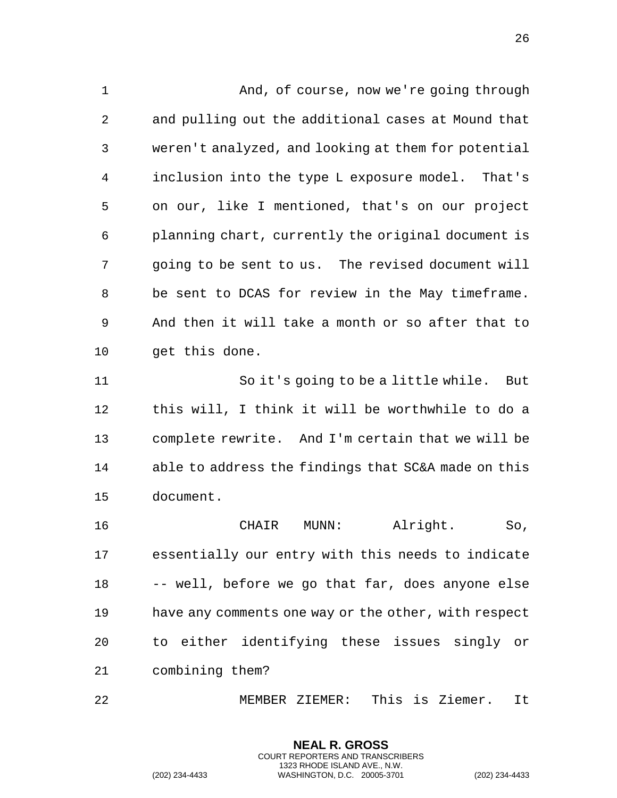And, of course, now we're going through and pulling out the additional cases at Mound that weren't analyzed, and looking at them for potential inclusion into the type L exposure model. That's on our, like I mentioned, that's on our project planning chart, currently the original document is going to be sent to us. The revised document will be sent to DCAS for review in the May timeframe. And then it will take a month or so after that to get this done.

 So it's going to be a little while. But this will, I think it will be worthwhile to do a complete rewrite. And I'm certain that we will be able to address the findings that SC&A made on this document.

 CHAIR MUNN: Alright. So, essentially our entry with this needs to indicate -- well, before we go that far, does anyone else have any comments one way or the other, with respect to either identifying these issues singly or combining them?

MEMBER ZIEMER: This is Ziemer. It

**NEAL R. GROSS** COURT REPORTERS AND TRANSCRIBERS 1323 RHODE ISLAND AVE., N.W.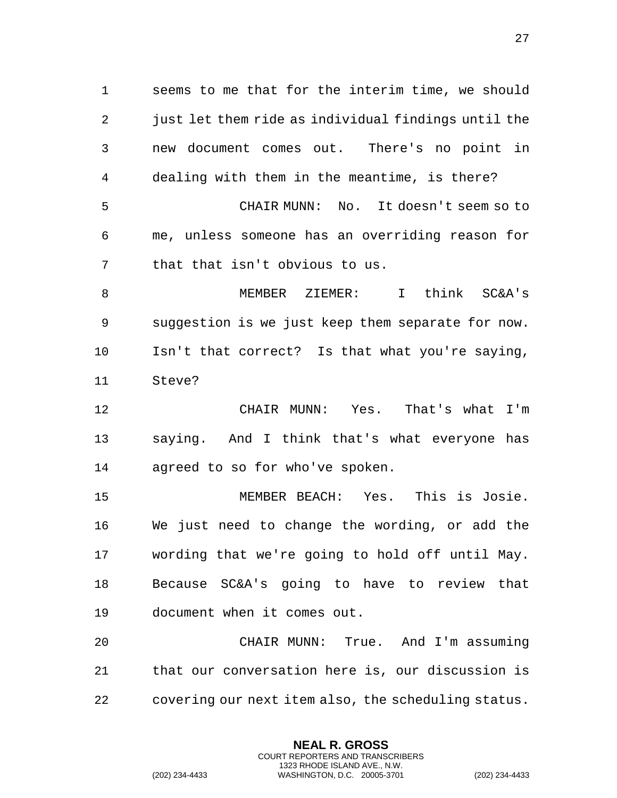seems to me that for the interim time, we should just let them ride as individual findings until the new document comes out. There's no point in dealing with them in the meantime, is there? CHAIR MUNN: No. It doesn't seem so to me, unless someone has an overriding reason for that that isn't obvious to us.

 MEMBER ZIEMER: I think SC&A's suggestion is we just keep them separate for now. Isn't that correct? Is that what you're saying, Steve?

 CHAIR MUNN: Yes. That's what I'm saying. And I think that's what everyone has agreed to so for who've spoken.

 MEMBER BEACH: Yes. This is Josie. We just need to change the wording, or add the wording that we're going to hold off until May. Because SC&A's going to have to review that document when it comes out.

 CHAIR MUNN: True. And I'm assuming that our conversation here is, our discussion is covering our next item also, the scheduling status.

> **NEAL R. GROSS** COURT REPORTERS AND TRANSCRIBERS 1323 RHODE ISLAND AVE., N.W.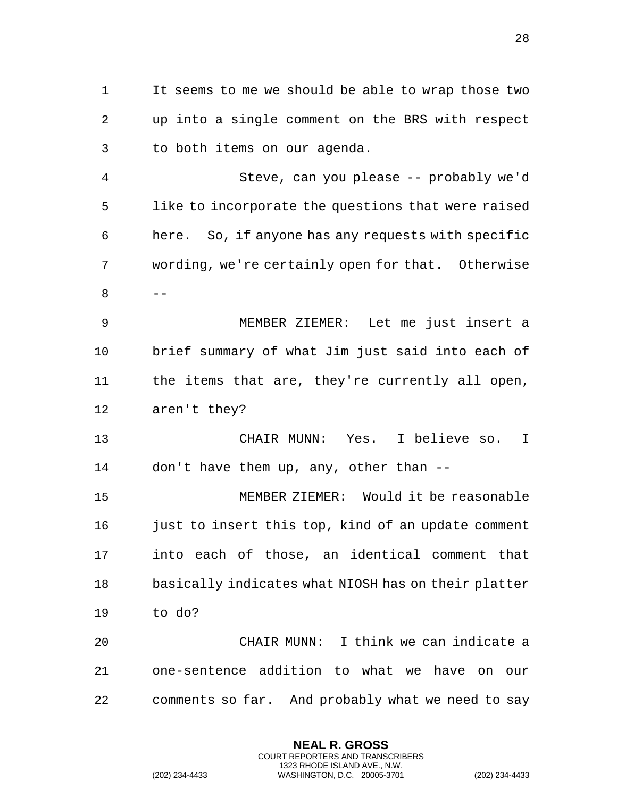It seems to me we should be able to wrap those two up into a single comment on the BRS with respect to both items on our agenda. Steve, can you please -- probably we'd like to incorporate the questions that were raised here. So, if anyone has any requests with specific wording, we're certainly open for that. Otherwise -- MEMBER ZIEMER: Let me just insert a brief summary of what Jim just said into each of the items that are, they're currently all open,

aren't they?

 CHAIR MUNN: Yes. I believe so. I don't have them up, any, other than --

 MEMBER ZIEMER: Would it be reasonable 16 just to insert this top, kind of an update comment into each of those, an identical comment that basically indicates what NIOSH has on their platter to do?

 CHAIR MUNN: I think we can indicate a one-sentence addition to what we have on our comments so far. And probably what we need to say

> **NEAL R. GROSS** COURT REPORTERS AND TRANSCRIBERS 1323 RHODE ISLAND AVE., N.W.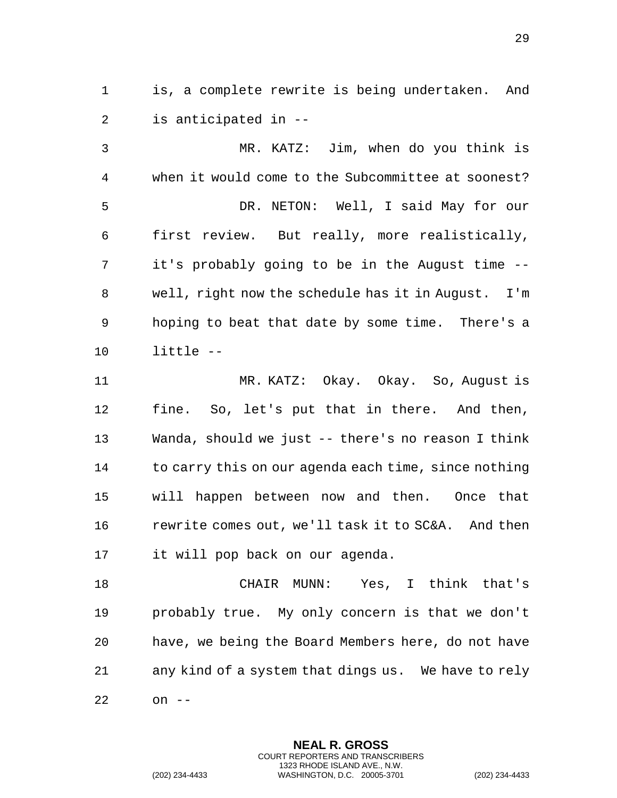is, a complete rewrite is being undertaken. And is anticipated in --

 MR. KATZ: Jim, when do you think is when it would come to the Subcommittee at soonest? DR. NETON: Well, I said May for our first review. But really, more realistically, it's probably going to be in the August time -- well, right now the schedule has it in August. I'm hoping to beat that date by some time. There's a little --

 MR. KATZ: Okay. Okay. So, August is fine. So, let's put that in there. And then, Wanda, should we just -- there's no reason I think to carry this on our agenda each time, since nothing will happen between now and then. Once that rewrite comes out, we'll task it to SC&A. And then it will pop back on our agenda.

 CHAIR MUNN: Yes, I think that's probably true. My only concern is that we don't have, we being the Board Members here, do not have any kind of a system that dings us. We have to rely on --

> **NEAL R. GROSS** COURT REPORTERS AND TRANSCRIBERS 1323 RHODE ISLAND AVE., N.W.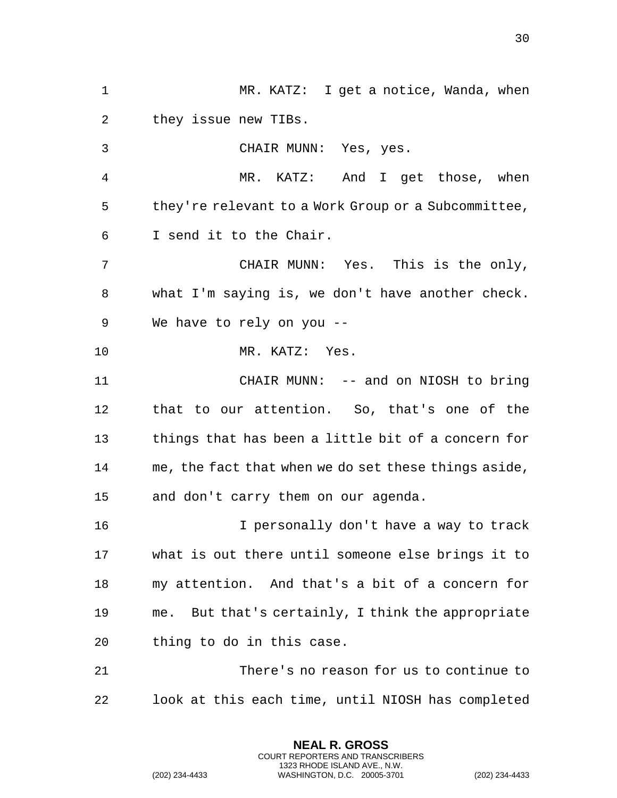MR. KATZ: I get a notice, Wanda, when they issue new TIBs. CHAIR MUNN: Yes, yes. MR. KATZ: And I get those, when they're relevant to a Work Group or a Subcommittee, I send it to the Chair. CHAIR MUNN: Yes. This is the only, what I'm saying is, we don't have another check. We have to rely on you -- MR. KATZ: Yes. CHAIR MUNN: -- and on NIOSH to bring that to our attention. So, that's one of the things that has been a little bit of a concern for me, the fact that when we do set these things aside, and don't carry them on our agenda. I personally don't have a way to track what is out there until someone else brings it to my attention. And that's a bit of a concern for me. But that's certainly, I think the appropriate thing to do in this case. There's no reason for us to continue to look at this each time, until NIOSH has completed

> **NEAL R. GROSS** COURT REPORTERS AND TRANSCRIBERS 1323 RHODE ISLAND AVE., N.W.

(202) 234-4433 WASHINGTON, D.C. 20005-3701 (202) 234-4433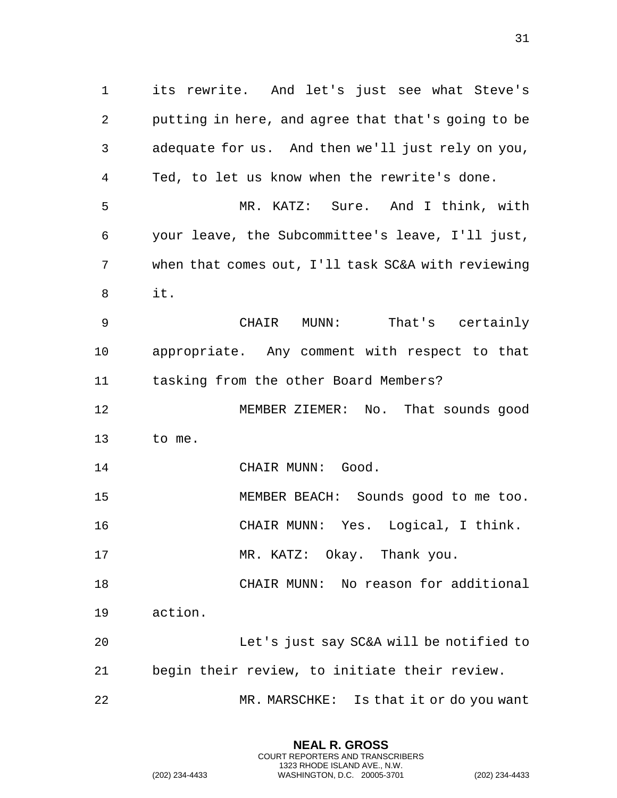its rewrite. And let's just see what Steve's putting in here, and agree that that's going to be adequate for us. And then we'll just rely on you, Ted, to let us know when the rewrite's done. MR. KATZ: Sure. And I think, with your leave, the Subcommittee's leave, I'll just, when that comes out, I'll task SC&A with reviewing it. CHAIR MUNN: That's certainly appropriate. Any comment with respect to that tasking from the other Board Members? 12 MEMBER ZIEMER: No. That sounds good to me. 14 CHAIR MUNN: Good. MEMBER BEACH: Sounds good to me too. CHAIR MUNN: Yes. Logical, I think. 17 MR. KATZ: Okay. Thank you. CHAIR MUNN: No reason for additional action. Let's just say SC&A will be notified to begin their review, to initiate their review. MR. MARSCHKE: Is that it or do you want

> **NEAL R. GROSS** COURT REPORTERS AND TRANSCRIBERS 1323 RHODE ISLAND AVE., N.W.

(202) 234-4433 WASHINGTON, D.C. 20005-3701 (202) 234-4433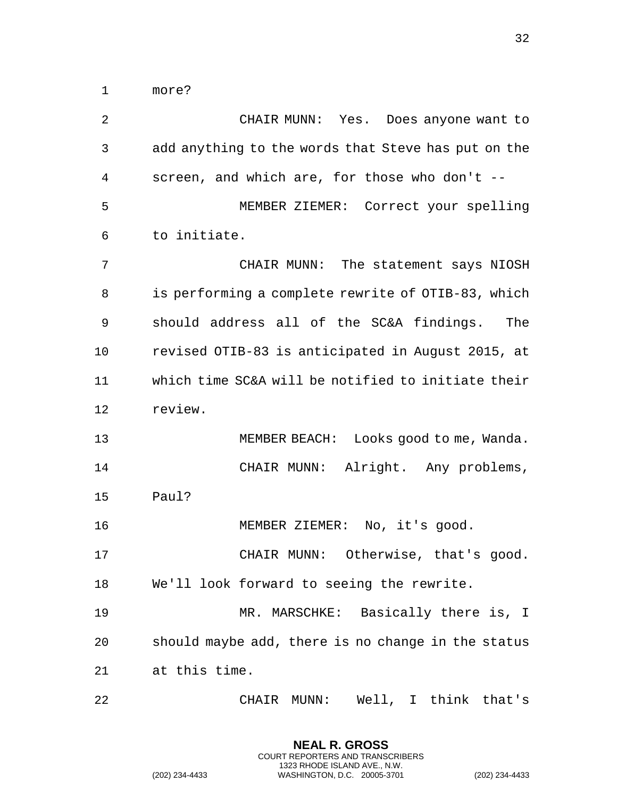more?

 CHAIR MUNN: Yes. Does anyone want to add anything to the words that Steve has put on the screen, and which are, for those who don't -- MEMBER ZIEMER: Correct your spelling to initiate. CHAIR MUNN: The statement says NIOSH is performing a complete rewrite of OTIB-83, which should address all of the SC&A findings. The revised OTIB-83 is anticipated in August 2015, at which time SC&A will be notified to initiate their review. MEMBER BEACH: Looks good to me, Wanda. CHAIR MUNN: Alright. Any problems, Paul? MEMBER ZIEMER: No, it's good. CHAIR MUNN: Otherwise, that's good. We'll look forward to seeing the rewrite. 19 MR. MARSCHKE: Basically there is, I should maybe add, there is no change in the status at this time. CHAIR MUNN: Well, I think that's

> **NEAL R. GROSS** COURT REPORTERS AND TRANSCRIBERS 1323 RHODE ISLAND AVE., N.W.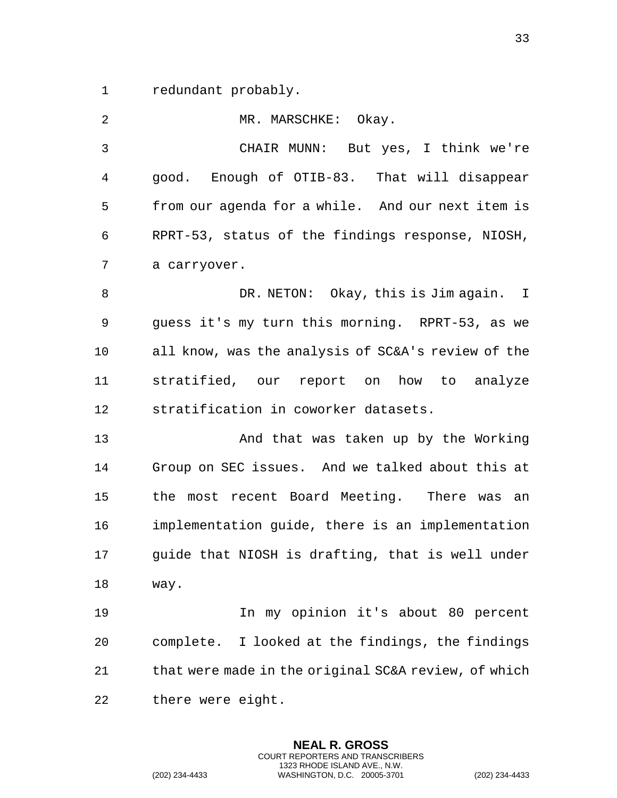1 redundant probably.

| 2              | MR. MARSCHKE: Okay.                                  |
|----------------|------------------------------------------------------|
| $\mathfrak{Z}$ | CHAIR MUNN: But yes, I think we're                   |
| 4              | good. Enough of OTIB-83. That will disappear         |
| 5              | from our agenda for a while. And our next item is    |
| 6              | RPRT-53, status of the findings response, NIOSH,     |
| 7              | a carryover.                                         |
| 8              | DR. NETON: Okay, this is Jim again. I                |
| 9              | guess it's my turn this morning. RPRT-53, as we      |
| 10             | all know, was the analysis of SC&A's review of the   |
| 11             | stratified, our report on how to analyze             |
| 12             | stratification in coworker datasets.                 |
| 13             | And that was taken up by the Working                 |
| 14             | Group on SEC issues. And we talked about this at     |
| 15             | the most recent Board Meeting. There was an          |
| 16             | implementation guide, there is an implementation     |
| 17             | guide that NIOSH is drafting, that is well under     |
| 18             | way.                                                 |
| 19             | In my opinion it's about 80 percent                  |
| 20             | complete. I looked at the findings, the findings     |
| 21             | that were made in the original SC&A review, of which |
| 22             | there were eight.                                    |

**NEAL R. GROSS** COURT REPORTERS AND TRANSCRIBERS 1323 RHODE ISLAND AVE., N.W.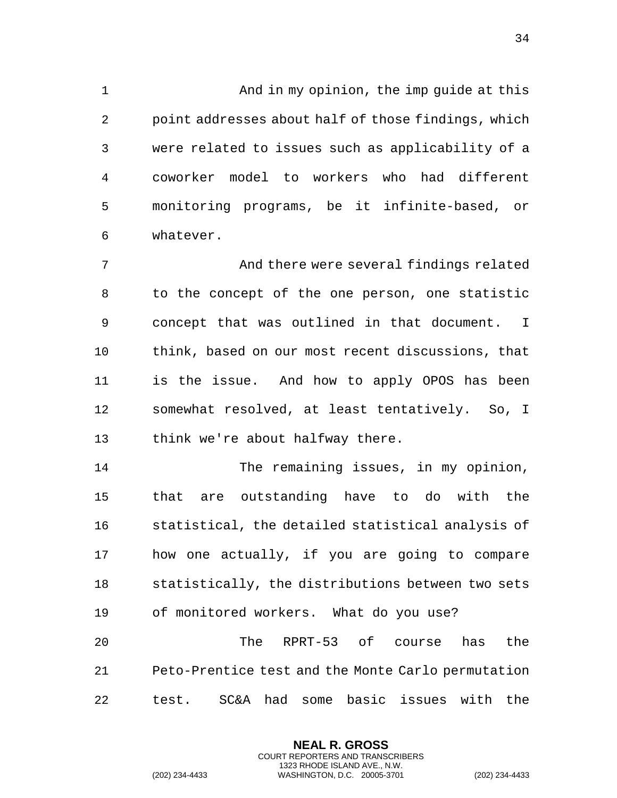And in my opinion, the imp guide at this point addresses about half of those findings, which were related to issues such as applicability of a coworker model to workers who had different monitoring programs, be it infinite-based, or whatever.

 And there were several findings related to the concept of the one person, one statistic concept that was outlined in that document. I think, based on our most recent discussions, that is the issue. And how to apply OPOS has been somewhat resolved, at least tentatively. So, I think we're about halfway there.

 The remaining issues, in my opinion, that are outstanding have to do with the statistical, the detailed statistical analysis of how one actually, if you are going to compare statistically, the distributions between two sets of monitored workers. What do you use?

 The RPRT-53 of course has the Peto-Prentice test and the Monte Carlo permutation test. SC&A had some basic issues with the

> **NEAL R. GROSS** COURT REPORTERS AND TRANSCRIBERS 1323 RHODE ISLAND AVE., N.W.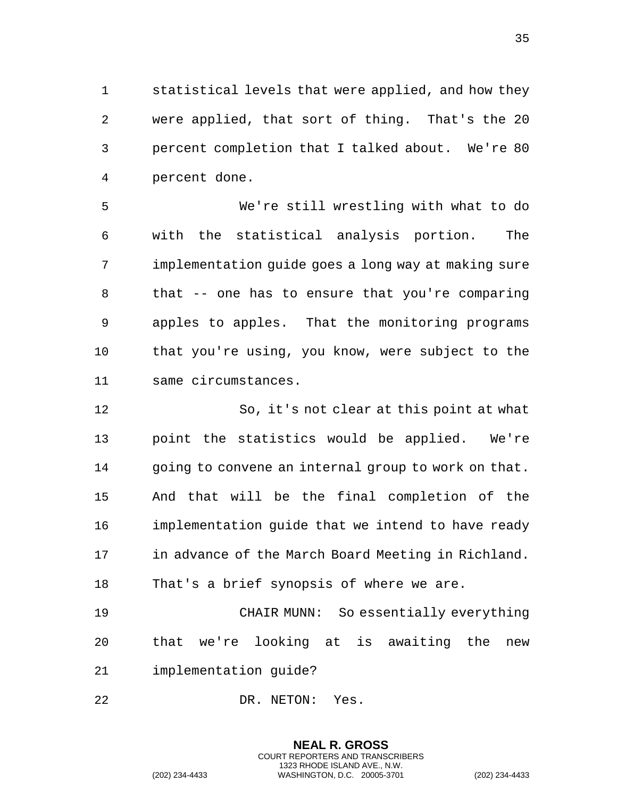statistical levels that were applied, and how they were applied, that sort of thing. That's the 20 percent completion that I talked about. We're 80 percent done.

 We're still wrestling with what to do with the statistical analysis portion. The implementation guide goes a long way at making sure that -- one has to ensure that you're comparing apples to apples. That the monitoring programs that you're using, you know, were subject to the same circumstances.

 So, it's not clear at this point at what point the statistics would be applied. We're going to convene an internal group to work on that. And that will be the final completion of the implementation guide that we intend to have ready 17 in advance of the March Board Meeting in Richland. That's a brief synopsis of where we are. CHAIR MUNN: So essentially everything

 that we're looking at is awaiting the new implementation guide?

> **NEAL R. GROSS** COURT REPORTERS AND TRANSCRIBERS 1323 RHODE ISLAND AVE., N.W.

22 DR. NETON: Yes.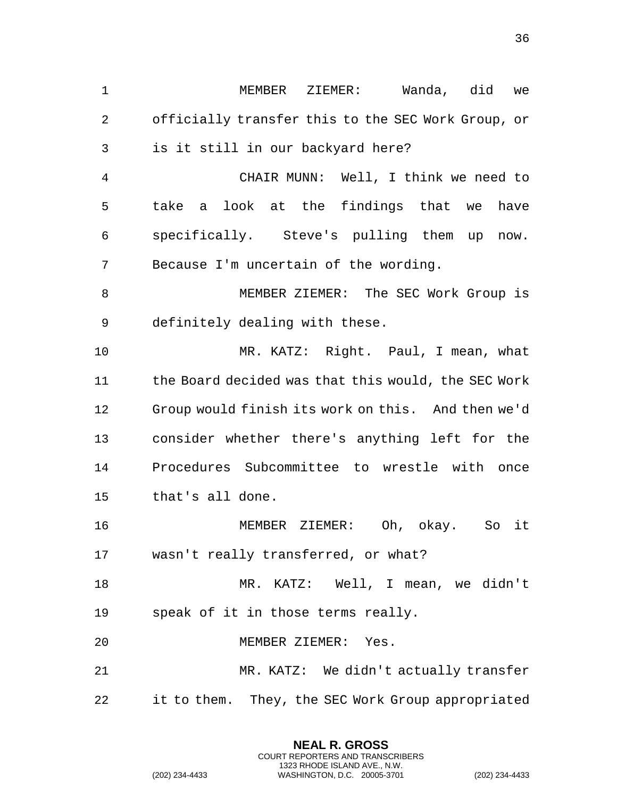MEMBER ZIEMER: Wanda, did we officially transfer this to the SEC Work Group, or is it still in our backyard here? CHAIR MUNN: Well, I think we need to take a look at the findings that we have specifically. Steve's pulling them up now. Because I'm uncertain of the wording. MEMBER ZIEMER: The SEC Work Group is definitely dealing with these. MR. KATZ: Right. Paul, I mean, what the Board decided was that this would, the SEC Work Group would finish its work on this. And then we'd consider whether there's anything left for the Procedures Subcommittee to wrestle with once that's all done. MEMBER ZIEMER: Oh, okay. So it wasn't really transferred, or what? MR. KATZ: Well, I mean, we didn't speak of it in those terms really. MEMBER ZIEMER: Yes. MR. KATZ: We didn't actually transfer it to them. They, the SEC Work Group appropriated

> **NEAL R. GROSS** COURT REPORTERS AND TRANSCRIBERS 1323 RHODE ISLAND AVE., N.W.

(202) 234-4433 WASHINGTON, D.C. 20005-3701 (202) 234-4433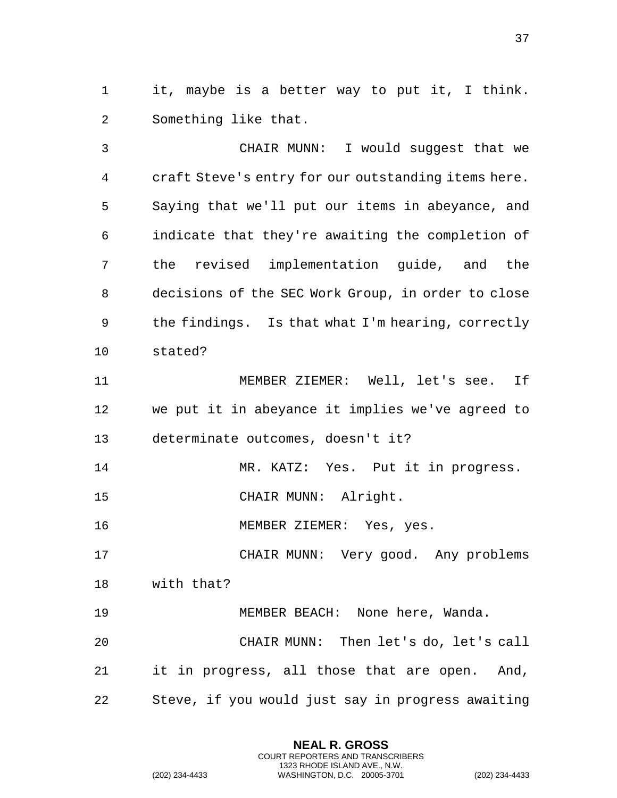it, maybe is a better way to put it, I think. Something like that.

 CHAIR MUNN: I would suggest that we craft Steve's entry for our outstanding items here. Saying that we'll put our items in abeyance, and indicate that they're awaiting the completion of the revised implementation guide, and the decisions of the SEC Work Group, in order to close the findings. Is that what I'm hearing, correctly stated?

 MEMBER ZIEMER: Well, let's see. If we put it in abeyance it implies we've agreed to determinate outcomes, doesn't it?

MR. KATZ: Yes. Put it in progress.

CHAIR MUNN: Alright.

MEMBER ZIEMER: Yes, yes.

CHAIR MUNN: Very good. Any problems

with that?

MEMBER BEACH: None here, Wanda.

 CHAIR MUNN: Then let's do, let's call it in progress, all those that are open. And, Steve, if you would just say in progress awaiting

> **NEAL R. GROSS** COURT REPORTERS AND TRANSCRIBERS 1323 RHODE ISLAND AVE., N.W.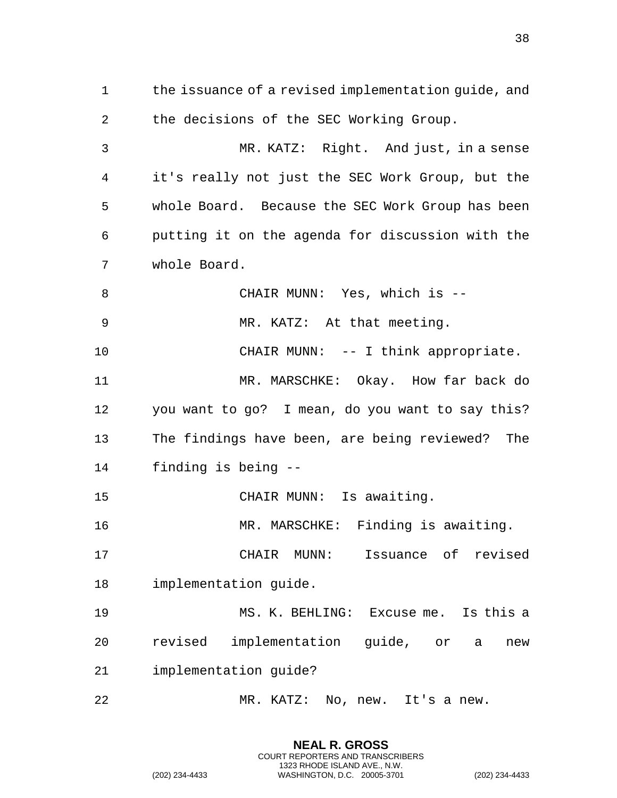the issuance of a revised implementation guide, and the decisions of the SEC Working Group. MR. KATZ: Right. And just, in a sense it's really not just the SEC Work Group, but the whole Board. Because the SEC Work Group has been putting it on the agenda for discussion with the whole Board. CHAIR MUNN: Yes, which is -- MR. KATZ: At that meeting. 10 CHAIR MUNN: -- I think appropriate. MR. MARSCHKE: Okay. How far back do you want to go? I mean, do you want to say this? The findings have been, are being reviewed? The finding is being -- CHAIR MUNN: Is awaiting. 16 MR. MARSCHKE: Finding is awaiting. CHAIR MUNN: Issuance of revised implementation guide. MS. K. BEHLING: Excuse me. Is this a revised implementation guide, or a new implementation guide? MR. KATZ: No, new. It's a new.

> **NEAL R. GROSS** COURT REPORTERS AND TRANSCRIBERS 1323 RHODE ISLAND AVE., N.W.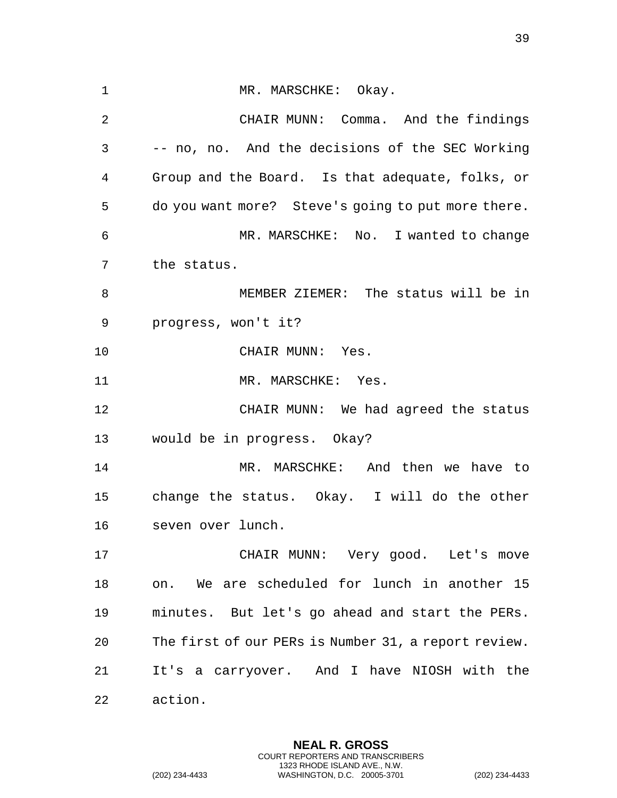1 MR. MARSCHKE: Okay. CHAIR MUNN: Comma. And the findings -- no, no. And the decisions of the SEC Working Group and the Board. Is that adequate, folks, or do you want more? Steve's going to put more there. MR. MARSCHKE: No. I wanted to change the status. MEMBER ZIEMER: The status will be in progress, won't it? 10 CHAIR MUNN: Yes. 11 MR. MARSCHKE: Yes. CHAIR MUNN: We had agreed the status would be in progress. Okay? MR. MARSCHKE: And then we have to change the status. Okay. I will do the other seven over lunch. CHAIR MUNN: Very good. Let's move on. We are scheduled for lunch in another 15 minutes. But let's go ahead and start the PERs. The first of our PERs is Number 31, a report review. It's a carryover. And I have NIOSH with the action.

> **NEAL R. GROSS** COURT REPORTERS AND TRANSCRIBERS 1323 RHODE ISLAND AVE., N.W.

(202) 234-4433 WASHINGTON, D.C. 20005-3701 (202) 234-4433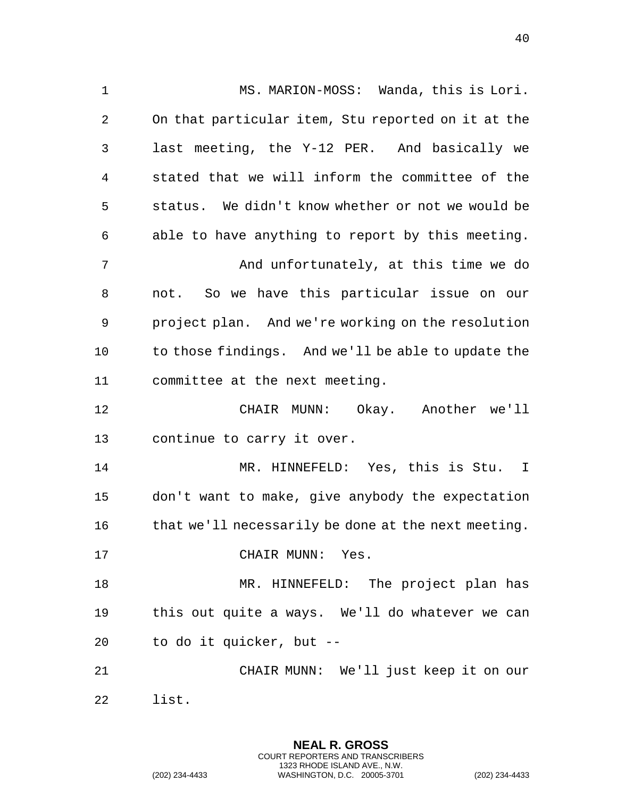1 MS. MARION-MOSS: Wanda, this is Lori. On that particular item, Stu reported on it at the last meeting, the Y-12 PER. And basically we stated that we will inform the committee of the status. We didn't know whether or not we would be able to have anything to report by this meeting. And unfortunately, at this time we do not. So we have this particular issue on our project plan. And we're working on the resolution to those findings. And we'll be able to update the committee at the next meeting. CHAIR MUNN: Okay. Another we'll continue to carry it over. MR. HINNEFELD: Yes, this is Stu. I don't want to make, give anybody the expectation 16 that we'll necessarily be done at the next meeting. 17 CHAIR MUNN: Yes. MR. HINNEFELD: The project plan has this out quite a ways. We'll do whatever we can to do it quicker, but -- CHAIR MUNN: We'll just keep it on our list.

> **NEAL R. GROSS** COURT REPORTERS AND TRANSCRIBERS 1323 RHODE ISLAND AVE., N.W.

(202) 234-4433 WASHINGTON, D.C. 20005-3701 (202) 234-4433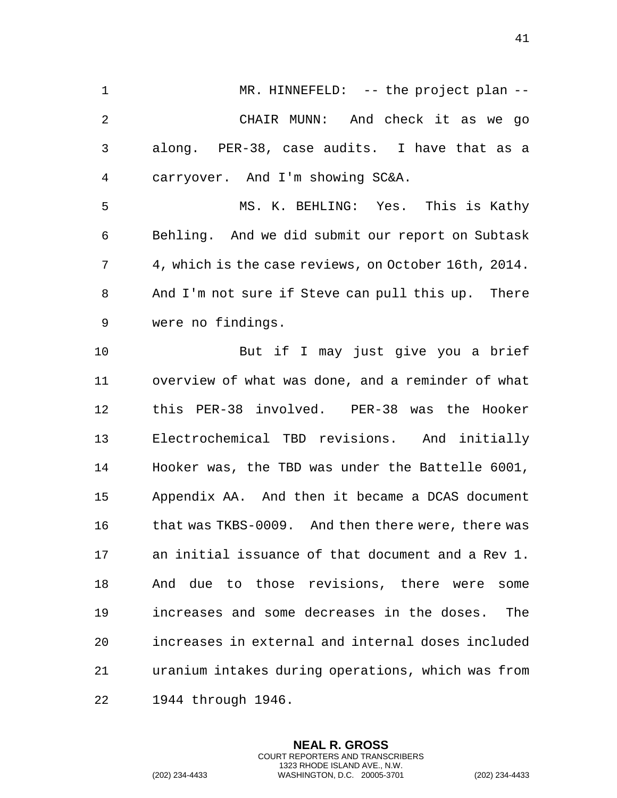1 MR. HINNEFELD: -- the project plan -- CHAIR MUNN: And check it as we go along. PER-38, case audits. I have that as a carryover. And I'm showing SC&A. MS. K. BEHLING: Yes. This is Kathy Behling. And we did submit our report on Subtask 4, which is the case reviews, on October 16th, 2014. And I'm not sure if Steve can pull this up. There were no findings. But if I may just give you a brief overview of what was done, and a reminder of what this PER-38 involved. PER-38 was the Hooker Electrochemical TBD revisions. And initially Hooker was, the TBD was under the Battelle 6001, Appendix AA. And then it became a DCAS document 16 that was TKBS-0009. And then there were, there was an initial issuance of that document and a Rev 1. And due to those revisions, there were some increases and some decreases in the doses. The increases in external and internal doses included uranium intakes during operations, which was from 1944 through 1946.

> **NEAL R. GROSS** COURT REPORTERS AND TRANSCRIBERS 1323 RHODE ISLAND AVE., N.W.

(202) 234-4433 WASHINGTON, D.C. 20005-3701 (202) 234-4433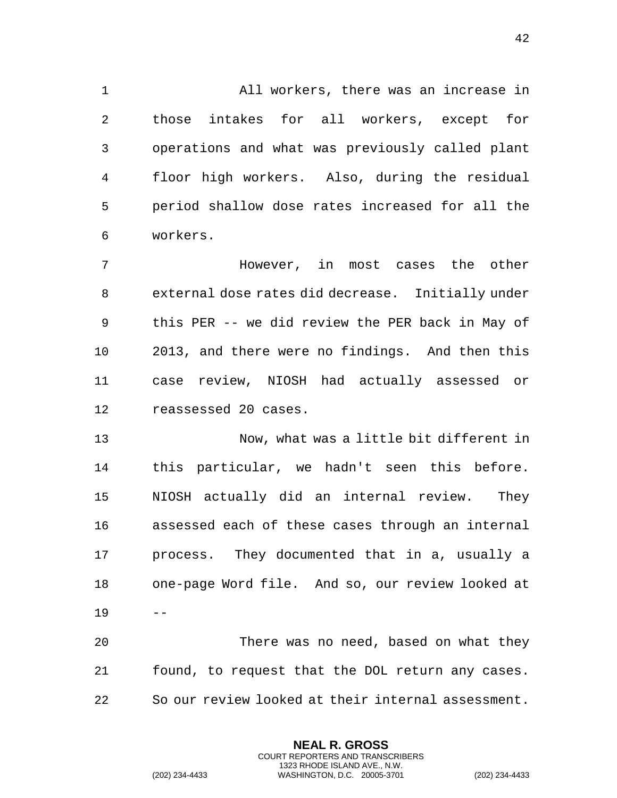All workers, there was an increase in those intakes for all workers, except for operations and what was previously called plant floor high workers. Also, during the residual period shallow dose rates increased for all the workers.

 However, in most cases the other external dose rates did decrease. Initially under this PER -- we did review the PER back in May of 2013, and there were no findings. And then this case review, NIOSH had actually assessed or reassessed 20 cases.

 Now, what was a little bit different in this particular, we hadn't seen this before. NIOSH actually did an internal review. They assessed each of these cases through an internal process. They documented that in a, usually a one-page Word file. And so, our review looked at --

 There was no need, based on what they found, to request that the DOL return any cases. So our review looked at their internal assessment.

> **NEAL R. GROSS** COURT REPORTERS AND TRANSCRIBERS 1323 RHODE ISLAND AVE., N.W.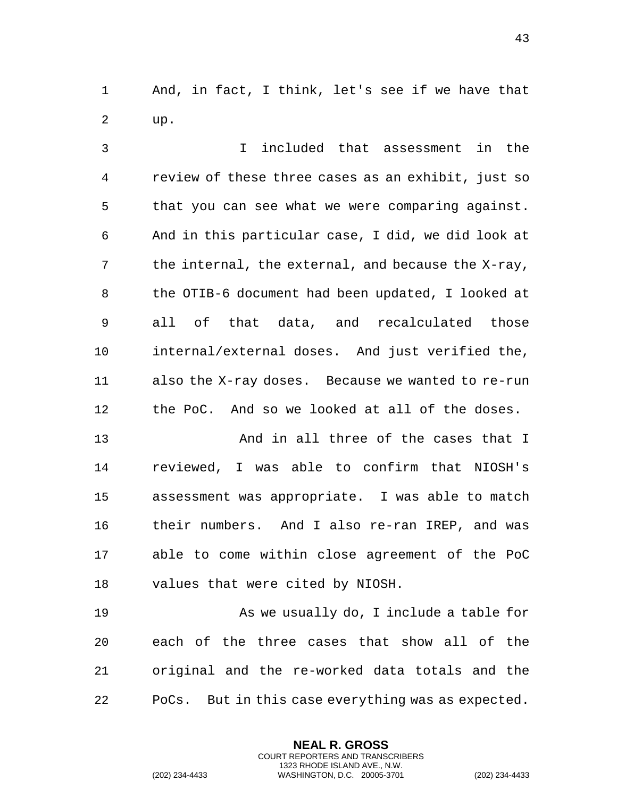And, in fact, I think, let's see if we have that up.

 I included that assessment in the review of these three cases as an exhibit, just so that you can see what we were comparing against. And in this particular case, I did, we did look at the internal, the external, and because the X-ray, the OTIB-6 document had been updated, I looked at all of that data, and recalculated those internal/external doses. And just verified the, also the X-ray doses. Because we wanted to re-run the PoC. And so we looked at all of the doses.

 And in all three of the cases that I reviewed, I was able to confirm that NIOSH's assessment was appropriate. I was able to match their numbers. And I also re-ran IREP, and was able to come within close agreement of the PoC values that were cited by NIOSH.

 As we usually do, I include a table for each of the three cases that show all of the original and the re-worked data totals and the PoCs. But in this case everything was as expected.

> **NEAL R. GROSS** COURT REPORTERS AND TRANSCRIBERS 1323 RHODE ISLAND AVE., N.W.

(202) 234-4433 WASHINGTON, D.C. 20005-3701 (202) 234-4433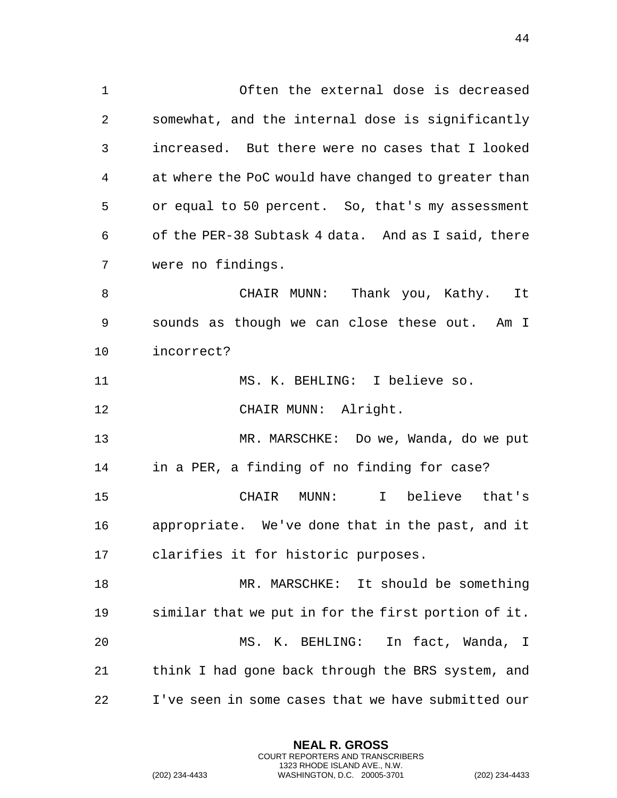Often the external dose is decreased somewhat, and the internal dose is significantly increased. But there were no cases that I looked at where the PoC would have changed to greater than or equal to 50 percent. So, that's my assessment of the PER-38 Subtask 4 data. And as I said, there were no findings.

 CHAIR MUNN: Thank you, Kathy. It sounds as though we can close these out. Am I incorrect?

MS. K. BEHLING: I believe so.

12 CHAIR MUNN: Alright.

 MR. MARSCHKE: Do we, Wanda, do we put in a PER, a finding of no finding for case? CHAIR MUNN: I believe that's

 appropriate. We've done that in the past, and it clarifies it for historic purposes.

 MR. MARSCHKE: It should be something similar that we put in for the first portion of it. MS. K. BEHLING: In fact, Wanda, I think I had gone back through the BRS system, and I've seen in some cases that we have submitted our

> **NEAL R. GROSS** COURT REPORTERS AND TRANSCRIBERS 1323 RHODE ISLAND AVE., N.W.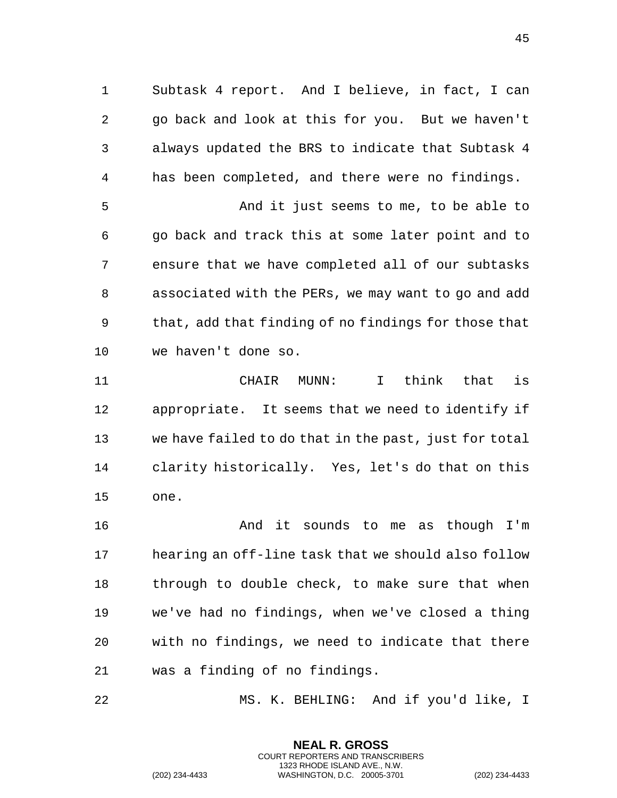Subtask 4 report. And I believe, in fact, I can go back and look at this for you. But we haven't always updated the BRS to indicate that Subtask 4 has been completed, and there were no findings.

 And it just seems to me, to be able to go back and track this at some later point and to ensure that we have completed all of our subtasks associated with the PERs, we may want to go and add that, add that finding of no findings for those that we haven't done so.

 CHAIR MUNN: I think that is appropriate. It seems that we need to identify if we have failed to do that in the past, just for total clarity historically. Yes, let's do that on this one.

 And it sounds to me as though I'm hearing an off-line task that we should also follow 18 through to double check, to make sure that when we've had no findings, when we've closed a thing with no findings, we need to indicate that there was a finding of no findings.

MS. K. BEHLING: And if you'd like, I

**NEAL R. GROSS** COURT REPORTERS AND TRANSCRIBERS 1323 RHODE ISLAND AVE., N.W.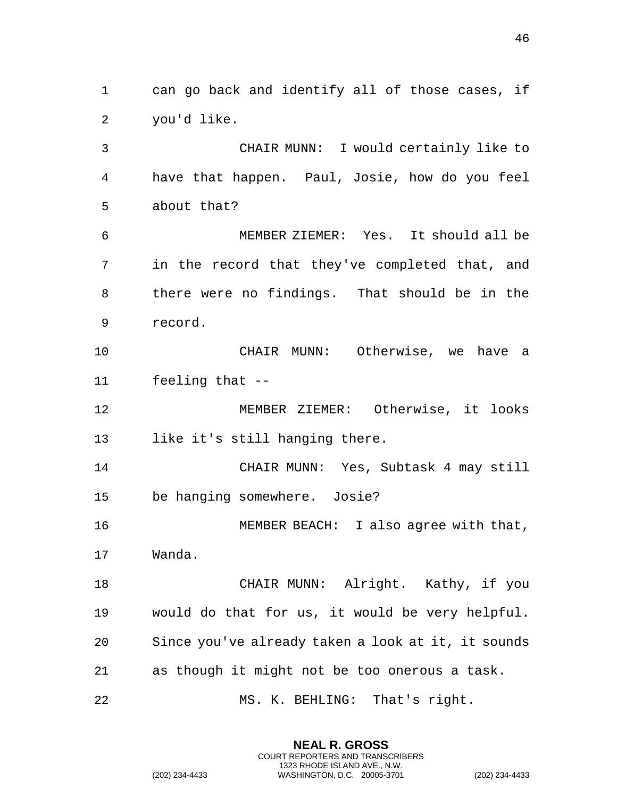can go back and identify all of those cases, if you'd like.

 CHAIR MUNN: I would certainly like to have that happen. Paul, Josie, how do you feel about that?

 MEMBER ZIEMER: Yes. It should all be in the record that they've completed that, and there were no findings. That should be in the record.

 CHAIR MUNN: Otherwise, we have a feeling that --

 MEMBER ZIEMER: Otherwise, it looks like it's still hanging there.

 CHAIR MUNN: Yes, Subtask 4 may still be hanging somewhere. Josie?

 MEMBER BEACH: I also agree with that, Wanda.

 CHAIR MUNN: Alright. Kathy, if you would do that for us, it would be very helpful. Since you've already taken a look at it, it sounds as though it might not be too onerous a task.

MS. K. BEHLING: That's right.

**NEAL R. GROSS** COURT REPORTERS AND TRANSCRIBERS 1323 RHODE ISLAND AVE., N.W.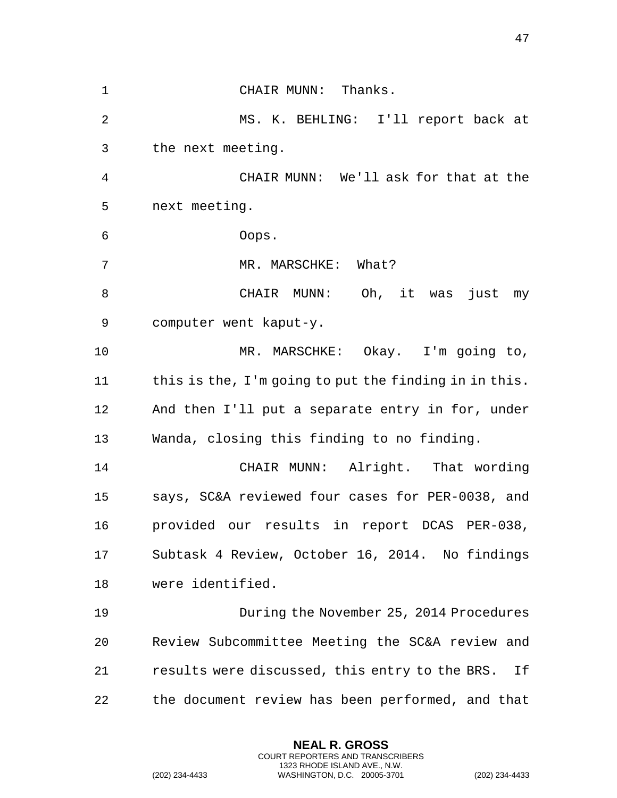CHAIR MUNN: Thanks. MS. K. BEHLING: I'll report back at the next meeting. CHAIR MUNN: We'll ask for that at the next meeting. Oops. 7 MR. MARSCHKE: What? CHAIR MUNN: Oh, it was just my computer went kaput-y. MR. MARSCHKE: Okay. I'm going to, 11 this is the, I'm going to put the finding in in this. And then I'll put a separate entry in for, under Wanda, closing this finding to no finding. CHAIR MUNN: Alright. That wording says, SC&A reviewed four cases for PER-0038, and provided our results in report DCAS PER-038, Subtask 4 Review, October 16, 2014. No findings were identified. During the November 25, 2014 Procedures Review Subcommittee Meeting the SC&A review and results were discussed, this entry to the BRS. If the document review has been performed, and that

> **NEAL R. GROSS** COURT REPORTERS AND TRANSCRIBERS 1323 RHODE ISLAND AVE., N.W.

(202) 234-4433 WASHINGTON, D.C. 20005-3701 (202) 234-4433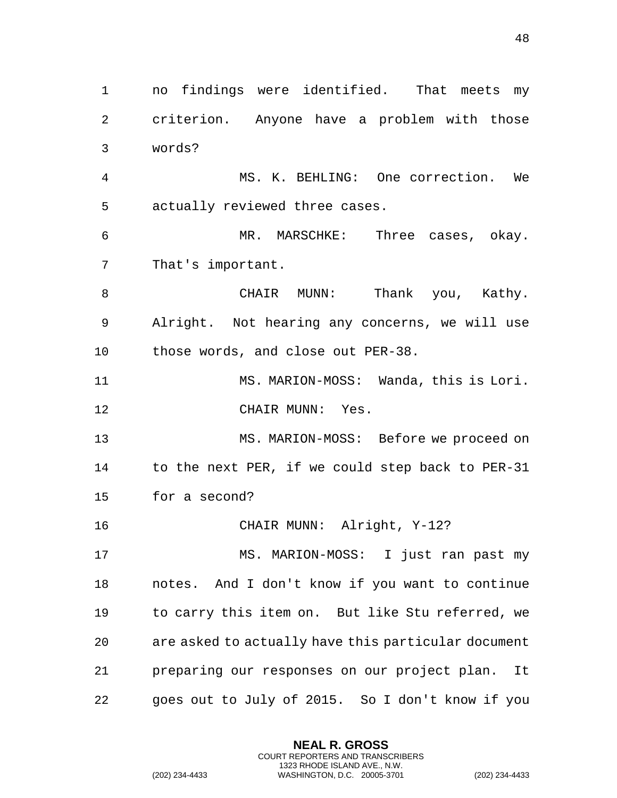no findings were identified. That meets my criterion. Anyone have a problem with those words? MS. K. BEHLING: One correction. We actually reviewed three cases. MR. MARSCHKE: Three cases, okay. That's important. CHAIR MUNN: Thank you, Kathy. Alright. Not hearing any concerns, we will use those words, and close out PER-38. MS. MARION-MOSS: Wanda, this is Lori. 12 CHAIR MUNN: Yes. MS. MARION-MOSS: Before we proceed on to the next PER, if we could step back to PER-31 for a second? CHAIR MUNN: Alright, Y-12? MS. MARION-MOSS: I just ran past my notes. And I don't know if you want to continue to carry this item on. But like Stu referred, we are asked to actually have this particular document preparing our responses on our project plan. It goes out to July of 2015. So I don't know if you

> **NEAL R. GROSS** COURT REPORTERS AND TRANSCRIBERS 1323 RHODE ISLAND AVE., N.W.

```
(202) 234-4433 WASHINGTON, D.C. 20005-3701 (202) 234-4433
```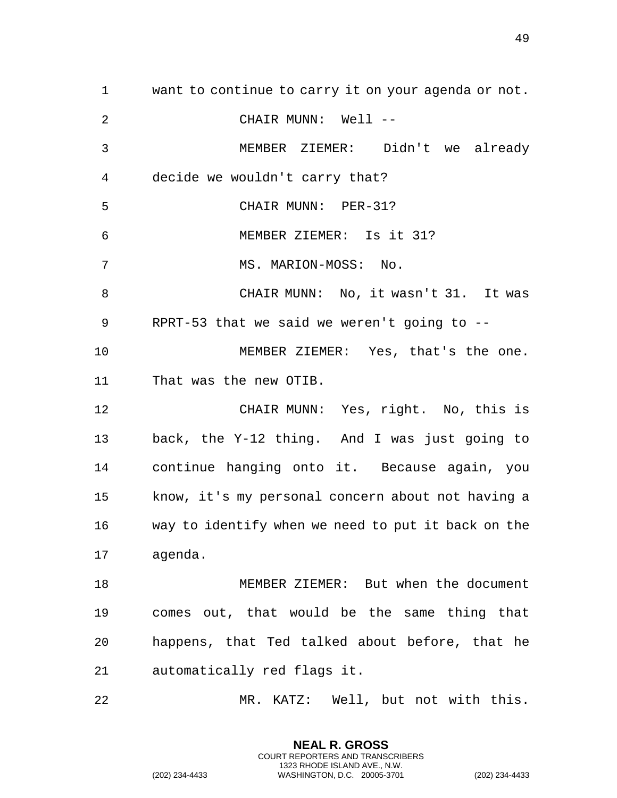want to continue to carry it on your agenda or not. CHAIR MUNN: Well -- MEMBER ZIEMER: Didn't we already decide we wouldn't carry that? CHAIR MUNN: PER-31? MEMBER ZIEMER: Is it 31? MS. MARION-MOSS: No. CHAIR MUNN: No, it wasn't 31. It was RPRT-53 that we said we weren't going to -- MEMBER ZIEMER: Yes, that's the one. That was the new OTIB. CHAIR MUNN: Yes, right. No, this is back, the Y-12 thing. And I was just going to continue hanging onto it. Because again, you know, it's my personal concern about not having a way to identify when we need to put it back on the agenda. MEMBER ZIEMER: But when the document comes out, that would be the same thing that happens, that Ted talked about before, that he automatically red flags it. MR. KATZ: Well, but not with this.

> **NEAL R. GROSS** COURT REPORTERS AND TRANSCRIBERS 1323 RHODE ISLAND AVE., N.W.

(202) 234-4433 WASHINGTON, D.C. 20005-3701 (202) 234-4433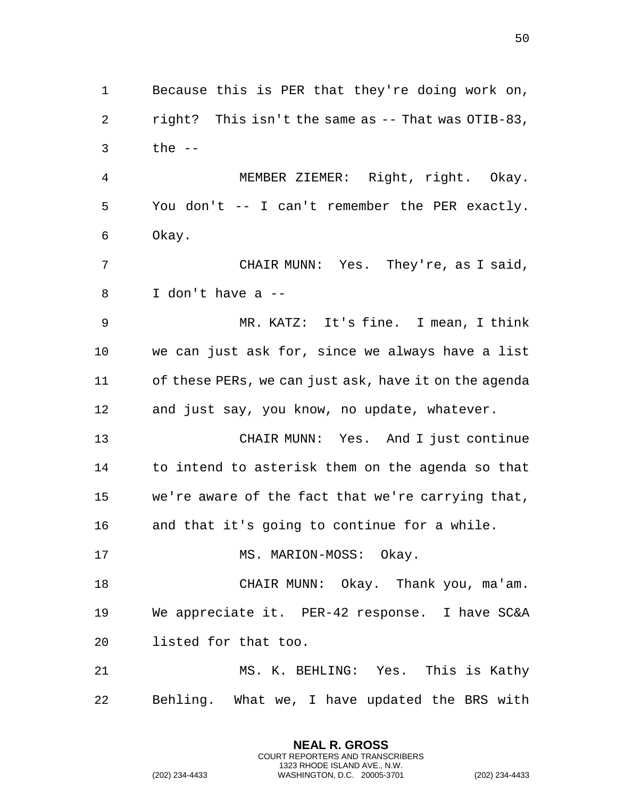right? This isn't the same as -- That was OTIB-83, the -- MEMBER ZIEMER: Right, right. Okay. You don't -- I can't remember the PER exactly. Okay. CHAIR MUNN: Yes. They're, as I said, I don't have a -- MR. KATZ: It's fine. I mean, I think we can just ask for, since we always have a list of these PERs, we can just ask, have it on the agenda and just say, you know, no update, whatever. CHAIR MUNN: Yes. And I just continue to intend to asterisk them on the agenda so that we're aware of the fact that we're carrying that, and that it's going to continue for a while. 17 MS. MARION-MOSS: Okay. CHAIR MUNN: Okay. Thank you, ma'am. We appreciate it. PER-42 response. I have SC&A listed for that too. MS. K. BEHLING: Yes. This is Kathy Behling. What we, I have updated the BRS with

Because this is PER that they're doing work on,

**NEAL R. GROSS** COURT REPORTERS AND TRANSCRIBERS 1323 RHODE ISLAND AVE., N.W.

(202) 234-4433 WASHINGTON, D.C. 20005-3701 (202) 234-4433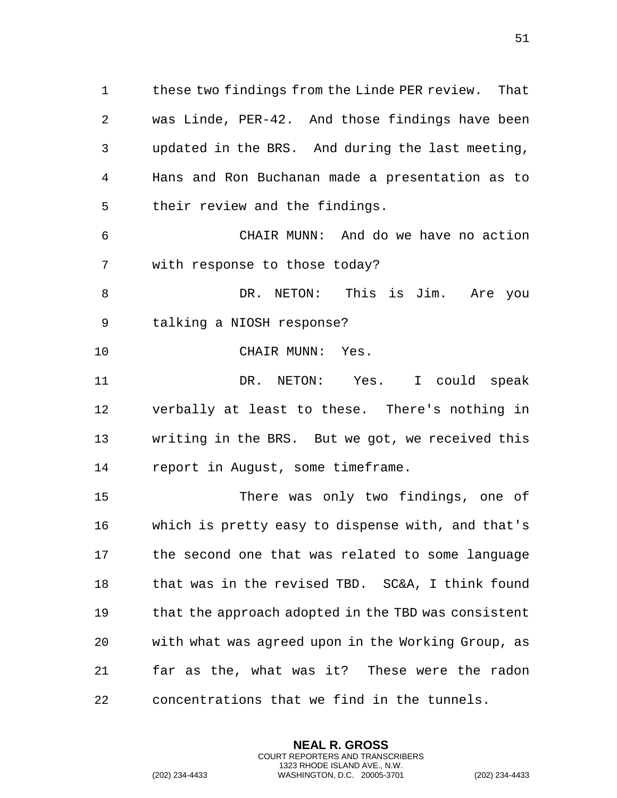these two findings from the Linde PER review. That was Linde, PER-42. And those findings have been updated in the BRS. And during the last meeting, Hans and Ron Buchanan made a presentation as to their review and the findings.

 CHAIR MUNN: And do we have no action with response to those today?

8 DR. NETON: This is Jim. Are you talking a NIOSH response?

10 CHAIR MUNN: Yes.

 DR. NETON: Yes. I could speak verbally at least to these. There's nothing in writing in the BRS. But we got, we received this report in August, some timeframe.

 There was only two findings, one of which is pretty easy to dispense with, and that's the second one that was related to some language 18 that was in the revised TBD. SC&A, I think found that the approach adopted in the TBD was consistent with what was agreed upon in the Working Group, as far as the, what was it? These were the radon concentrations that we find in the tunnels.

> **NEAL R. GROSS** COURT REPORTERS AND TRANSCRIBERS 1323 RHODE ISLAND AVE., N.W.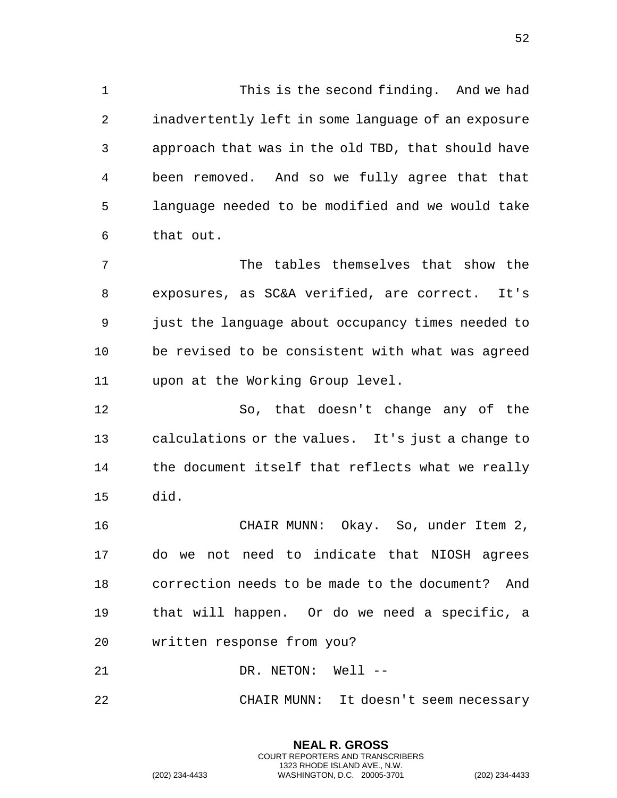This is the second finding. And we had inadvertently left in some language of an exposure approach that was in the old TBD, that should have been removed. And so we fully agree that that language needed to be modified and we would take that out.

 The tables themselves that show the exposures, as SC&A verified, are correct. It's just the language about occupancy times needed to be revised to be consistent with what was agreed upon at the Working Group level.

 So, that doesn't change any of the calculations or the values. It's just a change to the document itself that reflects what we really did.

 CHAIR MUNN: Okay. So, under Item 2, do we not need to indicate that NIOSH agrees correction needs to be made to the document? And that will happen. Or do we need a specific, a written response from you?

21 DR. NETON: Well --

CHAIR MUNN: It doesn't seem necessary

**NEAL R. GROSS** COURT REPORTERS AND TRANSCRIBERS 1323 RHODE ISLAND AVE., N.W.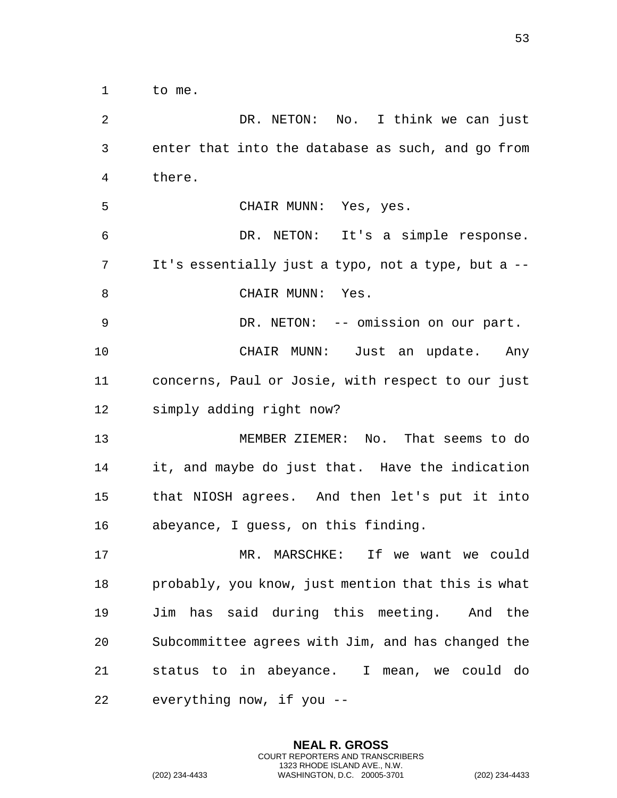to me.

 DR. NETON: No. I think we can just enter that into the database as such, and go from there. CHAIR MUNN: Yes, yes. DR. NETON: It's a simple response. It's essentially just a typo, not a type, but a -- 8 CHAIR MUNN: Yes. DR. NETON: -- omission on our part. CHAIR MUNN: Just an update. Any concerns, Paul or Josie, with respect to our just simply adding right now? MEMBER ZIEMER: No. That seems to do it, and maybe do just that. Have the indication that NIOSH agrees. And then let's put it into abeyance, I guess, on this finding. MR. MARSCHKE: If we want we could probably, you know, just mention that this is what Jim has said during this meeting. And the Subcommittee agrees with Jim, and has changed the status to in abeyance. I mean, we could do everything now, if you --

> **NEAL R. GROSS** COURT REPORTERS AND TRANSCRIBERS 1323 RHODE ISLAND AVE., N.W.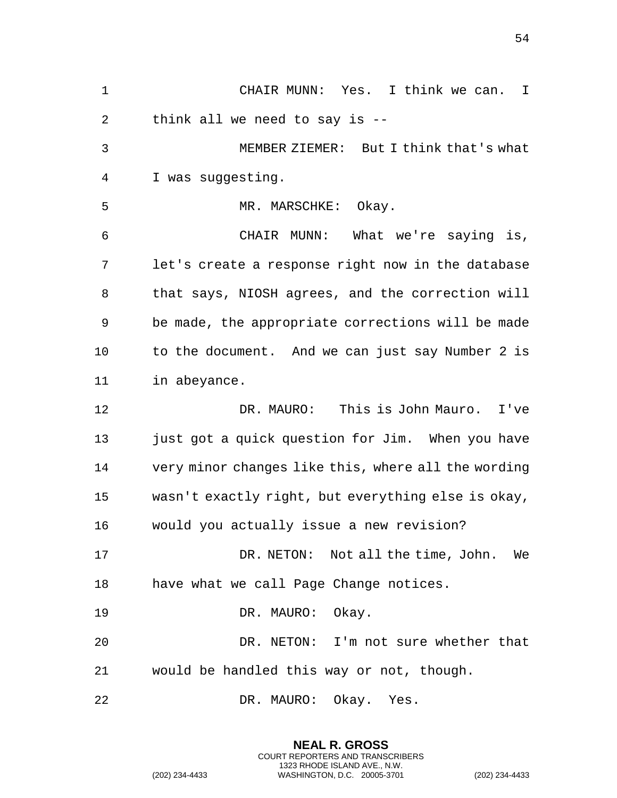CHAIR MUNN: Yes. I think we can. I think all we need to say is -- MEMBER ZIEMER: But I think that's what I was suggesting. 5 MR. MARSCHKE: Okay. CHAIR MUNN: What we're saying is, let's create a response right now in the database that says, NIOSH agrees, and the correction will be made, the appropriate corrections will be made to the document. And we can just say Number 2 is in abeyance. DR. MAURO: This is John Mauro. I've 13 just got a quick question for Jim. When you have very minor changes like this, where all the wording wasn't exactly right, but everything else is okay, would you actually issue a new revision? DR. NETON: Not all the time, John. We have what we call Page Change notices. 19 DR. MAURO: Okay. DR. NETON: I'm not sure whether that would be handled this way or not, though. DR. MAURO: Okay. Yes.

> **NEAL R. GROSS** COURT REPORTERS AND TRANSCRIBERS 1323 RHODE ISLAND AVE., N.W.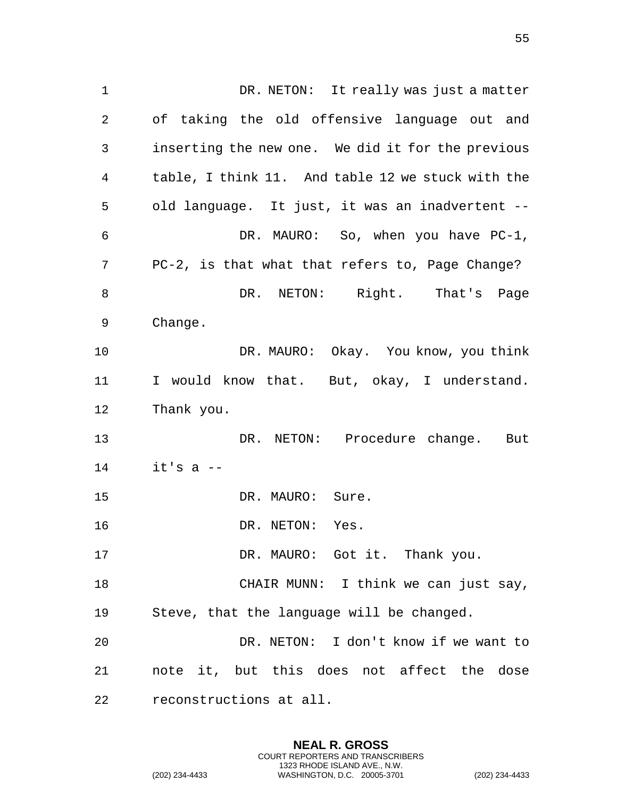DR. NETON: It really was just a matter of taking the old offensive language out and inserting the new one. We did it for the previous table, I think 11. And table 12 we stuck with the old language. It just, it was an inadvertent -- DR. MAURO: So, when you have PC-1, PC-2, is that what that refers to, Page Change? 8 DR. NETON: Right. That's Page Change. DR. MAURO: Okay. You know, you think I would know that. But, okay, I understand. Thank you. DR. NETON: Procedure change. But it's a  $-$ 15 DR. MAURO: Sure. 16 DR. NETON: Yes. DR. MAURO: Got it. Thank you. 18 CHAIR MUNN: I think we can just say, Steve, that the language will be changed. DR. NETON: I don't know if we want to note it, but this does not affect the dose reconstructions at all.

> **NEAL R. GROSS** COURT REPORTERS AND TRANSCRIBERS 1323 RHODE ISLAND AVE., N.W.

(202) 234-4433 WASHINGTON, D.C. 20005-3701 (202) 234-4433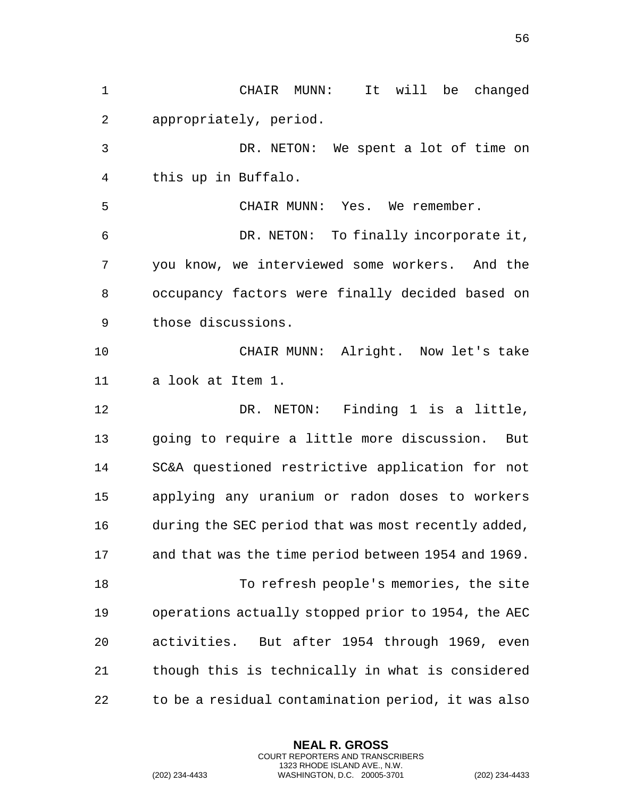CHAIR MUNN: It will be changed appropriately, period. DR. NETON: We spent a lot of time on this up in Buffalo. CHAIR MUNN: Yes. We remember. DR. NETON: To finally incorporate it, you know, we interviewed some workers. And the occupancy factors were finally decided based on those discussions. CHAIR MUNN: Alright. Now let's take a look at Item 1. 12 DR. NETON: Finding 1 is a little, going to require a little more discussion. But SC&A questioned restrictive application for not applying any uranium or radon doses to workers during the SEC period that was most recently added, and that was the time period between 1954 and 1969. To refresh people's memories, the site operations actually stopped prior to 1954, the AEC activities. But after 1954 through 1969, even though this is technically in what is considered to be a residual contamination period, it was also

> **NEAL R. GROSS** COURT REPORTERS AND TRANSCRIBERS 1323 RHODE ISLAND AVE., N.W.

(202) 234-4433 WASHINGTON, D.C. 20005-3701 (202) 234-4433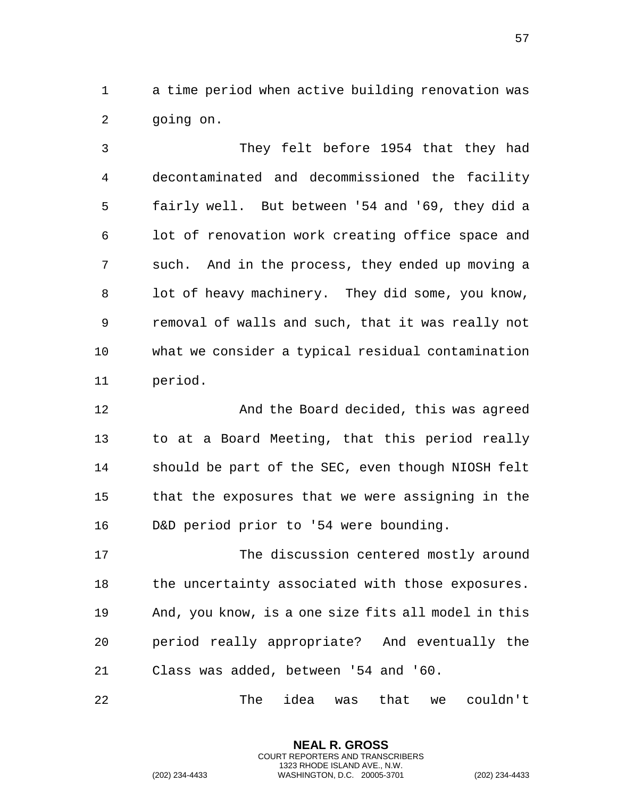a time period when active building renovation was going on.

 They felt before 1954 that they had decontaminated and decommissioned the facility fairly well. But between '54 and '69, they did a lot of renovation work creating office space and such. And in the process, they ended up moving a 8 lot of heavy machinery. They did some, you know, removal of walls and such, that it was really not what we consider a typical residual contamination period.

 And the Board decided, this was agreed to at a Board Meeting, that this period really should be part of the SEC, even though NIOSH felt that the exposures that we were assigning in the D&D period prior to '54 were bounding.

 The discussion centered mostly around 18 the uncertainty associated with those exposures. And, you know, is a one size fits all model in this period really appropriate? And eventually the Class was added, between '54 and '60.

The idea was that we couldn't

**NEAL R. GROSS** COURT REPORTERS AND TRANSCRIBERS 1323 RHODE ISLAND AVE., N.W.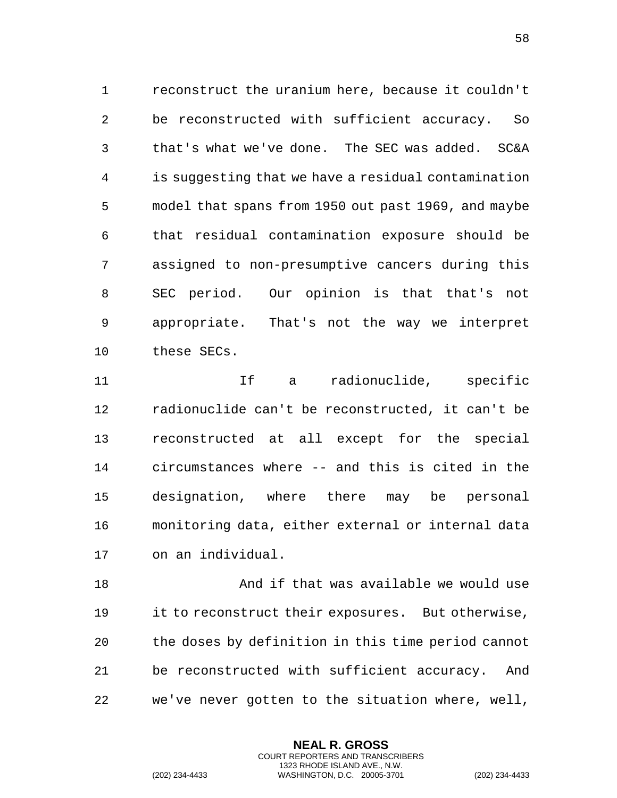reconstruct the uranium here, because it couldn't be reconstructed with sufficient accuracy. So that's what we've done. The SEC was added. SC&A is suggesting that we have a residual contamination model that spans from 1950 out past 1969, and maybe that residual contamination exposure should be assigned to non-presumptive cancers during this SEC period. Our opinion is that that's not appropriate. That's not the way we interpret these SECs.

11 11 If a radionuclide, specific radionuclide can't be reconstructed, it can't be reconstructed at all except for the special circumstances where -- and this is cited in the designation, where there may be personal monitoring data, either external or internal data on an individual.

 And if that was available we would use it to reconstruct their exposures. But otherwise, the doses by definition in this time period cannot be reconstructed with sufficient accuracy. And we've never gotten to the situation where, well,

> **NEAL R. GROSS** COURT REPORTERS AND TRANSCRIBERS 1323 RHODE ISLAND AVE., N.W.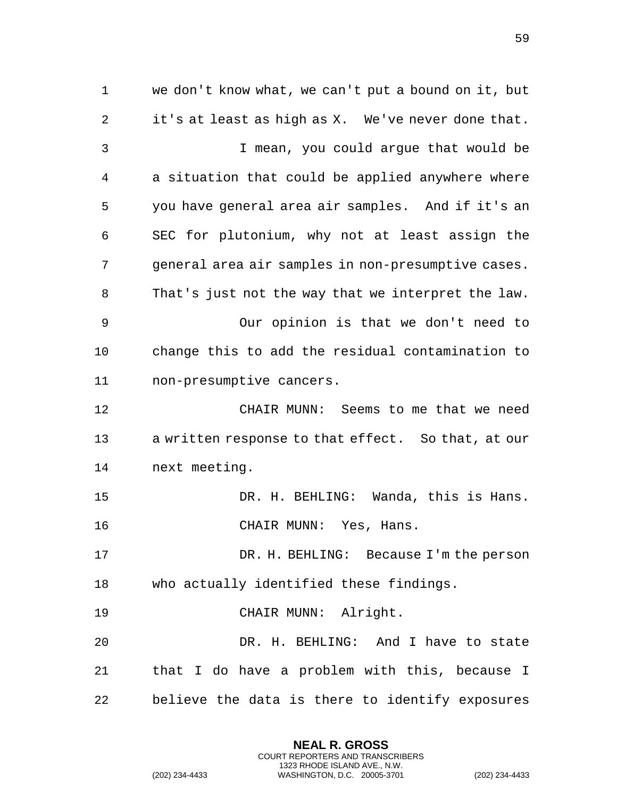we don't know what, we can't put a bound on it, but it's at least as high as X. We've never done that. I mean, you could argue that would be a situation that could be applied anywhere where you have general area air samples. And if it's an SEC for plutonium, why not at least assign the general area air samples in non-presumptive cases. That's just not the way that we interpret the law. Our opinion is that we don't need to change this to add the residual contamination to non-presumptive cancers. CHAIR MUNN: Seems to me that we need a written response to that effect. So that, at our next meeting. DR. H. BEHLING: Wanda, this is Hans. CHAIR MUNN: Yes, Hans. DR. H. BEHLING: Because I'm the person who actually identified these findings. CHAIR MUNN: Alright. DR. H. BEHLING: And I have to state that I do have a problem with this, because I believe the data is there to identify exposures

> **NEAL R. GROSS** COURT REPORTERS AND TRANSCRIBERS 1323 RHODE ISLAND AVE., N.W.

(202) 234-4433 WASHINGTON, D.C. 20005-3701 (202) 234-4433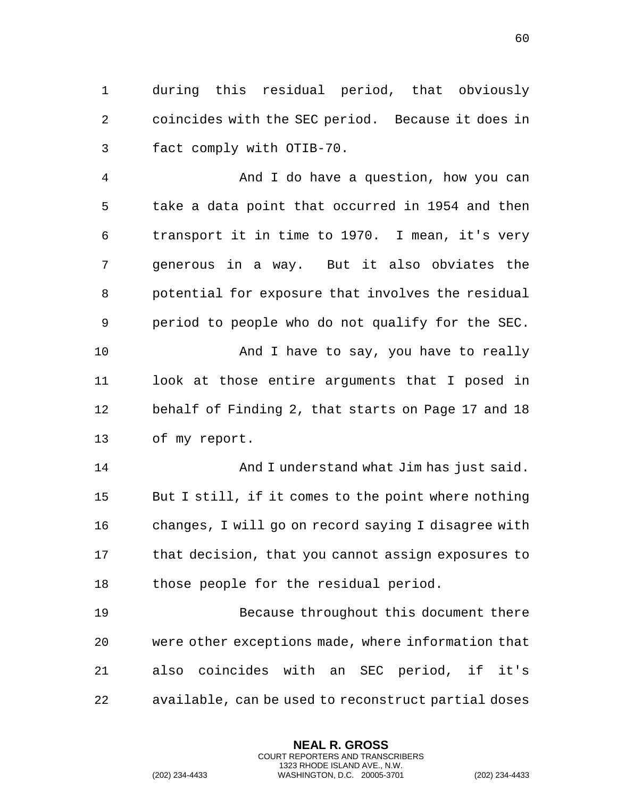during this residual period, that obviously coincides with the SEC period. Because it does in fact comply with OTIB-70.

 And I do have a question, how you can take a data point that occurred in 1954 and then transport it in time to 1970. I mean, it's very generous in a way. But it also obviates the potential for exposure that involves the residual period to people who do not qualify for the SEC. 10 And I have to say, you have to really look at those entire arguments that I posed in behalf of Finding 2, that starts on Page 17 and 18 of my report.

 And I understand what Jim has just said. But I still, if it comes to the point where nothing changes, I will go on record saying I disagree with that decision, that you cannot assign exposures to those people for the residual period.

 Because throughout this document there were other exceptions made, where information that also coincides with an SEC period, if it's available, can be used to reconstruct partial doses

> **NEAL R. GROSS** COURT REPORTERS AND TRANSCRIBERS 1323 RHODE ISLAND AVE., N.W.

(202) 234-4433 WASHINGTON, D.C. 20005-3701 (202) 234-4433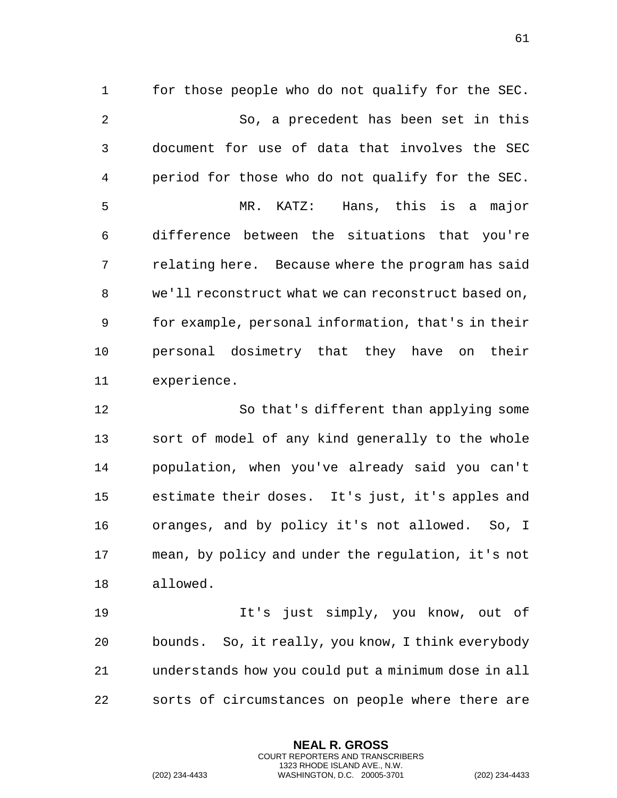for those people who do not qualify for the SEC. So, a precedent has been set in this document for use of data that involves the SEC period for those who do not qualify for the SEC. MR. KATZ: Hans, this is a major difference between the situations that you're relating here. Because where the program has said we'll reconstruct what we can reconstruct based on, for example, personal information, that's in their personal dosimetry that they have on their experience.

 So that's different than applying some sort of model of any kind generally to the whole population, when you've already said you can't estimate their doses. It's just, it's apples and oranges, and by policy it's not allowed. So, I mean, by policy and under the regulation, it's not allowed.

 It's just simply, you know, out of bounds. So, it really, you know, I think everybody understands how you could put a minimum dose in all sorts of circumstances on people where there are

> **NEAL R. GROSS** COURT REPORTERS AND TRANSCRIBERS 1323 RHODE ISLAND AVE., N.W.

(202) 234-4433 WASHINGTON, D.C. 20005-3701 (202) 234-4433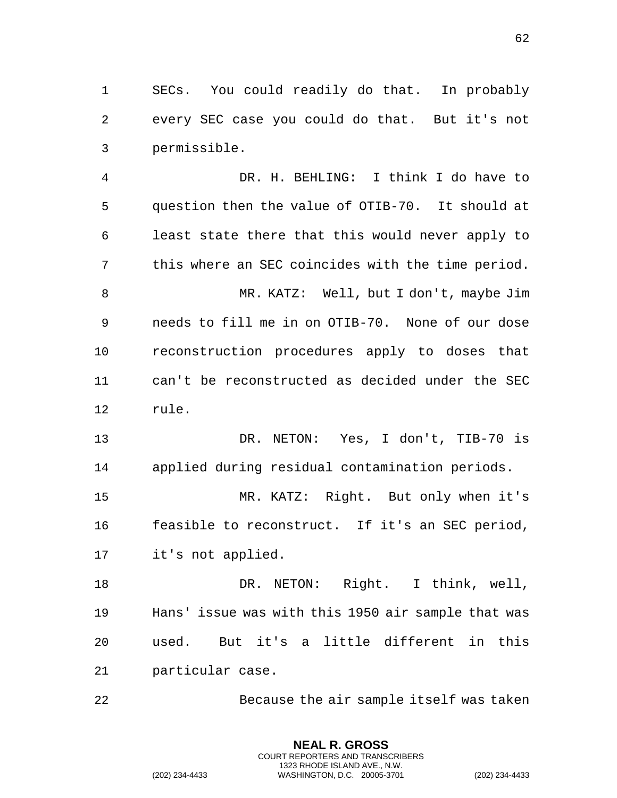SECs. You could readily do that. In probably every SEC case you could do that. But it's not permissible.

 DR. H. BEHLING: I think I do have to question then the value of OTIB-70. It should at least state there that this would never apply to this where an SEC coincides with the time period. MR. KATZ: Well, but I don't, maybe Jim needs to fill me in on OTIB-70. None of our dose reconstruction procedures apply to doses that can't be reconstructed as decided under the SEC rule.

 DR. NETON: Yes, I don't, TIB-70 is applied during residual contamination periods.

 MR. KATZ: Right. But only when it's feasible to reconstruct. If it's an SEC period, it's not applied.

 DR. NETON: Right. I think, well, Hans' issue was with this 1950 air sample that was used. But it's a little different in this particular case.

Because the air sample itself was taken

**NEAL R. GROSS** COURT REPORTERS AND TRANSCRIBERS 1323 RHODE ISLAND AVE., N.W.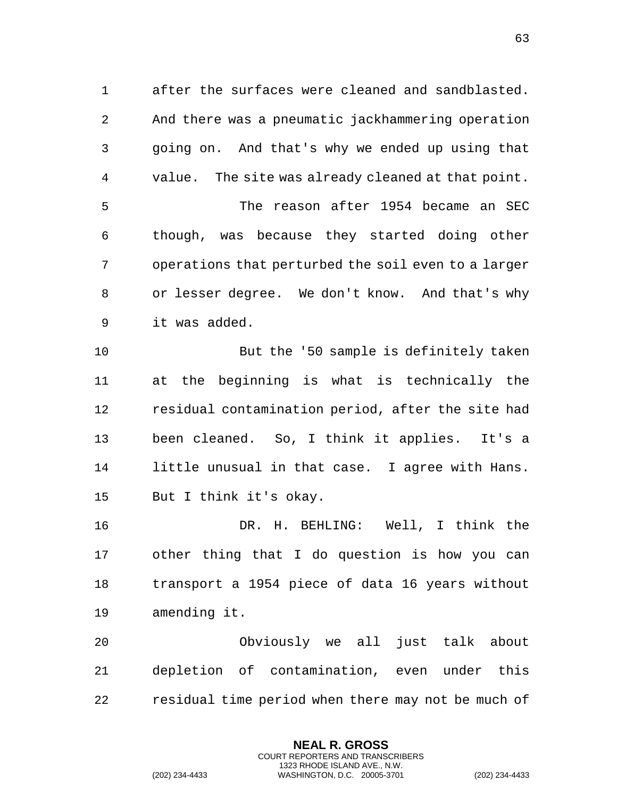after the surfaces were cleaned and sandblasted. And there was a pneumatic jackhammering operation going on. And that's why we ended up using that value. The site was already cleaned at that point. The reason after 1954 became an SEC though, was because they started doing other operations that perturbed the soil even to a larger or lesser degree. We don't know. And that's why it was added.

 But the '50 sample is definitely taken at the beginning is what is technically the residual contamination period, after the site had been cleaned. So, I think it applies. It's a little unusual in that case. I agree with Hans. But I think it's okay.

 DR. H. BEHLING: Well, I think the other thing that I do question is how you can transport a 1954 piece of data 16 years without amending it.

 Obviously we all just talk about depletion of contamination, even under this residual time period when there may not be much of

> **NEAL R. GROSS** COURT REPORTERS AND TRANSCRIBERS 1323 RHODE ISLAND AVE., N.W.

(202) 234-4433 WASHINGTON, D.C. 20005-3701 (202) 234-4433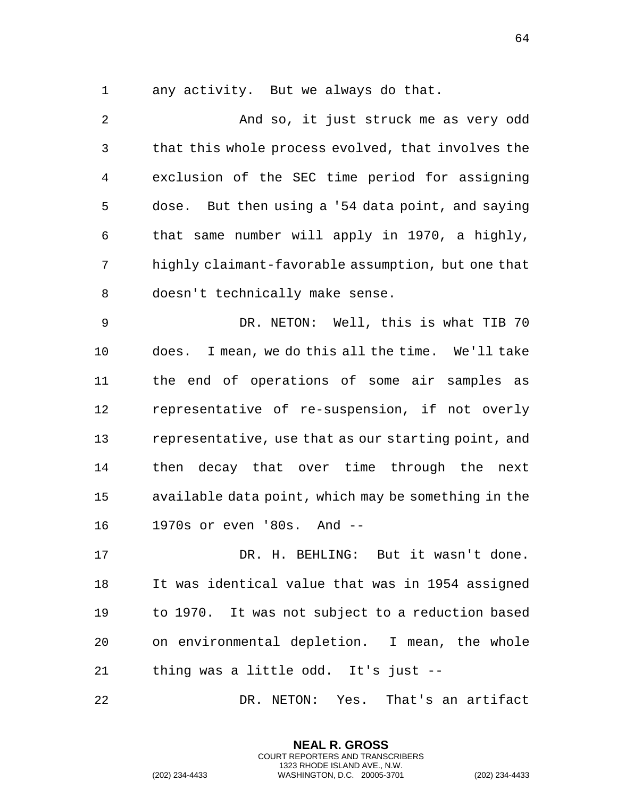any activity. But we always do that.

 And so, it just struck me as very odd that this whole process evolved, that involves the exclusion of the SEC time period for assigning dose. But then using a '54 data point, and saying that same number will apply in 1970, a highly, highly claimant-favorable assumption, but one that doesn't technically make sense.

 DR. NETON: Well, this is what TIB 70 does. I mean, we do this all the time. We'll take the end of operations of some air samples as representative of re-suspension, if not overly representative, use that as our starting point, and then decay that over time through the next available data point, which may be something in the 1970s or even '80s. And --

 DR. H. BEHLING: But it wasn't done. It was identical value that was in 1954 assigned to 1970. It was not subject to a reduction based on environmental depletion. I mean, the whole thing was a little odd. It's just --

DR. NETON: Yes. That's an artifact

**NEAL R. GROSS** COURT REPORTERS AND TRANSCRIBERS 1323 RHODE ISLAND AVE., N.W.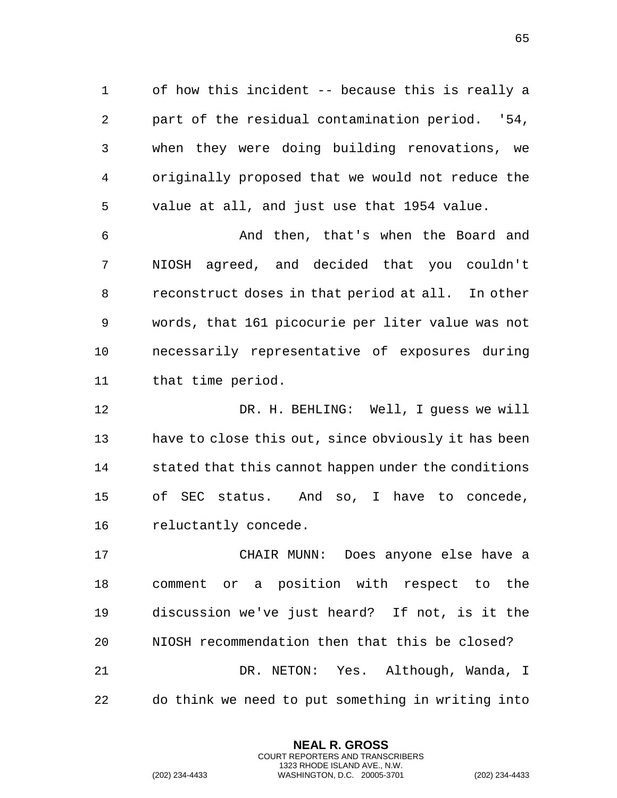of how this incident -- because this is really a part of the residual contamination period. '54, when they were doing building renovations, we originally proposed that we would not reduce the value at all, and just use that 1954 value.

 And then, that's when the Board and NIOSH agreed, and decided that you couldn't reconstruct doses in that period at all. In other words, that 161 picocurie per liter value was not necessarily representative of exposures during that time period.

 DR. H. BEHLING: Well, I guess we will have to close this out, since obviously it has been stated that this cannot happen under the conditions of SEC status. And so, I have to concede, reluctantly concede.

 CHAIR MUNN: Does anyone else have a comment or a position with respect to the discussion we've just heard? If not, is it the NIOSH recommendation then that this be closed? DR. NETON: Yes. Although, Wanda, I do think we need to put something in writing into

> **NEAL R. GROSS** COURT REPORTERS AND TRANSCRIBERS 1323 RHODE ISLAND AVE., N.W.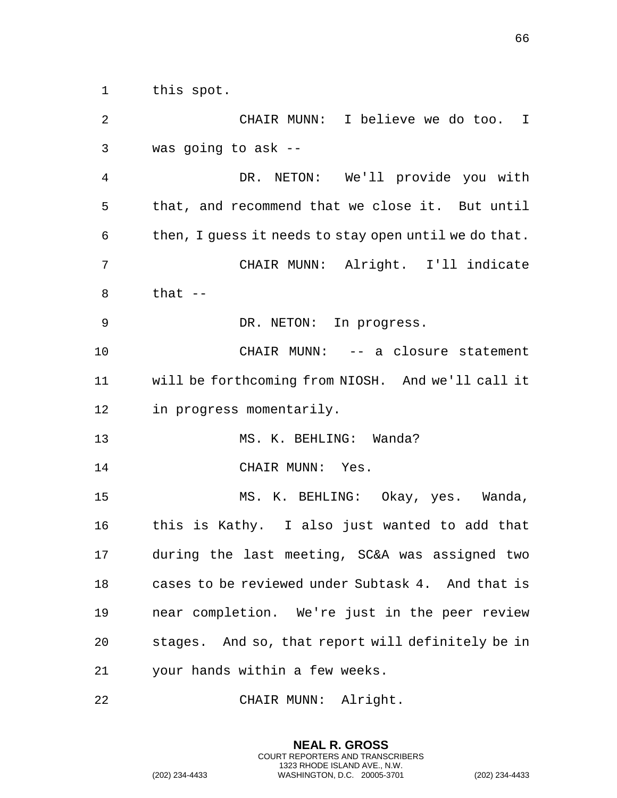| $\overline{a}$ | CHAIR MUNN: I believe we do too. I                    |
|----------------|-------------------------------------------------------|
| 3              | was going to ask $-$                                  |
| $\overline{4}$ | DR. NETON: We'll provide you with                     |
| 5              | that, and recommend that we close it. But until       |
| 6              | then, I guess it needs to stay open until we do that. |
| 7              | CHAIR MUNN: Alright. I'll indicate                    |
| 8              | that $--$                                             |
| 9              | DR. NETON: In progress.                               |
| 10             | CHAIR MUNN: -- a closure statement                    |
| 11             | will be forthcoming from NIOSH. And we'll call it     |
| 12             | in progress momentarily.                              |
| 13             | MS. K. BEHLING: Wanda?                                |
| 14             | CHAIR MUNN: Yes.                                      |
| 15             | MS. K. BEHLING: Okay, yes. Wanda,                     |
| 16             | this is Kathy. I also just wanted to add that         |
| 17             | during the last meeting, SC&A was assigned two        |
| 18             | cases to be reviewed under Subtask 4. And that is     |
| 19             | near completion. We're just in the peer review        |
| 20             | stages. And so, that report will definitely be in     |
| 21             | your hands within a few weeks.                        |
|                |                                                       |

CHAIR MUNN: Alright.

**NEAL R. GROSS** COURT REPORTERS AND TRANSCRIBERS 1323 RHODE ISLAND AVE., N.W.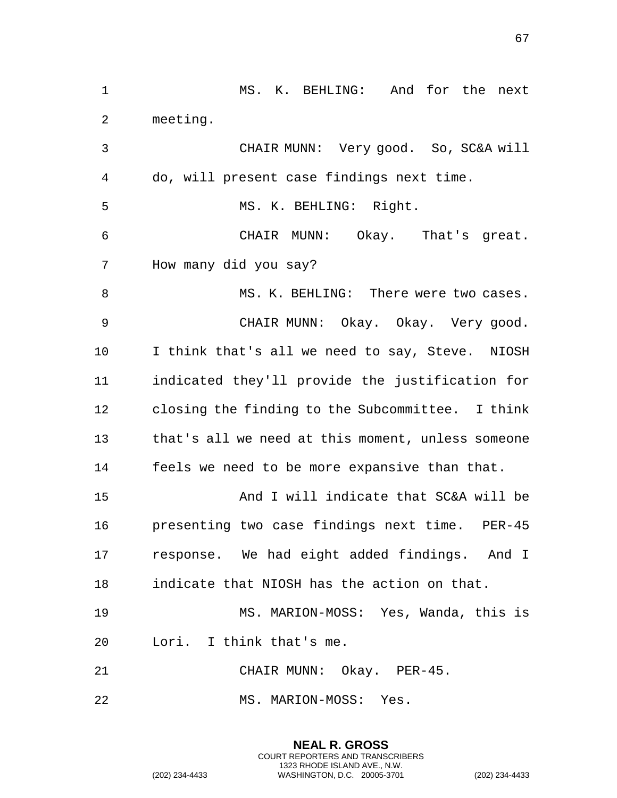MS. K. BEHLING: And for the next meeting. CHAIR MUNN: Very good. So, SC&A will do, will present case findings next time. 5 MS. K. BEHLING: Right. CHAIR MUNN: Okay. That's great. How many did you say? 8 MS. K. BEHLING: There were two cases. CHAIR MUNN: Okay. Okay. Very good. I think that's all we need to say, Steve. NIOSH indicated they'll provide the justification for closing the finding to the Subcommittee. I think that's all we need at this moment, unless someone feels we need to be more expansive than that. And I will indicate that SC&A will be presenting two case findings next time. PER-45 response. We had eight added findings. And I indicate that NIOSH has the action on that. MS. MARION-MOSS: Yes, Wanda, this is Lori. I think that's me. CHAIR MUNN: Okay. PER-45. MS. MARION-MOSS: Yes.

> **NEAL R. GROSS** COURT REPORTERS AND TRANSCRIBERS 1323 RHODE ISLAND AVE., N.W.

(202) 234-4433 WASHINGTON, D.C. 20005-3701 (202) 234-4433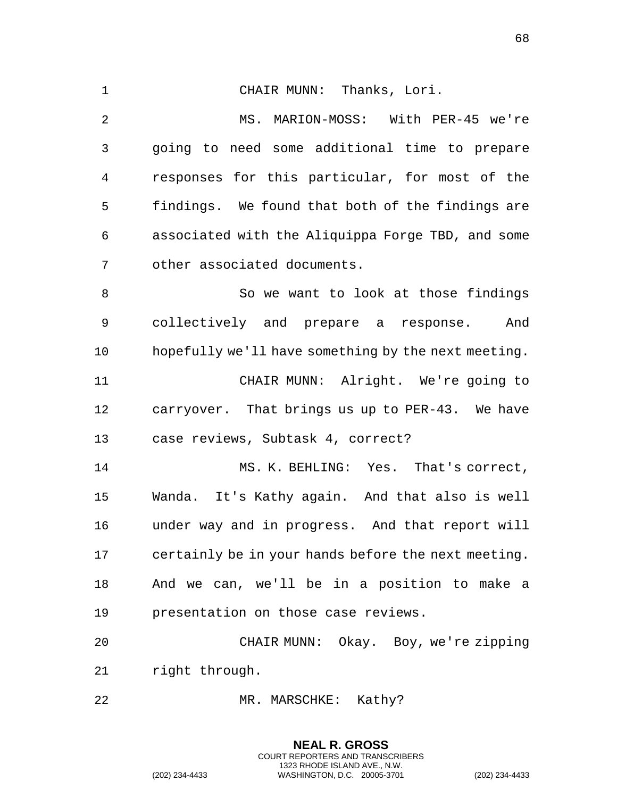CHAIR MUNN: Thanks, Lori. MS. MARION-MOSS: With PER-45 we're going to need some additional time to prepare responses for this particular, for most of the findings. We found that both of the findings are associated with the Aliquippa Forge TBD, and some other associated documents. 8 So we want to look at those findings collectively and prepare a response. And hopefully we'll have something by the next meeting. CHAIR MUNN: Alright. We're going to carryover. That brings us up to PER-43. We have case reviews, Subtask 4, correct? MS. K. BEHLING: Yes. That's correct, Wanda. It's Kathy again. And that also is well under way and in progress. And that report will certainly be in your hands before the next meeting. And we can, we'll be in a position to make a presentation on those case reviews. CHAIR MUNN: Okay. Boy, we're zipping right through. 22 MR. MARSCHKE: Kathy?

> **NEAL R. GROSS** COURT REPORTERS AND TRANSCRIBERS 1323 RHODE ISLAND AVE., N.W.

(202) 234-4433 WASHINGTON, D.C. 20005-3701 (202) 234-4433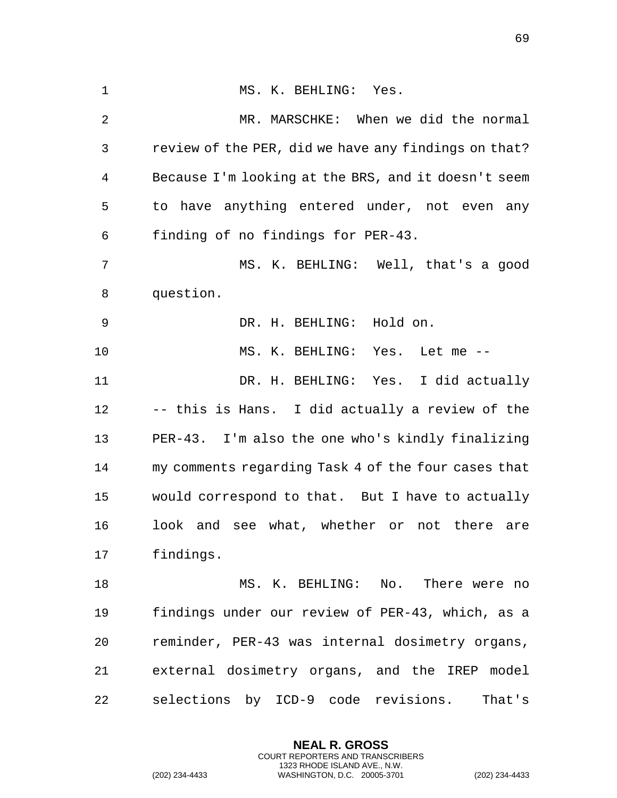1 MS. K. BEHLING: Yes. MR. MARSCHKE: When we did the normal review of the PER, did we have any findings on that? Because I'm looking at the BRS, and it doesn't seem to have anything entered under, not even any finding of no findings for PER-43. MS. K. BEHLING: Well, that's a good question. DR. H. BEHLING: Hold on. MS. K. BEHLING: Yes. Let me -- DR. H. BEHLING: Yes. I did actually -- this is Hans. I did actually a review of the PER-43. I'm also the one who's kindly finalizing my comments regarding Task 4 of the four cases that would correspond to that. But I have to actually look and see what, whether or not there are findings. 18 MS. K. BEHLING: No. There were no findings under our review of PER-43, which, as a reminder, PER-43 was internal dosimetry organs, external dosimetry organs, and the IREP model selections by ICD-9 code revisions. That's

> **NEAL R. GROSS** COURT REPORTERS AND TRANSCRIBERS 1323 RHODE ISLAND AVE., N.W.

(202) 234-4433 WASHINGTON, D.C. 20005-3701 (202) 234-4433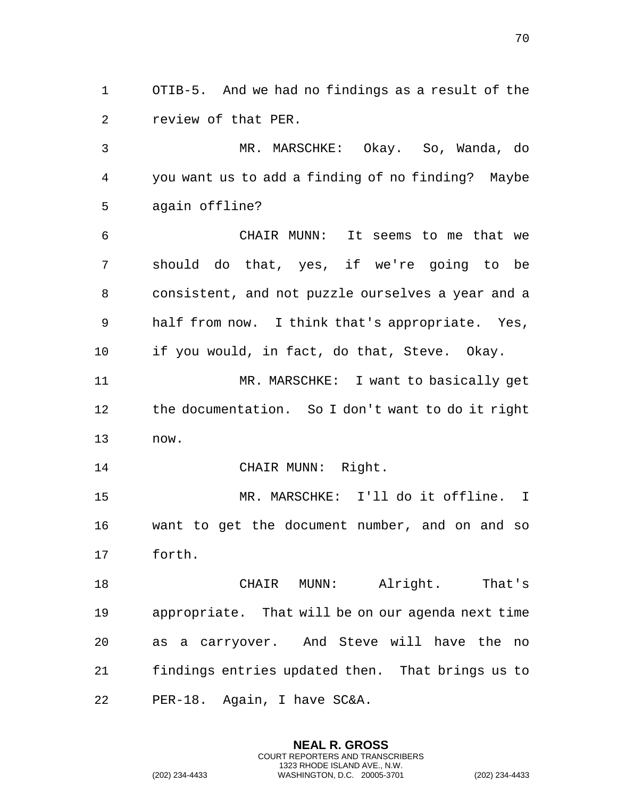OTIB-5. And we had no findings as a result of the review of that PER.

 MR. MARSCHKE: Okay. So, Wanda, do you want us to add a finding of no finding? Maybe again offline?

 CHAIR MUNN: It seems to me that we should do that, yes, if we're going to be consistent, and not puzzle ourselves a year and a half from now. I think that's appropriate. Yes, if you would, in fact, do that, Steve. Okay.

 MR. MARSCHKE: I want to basically get the documentation. So I don't want to do it right now.

CHAIR MUNN: Right.

 MR. MARSCHKE: I'll do it offline. I want to get the document number, and on and so forth.

 CHAIR MUNN: Alright. That's appropriate. That will be on our agenda next time as a carryover. And Steve will have the no findings entries updated then. That brings us to PER-18. Again, I have SC&A.

> **NEAL R. GROSS** COURT REPORTERS AND TRANSCRIBERS 1323 RHODE ISLAND AVE., N.W.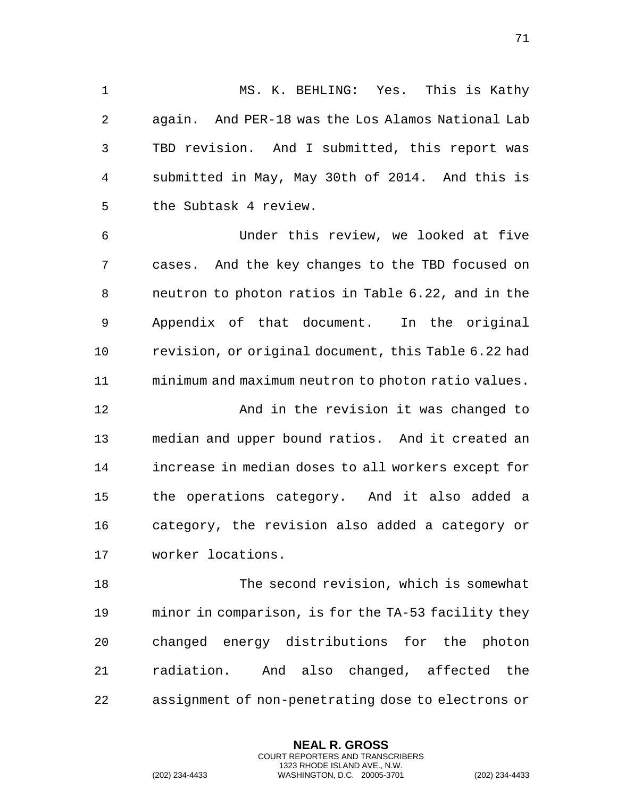MS. K. BEHLING: Yes. This is Kathy again. And PER-18 was the Los Alamos National Lab TBD revision. And I submitted, this report was submitted in May, May 30th of 2014. And this is the Subtask 4 review.

 Under this review, we looked at five cases. And the key changes to the TBD focused on neutron to photon ratios in Table 6.22, and in the Appendix of that document. In the original revision, or original document, this Table 6.22 had minimum and maximum neutron to photon ratio values.

 And in the revision it was changed to median and upper bound ratios. And it created an increase in median doses to all workers except for the operations category. And it also added a category, the revision also added a category or worker locations.

 The second revision, which is somewhat minor in comparison, is for the TA-53 facility they changed energy distributions for the photon radiation. And also changed, affected the assignment of non-penetrating dose to electrons or

> **NEAL R. GROSS** COURT REPORTERS AND TRANSCRIBERS 1323 RHODE ISLAND AVE., N.W.

(202) 234-4433 WASHINGTON, D.C. 20005-3701 (202) 234-4433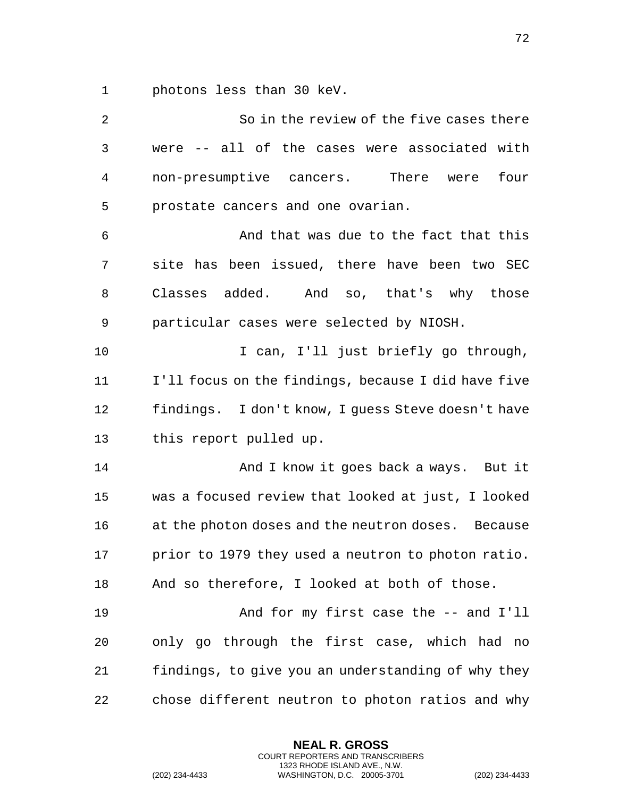photons less than 30 keV.

| 2              | So in the review of the five cases there            |
|----------------|-----------------------------------------------------|
| $\mathfrak{Z}$ | were -- all of the cases were associated with       |
| 4              | non-presumptive cancers. There were<br>four         |
| 5              | prostate cancers and one ovarian.                   |
| 6              | And that was due to the fact that this              |
| 7              | site has been issued, there have been two SEC       |
| 8              | Classes added. And so, that's why those             |
| 9              | particular cases were selected by NIOSH.            |
| 10             | I can, I'll just briefly go through,                |
| 11             | I'll focus on the findings, because I did have five |
| 12             | findings. I don't know, I guess Steve doesn't have  |
| 13             | this report pulled up.                              |
| 14             | And I know it goes back a ways. But it              |
| 15             | was a focused review that looked at just, I looked  |
| 16             | at the photon doses and the neutron doses. Because  |
| 17             | prior to 1979 they used a neutron to photon ratio.  |
| 18             | And so therefore, I looked at both of those.        |
| 19             | And for my first case the -- and I'll               |
| 20             | only go through the first case, which had no        |
| 21             | findings, to give you an understanding of why they  |
| 22             | chose different neutron to photon ratios and why    |

**NEAL R. GROSS** COURT REPORTERS AND TRANSCRIBERS 1323 RHODE ISLAND AVE., N.W.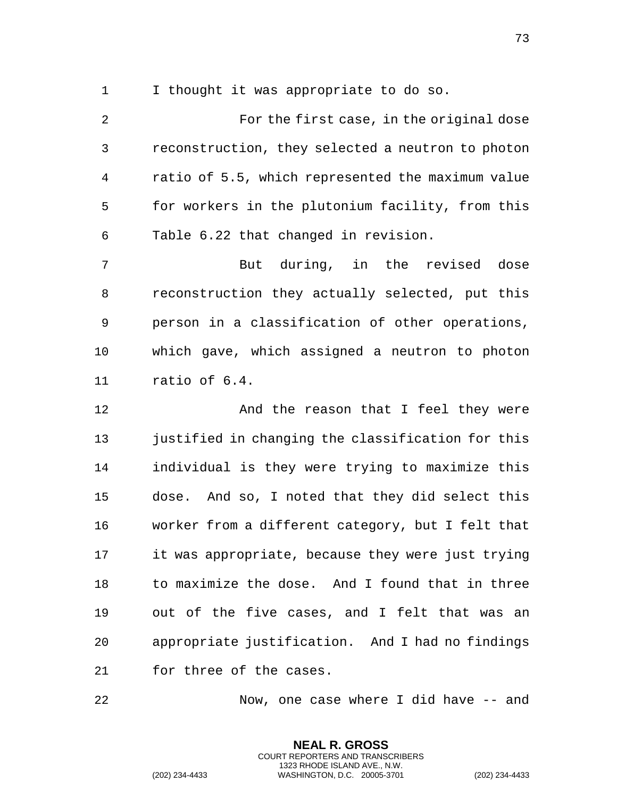I thought it was appropriate to do so.

 For the first case, in the original dose reconstruction, they selected a neutron to photon ratio of 5.5, which represented the maximum value for workers in the plutonium facility, from this Table 6.22 that changed in revision.

 But during, in the revised dose reconstruction they actually selected, put this person in a classification of other operations, which gave, which assigned a neutron to photon ratio of 6.4.

12 And the reason that I feel they were justified in changing the classification for this individual is they were trying to maximize this dose. And so, I noted that they did select this worker from a different category, but I felt that it was appropriate, because they were just trying to maximize the dose. And I found that in three out of the five cases, and I felt that was an appropriate justification. And I had no findings for three of the cases.

Now, one case where I did have -- and

**NEAL R. GROSS** COURT REPORTERS AND TRANSCRIBERS 1323 RHODE ISLAND AVE., N.W.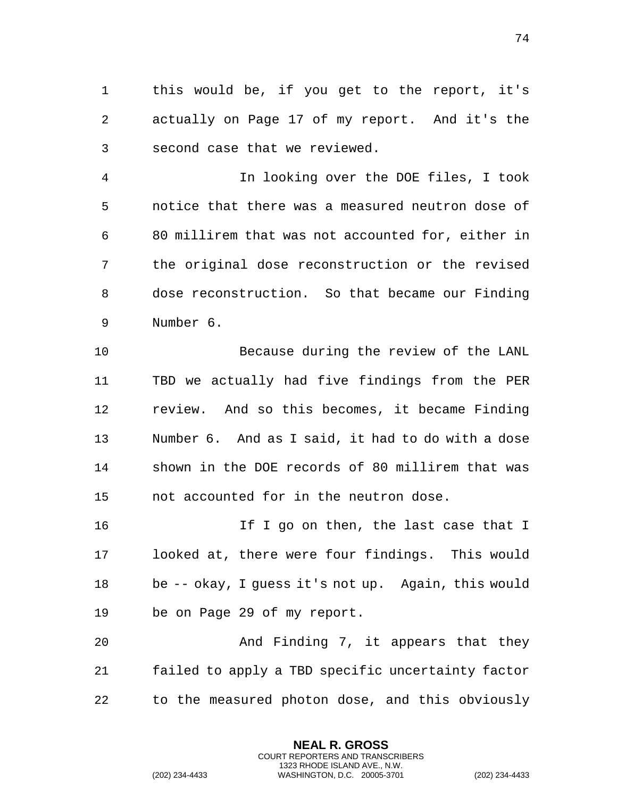this would be, if you get to the report, it's actually on Page 17 of my report. And it's the second case that we reviewed.

 In looking over the DOE files, I took notice that there was a measured neutron dose of 80 millirem that was not accounted for, either in the original dose reconstruction or the revised dose reconstruction. So that became our Finding Number 6.

 Because during the review of the LANL TBD we actually had five findings from the PER review. And so this becomes, it became Finding Number 6. And as I said, it had to do with a dose shown in the DOE records of 80 millirem that was not accounted for in the neutron dose.

16 16 If I go on then, the last case that I looked at, there were four findings. This would be -- okay, I guess it's not up. Again, this would be on Page 29 of my report.

20 And Finding 7, it appears that they failed to apply a TBD specific uncertainty factor to the measured photon dose, and this obviously

> **NEAL R. GROSS** COURT REPORTERS AND TRANSCRIBERS 1323 RHODE ISLAND AVE., N.W.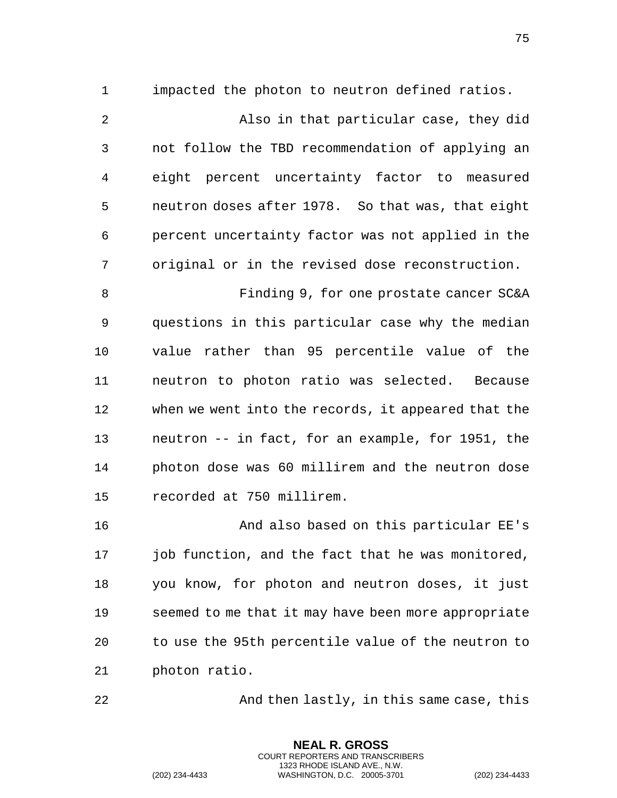impacted the photon to neutron defined ratios.

 Also in that particular case, they did not follow the TBD recommendation of applying an eight percent uncertainty factor to measured neutron doses after 1978. So that was, that eight percent uncertainty factor was not applied in the original or in the revised dose reconstruction.

 Finding 9, for one prostate cancer SC&A questions in this particular case why the median value rather than 95 percentile value of the neutron to photon ratio was selected. Because when we went into the records, it appeared that the neutron -- in fact, for an example, for 1951, the photon dose was 60 millirem and the neutron dose recorded at 750 millirem.

 And also based on this particular EE's job function, and the fact that he was monitored, you know, for photon and neutron doses, it just seemed to me that it may have been more appropriate to use the 95th percentile value of the neutron to photon ratio.

And then lastly, in this same case, this

**NEAL R. GROSS** COURT REPORTERS AND TRANSCRIBERS 1323 RHODE ISLAND AVE., N.W.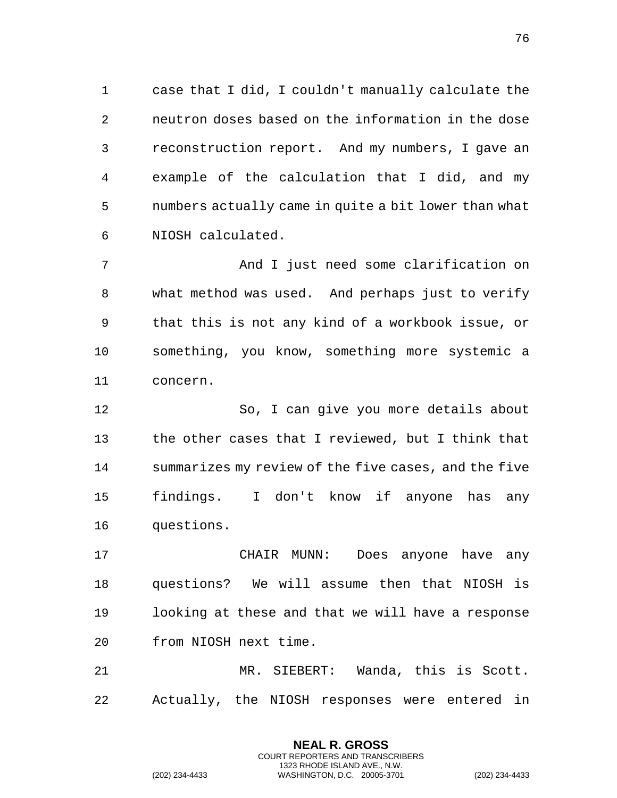case that I did, I couldn't manually calculate the neutron doses based on the information in the dose reconstruction report. And my numbers, I gave an example of the calculation that I did, and my numbers actually came in quite a bit lower than what NIOSH calculated.

 And I just need some clarification on what method was used. And perhaps just to verify that this is not any kind of a workbook issue, or something, you know, something more systemic a concern.

 So, I can give you more details about the other cases that I reviewed, but I think that summarizes my review of the five cases, and the five findings. I don't know if anyone has any questions.

 CHAIR MUNN: Does anyone have any questions? We will assume then that NIOSH is looking at these and that we will have a response from NIOSH next time.

 MR. SIEBERT: Wanda, this is Scott. Actually, the NIOSH responses were entered in

> **NEAL R. GROSS** COURT REPORTERS AND TRANSCRIBERS 1323 RHODE ISLAND AVE., N.W.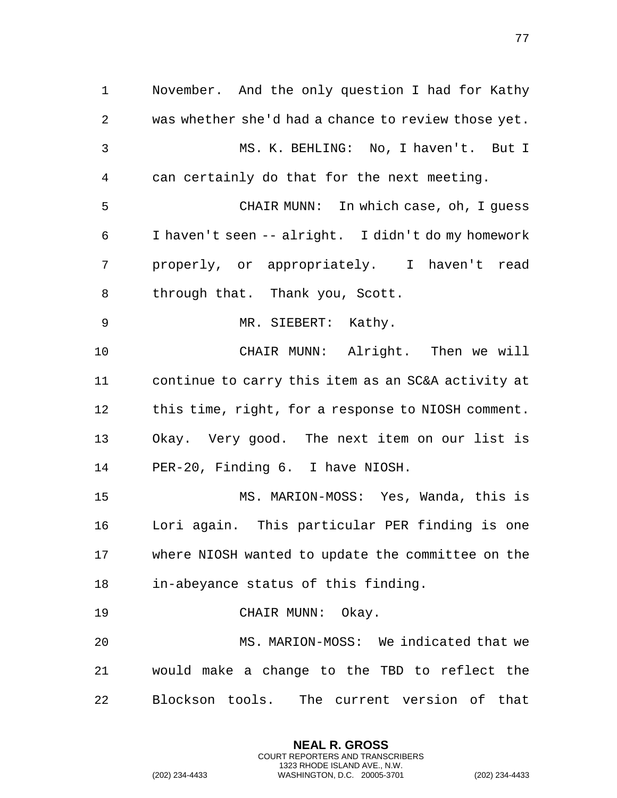November. And the only question I had for Kathy was whether she'd had a chance to review those yet. MS. K. BEHLING: No, I haven't. But I can certainly do that for the next meeting. CHAIR MUNN: In which case, oh, I guess I haven't seen -- alright. I didn't do my homework properly, or appropriately. I haven't read through that. Thank you, Scott. MR. SIEBERT: Kathy. CHAIR MUNN: Alright. Then we will continue to carry this item as an SC&A activity at this time, right, for a response to NIOSH comment. Okay. Very good. The next item on our list is PER-20, Finding 6. I have NIOSH. MS. MARION-MOSS: Yes, Wanda, this is Lori again. This particular PER finding is one where NIOSH wanted to update the committee on the in-abeyance status of this finding. CHAIR MUNN: Okay. MS. MARION-MOSS: We indicated that we would make a change to the TBD to reflect the Blockson tools. The current version of that

> **NEAL R. GROSS** COURT REPORTERS AND TRANSCRIBERS 1323 RHODE ISLAND AVE., N.W.

(202) 234-4433 WASHINGTON, D.C. 20005-3701 (202) 234-4433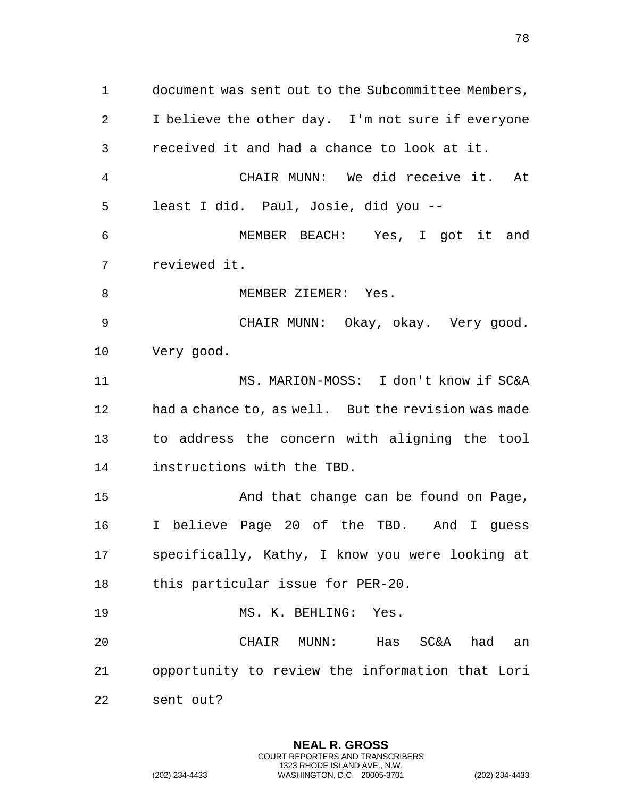document was sent out to the Subcommittee Members, I believe the other day. I'm not sure if everyone received it and had a chance to look at it. CHAIR MUNN: We did receive it. At least I did. Paul, Josie, did you -- MEMBER BEACH: Yes, I got it and reviewed it. 8 MEMBER ZIEMER: Yes. CHAIR MUNN: Okay, okay. Very good. Very good. MS. MARION-MOSS: I don't know if SC&A had a chance to, as well. But the revision was made to address the concern with aligning the tool instructions with the TBD. And that change can be found on Page, I believe Page 20 of the TBD. And I guess specifically, Kathy, I know you were looking at this particular issue for PER-20. MS. K. BEHLING: Yes. CHAIR MUNN: Has SC&A had an

opportunity to review the information that Lori

sent out?

**NEAL R. GROSS** COURT REPORTERS AND TRANSCRIBERS 1323 RHODE ISLAND AVE., N.W. (202) 234-4433 WASHINGTON, D.C. 20005-3701 (202) 234-4433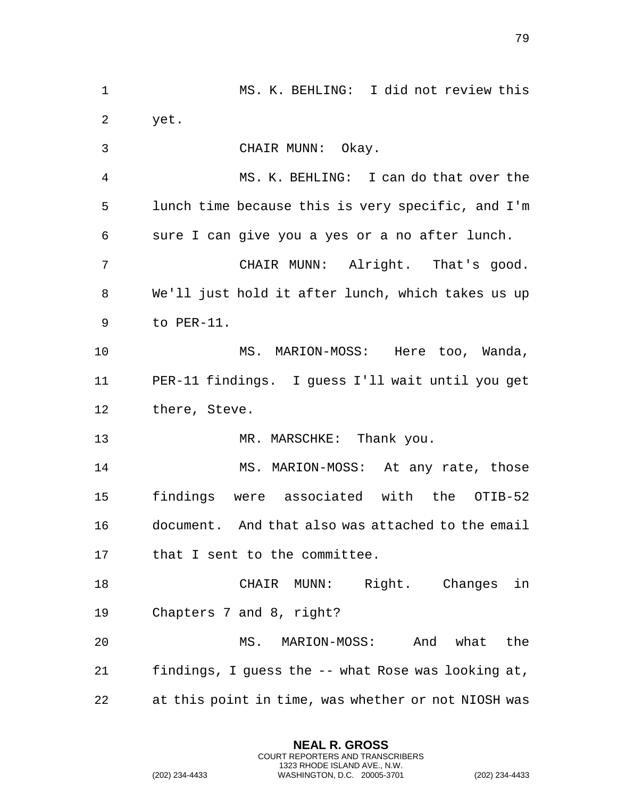| 1  | MS. K. BEHLING: I did not review this               |
|----|-----------------------------------------------------|
| 2  | yet.                                                |
| 3  | CHAIR MUNN: Okay.                                   |
| 4  | MS. K. BEHLING: I can do that over the              |
| 5  | lunch time because this is very specific, and I'm   |
| 6  | sure I can give you a yes or a no after lunch.      |
| 7  | CHAIR MUNN: Alright. That's good.                   |
| 8  | We'll just hold it after lunch, which takes us up   |
| 9  | to PER-11.                                          |
| 10 | MS. MARION-MOSS: Here too, Wanda,                   |
| 11 | PER-11 findings. I guess I'll wait until you get    |
| 12 | there, Steve.                                       |
| 13 | MR. MARSCHKE: Thank you.                            |
| 14 | MS. MARION-MOSS: At any rate, those                 |
| 15 | findings were associated with the OTIB-52           |
| 16 | document. And that also was attached to the email   |
| 17 | that I sent to the committee.                       |
| 18 | CHAIR MUNN: Right. Changes in                       |
| 19 | Chapters 7 and 8, right?                            |
| 20 | And what<br>the<br>MS. MARION-MOSS:                 |
| 21 | findings, I guess the -- what Rose was looking at,  |
| 22 | at this point in time, was whether or not NIOSH was |

**NEAL R. GROSS** COURT REPORTERS AND TRANSCRIBERS 1323 RHODE ISLAND AVE., N.W.

(202) 234-4433 WASHINGTON, D.C. 20005-3701 (202) 234-4433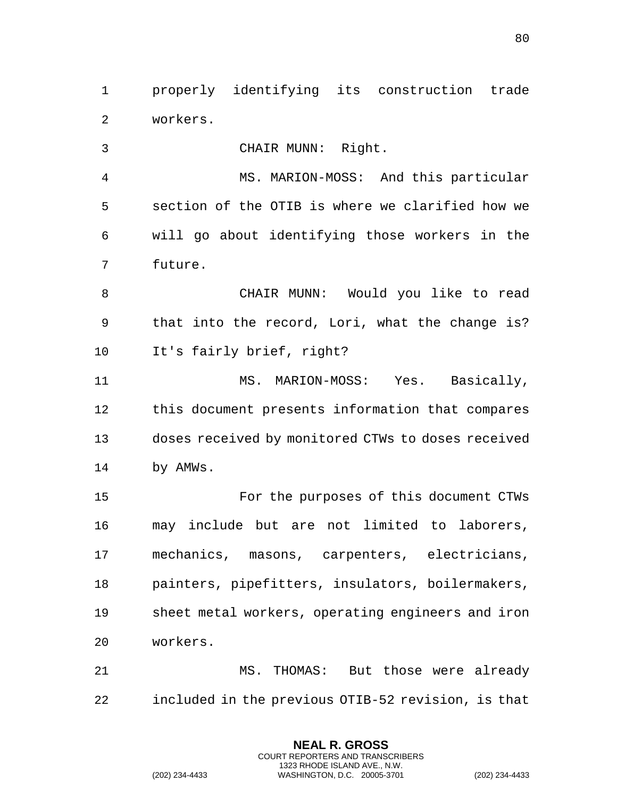properly identifying its construction trade workers.

CHAIR MUNN: Right.

 MS. MARION-MOSS: And this particular section of the OTIB is where we clarified how we will go about identifying those workers in the future.

 CHAIR MUNN: Would you like to read that into the record, Lori, what the change is? It's fairly brief, right?

 MS. MARION-MOSS: Yes. Basically, this document presents information that compares doses received by monitored CTWs to doses received by AMWs.

 For the purposes of this document CTWs may include but are not limited to laborers, mechanics, masons, carpenters, electricians, painters, pipefitters, insulators, boilermakers, sheet metal workers, operating engineers and iron workers.

 MS. THOMAS: But those were already included in the previous OTIB-52 revision, is that

> **NEAL R. GROSS** COURT REPORTERS AND TRANSCRIBERS 1323 RHODE ISLAND AVE., N.W.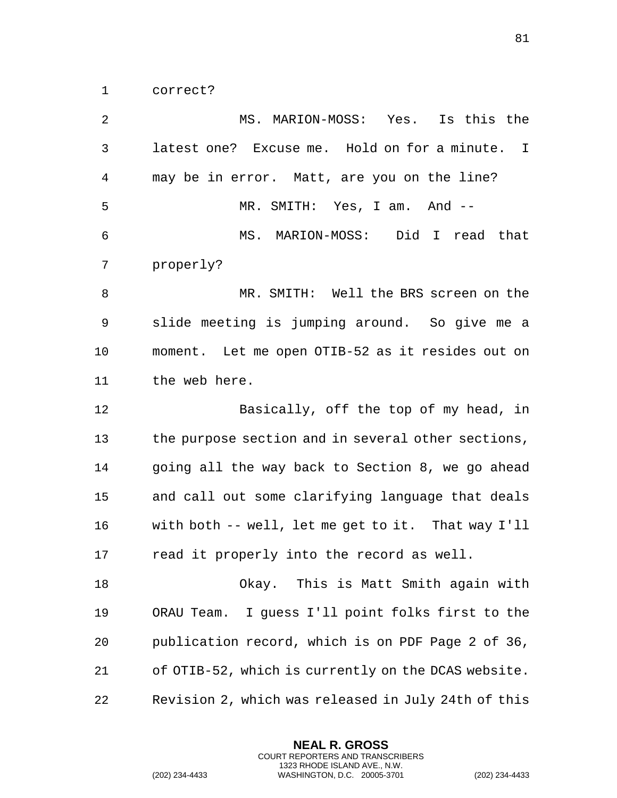correct?

 MS. MARION-MOSS: Yes. Is this the latest one? Excuse me. Hold on for a minute. I may be in error. Matt, are you on the line? MR. SMITH: Yes, I am. And -- MS. MARION-MOSS: Did I read that properly? 8 MR. SMITH: Well the BRS screen on the slide meeting is jumping around. So give me a moment. Let me open OTIB-52 as it resides out on the web here. Basically, off the top of my head, in the purpose section and in several other sections, going all the way back to Section 8, we go ahead and call out some clarifying language that deals with both -- well, let me get to it. That way I'll read it properly into the record as well. Okay. This is Matt Smith again with ORAU Team. I guess I'll point folks first to the publication record, which is on PDF Page 2 of 36, of OTIB-52, which is currently on the DCAS website. Revision 2, which was released in July 24th of this

> **NEAL R. GROSS** COURT REPORTERS AND TRANSCRIBERS 1323 RHODE ISLAND AVE., N.W.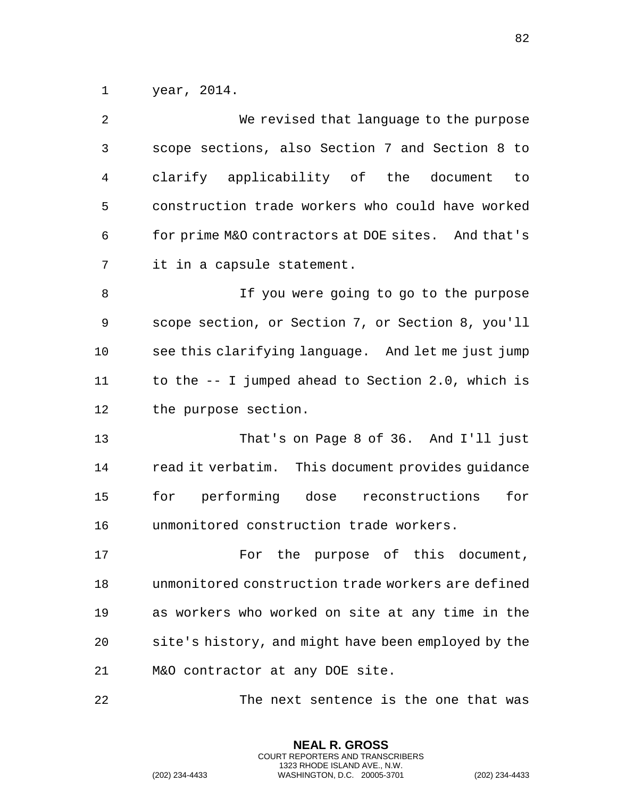year, 2014.

| 2  | We revised that language to the purpose             |
|----|-----------------------------------------------------|
| 3  | scope sections, also Section 7 and Section 8 to     |
| 4  | clarify applicability of the document<br>to         |
| 5  | construction trade workers who could have worked    |
| 6  | for prime M&O contractors at DOE sites. And that's  |
| 7  | it in a capsule statement.                          |
| 8  | If you were going to go to the purpose              |
| 9  | scope section, or Section 7, or Section 8, you'll   |
| 10 | see this clarifying language. And let me just jump  |
| 11 | to the -- I jumped ahead to Section 2.0, which is   |
| 12 | the purpose section.                                |
| 13 | That's on Page 8 of 36. And I'll just               |
| 14 | read it verbatim. This document provides guidance   |
| 15 | for performing dose reconstructions<br>for          |
| 16 | unmonitored construction trade workers.             |
| 17 | the purpose of this document,<br>For                |
| 18 | unmonitored construction trade workers are defined  |
| 19 | as workers who worked on site at any time in the    |
| 20 | site's history, and might have been employed by the |
| 21 | M&O contractor at any DOE site.                     |
| 22 | The next sentence is the one that was               |

**NEAL R. GROSS** COURT REPORTERS AND TRANSCRIBERS 1323 RHODE ISLAND AVE., N.W.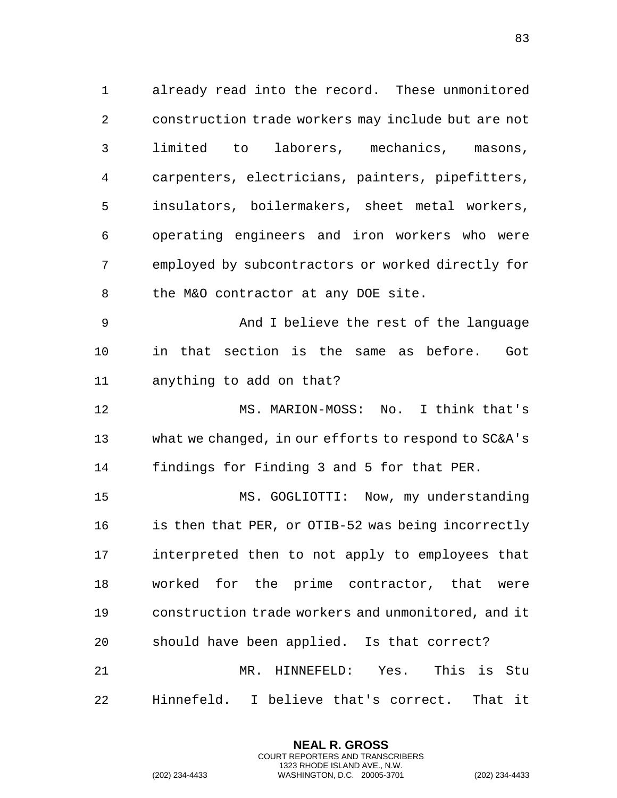already read into the record. These unmonitored construction trade workers may include but are not limited to laborers, mechanics, masons, carpenters, electricians, painters, pipefitters, insulators, boilermakers, sheet metal workers, operating engineers and iron workers who were employed by subcontractors or worked directly for 8 the M&O contractor at any DOE site.

 And I believe the rest of the language in that section is the same as before. Got anything to add on that?

 MS. MARION-MOSS: No. I think that's what we changed, in our efforts to respond to SC&A's findings for Finding 3 and 5 for that PER.

 MS. GOGLIOTTI: Now, my understanding is then that PER, or OTIB-52 was being incorrectly interpreted then to not apply to employees that worked for the prime contractor, that were construction trade workers and unmonitored, and it should have been applied. Is that correct? MR. HINNEFELD: Yes. This is Stu Hinnefeld. I believe that's correct. That it

> **NEAL R. GROSS** COURT REPORTERS AND TRANSCRIBERS 1323 RHODE ISLAND AVE., N.W.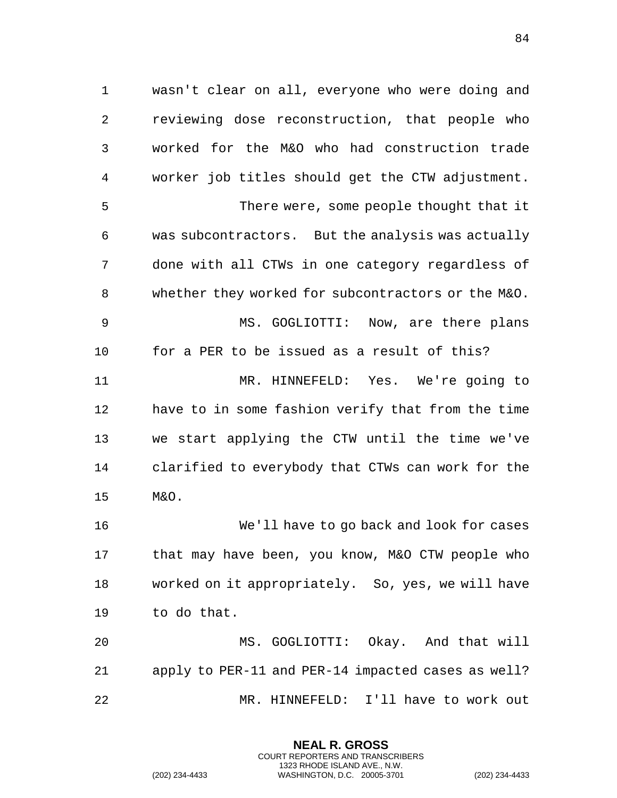wasn't clear on all, everyone who were doing and reviewing dose reconstruction, that people who worked for the M&O who had construction trade worker job titles should get the CTW adjustment. There were, some people thought that it was subcontractors. But the analysis was actually done with all CTWs in one category regardless of whether they worked for subcontractors or the M&O. MS. GOGLIOTTI: Now, are there plans for a PER to be issued as a result of this? MR. HINNEFELD: Yes. We're going to have to in some fashion verify that from the time we start applying the CTW until the time we've clarified to everybody that CTWs can work for the M&O.

 We'll have to go back and look for cases that may have been, you know, M&O CTW people who worked on it appropriately. So, yes, we will have to do that.

 MS. GOGLIOTTI: Okay. And that will apply to PER-11 and PER-14 impacted cases as well? MR. HINNEFELD: I'll have to work out

> **NEAL R. GROSS** COURT REPORTERS AND TRANSCRIBERS 1323 RHODE ISLAND AVE., N.W.

(202) 234-4433 WASHINGTON, D.C. 20005-3701 (202) 234-4433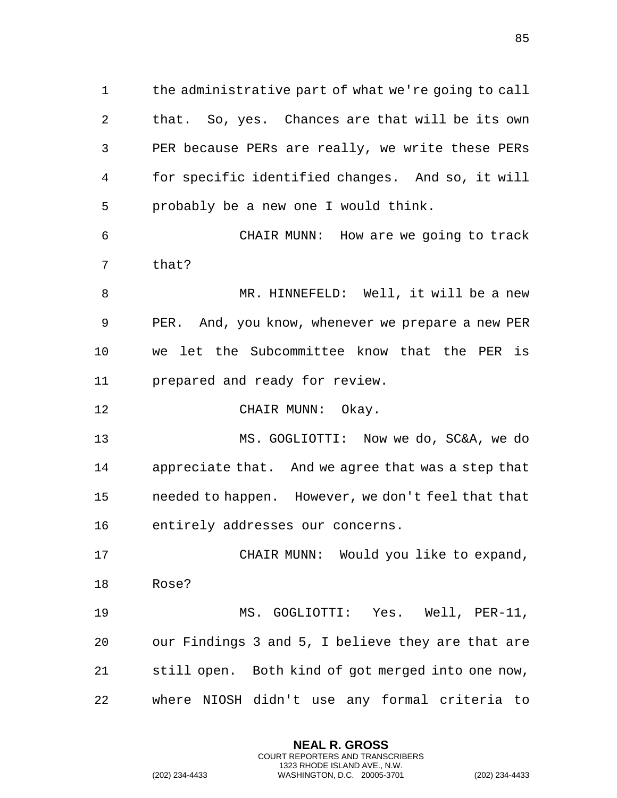the administrative part of what we're going to call that. So, yes. Chances are that will be its own PER because PERs are really, we write these PERs for specific identified changes. And so, it will probably be a new one I would think.

 CHAIR MUNN: How are we going to track that?

8 MR. HINNEFELD: Well, it will be a new PER. And, you know, whenever we prepare a new PER we let the Subcommittee know that the PER is prepared and ready for review.

12 CHAIR MUNN: Okay.

 MS. GOGLIOTTI: Now we do, SC&A, we do appreciate that. And we agree that was a step that needed to happen. However, we don't feel that that entirely addresses our concerns.

 CHAIR MUNN: Would you like to expand, Rose? MS. GOGLIOTTI: Yes. Well, PER-11,

 our Findings 3 and 5, I believe they are that are still open. Both kind of got merged into one now, where NIOSH didn't use any formal criteria to

> **NEAL R. GROSS** COURT REPORTERS AND TRANSCRIBERS 1323 RHODE ISLAND AVE., N.W.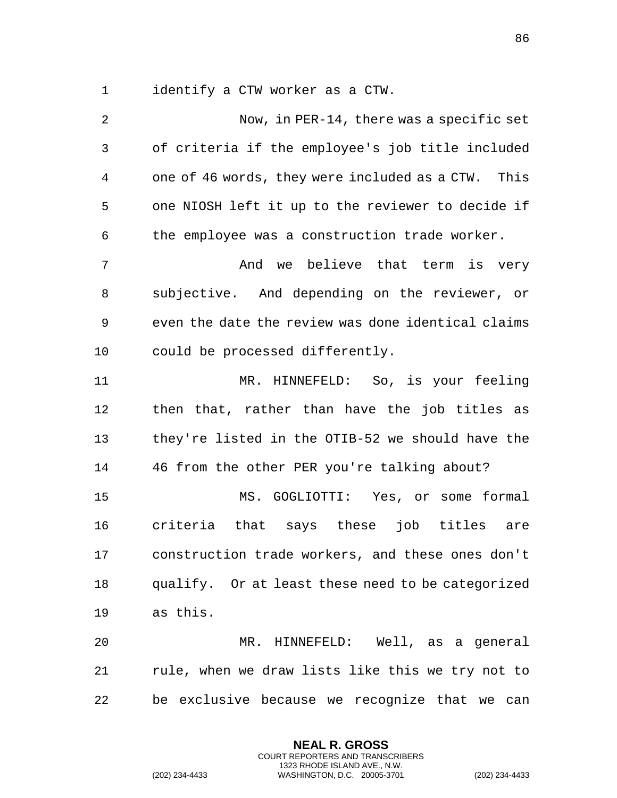identify a CTW worker as a CTW.

 Now, in PER-14, there was a specific set of criteria if the employee's job title included one of 46 words, they were included as a CTW. This one NIOSH left it up to the reviewer to decide if the employee was a construction trade worker. 7 The Mand we believe that term is very subjective. And depending on the reviewer, or even the date the review was done identical claims could be processed differently. MR. HINNEFELD: So, is your feeling then that, rather than have the job titles as they're listed in the OTIB-52 we should have the 46 from the other PER you're talking about? MS. GOGLIOTTI: Yes, or some formal criteria that says these job titles are construction trade workers, and these ones don't qualify. Or at least these need to be categorized as this. MR. HINNEFELD: Well, as a general rule, when we draw lists like this we try not to be exclusive because we recognize that we can

> **NEAL R. GROSS** COURT REPORTERS AND TRANSCRIBERS 1323 RHODE ISLAND AVE., N.W.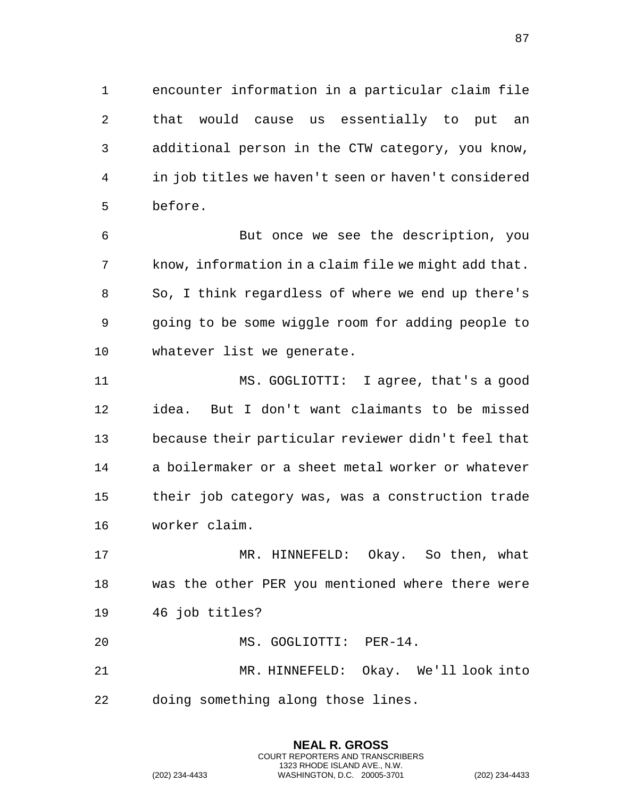encounter information in a particular claim file that would cause us essentially to put an additional person in the CTW category, you know, in job titles we haven't seen or haven't considered before.

 But once we see the description, you know, information in a claim file we might add that. So, I think regardless of where we end up there's going to be some wiggle room for adding people to whatever list we generate.

 MS. GOGLIOTTI: I agree, that's a good idea. But I don't want claimants to be missed because their particular reviewer didn't feel that a boilermaker or a sheet metal worker or whatever their job category was, was a construction trade worker claim.

 MR. HINNEFELD: Okay. So then, what was the other PER you mentioned where there were 46 job titles?

 MS. GOGLIOTTI: PER-14. MR. HINNEFELD: Okay. We'll look into doing something along those lines.

> **NEAL R. GROSS** COURT REPORTERS AND TRANSCRIBERS 1323 RHODE ISLAND AVE., N.W.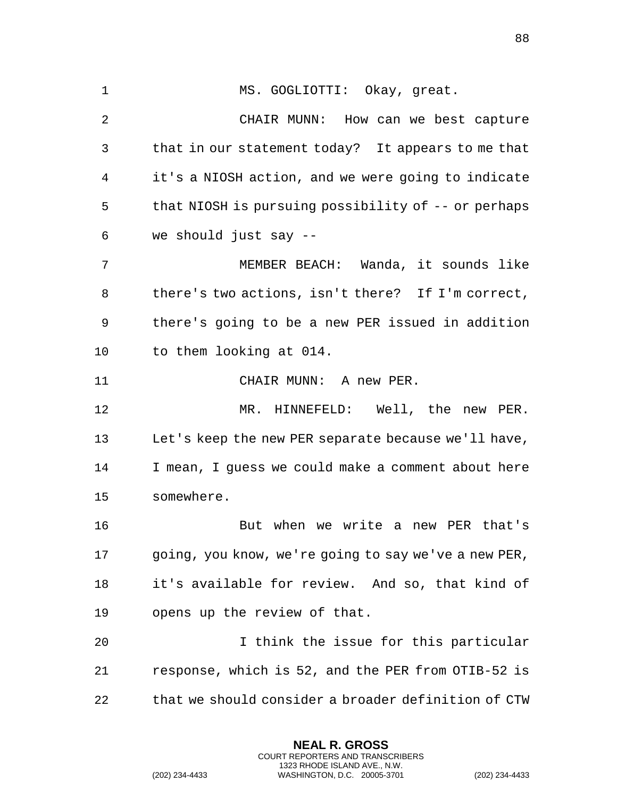1 MS. GOGLIOTTI: Okay, great. CHAIR MUNN: How can we best capture that in our statement today? It appears to me that it's a NIOSH action, and we were going to indicate that NIOSH is pursuing possibility of -- or perhaps we should just say -- MEMBER BEACH: Wanda, it sounds like there's two actions, isn't there? If I'm correct, there's going to be a new PER issued in addition to them looking at 014. CHAIR MUNN: A new PER. MR. HINNEFELD: Well, the new PER. Let's keep the new PER separate because we'll have, I mean, I guess we could make a comment about here somewhere. But when we write a new PER that's going, you know, we're going to say we've a new PER, it's available for review. And so, that kind of opens up the review of that. I think the issue for this particular response, which is 52, and the PER from OTIB-52 is that we should consider a broader definition of CTW

> **NEAL R. GROSS** COURT REPORTERS AND TRANSCRIBERS 1323 RHODE ISLAND AVE., N.W.

(202) 234-4433 WASHINGTON, D.C. 20005-3701 (202) 234-4433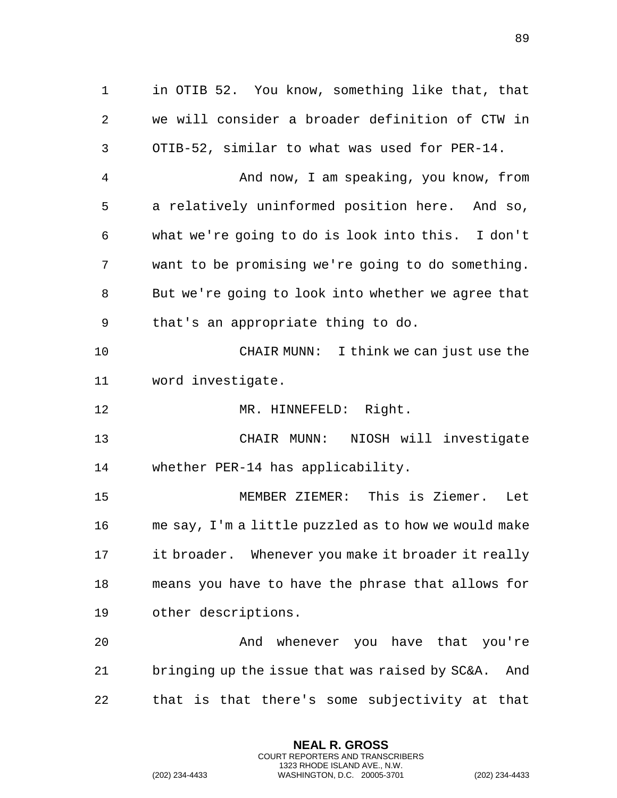in OTIB 52. You know, something like that, that we will consider a broader definition of CTW in OTIB-52, similar to what was used for PER-14. And now, I am speaking, you know, from a relatively uninformed position here. And so, what we're going to do is look into this. I don't want to be promising we're going to do something. But we're going to look into whether we agree that that's an appropriate thing to do. CHAIR MUNN: I think we can just use the word investigate. 12 MR. HINNEFELD: Right. CHAIR MUNN: NIOSH will investigate whether PER-14 has applicability. MEMBER ZIEMER: This is Ziemer. Let me say, I'm a little puzzled as to how we would make it broader. Whenever you make it broader it really means you have to have the phrase that allows for other descriptions. 20 And whenever you have that you're bringing up the issue that was raised by SC&A. And that is that there's some subjectivity at that

> **NEAL R. GROSS** COURT REPORTERS AND TRANSCRIBERS 1323 RHODE ISLAND AVE., N.W.

(202) 234-4433 WASHINGTON, D.C. 20005-3701 (202) 234-4433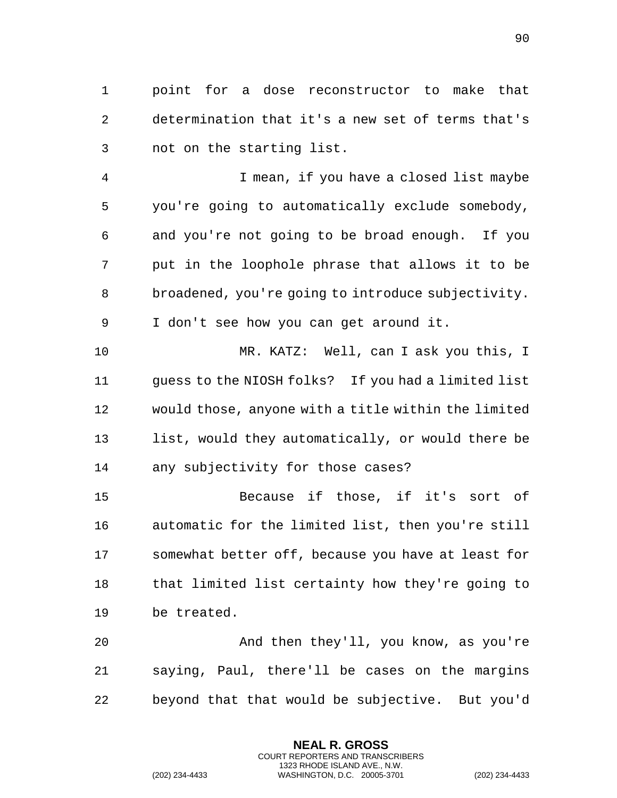point for a dose reconstructor to make that determination that it's a new set of terms that's not on the starting list.

 I mean, if you have a closed list maybe you're going to automatically exclude somebody, and you're not going to be broad enough. If you put in the loophole phrase that allows it to be broadened, you're going to introduce subjectivity. I don't see how you can get around it.

 MR. KATZ: Well, can I ask you this, I guess to the NIOSH folks? If you had a limited list would those, anyone with a title within the limited list, would they automatically, or would there be any subjectivity for those cases?

 Because if those, if it's sort of automatic for the limited list, then you're still somewhat better off, because you have at least for that limited list certainty how they're going to be treated.

 And then they'll, you know, as you're saying, Paul, there'll be cases on the margins beyond that that would be subjective. But you'd

> **NEAL R. GROSS** COURT REPORTERS AND TRANSCRIBERS 1323 RHODE ISLAND AVE., N.W.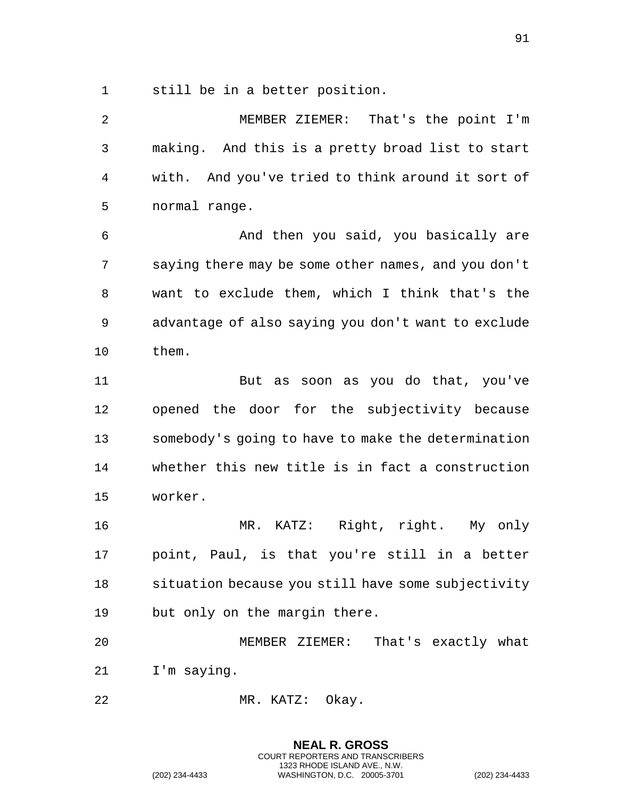still be in a better position.

 MEMBER ZIEMER: That's the point I'm making. And this is a pretty broad list to start with. And you've tried to think around it sort of normal range. And then you said, you basically are saying there may be some other names, and you don't want to exclude them, which I think that's the advantage of also saying you don't want to exclude them. But as soon as you do that, you've opened the door for the subjectivity because somebody's going to have to make the determination whether this new title is in fact a construction worker. MR. KATZ: Right, right. My only point, Paul, is that you're still in a better situation because you still have some subjectivity but only on the margin there. MEMBER ZIEMER: That's exactly what I'm saying. MR. KATZ: Okay.

> **NEAL R. GROSS** COURT REPORTERS AND TRANSCRIBERS 1323 RHODE ISLAND AVE., N.W.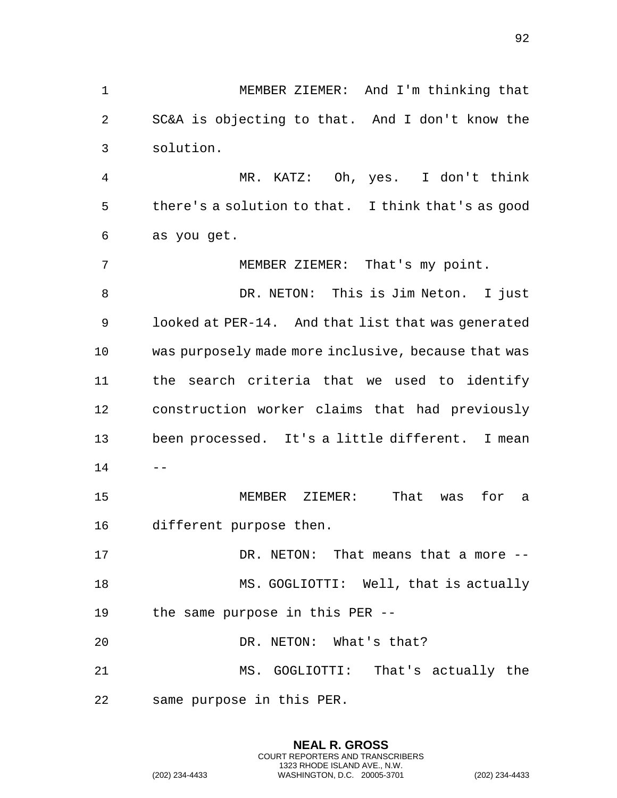MEMBER ZIEMER: And I'm thinking that SC&A is objecting to that. And I don't know the solution. MR. KATZ: Oh, yes. I don't think there's a solution to that. I think that's as good as you get. MEMBER ZIEMER: That's my point. DR. NETON: This is Jim Neton. I just looked at PER-14. And that list that was generated was purposely made more inclusive, because that was the search criteria that we used to identify construction worker claims that had previously been processed. It's a little different. I mean  $14 - -$  MEMBER ZIEMER: That was for a different purpose then. DR. NETON: That means that a more -- MS. GOGLIOTTI: Well, that is actually the same purpose in this PER -- 20 DR. NETON: What's that? MS. GOGLIOTTI: That's actually the same purpose in this PER.

> **NEAL R. GROSS** COURT REPORTERS AND TRANSCRIBERS 1323 RHODE ISLAND AVE., N.W.

(202) 234-4433 WASHINGTON, D.C. 20005-3701 (202) 234-4433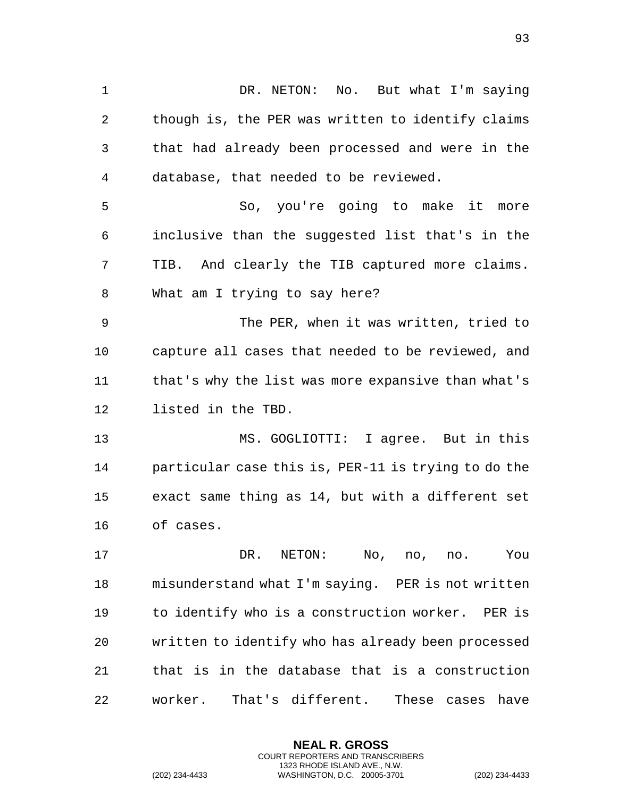DR. NETON: No. But what I'm saying though is, the PER was written to identify claims that had already been processed and were in the database, that needed to be reviewed. So, you're going to make it more inclusive than the suggested list that's in the TIB. And clearly the TIB captured more claims. What am I trying to say here? The PER, when it was written, tried to capture all cases that needed to be reviewed, and that's why the list was more expansive than what's listed in the TBD. MS. GOGLIOTTI: I agree. But in this particular case this is, PER-11 is trying to do the exact same thing as 14, but with a different set of cases. DR. NETON: No, no, no. You misunderstand what I'm saying. PER is not written to identify who is a construction worker. PER is written to identify who has already been processed that is in the database that is a construction worker. That's different. These cases have

> **NEAL R. GROSS** COURT REPORTERS AND TRANSCRIBERS 1323 RHODE ISLAND AVE., N.W.

(202) 234-4433 WASHINGTON, D.C. 20005-3701 (202) 234-4433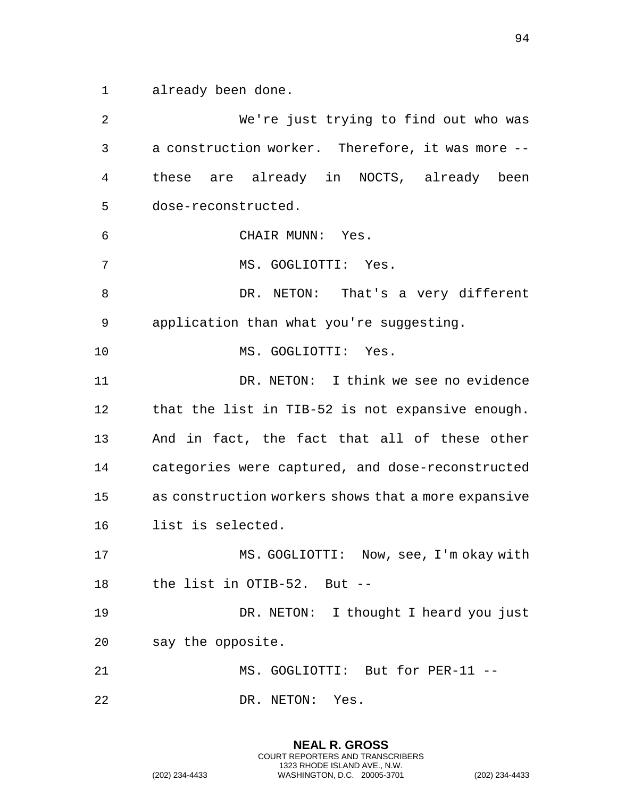already been done.

 We're just trying to find out who was a construction worker. Therefore, it was more -- these are already in NOCTS, already been dose-reconstructed. CHAIR MUNN: Yes. MS. GOGLIOTTI: Yes. 8 DR. NETON: That's a very different application than what you're suggesting. MS. GOGLIOTTI: Yes. DR. NETON: I think we see no evidence that the list in TIB-52 is not expansive enough. And in fact, the fact that all of these other categories were captured, and dose-reconstructed as construction workers shows that a more expansive list is selected. MS. GOGLIOTTI: Now, see, I'm okay with the list in OTIB-52. But -- DR. NETON: I thought I heard you just say the opposite. 21 MS. GOGLIOTTI: But for PER-11 --22 DR. NETON: Yes.

> **NEAL R. GROSS** COURT REPORTERS AND TRANSCRIBERS 1323 RHODE ISLAND AVE., N.W.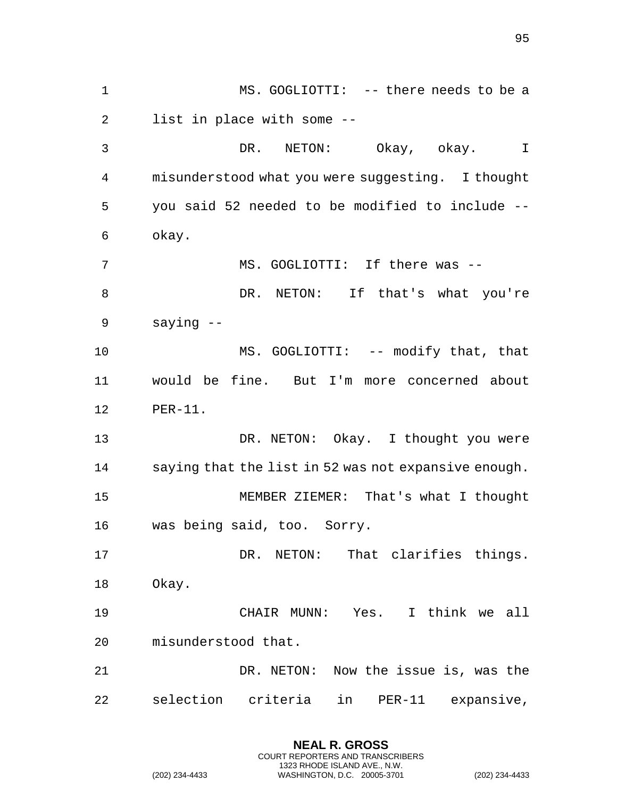MS. GOGLIOTTI: -- there needs to be a list in place with some -- DR. NETON: Okay, okay. I misunderstood what you were suggesting. I thought you said 52 needed to be modified to include -- okay. MS. GOGLIOTTI: If there was -- 8 DR. NETON: If that's what you're saying -- 10 MS. GOGLIOTTI: -- modify that, that would be fine. But I'm more concerned about PER-11. DR. NETON: Okay. I thought you were saying that the list in 52 was not expansive enough. MEMBER ZIEMER: That's what I thought was being said, too. Sorry. DR. NETON: That clarifies things. Okay. CHAIR MUNN: Yes. I think we all misunderstood that. DR. NETON: Now the issue is, was the selection criteria in PER-11 expansive,

> **NEAL R. GROSS** COURT REPORTERS AND TRANSCRIBERS 1323 RHODE ISLAND AVE., N.W.

(202) 234-4433 WASHINGTON, D.C. 20005-3701 (202) 234-4433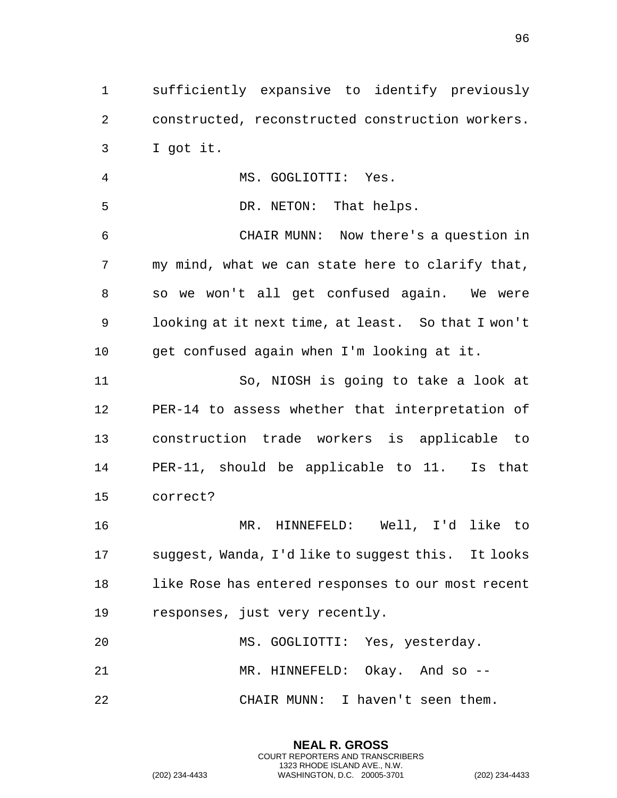sufficiently expansive to identify previously constructed, reconstructed construction workers. I got it.

MS. GOGLIOTTI: Yes.

5 DR. NETON: That helps. CHAIR MUNN: Now there's a question in my mind, what we can state here to clarify that, so we won't all get confused again. We were looking at it next time, at least. So that I won't get confused again when I'm looking at it. So, NIOSH is going to take a look at

 PER-14 to assess whether that interpretation of construction trade workers is applicable to PER-11, should be applicable to 11. Is that correct?

 MR. HINNEFELD: Well, I'd like to suggest, Wanda, I'd like to suggest this. It looks like Rose has entered responses to our most recent responses, just very recently.

 MS. GOGLIOTTI: Yes, yesterday. 21 MR. HINNEFELD: Okay. And so --CHAIR MUNN: I haven't seen them.

> **NEAL R. GROSS** COURT REPORTERS AND TRANSCRIBERS 1323 RHODE ISLAND AVE., N.W.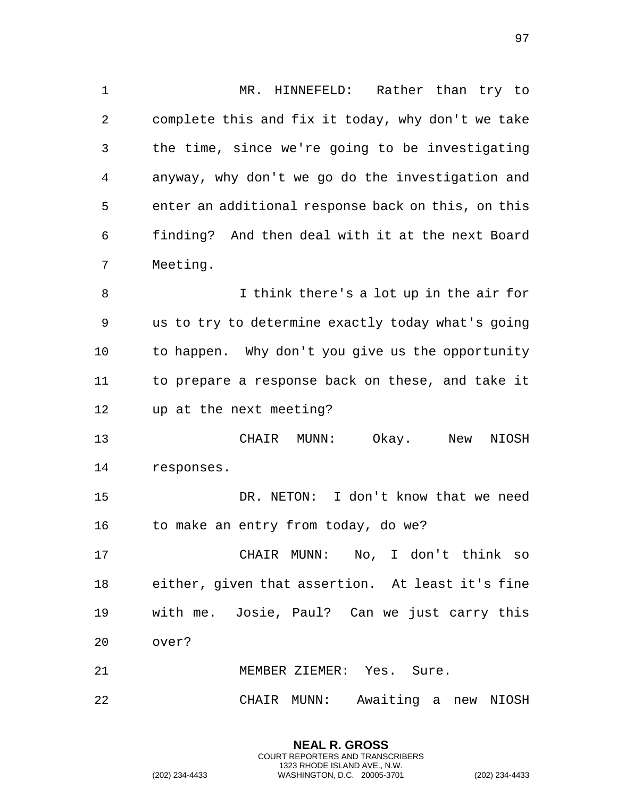MR. HINNEFELD: Rather than try to complete this and fix it today, why don't we take the time, since we're going to be investigating anyway, why don't we go do the investigation and enter an additional response back on this, on this finding? And then deal with it at the next Board Meeting.

 I think there's a lot up in the air for us to try to determine exactly today what's going to happen. Why don't you give us the opportunity to prepare a response back on these, and take it up at the next meeting?

 CHAIR MUNN: Okay. New NIOSH responses.

 DR. NETON: I don't know that we need 16 to make an entry from today, do we?

 CHAIR MUNN: No, I don't think so either, given that assertion. At least it's fine with me. Josie, Paul? Can we just carry this over?

MEMBER ZIEMER: Yes. Sure.

CHAIR MUNN: Awaiting a new NIOSH

**NEAL R. GROSS** COURT REPORTERS AND TRANSCRIBERS 1323 RHODE ISLAND AVE., N.W.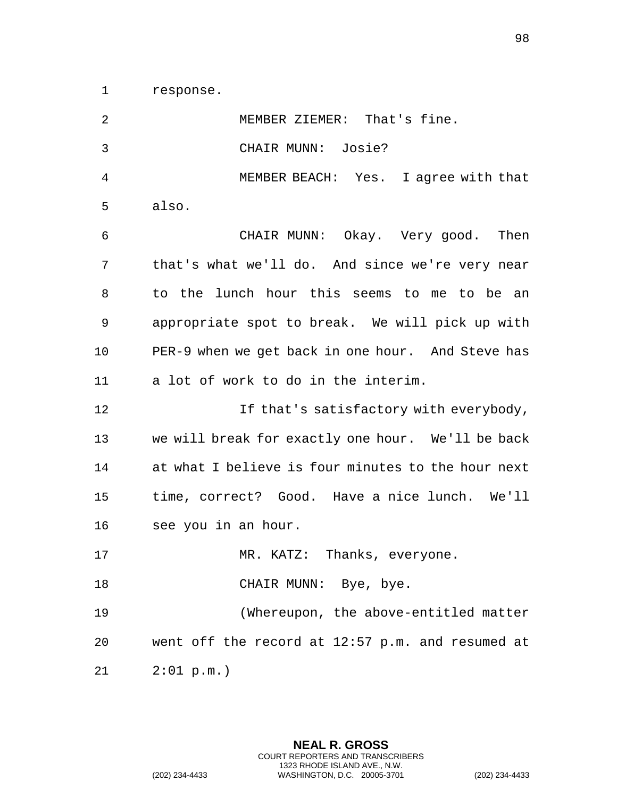response.

| 2              | MEMBER ZIEMER: That's fine.                        |
|----------------|----------------------------------------------------|
| $\mathfrak{Z}$ | CHAIR MUNN: Josie?                                 |
| 4              | MEMBER BEACH: Yes. I agree with that               |
| 5              | also.                                              |
| 6              | CHAIR MUNN: Okay. Very good. Then                  |
| 7              | that's what we'll do. And since we're very near    |
| 8              | to the lunch hour this seems to me to be an        |
| 9              | appropriate spot to break. We will pick up with    |
| 10             | PER-9 when we get back in one hour. And Steve has  |
| 11             | a lot of work to do in the interim.                |
| 12             | If that's satisfactory with everybody,             |
| 13             | we will break for exactly one hour. We'll be back  |
| 14             | at what I believe is four minutes to the hour next |
| 15             | time, correct? Good. Have a nice lunch. We'll      |
| 16             | see you in an hour.                                |
| 17             | MR. KATZ: Thanks, everyone.                        |
| 18             | CHAIR MUNN: Bye, bye.                              |
| 19             | (Whereupon, the above-entitled matter              |
| 20             | went off the record at 12:57 p.m. and resumed at   |
| 21             | 2:01 p.m.                                          |

**NEAL R. GROSS** COURT REPORTERS AND TRANSCRIBERS 1323 RHODE ISLAND AVE., N.W. (202) 234-4433 WASHINGTON, D.C. 20005-3701 (202) 234-4433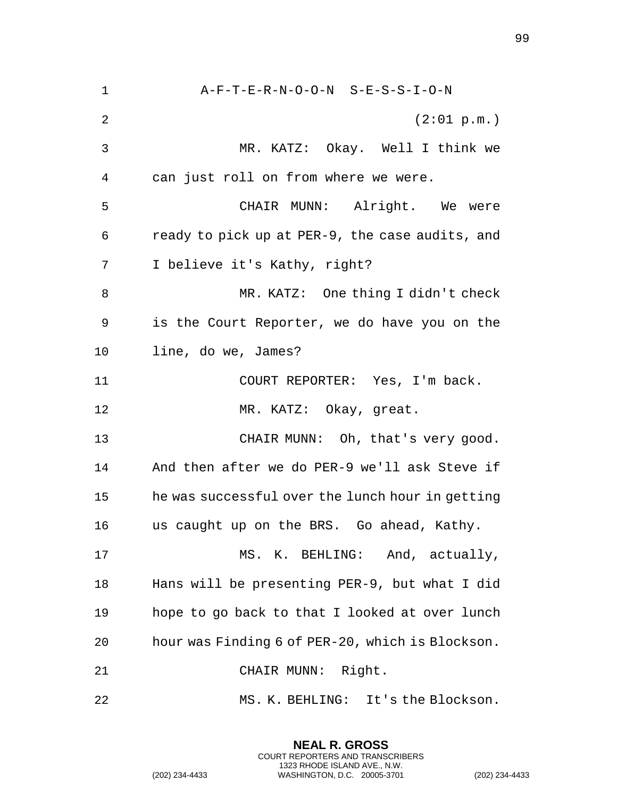A-F-T-E-R-N-O-O-N S-E-S-S-I-O-N (2:01 p.m.) MR. KATZ: Okay. Well I think we can just roll on from where we were. CHAIR MUNN: Alright. We were ready to pick up at PER-9, the case audits, and I believe it's Kathy, right? MR. KATZ: One thing I didn't check is the Court Reporter, we do have you on the line, do we, James? COURT REPORTER: Yes, I'm back. 12 MR. KATZ: Okay, great. 13 CHAIR MUNN: Oh, that's very good. And then after we do PER-9 we'll ask Steve if he was successful over the lunch hour in getting us caught up on the BRS. Go ahead, Kathy. 17 MS. K. BEHLING: And, actually, Hans will be presenting PER-9, but what I did hope to go back to that I looked at over lunch hour was Finding 6 of PER-20, which is Blockson. CHAIR MUNN: Right. MS. K. BEHLING: It's the Blockson.

> **NEAL R. GROSS** COURT REPORTERS AND TRANSCRIBERS 1323 RHODE ISLAND AVE., N.W.

(202) 234-4433 WASHINGTON, D.C. 20005-3701 (202) 234-4433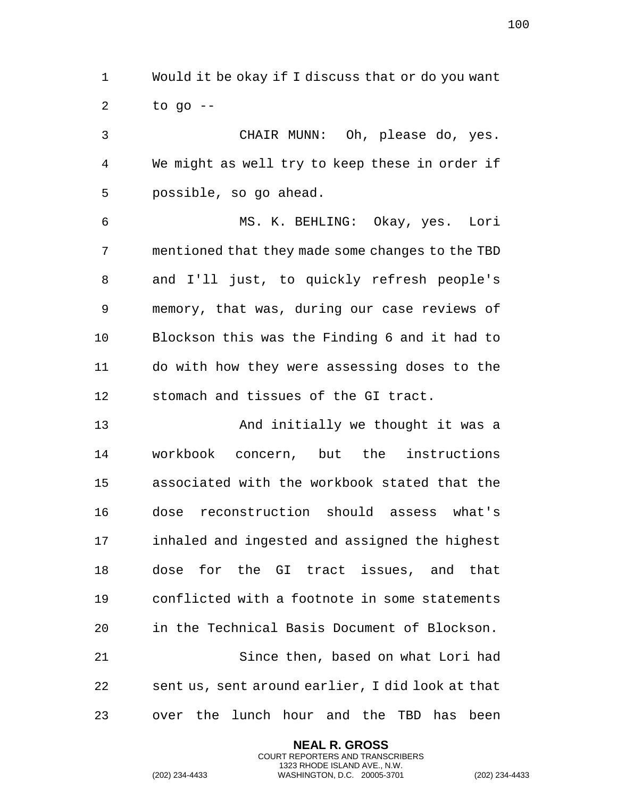Would it be okay if I discuss that or do you want to go  $-$ 

 CHAIR MUNN: Oh, please do, yes. We might as well try to keep these in order if possible, so go ahead.

 MS. K. BEHLING: Okay, yes. Lori mentioned that they made some changes to the TBD and I'll just, to quickly refresh people's memory, that was, during our case reviews of Blockson this was the Finding 6 and it had to do with how they were assessing doses to the stomach and tissues of the GI tract.

 And initially we thought it was a workbook concern, but the instructions associated with the workbook stated that the dose reconstruction should assess what's inhaled and ingested and assigned the highest dose for the GI tract issues, and that conflicted with a footnote in some statements in the Technical Basis Document of Blockson. Since then, based on what Lori had sent us, sent around earlier, I did look at that over the lunch hour and the TBD has been

> **NEAL R. GROSS** COURT REPORTERS AND TRANSCRIBERS 1323 RHODE ISLAND AVE., N.W.

(202) 234-4433 WASHINGTON, D.C. 20005-3701 (202) 234-4433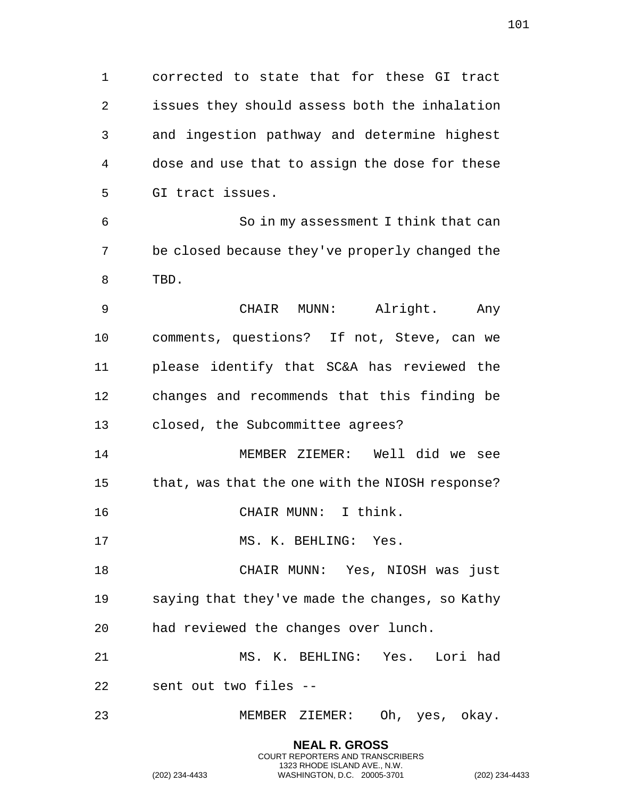corrected to state that for these GI tract issues they should assess both the inhalation and ingestion pathway and determine highest dose and use that to assign the dose for these GI tract issues. So in my assessment I think that can be closed because they've properly changed the TBD. CHAIR MUNN: Alright. Any comments, questions? If not, Steve, can we please identify that SC&A has reviewed the changes and recommends that this finding be closed, the Subcommittee agrees? MEMBER ZIEMER: Well did we see 15 that, was that the one with the NIOSH response? 16 CHAIR MUNN: I think. 17 MS. K. BEHLING: Yes. CHAIR MUNN: Yes, NIOSH was just saying that they've made the changes, so Kathy had reviewed the changes over lunch. MS. K. BEHLING: Yes. Lori had sent out two files -- MEMBER ZIEMER: Oh, yes, okay.

> **NEAL R. GROSS** COURT REPORTERS AND TRANSCRIBERS 1323 RHODE ISLAND AVE., N.W.

(202) 234-4433 WASHINGTON, D.C. 20005-3701 (202) 234-4433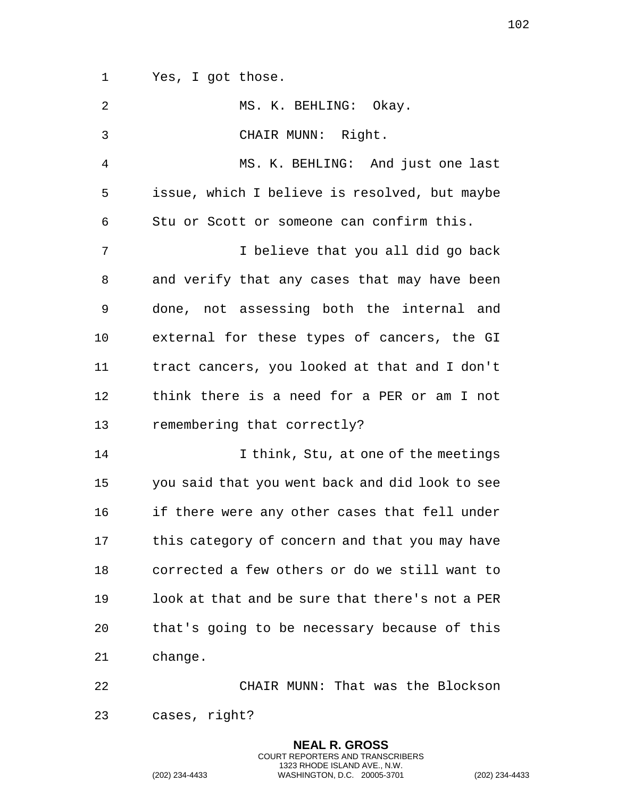Yes, I got those.

| 2            | MS. K. BEHLING: Okay.                           |
|--------------|-------------------------------------------------|
| $\mathbf{3}$ | CHAIR MUNN: Right.                              |
| 4            | MS. K. BEHLING: And just one last               |
| 5            | issue, which I believe is resolved, but maybe   |
| 6            | Stu or Scott or someone can confirm this.       |
| 7            | I believe that you all did go back              |
| 8            | and verify that any cases that may have been    |
| 9            | done, not assessing both the internal and       |
| 10           | external for these types of cancers, the GI     |
| 11           | tract cancers, you looked at that and I don't   |
| 12           | think there is a need for a PER or am I not     |
| 13           | remembering that correctly?                     |
| 14           | I think, Stu, at one of the meetings            |
| 15           | you said that you went back and did look to see |
| 16           | if there were any other cases that fell under   |
| 17           | this category of concern and that you may have  |
| 18           | corrected a few others or do we still want to   |
| 19           | look at that and be sure that there's not a PER |
| 20           | that's going to be necessary because of this    |
| 21           | change.                                         |
| 22           | CHAIR MUNN: That was the Blockson               |
| 23           | cases, right?                                   |

**NEAL R. GROSS** COURT REPORTERS AND TRANSCRIBERS 1323 RHODE ISLAND AVE., N.W.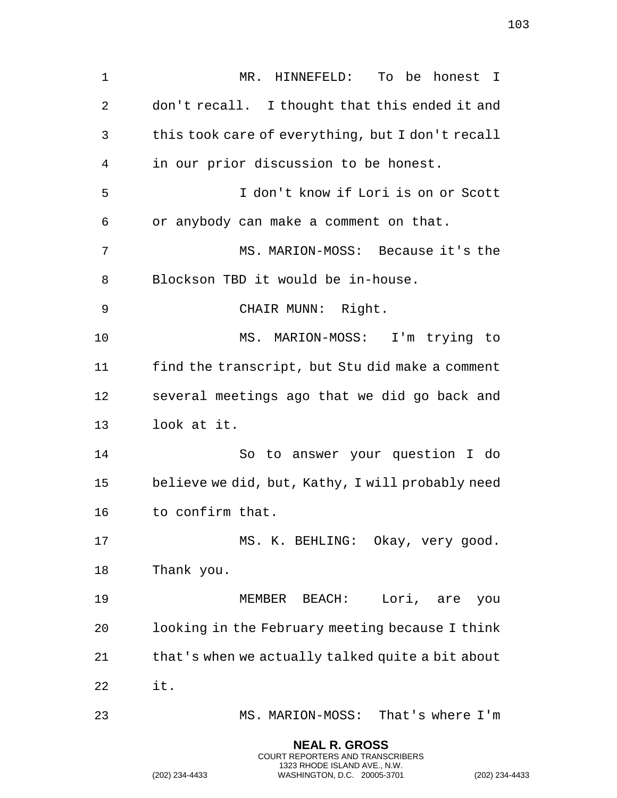MR. HINNEFELD: To be honest I don't recall. I thought that this ended it and this took care of everything, but I don't recall in our prior discussion to be honest. I don't know if Lori is on or Scott or anybody can make a comment on that. MS. MARION-MOSS: Because it's the Blockson TBD it would be in-house. CHAIR MUNN: Right. MS. MARION-MOSS: I'm trying to find the transcript, but Stu did make a comment several meetings ago that we did go back and look at it. So to answer your question I do believe we did, but, Kathy, I will probably need to confirm that. MS. K. BEHLING: Okay, very good. Thank you. MEMBER BEACH: Lori, are you looking in the February meeting because I think that's when we actually talked quite a bit about it. MS. MARION-MOSS: That's where I'm

> **NEAL R. GROSS** COURT REPORTERS AND TRANSCRIBERS 1323 RHODE ISLAND AVE., N.W.

(202) 234-4433 WASHINGTON, D.C. 20005-3701 (202) 234-4433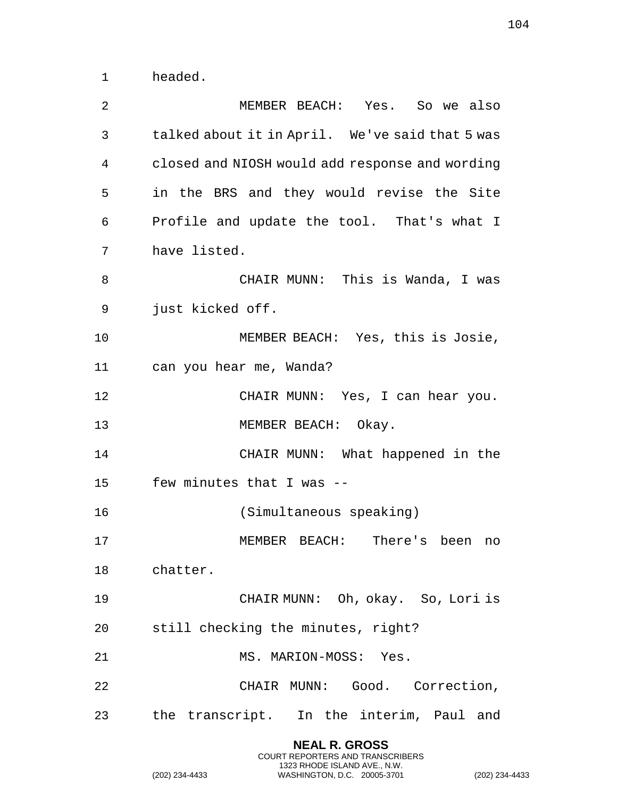headed.

| MEMBER BEACH: Yes. So we also                   |
|-------------------------------------------------|
| talked about it in April. We've said that 5 was |
| closed and NIOSH would add response and wording |
| in the BRS and they would revise the Site       |
| Profile and update the tool. That's what I      |
| have listed.                                    |
| CHAIR MUNN: This is Wanda, I was                |
| just kicked off.                                |
| MEMBER BEACH: Yes, this is Josie,               |
| can you hear me, Wanda?                         |
| CHAIR MUNN: Yes, I can hear you.                |
| MEMBER BEACH: Okay.                             |
| CHAIR MUNN: What happened in the                |
| few minutes that I was --                       |
| (Simultaneous speaking)                         |
| MEMBER BEACH: There's been<br>no                |
| chatter.                                        |
| CHAIR MUNN: Oh, okay. So, Lori is               |
| still checking the minutes, right?              |
| MS. MARION-MOSS: Yes.                           |
| CHAIR MUNN: Good. Correction,                   |
| the transcript. In the interim, Paul and        |
|                                                 |

**NEAL R. GROSS** COURT REPORTERS AND TRANSCRIBERS 1323 RHODE ISLAND AVE., N.W.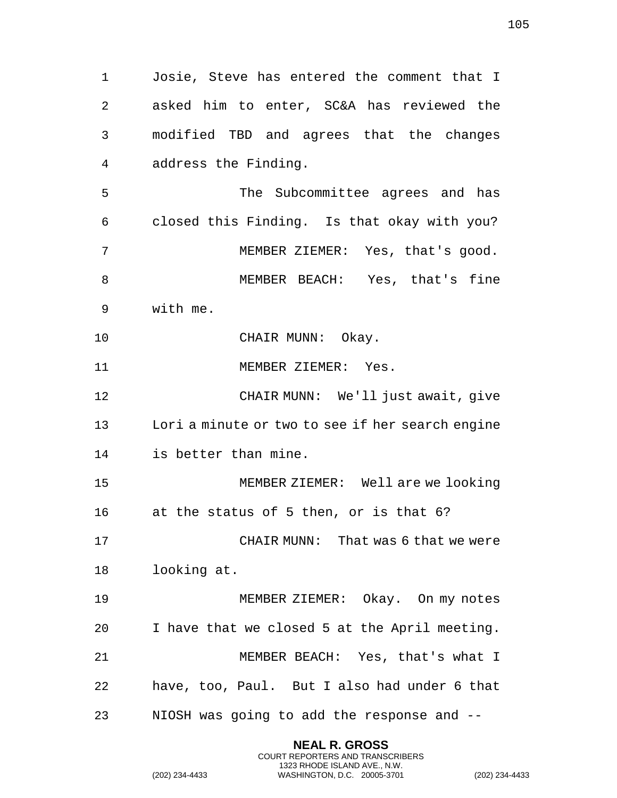Josie, Steve has entered the comment that I asked him to enter, SC&A has reviewed the modified TBD and agrees that the changes address the Finding. The Subcommittee agrees and has closed this Finding. Is that okay with you? MEMBER ZIEMER: Yes, that's good. MEMBER BEACH: Yes, that's fine with me. 10 CHAIR MUNN: Okay. 11 MEMBER ZIEMER: Yes. CHAIR MUNN: We'll just await, give Lori a minute or two to see if her search engine is better than mine. MEMBER ZIEMER: Well are we looking at the status of 5 then, or is that 6? CHAIR MUNN: That was 6 that we were looking at. MEMBER ZIEMER: Okay. On my notes I have that we closed 5 at the April meeting. MEMBER BEACH: Yes, that's what I have, too, Paul. But I also had under 6 that NIOSH was going to add the response and --

> **NEAL R. GROSS** COURT REPORTERS AND TRANSCRIBERS 1323 RHODE ISLAND AVE., N.W.

(202) 234-4433 WASHINGTON, D.C. 20005-3701 (202) 234-4433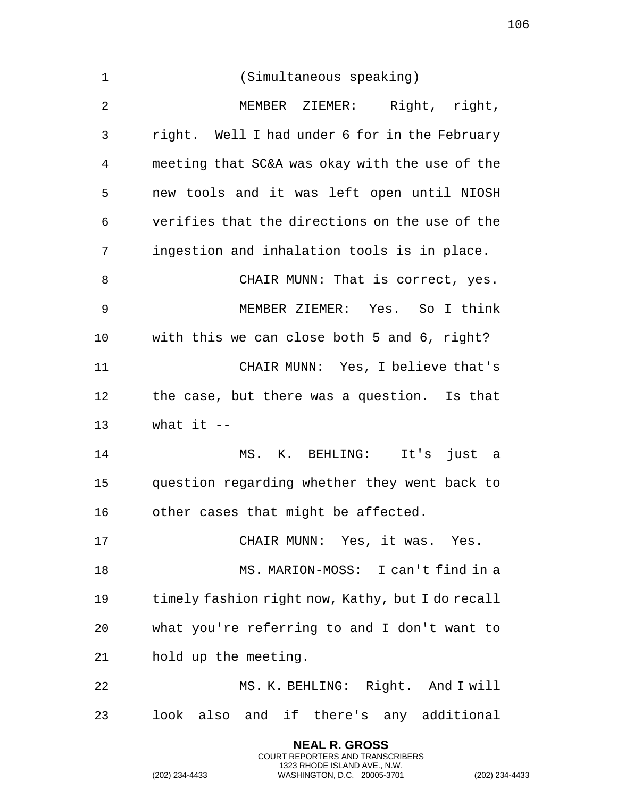| $\mathbf 1$    | (Simultaneous speaking)                          |
|----------------|--------------------------------------------------|
| $\overline{2}$ | MEMBER ZIEMER: Right, right,                     |
| 3              | right. Well I had under 6 for in the February    |
| 4              | meeting that SC&A was okay with the use of the   |
| 5              | new tools and it was left open until NIOSH       |
| 6              | verifies that the directions on the use of the   |
| 7              | ingestion and inhalation tools is in place.      |
| $\, 8$         | CHAIR MUNN: That is correct, yes.                |
| 9              | MEMBER ZIEMER: Yes. So I think                   |
| 10             | with this we can close both 5 and 6, right?      |
| 11             | CHAIR MUNN: Yes, I believe that's                |
| 12             | the case, but there was a question. Is that      |
| 13             | what it $--$                                     |
| 14             | MS. K. BEHLING: It's just a                      |
| 15             | question regarding whether they went back to     |
| 16             | other cases that might be affected.              |
| 17             | CHAIR MUNN: Yes, it was. Yes.                    |
| 18             | MS. MARION-MOSS: I can't find in a               |
| 19             | timely fashion right now, Kathy, but I do recall |
| 20             | what you're referring to and I don't want to     |
| 21             | hold up the meeting.                             |
| 22             | MS. K. BEHLING: Right. And I will                |
| 23             | look also and if there's any additional          |

**NEAL R. GROSS** COURT REPORTERS AND TRANSCRIBERS 1323 RHODE ISLAND AVE., N.W.

(202) 234-4433 WASHINGTON, D.C. 20005-3701 (202) 234-4433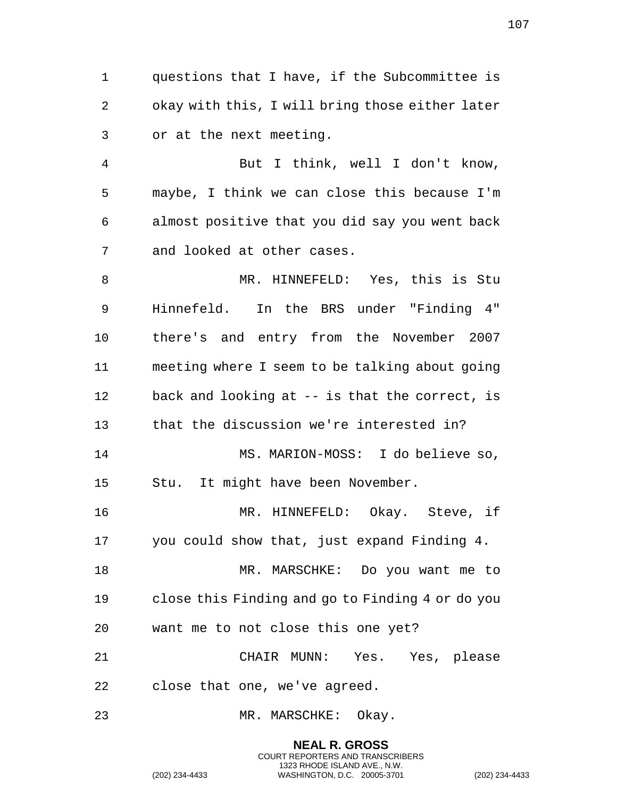questions that I have, if the Subcommittee is okay with this, I will bring those either later or at the next meeting.

 But I think, well I don't know, maybe, I think we can close this because I'm almost positive that you did say you went back and looked at other cases.

 MR. HINNEFELD: Yes, this is Stu Hinnefeld. In the BRS under "Finding 4" there's and entry from the November 2007 meeting where I seem to be talking about going back and looking at -- is that the correct, is that the discussion we're interested in? MS. MARION-MOSS: I do believe so, Stu. It might have been November. MR. HINNEFELD: Okay. Steve, if you could show that, just expand Finding 4. 18 MR. MARSCHKE: Do you want me to close this Finding and go to Finding 4 or do you want me to not close this one yet? CHAIR MUNN: Yes. Yes, please close that one, we've agreed. MR. MARSCHKE: Okay.

> **NEAL R. GROSS** COURT REPORTERS AND TRANSCRIBERS 1323 RHODE ISLAND AVE., N.W.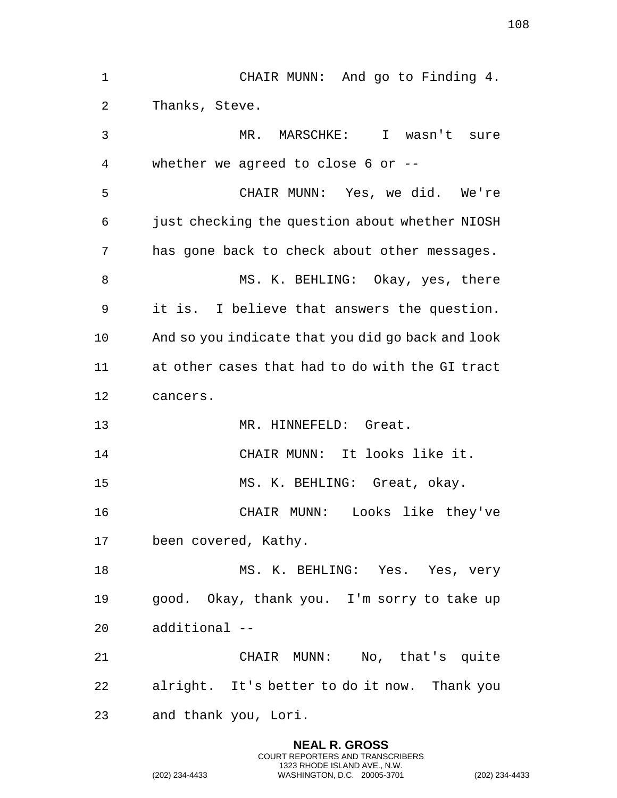CHAIR MUNN: And go to Finding 4. Thanks, Steve. MR. MARSCHKE: I wasn't sure whether we agreed to close 6 or -- CHAIR MUNN: Yes, we did. We're just checking the question about whether NIOSH has gone back to check about other messages. MS. K. BEHLING: Okay, yes, there it is. I believe that answers the question. And so you indicate that you did go back and look at other cases that had to do with the GI tract cancers. MR. HINNEFELD: Great. CHAIR MUNN: It looks like it. MS. K. BEHLING: Great, okay. CHAIR MUNN: Looks like they've been covered, Kathy. 18 MS. K. BEHLING: Yes. Yes, very good. Okay, thank you. I'm sorry to take up additional -- CHAIR MUNN: No, that's quite alright. It's better to do it now. Thank you and thank you, Lori.

> **NEAL R. GROSS** COURT REPORTERS AND TRANSCRIBERS 1323 RHODE ISLAND AVE., N.W.

(202) 234-4433 WASHINGTON, D.C. 20005-3701 (202) 234-4433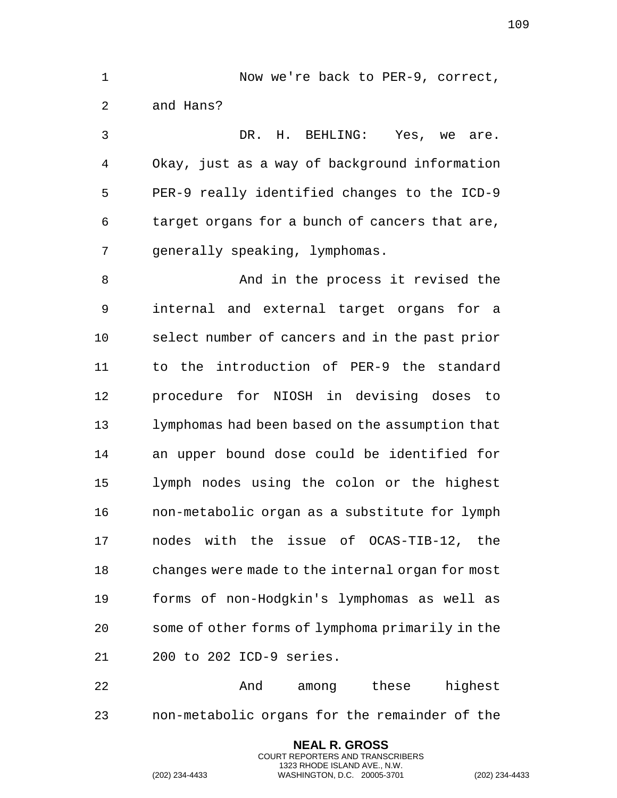1 Now we're back to PER-9, correct, and Hans? DR. H. BEHLING: Yes, we are. Okay, just as a way of background information PER-9 really identified changes to the ICD-9 target organs for a bunch of cancers that are, generally speaking, lymphomas. 8 And in the process it revised the internal and external target organs for a select number of cancers and in the past prior to the introduction of PER-9 the standard procedure for NIOSH in devising doses to lymphomas had been based on the assumption that an upper bound dose could be identified for lymph nodes using the colon or the highest non-metabolic organ as a substitute for lymph nodes with the issue of OCAS-TIB-12, the changes were made to the internal organ for most forms of non-Hodgkin's lymphomas as well as some of other forms of lymphoma primarily in the 200 to 202 ICD-9 series. And among these highest

> **NEAL R. GROSS** COURT REPORTERS AND TRANSCRIBERS 1323 RHODE ISLAND AVE., N.W.

non-metabolic organs for the remainder of the

(202) 234-4433 WASHINGTON, D.C. 20005-3701 (202) 234-4433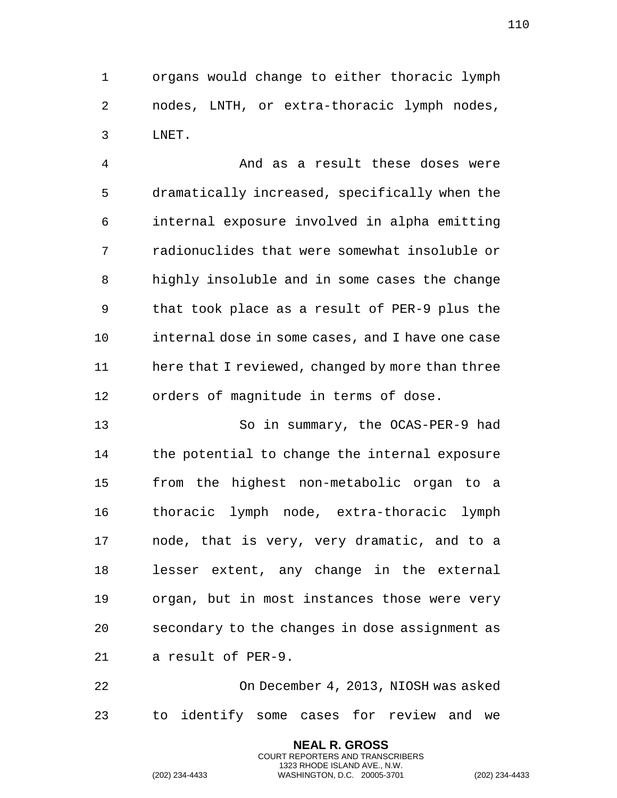organs would change to either thoracic lymph nodes, LNTH, or extra-thoracic lymph nodes, LNET.

 And as a result these doses were dramatically increased, specifically when the internal exposure involved in alpha emitting radionuclides that were somewhat insoluble or highly insoluble and in some cases the change that took place as a result of PER-9 plus the internal dose in some cases, and I have one case 11 here that I reviewed, changed by more than three orders of magnitude in terms of dose.

 So in summary, the OCAS-PER-9 had the potential to change the internal exposure from the highest non-metabolic organ to a thoracic lymph node, extra-thoracic lymph node, that is very, very dramatic, and to a lesser extent, any change in the external organ, but in most instances those were very secondary to the changes in dose assignment as a result of PER-9.

 On December 4, 2013, NIOSH was asked to identify some cases for review and we

> **NEAL R. GROSS** COURT REPORTERS AND TRANSCRIBERS 1323 RHODE ISLAND AVE., N.W.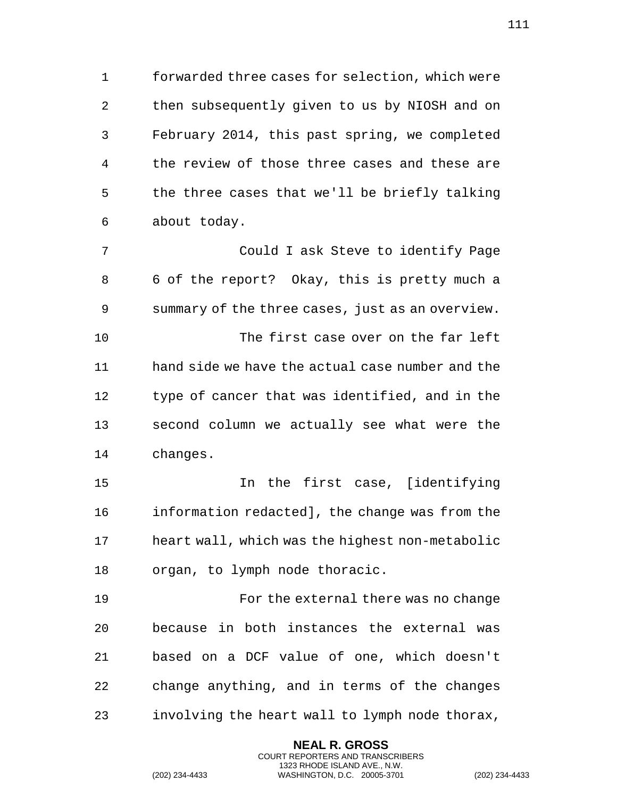forwarded three cases for selection, which were then subsequently given to us by NIOSH and on February 2014, this past spring, we completed the review of those three cases and these are the three cases that we'll be briefly talking about today.

 Could I ask Steve to identify Page 6 of the report? Okay, this is pretty much a summary of the three cases, just as an overview. The first case over on the far left hand side we have the actual case number and the type of cancer that was identified, and in the second column we actually see what were the changes.

 In the first case, [identifying information redacted], the change was from the heart wall, which was the highest non-metabolic organ, to lymph node thoracic.

 For the external there was no change because in both instances the external was based on a DCF value of one, which doesn't change anything, and in terms of the changes involving the heart wall to lymph node thorax,

> **NEAL R. GROSS** COURT REPORTERS AND TRANSCRIBERS 1323 RHODE ISLAND AVE., N.W.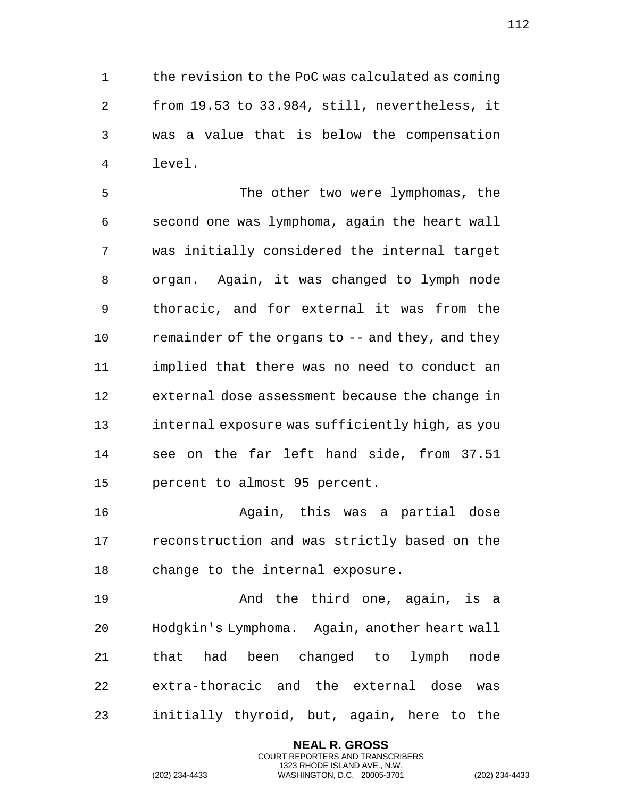the revision to the PoC was calculated as coming from 19.53 to 33.984, still, nevertheless, it was a value that is below the compensation level.

 The other two were lymphomas, the second one was lymphoma, again the heart wall was initially considered the internal target organ. Again, it was changed to lymph node thoracic, and for external it was from the 10 remainder of the organs to -- and they, and they implied that there was no need to conduct an external dose assessment because the change in internal exposure was sufficiently high, as you see on the far left hand side, from 37.51 percent to almost 95 percent.

 Again, this was a partial dose reconstruction and was strictly based on the change to the internal exposure.

 And the third one, again, is a Hodgkin's Lymphoma. Again, another heart wall that had been changed to lymph node extra-thoracic and the external dose was initially thyroid, but, again, here to the

> **NEAL R. GROSS** COURT REPORTERS AND TRANSCRIBERS 1323 RHODE ISLAND AVE., N.W.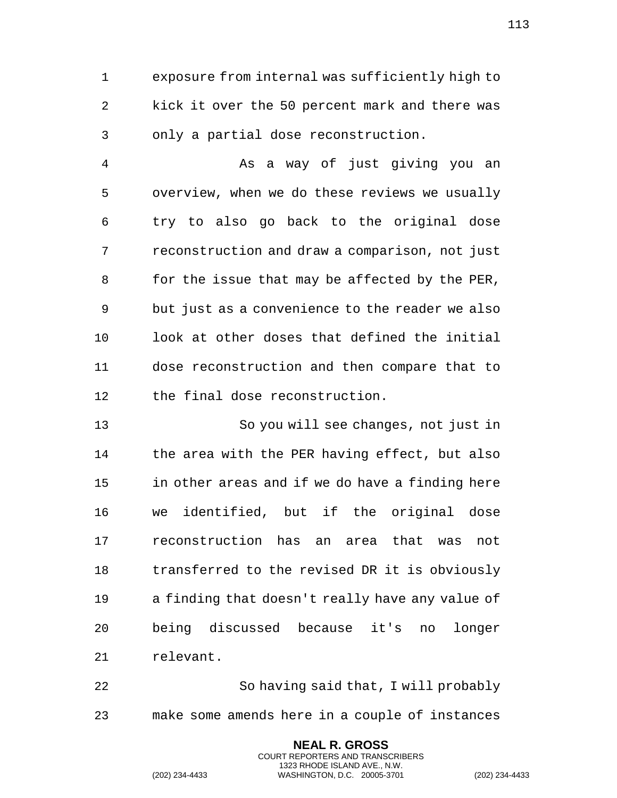exposure from internal was sufficiently high to kick it over the 50 percent mark and there was only a partial dose reconstruction.

 As a way of just giving you an overview, when we do these reviews we usually try to also go back to the original dose reconstruction and draw a comparison, not just 8 for the issue that may be affected by the PER, but just as a convenience to the reader we also look at other doses that defined the initial dose reconstruction and then compare that to the final dose reconstruction.

 So you will see changes, not just in the area with the PER having effect, but also in other areas and if we do have a finding here we identified, but if the original dose reconstruction has an area that was not transferred to the revised DR it is obviously a finding that doesn't really have any value of being discussed because it's no longer relevant.

 So having said that, I will probably make some amends here in a couple of instances

> **NEAL R. GROSS** COURT REPORTERS AND TRANSCRIBERS 1323 RHODE ISLAND AVE., N.W.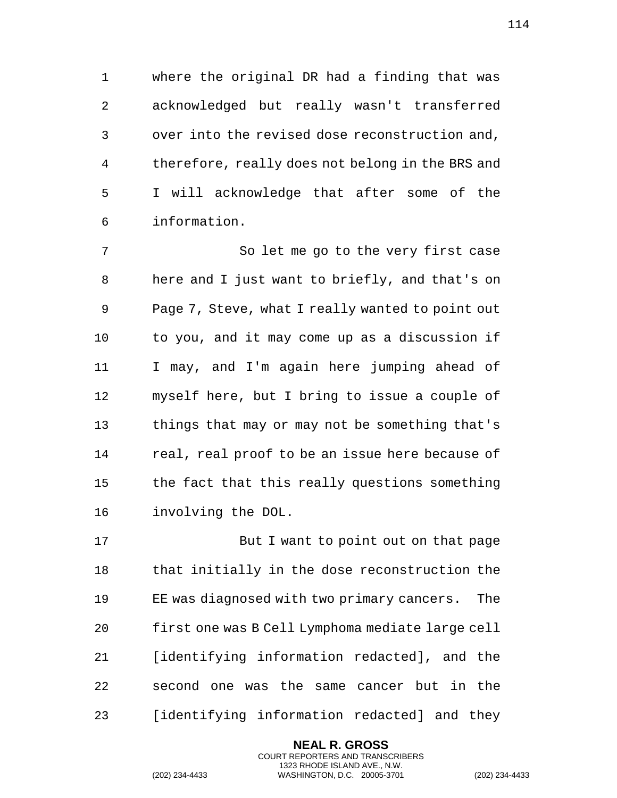where the original DR had a finding that was acknowledged but really wasn't transferred over into the revised dose reconstruction and, therefore, really does not belong in the BRS and I will acknowledge that after some of the information.

 So let me go to the very first case here and I just want to briefly, and that's on Page 7, Steve, what I really wanted to point out to you, and it may come up as a discussion if I may, and I'm again here jumping ahead of myself here, but I bring to issue a couple of things that may or may not be something that's real, real proof to be an issue here because of the fact that this really questions something involving the DOL.

17 But I want to point out on that page that initially in the dose reconstruction the EE was diagnosed with two primary cancers. The first one was B Cell Lymphoma mediate large cell [identifying information redacted], and the second one was the same cancer but in the [identifying information redacted] and they

> **NEAL R. GROSS** COURT REPORTERS AND TRANSCRIBERS 1323 RHODE ISLAND AVE., N.W.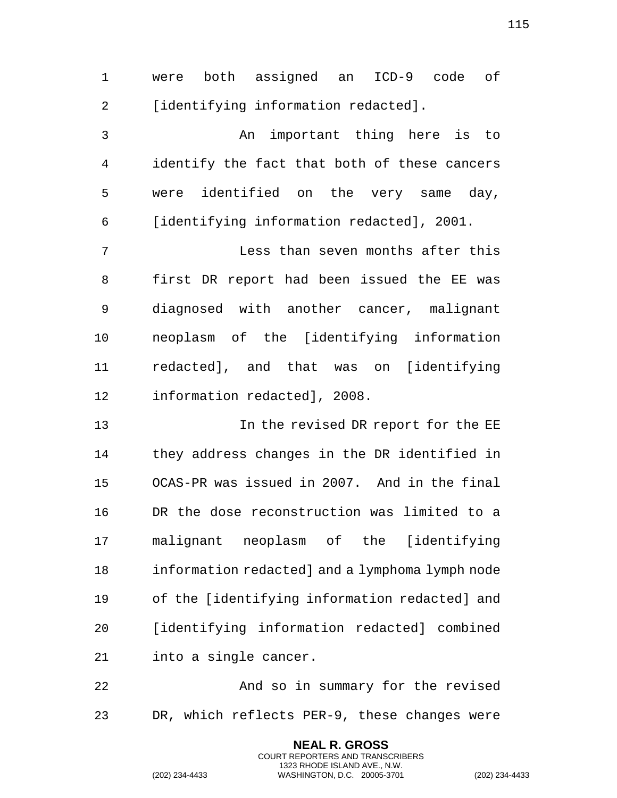were both assigned an ICD-9 code of 2 [identifying information redacted].

 An important thing here is to identify the fact that both of these cancers were identified on the very same day, [identifying information redacted], 2001.

 Less than seven months after this first DR report had been issued the EE was diagnosed with another cancer, malignant neoplasm of the [identifying information redacted], and that was on [identifying information redacted], 2008.

 In the revised DR report for the EE they address changes in the DR identified in OCAS-PR was issued in 2007. And in the final DR the dose reconstruction was limited to a malignant neoplasm of the [identifying information redacted] and a lymphoma lymph node of the [identifying information redacted] and [identifying information redacted] combined into a single cancer.

 And so in summary for the revised DR, which reflects PER-9, these changes were

> **NEAL R. GROSS** COURT REPORTERS AND TRANSCRIBERS 1323 RHODE ISLAND AVE., N.W.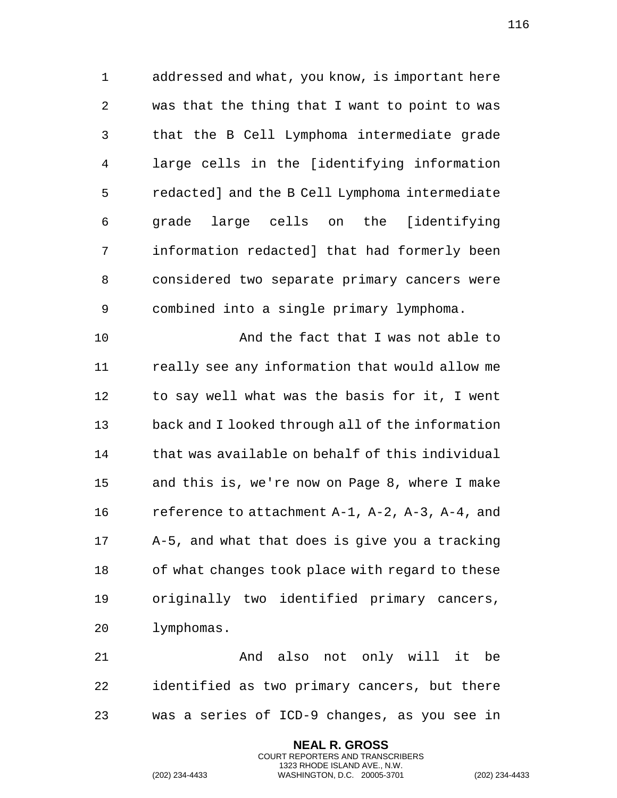addressed and what, you know, is important here was that the thing that I want to point to was that the B Cell Lymphoma intermediate grade large cells in the [identifying information redacted] and the B Cell Lymphoma intermediate grade large cells on the [identifying information redacted] that had formerly been considered two separate primary cancers were combined into a single primary lymphoma.

 And the fact that I was not able to really see any information that would allow me to say well what was the basis for it, I went back and I looked through all of the information that was available on behalf of this individual and this is, we're now on Page 8, where I make reference to attachment A-1, A-2, A-3, A-4, and A-5, and what that does is give you a tracking of what changes took place with regard to these originally two identified primary cancers, lymphomas.

 And also not only will it be identified as two primary cancers, but there was a series of ICD-9 changes, as you see in

> **NEAL R. GROSS** COURT REPORTERS AND TRANSCRIBERS 1323 RHODE ISLAND AVE., N.W.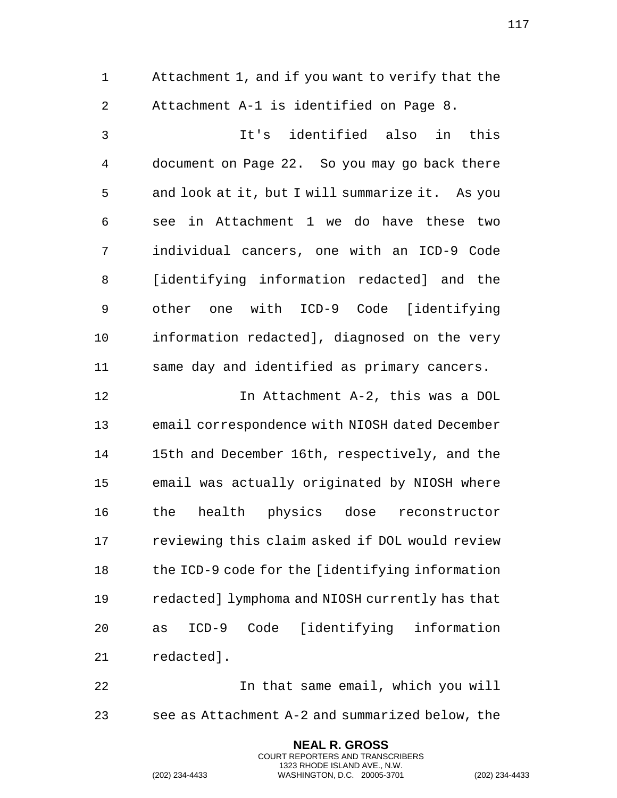Attachment 1, and if you want to verify that the Attachment A-1 is identified on Page 8. It's identified also in this document on Page 22. So you may go back there and look at it, but I will summarize it. As you see in Attachment 1 we do have these two individual cancers, one with an ICD-9 Code [identifying information redacted] and the other one with ICD-9 Code [identifying information redacted], diagnosed on the very same day and identified as primary cancers. In Attachment A-2, this was a DOL email correspondence with NIOSH dated December 15th and December 16th, respectively, and the email was actually originated by NIOSH where the health physics dose reconstructor reviewing this claim asked if DOL would review the ICD-9 code for the [identifying information redacted] lymphoma and NIOSH currently has that as ICD-9 Code [identifying information redacted]. In that same email, which you will

see as Attachment A-2 and summarized below, the

**NEAL R. GROSS** COURT REPORTERS AND TRANSCRIBERS 1323 RHODE ISLAND AVE., N.W.

(202) 234-4433 WASHINGTON, D.C. 20005-3701 (202) 234-4433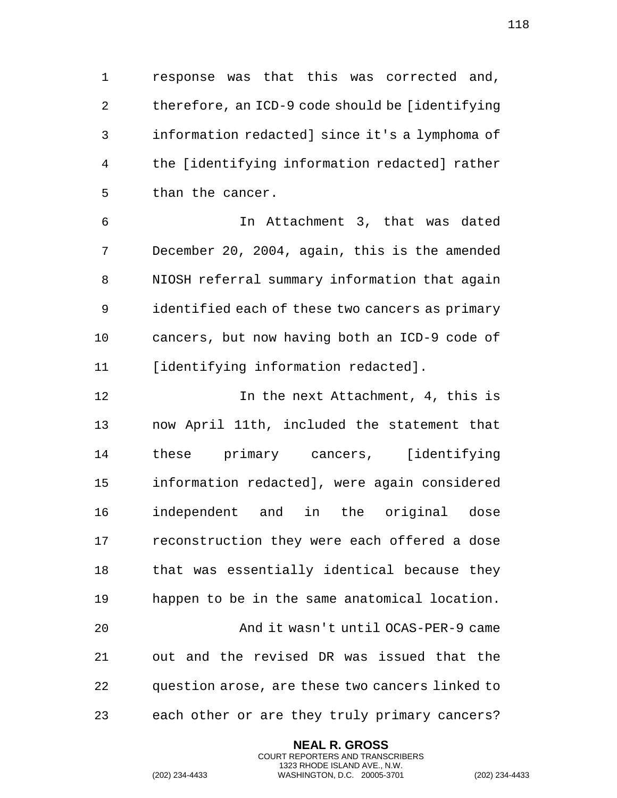response was that this was corrected and, therefore, an ICD-9 code should be [identifying information redacted] since it's a lymphoma of the [identifying information redacted] rather than the cancer.

 In Attachment 3, that was dated December 20, 2004, again, this is the amended NIOSH referral summary information that again identified each of these two cancers as primary cancers, but now having both an ICD-9 code of [identifying information redacted].

 In the next Attachment, 4, this is now April 11th, included the statement that these primary cancers, [identifying information redacted], were again considered independent and in the original dose reconstruction they were each offered a dose that was essentially identical because they happen to be in the same anatomical location. And it wasn't until OCAS-PER-9 came out and the revised DR was issued that the question arose, are these two cancers linked to each other or are they truly primary cancers?

> **NEAL R. GROSS** COURT REPORTERS AND TRANSCRIBERS 1323 RHODE ISLAND AVE., N.W.

(202) 234-4433 WASHINGTON, D.C. 20005-3701 (202) 234-4433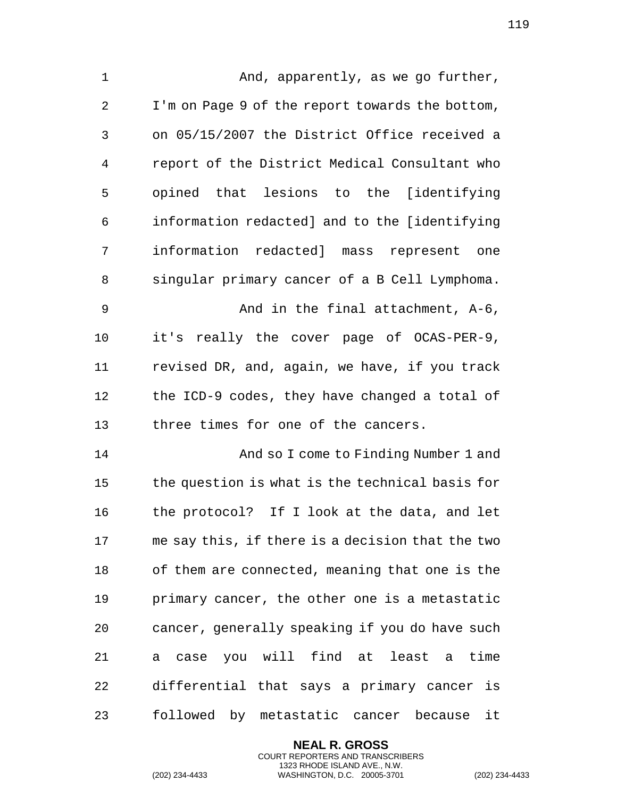1 And, apparently, as we go further, I'm on Page 9 of the report towards the bottom, on 05/15/2007 the District Office received a report of the District Medical Consultant who opined that lesions to the [identifying information redacted] and to the [identifying information redacted] mass represent one singular primary cancer of a B Cell Lymphoma. And in the final attachment, A-6, it's really the cover page of OCAS-PER-9, revised DR, and, again, we have, if you track the ICD-9 codes, they have changed a total of three times for one of the cancers. And so I come to Finding Number 1 and the question is what is the technical basis for the protocol? If I look at the data, and let me say this, if there is a decision that the two of them are connected, meaning that one is the primary cancer, the other one is a metastatic cancer, generally speaking if you do have such a case you will find at least a time differential that says a primary cancer is followed by metastatic cancer because it

> **NEAL R. GROSS** COURT REPORTERS AND TRANSCRIBERS 1323 RHODE ISLAND AVE., N.W.

(202) 234-4433 WASHINGTON, D.C. 20005-3701 (202) 234-4433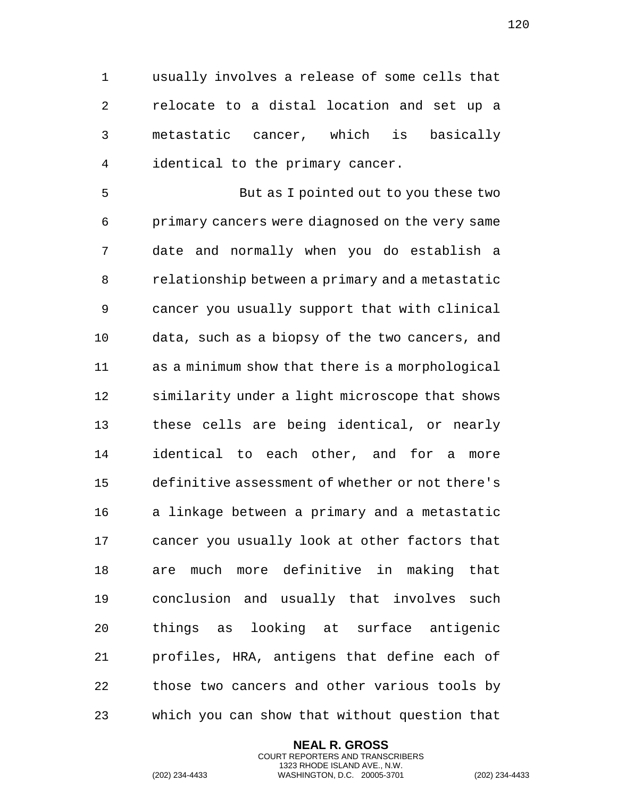usually involves a release of some cells that relocate to a distal location and set up a metastatic cancer, which is basically identical to the primary cancer.

 But as I pointed out to you these two primary cancers were diagnosed on the very same date and normally when you do establish a relationship between a primary and a metastatic cancer you usually support that with clinical data, such as a biopsy of the two cancers, and as a minimum show that there is a morphological similarity under a light microscope that shows these cells are being identical, or nearly identical to each other, and for a more definitive assessment of whether or not there's a linkage between a primary and a metastatic cancer you usually look at other factors that are much more definitive in making that conclusion and usually that involves such things as looking at surface antigenic profiles, HRA, antigens that define each of those two cancers and other various tools by which you can show that without question that

> **NEAL R. GROSS** COURT REPORTERS AND TRANSCRIBERS 1323 RHODE ISLAND AVE., N.W.

(202) 234-4433 WASHINGTON, D.C. 20005-3701 (202) 234-4433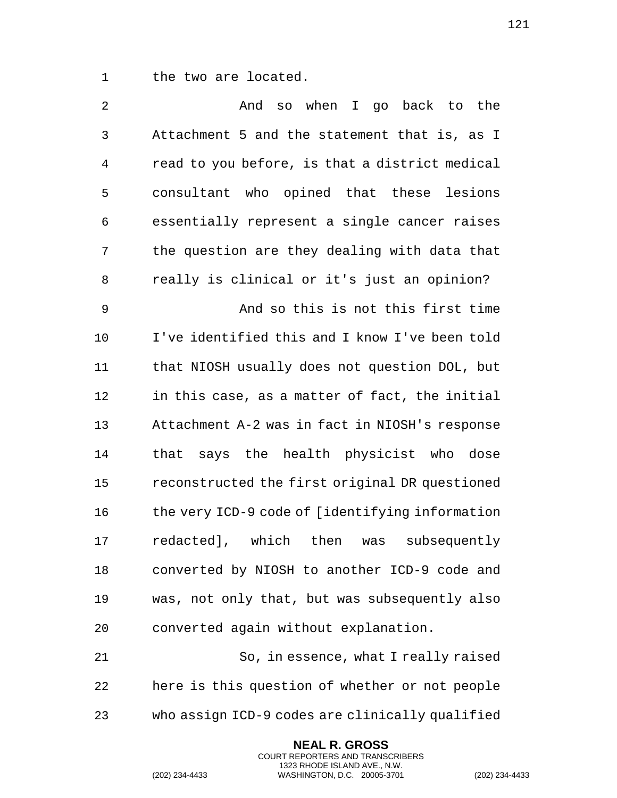the two are located.

 And so when I go back to the Attachment 5 and the statement that is, as I read to you before, is that a district medical consultant who opined that these lesions essentially represent a single cancer raises the question are they dealing with data that really is clinical or it's just an opinion? And so this is not this first time I've identified this and I know I've been told that NIOSH usually does not question DOL, but in this case, as a matter of fact, the initial Attachment A-2 was in fact in NIOSH's response that says the health physicist who dose reconstructed the first original DR questioned the very ICD-9 code of [identifying information redacted], which then was subsequently converted by NIOSH to another ICD-9 code and was, not only that, but was subsequently also converted again without explanation. So, in essence, what I really raised

 here is this question of whether or not people who assign ICD-9 codes are clinically qualified

> **NEAL R. GROSS** COURT REPORTERS AND TRANSCRIBERS 1323 RHODE ISLAND AVE., N.W.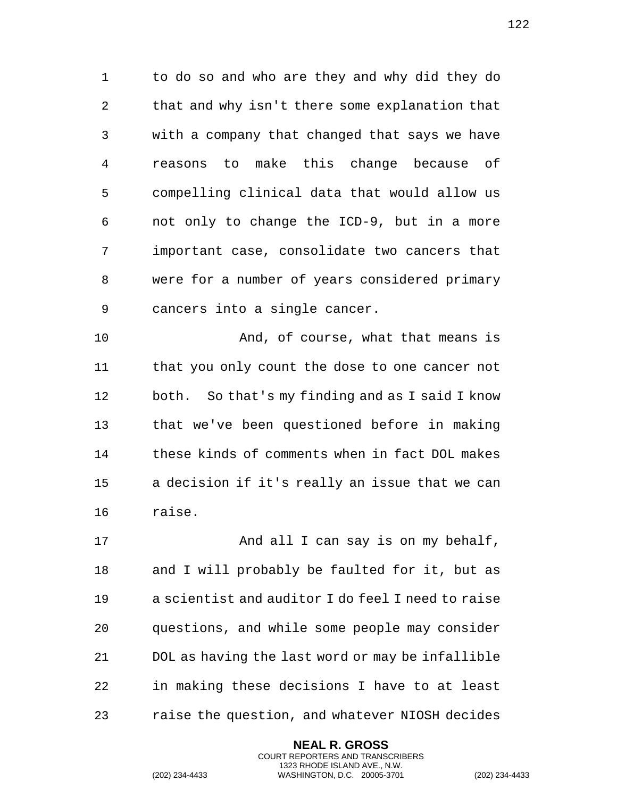to do so and who are they and why did they do that and why isn't there some explanation that with a company that changed that says we have reasons to make this change because of compelling clinical data that would allow us not only to change the ICD-9, but in a more important case, consolidate two cancers that were for a number of years considered primary cancers into a single cancer.

 And, of course, what that means is that you only count the dose to one cancer not both. So that's my finding and as I said I know that we've been questioned before in making these kinds of comments when in fact DOL makes a decision if it's really an issue that we can raise.

17 And all I can say is on my behalf, and I will probably be faulted for it, but as a scientist and auditor I do feel I need to raise questions, and while some people may consider DOL as having the last word or may be infallible in making these decisions I have to at least raise the question, and whatever NIOSH decides

> **NEAL R. GROSS** COURT REPORTERS AND TRANSCRIBERS 1323 RHODE ISLAND AVE., N.W.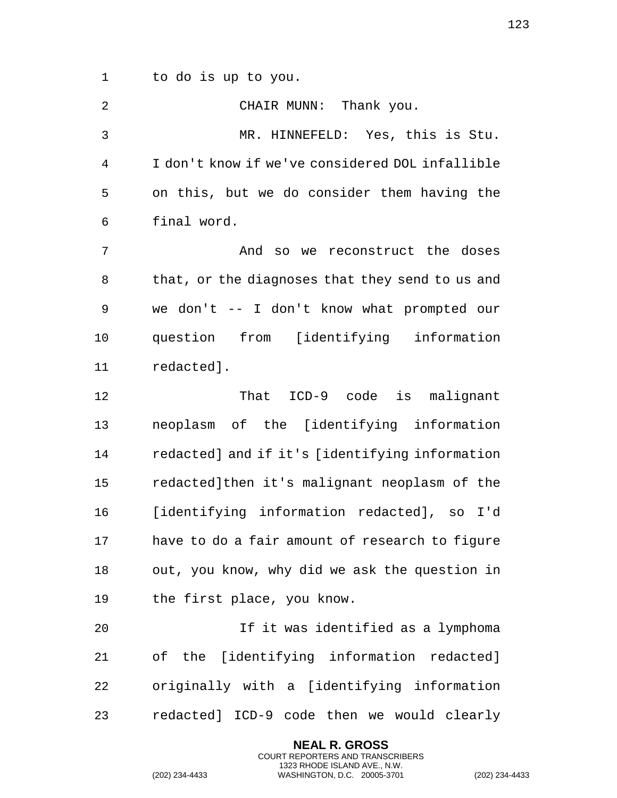to do is up to you. CHAIR MUNN: Thank you. MR. HINNEFELD: Yes, this is Stu. I don't know if we've considered DOL infallible on this, but we do consider them having the final word. 7 and so we reconstruct the doses that, or the diagnoses that they send to us and we don't -- I don't know what prompted our question from [identifying information redacted]. That ICD-9 code is malignant neoplasm of the [identifying information redacted] and if it's [identifying information redacted]then it's malignant neoplasm of the [identifying information redacted], so I'd have to do a fair amount of research to figure out, you know, why did we ask the question in the first place, you know. If it was identified as a lymphoma of the [identifying information redacted] originally with a [identifying information

redacted] ICD-9 code then we would clearly

**NEAL R. GROSS** COURT REPORTERS AND TRANSCRIBERS 1323 RHODE ISLAND AVE., N.W.

(202) 234-4433 WASHINGTON, D.C. 20005-3701 (202) 234-4433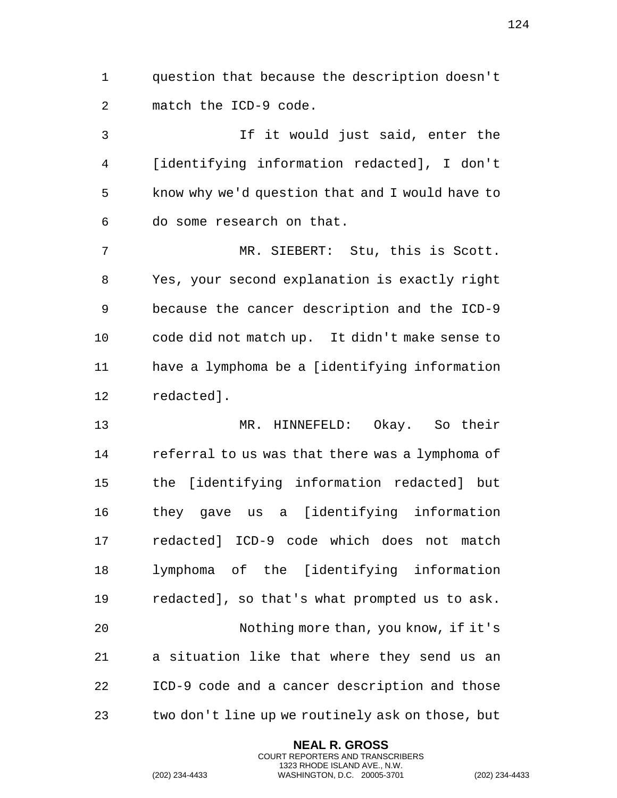question that because the description doesn't match the ICD-9 code.

 If it would just said, enter the [identifying information redacted], I don't know why we'd question that and I would have to do some research on that.

 MR. SIEBERT: Stu, this is Scott. Yes, your second explanation is exactly right because the cancer description and the ICD-9 code did not match up. It didn't make sense to have a lymphoma be a [identifying information redacted].

 MR. HINNEFELD: Okay. So their referral to us was that there was a lymphoma of the [identifying information redacted] but they gave us a [identifying information redacted] ICD-9 code which does not match lymphoma of the [identifying information redacted], so that's what prompted us to ask. Nothing more than, you know, if it's a situation like that where they send us an ICD-9 code and a cancer description and those two don't line up we routinely ask on those, but

> **NEAL R. GROSS** COURT REPORTERS AND TRANSCRIBERS 1323 RHODE ISLAND AVE., N.W.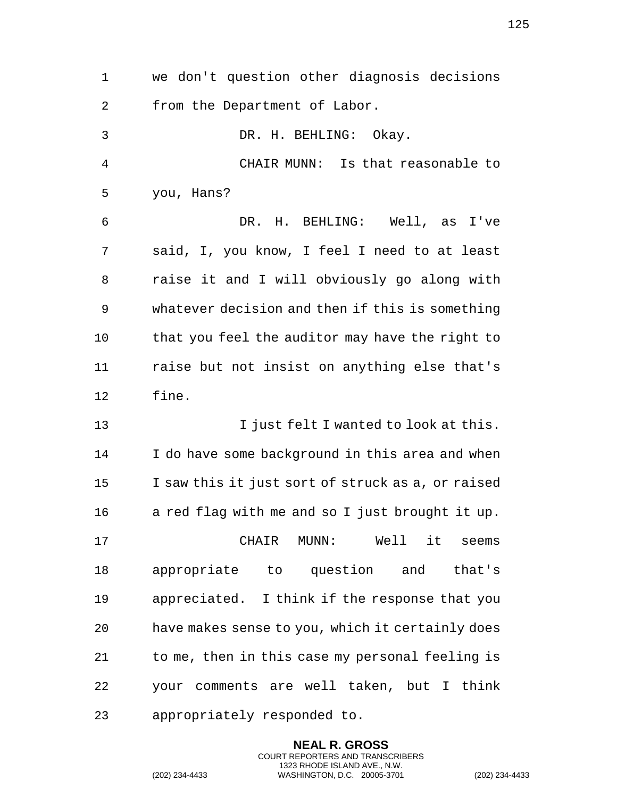| 1  | we don't question other diagnosis decisions       |
|----|---------------------------------------------------|
| 2  | from the Department of Labor.                     |
| 3  | DR. H. BEHLING: Okay.                             |
| 4  | CHAIR MUNN:<br>Is that reasonable to              |
| 5  | you, Hans?                                        |
| 6  | DR. H. BEHLING: Well, as I've                     |
| 7  | said, I, you know, I feel I need to at least      |
| 8  | raise it and I will obviously go along with       |
| 9  | whatever decision and then if this is something   |
| 10 | that you feel the auditor may have the right to   |
| 11 | raise but not insist on anything else that's      |
| 12 | fine.                                             |
| 13 | I just felt I wanted to look at this.             |
| 14 | I do have some background in this area and when   |
| 15 | I saw this it just sort of struck as a, or raised |
| 16 | a red flag with me and so I just brought it up.   |
| 17 | CHAIR MUNN: Well it seems                         |
| 18 | appropriate to question and that's                |
| 19 | appreciated. I think if the response that you     |
| 20 | have makes sense to you, which it certainly does  |
| 21 | to me, then in this case my personal feeling is   |
| 22 | your comments are well taken, but I think         |
| 23 | appropriately responded to.                       |

**NEAL R. GROSS** COURT REPORTERS AND TRANSCRIBERS 1323 RHODE ISLAND AVE., N.W.

(202) 234-4433 WASHINGTON, D.C. 20005-3701 (202) 234-4433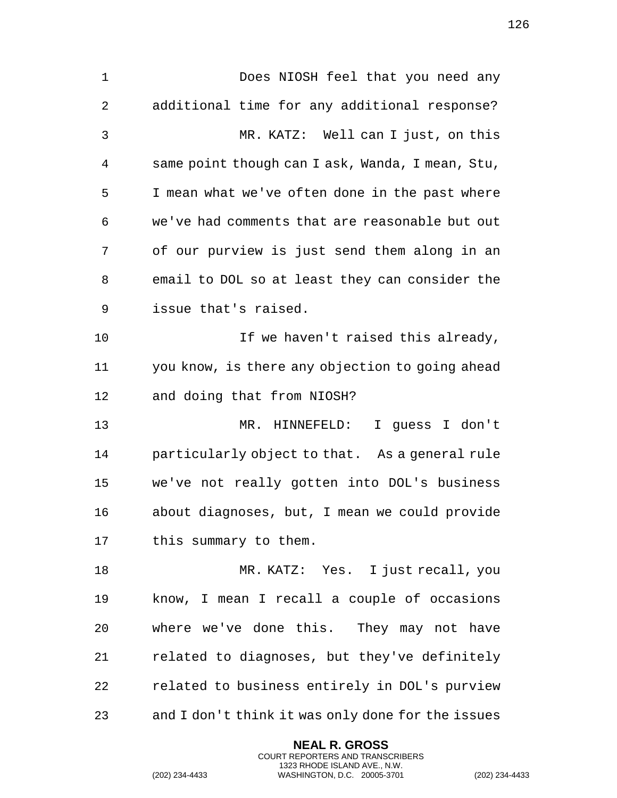Does NIOSH feel that you need any additional time for any additional response? MR. KATZ: Well can I just, on this same point though can I ask, Wanda, I mean, Stu, I mean what we've often done in the past where we've had comments that are reasonable but out of our purview is just send them along in an email to DOL so at least they can consider the issue that's raised. 10 10 If we haven't raised this already, you know, is there any objection to going ahead and doing that from NIOSH? MR. HINNEFELD: I guess I don't particularly object to that. As a general rule we've not really gotten into DOL's business about diagnoses, but, I mean we could provide this summary to them. MR. KATZ: Yes. I just recall, you know, I mean I recall a couple of occasions where we've done this. They may not have related to diagnoses, but they've definitely related to business entirely in DOL's purview and I don't think it was only done for the issues

> **NEAL R. GROSS** COURT REPORTERS AND TRANSCRIBERS 1323 RHODE ISLAND AVE., N.W.

(202) 234-4433 WASHINGTON, D.C. 20005-3701 (202) 234-4433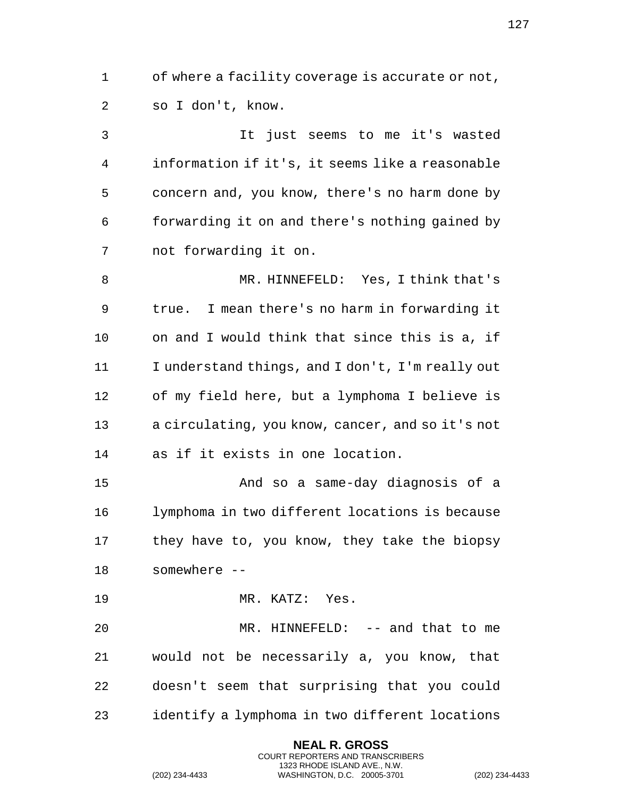of where a facility coverage is accurate or not, so I don't, know.

 It just seems to me it's wasted information if it's, it seems like a reasonable concern and, you know, there's no harm done by forwarding it on and there's nothing gained by not forwarding it on.

 MR. HINNEFELD: Yes, I think that's true. I mean there's no harm in forwarding it on and I would think that since this is a, if I understand things, and I don't, I'm really out of my field here, but a lymphoma I believe is a circulating, you know, cancer, and so it's not as if it exists in one location.

 And so a same-day diagnosis of a lymphoma in two different locations is because they have to, you know, they take the biopsy somewhere --

MR. KATZ: Yes.

20 MR. HINNEFELD: -- and that to me would not be necessarily a, you know, that doesn't seem that surprising that you could identify a lymphoma in two different locations

> **NEAL R. GROSS** COURT REPORTERS AND TRANSCRIBERS 1323 RHODE ISLAND AVE., N.W.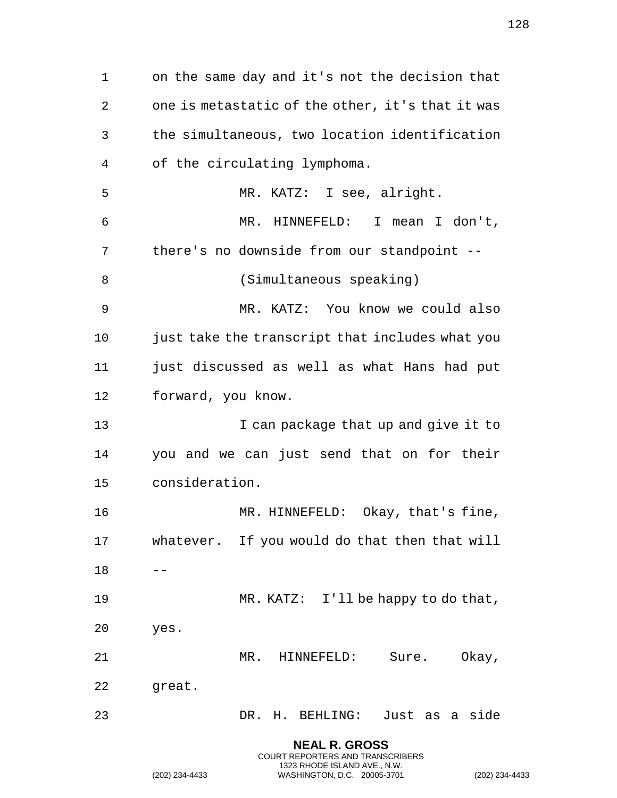**NEAL R. GROSS** on the same day and it's not the decision that one is metastatic of the other, it's that it was the simultaneous, two location identification of the circulating lymphoma. MR. KATZ: I see, alright. MR. HINNEFELD: I mean I don't, there's no downside from our standpoint -- (Simultaneous speaking) MR. KATZ: You know we could also just take the transcript that includes what you just discussed as well as what Hans had put forward, you know. **I** can package that up and give it to you and we can just send that on for their consideration. MR. HINNEFELD: Okay, that's fine, whatever. If you would do that then that will  $18 - -$  MR. KATZ: I'll be happy to do that, yes. MR. HINNEFELD: Sure. Okay, great. DR. H. BEHLING: Just as a side

> COURT REPORTERS AND TRANSCRIBERS 1323 RHODE ISLAND AVE., N.W.

(202) 234-4433 WASHINGTON, D.C. 20005-3701 (202) 234-4433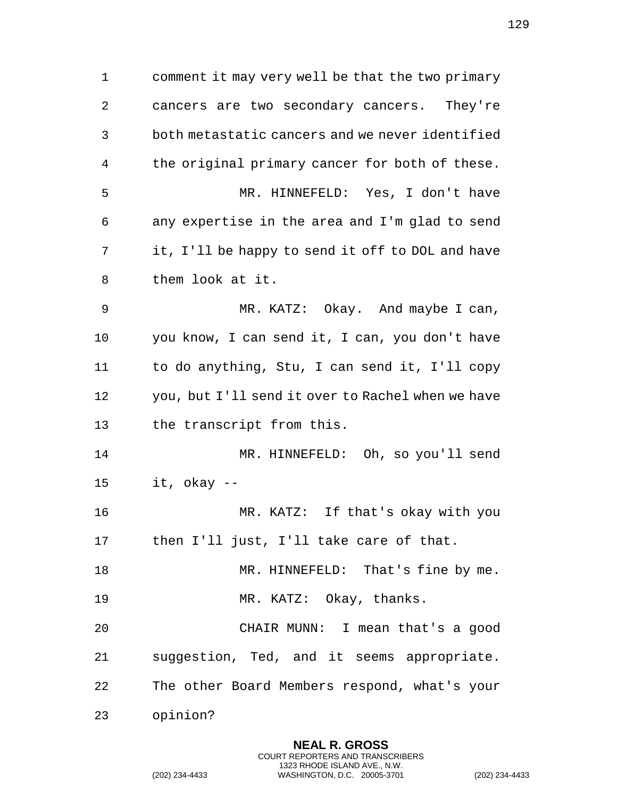comment it may very well be that the two primary cancers are two secondary cancers. They're both metastatic cancers and we never identified the original primary cancer for both of these. MR. HINNEFELD: Yes, I don't have any expertise in the area and I'm glad to send it, I'll be happy to send it off to DOL and have them look at it. MR. KATZ: Okay. And maybe I can, you know, I can send it, I can, you don't have to do anything, Stu, I can send it, I'll copy you, but I'll send it over to Rachel when we have the transcript from this. MR. HINNEFELD: Oh, so you'll send it, okay -- MR. KATZ: If that's okay with you then I'll just, I'll take care of that. 18 MR. HINNEFELD: That's fine by me. 19 MR. KATZ: Okay, thanks. CHAIR MUNN: I mean that's a good suggestion, Ted, and it seems appropriate. The other Board Members respond, what's your opinion?

> **NEAL R. GROSS** COURT REPORTERS AND TRANSCRIBERS 1323 RHODE ISLAND AVE., N.W.

(202) 234-4433 WASHINGTON, D.C. 20005-3701 (202) 234-4433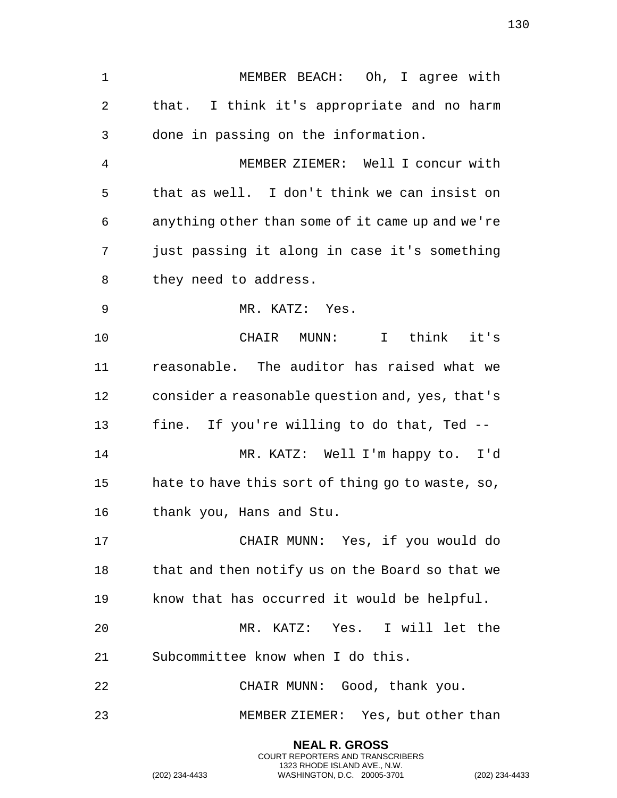MEMBER BEACH: Oh, I agree with that. I think it's appropriate and no harm done in passing on the information. MEMBER ZIEMER: Well I concur with that as well. I don't think we can insist on anything other than some of it came up and we're just passing it along in case it's something they need to address. MR. KATZ: Yes. CHAIR MUNN: I think it's reasonable. The auditor has raised what we consider a reasonable question and, yes, that's fine. If you're willing to do that, Ted -- MR. KATZ: Well I'm happy to. I'd hate to have this sort of thing go to waste, so, thank you, Hans and Stu. CHAIR MUNN: Yes, if you would do that and then notify us on the Board so that we know that has occurred it would be helpful. MR. KATZ: Yes. I will let the Subcommittee know when I do this. CHAIR MUNN: Good, thank you. MEMBER ZIEMER: Yes, but other than

> **NEAL R. GROSS** COURT REPORTERS AND TRANSCRIBERS 1323 RHODE ISLAND AVE., N.W.

(202) 234-4433 WASHINGTON, D.C. 20005-3701 (202) 234-4433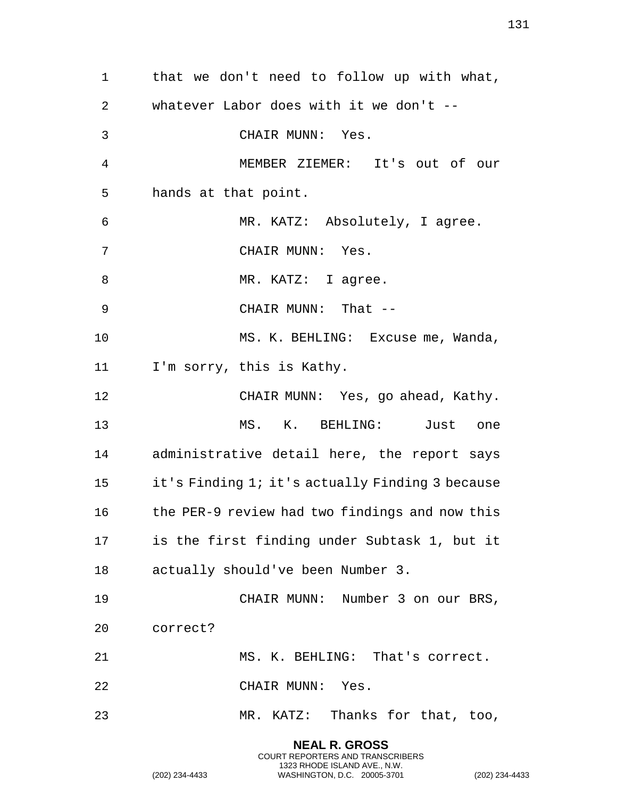that we don't need to follow up with what, whatever Labor does with it we don't -- CHAIR MUNN: Yes. MEMBER ZIEMER: It's out of our hands at that point. MR. KATZ: Absolutely, I agree. CHAIR MUNN: Yes. 8 MR. KATZ: I agree. CHAIR MUNN: That -- MS. K. BEHLING: Excuse me, Wanda, I'm sorry, this is Kathy. CHAIR MUNN: Yes, go ahead, Kathy. MS. K. BEHLING: Just one administrative detail here, the report says it's Finding 1; it's actually Finding 3 because the PER-9 review had two findings and now this is the first finding under Subtask 1, but it actually should've been Number 3. CHAIR MUNN: Number 3 on our BRS, correct? MS. K. BEHLING: That's correct. CHAIR MUNN: Yes. MR. KATZ: Thanks for that, too,

> **NEAL R. GROSS** COURT REPORTERS AND TRANSCRIBERS 1323 RHODE ISLAND AVE., N.W.

(202) 234-4433 WASHINGTON, D.C. 20005-3701 (202) 234-4433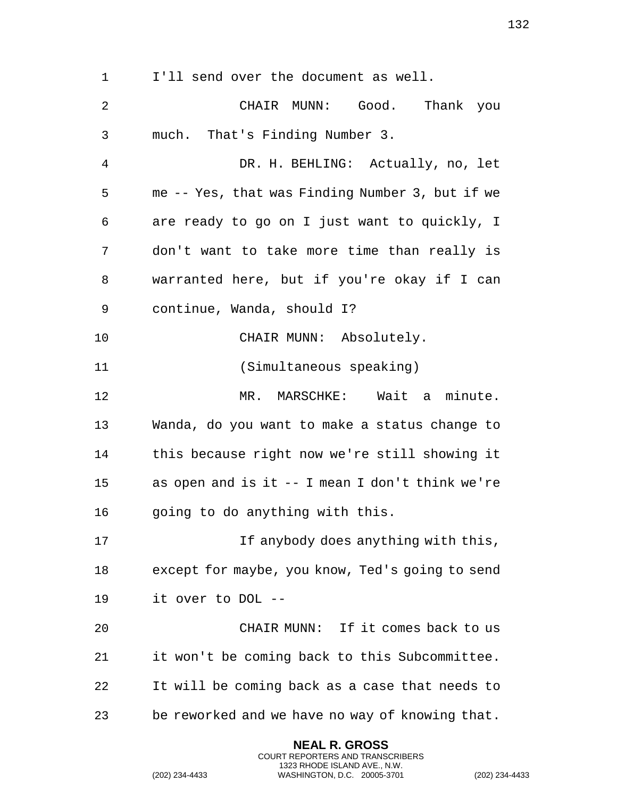I'll send over the document as well.

 CHAIR MUNN: Good. Thank you much. That's Finding Number 3. DR. H. BEHLING: Actually, no, let me -- Yes, that was Finding Number 3, but if we are ready to go on I just want to quickly, I don't want to take more time than really is warranted here, but if you're okay if I can continue, Wanda, should I? 10 CHAIR MUNN: Absolutely. (Simultaneous speaking) 12 MR. MARSCHKE: Wait a minute. Wanda, do you want to make a status change to this because right now we're still showing it as open and is it -- I mean I don't think we're 16 going to do anything with this. **If anybody does anything with this,**  except for maybe, you know, Ted's going to send it over to DOL -- CHAIR MUNN: If it comes back to us it won't be coming back to this Subcommittee. It will be coming back as a case that needs to be reworked and we have no way of knowing that.

> **NEAL R. GROSS** COURT REPORTERS AND TRANSCRIBERS 1323 RHODE ISLAND AVE., N.W.

(202) 234-4433 WASHINGTON, D.C. 20005-3701 (202) 234-4433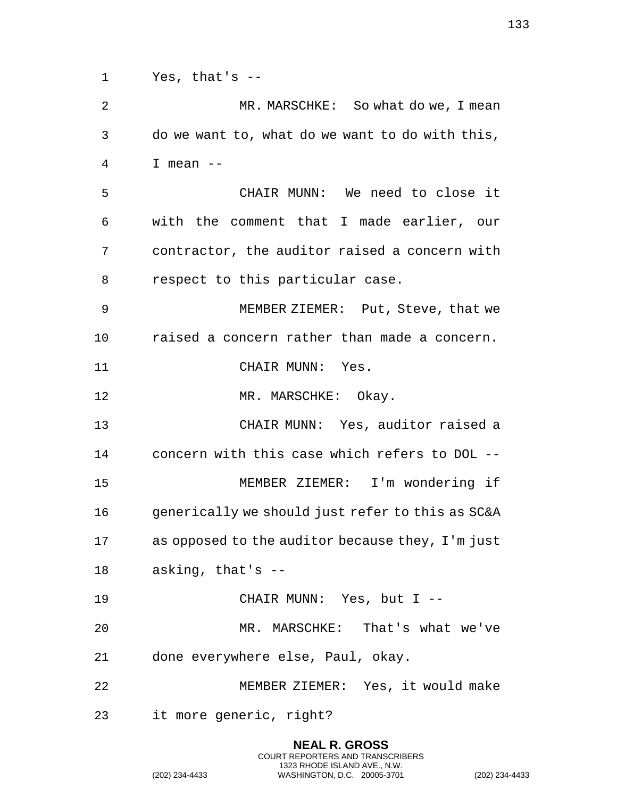Yes, that's -- MR. MARSCHKE: So what do we, I mean do we want to, what do we want to do with this, I mean -- CHAIR MUNN: We need to close it with the comment that I made earlier, our contractor, the auditor raised a concern with respect to this particular case. MEMBER ZIEMER: Put, Steve, that we raised a concern rather than made a concern. CHAIR MUNN: Yes. 12 MR. MARSCHKE: Okay. CHAIR MUNN: Yes, auditor raised a concern with this case which refers to DOL -- MEMBER ZIEMER: I'm wondering if generically we should just refer to this as SC&A as opposed to the auditor because they, I'm just asking, that's -- CHAIR MUNN: Yes, but I -- MR. MARSCHKE: That's what we've done everywhere else, Paul, okay. MEMBER ZIEMER: Yes, it would make it more generic, right?

> **NEAL R. GROSS** COURT REPORTERS AND TRANSCRIBERS 1323 RHODE ISLAND AVE., N.W.

(202) 234-4433 WASHINGTON, D.C. 20005-3701 (202) 234-4433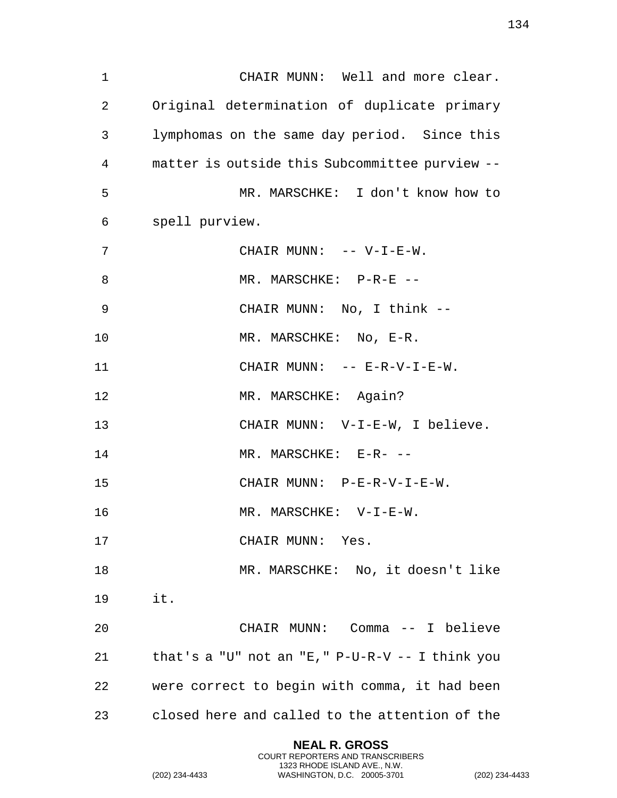CHAIR MUNN: Well and more clear. Original determination of duplicate primary lymphomas on the same day period. Since this matter is outside this Subcommittee purview -- MR. MARSCHKE: I don't know how to spell purview. 7 CHAIR MUNN: -- V-I-E-W. 8 MR. MARSCHKE: P-R-E -- CHAIR MUNN: No, I think -- 10 MR. MARSCHKE: No, E-R. CHAIR MUNN: -- E-R-V-I-E-W. MR. MARSCHKE: Again? CHAIR MUNN: V-I-E-W, I believe. 14 MR. MARSCHKE: E-R- -- CHAIR MUNN: P-E-R-V-I-E-W. MR. MARSCHKE: V-I-E-W. 17 CHAIR MUNN: Yes. MR. MARSCHKE: No, it doesn't like it. CHAIR MUNN: Comma -- I believe that's a "U" not an "E," P-U-R-V -- I think you were correct to begin with comma, it had been closed here and called to the attention of the

> **NEAL R. GROSS** COURT REPORTERS AND TRANSCRIBERS 1323 RHODE ISLAND AVE., N.W.

(202) 234-4433 WASHINGTON, D.C. 20005-3701 (202) 234-4433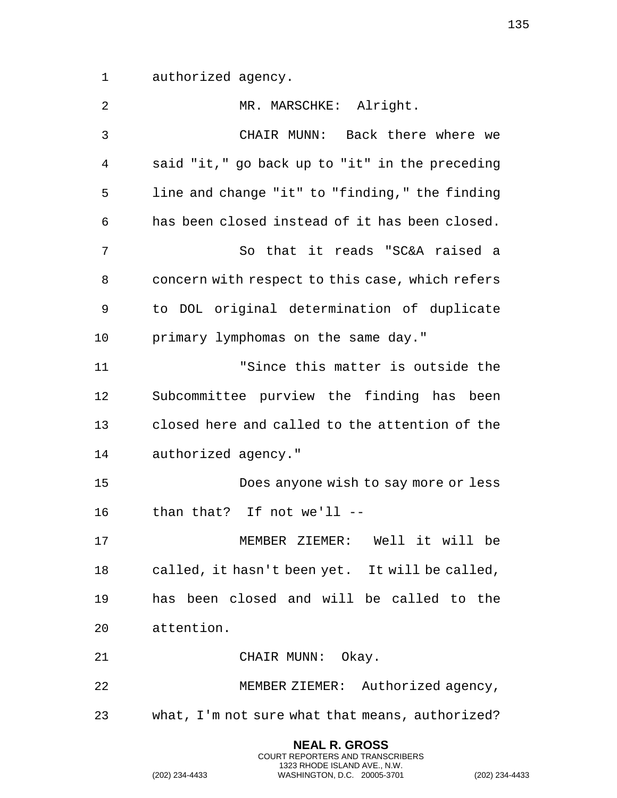authorized agency.

| $\overline{2}$ | MR. MARSCHKE: Alright.                          |
|----------------|-------------------------------------------------|
| 3              | CHAIR MUNN: Back there where we                 |
| 4              | said "it," go back up to "it" in the preceding  |
| 5              | line and change "it" to "finding," the finding  |
| 6              | has been closed instead of it has been closed.  |
| 7              | So that it reads "SC&A raised a                 |
| 8              | concern with respect to this case, which refers |
| 9              | to DOL original determination of duplicate      |
| 10             | primary lymphomas on the same day."             |
| 11             | "Since this matter is outside the               |
| 12             | Subcommittee purview the finding has been       |
| 13             | closed here and called to the attention of the  |
| 14             | authorized agency."                             |
| 15             | Does anyone wish to say more or less            |
| 16             | than that? If not we'll --                      |
| 17             | MEMBER ZIEMER: Well it will be                  |
| 18             | called, it hasn't been yet. It will be called,  |
| 19             | has been closed and will be called to the       |
| 20             | attention.                                      |
| 21             | CHAIR MUNN: Okay.                               |
| 22             | MEMBER ZIEMER: Authorized agency,               |
| 23             | what, I'm not sure what that means, authorized? |
|                | <b>NEAL R. GROSS</b>                            |

COURT REPORTERS AND TRANSCRIBERS 1323 RHODE ISLAND AVE., N.W.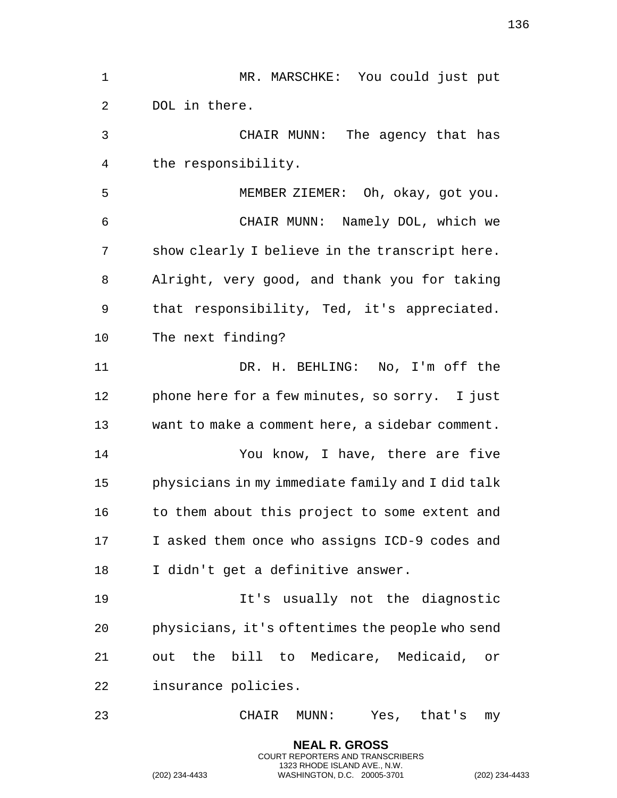| 1            | MR. MARSCHKE: You could just put                 |
|--------------|--------------------------------------------------|
| 2            | DOL in there.                                    |
| $\mathsf{3}$ | CHAIR MUNN: The agency that has                  |
| 4            | the responsibility.                              |
| 5            | MEMBER ZIEMER: Oh, okay, got you.                |
| 6            | CHAIR MUNN: Namely DOL, which we                 |
| 7            | show clearly I believe in the transcript here.   |
| 8            | Alright, very good, and thank you for taking     |
| 9            | that responsibility, Ted, it's appreciated.      |
| 10           | The next finding?                                |
| 11           | DR. H. BEHLING: No, I'm off the                  |
| 12           | phone here for a few minutes, so sorry. I just   |
| 13           | want to make a comment here, a sidebar comment.  |
| 14           | You know, I have, there are five                 |
| 15           | physicians in my immediate family and I did talk |
| 16           | to them about this project to some extent and    |
| 17           | I asked them once who assigns ICD-9 codes and    |
| 18           | I didn't get a definitive answer.                |
| 19           | It's usually not the diagnostic                  |
| 20           | physicians, it's oftentimes the people who send  |
| 21           | out the bill to Medicare, Medicaid, or           |
| 22           | insurance policies.                              |
| 23           | Yes, that's<br>CHAIR<br>$\texttt{MUNN}:$<br>my   |

**NEAL R. GROSS** COURT REPORTERS AND TRANSCRIBERS 1323 RHODE ISLAND AVE., N.W.

(202) 234-4433 WASHINGTON, D.C. 20005-3701 (202) 234-4433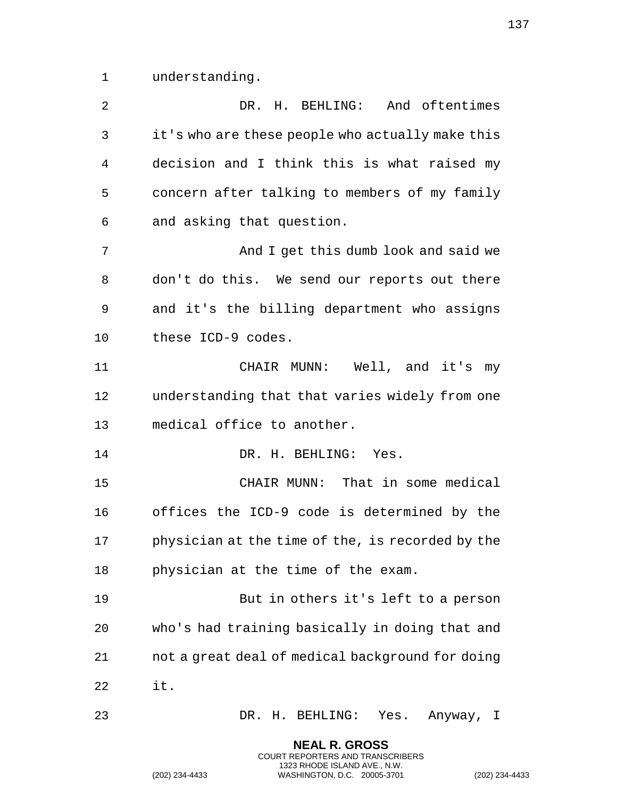understanding.

| $\overline{2}$ | DR. H. BEHLING: And oftentimes                   |
|----------------|--------------------------------------------------|
| 3              | it's who are these people who actually make this |
| 4              | decision and I think this is what raised my      |
| 5              | concern after talking to members of my family    |
| 6              | and asking that question.                        |
| 7              | And I get this dumb look and said we             |
| 8              | don't do this. We send our reports out there     |
| 9              | and it's the billing department who assigns      |
| 10             | these ICD-9 codes.                               |
| 11             | CHAIR MUNN: Well, and it's<br>my                 |
| 12             | understanding that that varies widely from one   |
| 13             | medical office to another.                       |
| 14             | DR. H. BEHLING: Yes.                             |
| 15             | CHAIR MUNN: That in some medical                 |
| 16             | offices the ICD-9 code is determined by the      |
| 17             | physician at the time of the, is recorded by the |
| 18             | physician at the time of the exam.               |
| 19             | But in others it's left to a person              |
| 20             | who's had training basically in doing that and   |
| 21             | not a great deal of medical background for doing |
| 22             | it.                                              |
| 23             | DR. H. BEHLING: Yes. Anyway, I                   |
|                | <b>NEAL R. GROSS</b>                             |

COURT REPORTERS AND TRANSCRIBERS 1323 RHODE ISLAND AVE., N.W.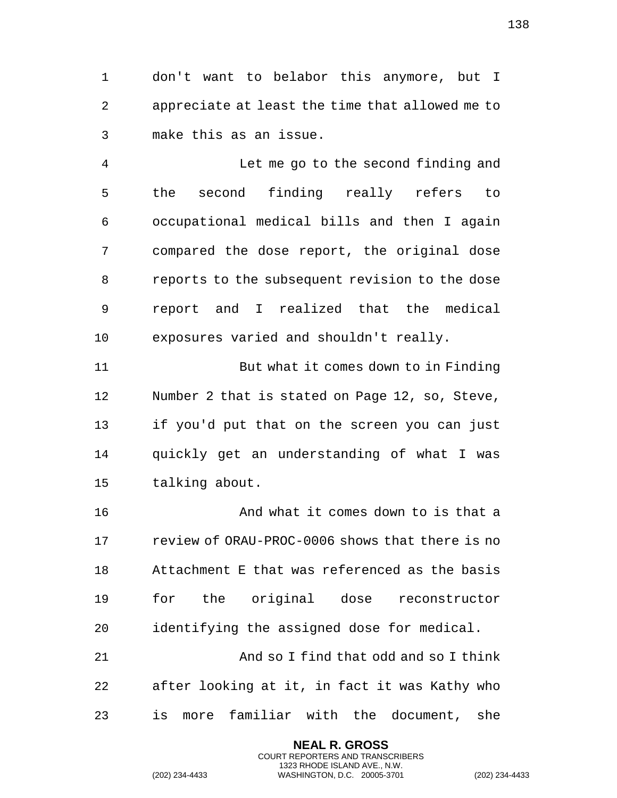don't want to belabor this anymore, but I appreciate at least the time that allowed me to make this as an issue.

 Let me go to the second finding and the second finding really refers to occupational medical bills and then I again compared the dose report, the original dose reports to the subsequent revision to the dose report and I realized that the medical exposures varied and shouldn't really.

 But what it comes down to in Finding Number 2 that is stated on Page 12, so, Steve, if you'd put that on the screen you can just quickly get an understanding of what I was talking about.

 And what it comes down to is that a review of ORAU-PROC-0006 shows that there is no Attachment E that was referenced as the basis for the original dose reconstructor identifying the assigned dose for medical. And so I find that odd and so I think after looking at it, in fact it was Kathy who

is more familiar with the document, she

**NEAL R. GROSS** COURT REPORTERS AND TRANSCRIBERS 1323 RHODE ISLAND AVE., N.W.

(202) 234-4433 WASHINGTON, D.C. 20005-3701 (202) 234-4433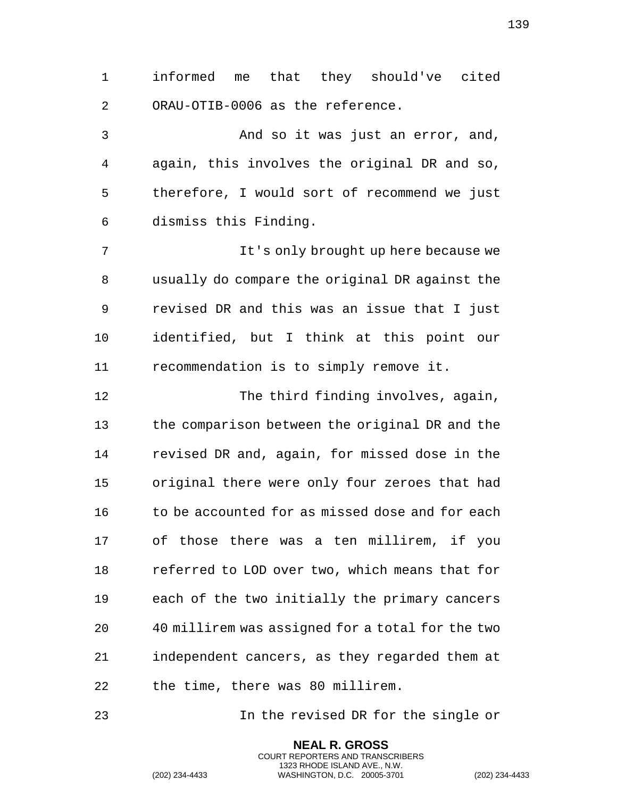informed me that they should've cited ORAU-OTIB-0006 as the reference.

 And so it was just an error, and, again, this involves the original DR and so, therefore, I would sort of recommend we just dismiss this Finding.

 It's only brought up here because we usually do compare the original DR against the revised DR and this was an issue that I just identified, but I think at this point our recommendation is to simply remove it.

12 The third finding involves, again, the comparison between the original DR and the revised DR and, again, for missed dose in the original there were only four zeroes that had 16 to be accounted for as missed dose and for each of those there was a ten millirem, if you referred to LOD over two, which means that for each of the two initially the primary cancers 40 millirem was assigned for a total for the two independent cancers, as they regarded them at the time, there was 80 millirem.

In the revised DR for the single or

**NEAL R. GROSS** COURT REPORTERS AND TRANSCRIBERS 1323 RHODE ISLAND AVE., N.W.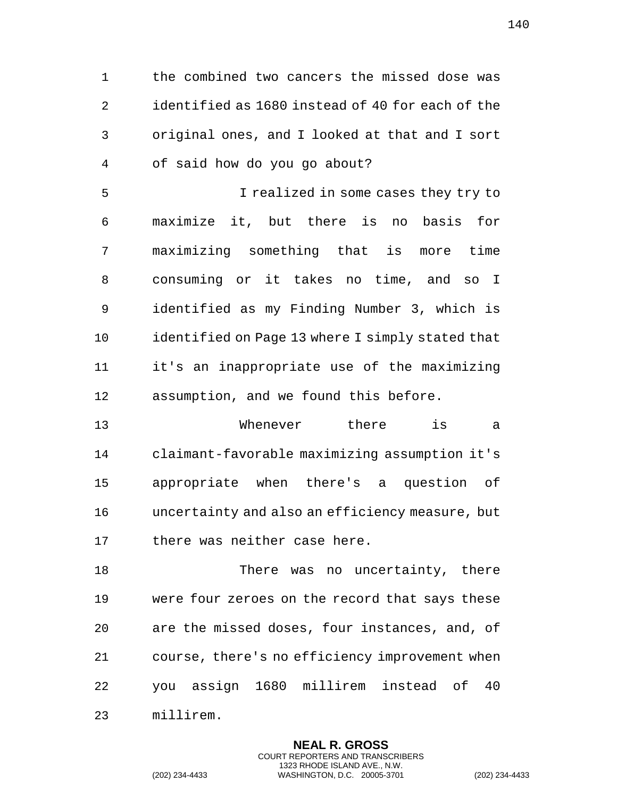the combined two cancers the missed dose was identified as 1680 instead of 40 for each of the original ones, and I looked at that and I sort of said how do you go about?

 I realized in some cases they try to maximize it, but there is no basis for maximizing something that is more time consuming or it takes no time, and so I identified as my Finding Number 3, which is 10 identified on Page 13 where I simply stated that it's an inappropriate use of the maximizing assumption, and we found this before.

 Whenever there is a claimant-favorable maximizing assumption it's appropriate when there's a question of uncertainty and also an efficiency measure, but there was neither case here.

 There was no uncertainty, there were four zeroes on the record that says these are the missed doses, four instances, and, of course, there's no efficiency improvement when you assign 1680 millirem instead of 40 millirem.

> **NEAL R. GROSS** COURT REPORTERS AND TRANSCRIBERS 1323 RHODE ISLAND AVE., N.W.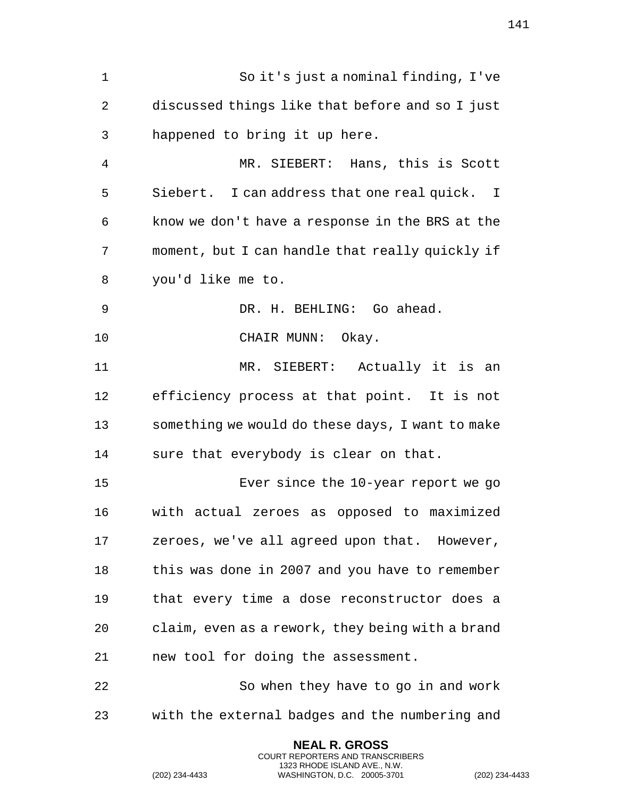So it's just a nominal finding, I've discussed things like that before and so I just happened to bring it up here. MR. SIEBERT: Hans, this is Scott Siebert. I can address that one real quick. I know we don't have a response in the BRS at the moment, but I can handle that really quickly if you'd like me to. DR. H. BEHLING: Go ahead. 10 CHAIR MUNN: Okay. MR. SIEBERT: Actually it is an efficiency process at that point. It is not something we would do these days, I want to make sure that everybody is clear on that. Ever since the 10-year report we go with actual zeroes as opposed to maximized zeroes, we've all agreed upon that. However, this was done in 2007 and you have to remember that every time a dose reconstructor does a claim, even as a rework, they being with a brand new tool for doing the assessment. So when they have to go in and work with the external badges and the numbering and

> **NEAL R. GROSS** COURT REPORTERS AND TRANSCRIBERS 1323 RHODE ISLAND AVE., N.W.

(202) 234-4433 WASHINGTON, D.C. 20005-3701 (202) 234-4433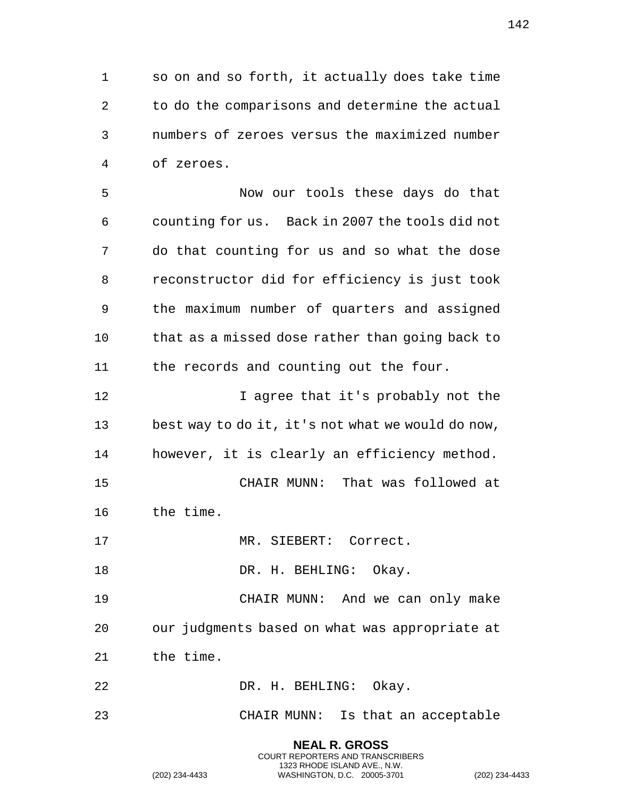so on and so forth, it actually does take time to do the comparisons and determine the actual numbers of zeroes versus the maximized number of zeroes.

 Now our tools these days do that counting for us. Back in 2007 the tools did not do that counting for us and so what the dose reconstructor did for efficiency is just took the maximum number of quarters and assigned that as a missed dose rather than going back to the records and counting out the four.

**I** agree that it's probably not the best way to do it, it's not what we would do now, however, it is clearly an efficiency method. CHAIR MUNN: That was followed at

the time.

17 MR. SIEBERT: Correct.

18 DR. H. BEHLING: Okay.

 CHAIR MUNN: And we can only make our judgments based on what was appropriate at the time.

DR. H. BEHLING: Okay.

CHAIR MUNN: Is that an acceptable

**NEAL R. GROSS** COURT REPORTERS AND TRANSCRIBERS 1323 RHODE ISLAND AVE., N.W.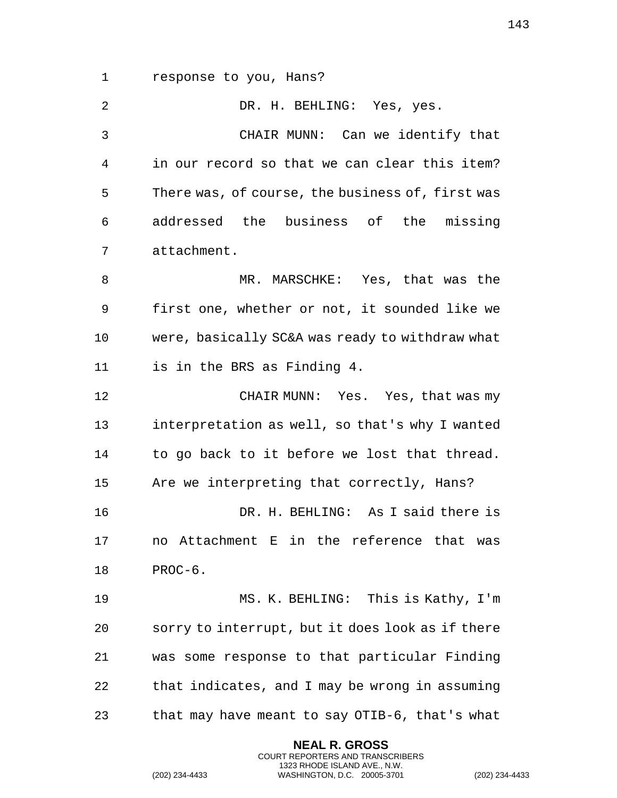response to you, Hans?

 DR. H. BEHLING: Yes, yes. CHAIR MUNN: Can we identify that in our record so that we can clear this item? There was, of course, the business of, first was addressed the business of the missing attachment. MR. MARSCHKE: Yes, that was the first one, whether or not, it sounded like we were, basically SC&A was ready to withdraw what is in the BRS as Finding 4. CHAIR MUNN: Yes. Yes, that was my interpretation as well, so that's why I wanted to go back to it before we lost that thread. Are we interpreting that correctly, Hans? DR. H. BEHLING: As I said there is no Attachment E in the reference that was PROC-6. MS. K. BEHLING: This is Kathy, I'm sorry to interrupt, but it does look as if there was some response to that particular Finding that indicates, and I may be wrong in assuming that may have meant to say OTIB-6, that's what

> **NEAL R. GROSS** COURT REPORTERS AND TRANSCRIBERS 1323 RHODE ISLAND AVE., N.W.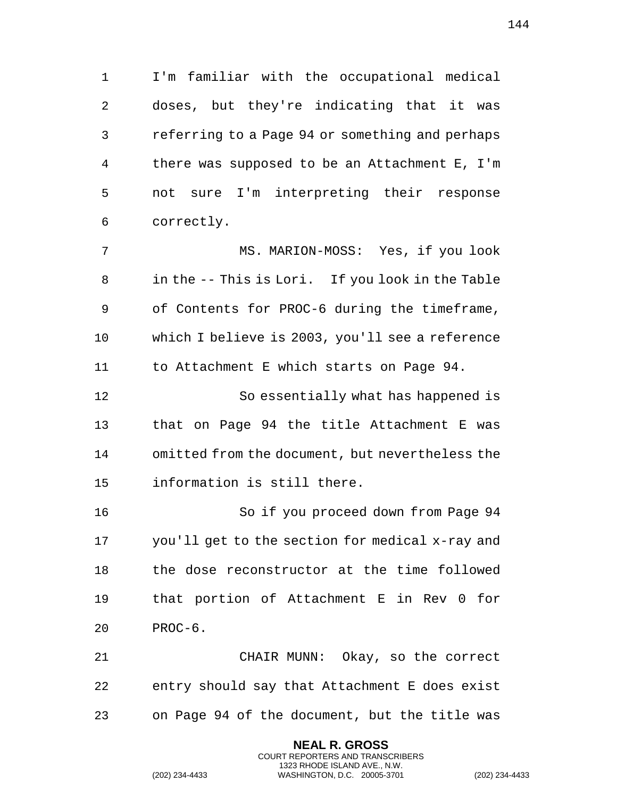I'm familiar with the occupational medical doses, but they're indicating that it was referring to a Page 94 or something and perhaps there was supposed to be an Attachment E, I'm not sure I'm interpreting their response correctly.

 MS. MARION-MOSS: Yes, if you look in the -- This is Lori. If you look in the Table of Contents for PROC-6 during the timeframe, which I believe is 2003, you'll see a reference to Attachment E which starts on Page 94.

 So essentially what has happened is that on Page 94 the title Attachment E was omitted from the document, but nevertheless the information is still there.

 So if you proceed down from Page 94 you'll get to the section for medical x-ray and the dose reconstructor at the time followed that portion of Attachment E in Rev 0 for PROC-6.

 CHAIR MUNN: Okay, so the correct entry should say that Attachment E does exist on Page 94 of the document, but the title was

> **NEAL R. GROSS** COURT REPORTERS AND TRANSCRIBERS 1323 RHODE ISLAND AVE., N.W.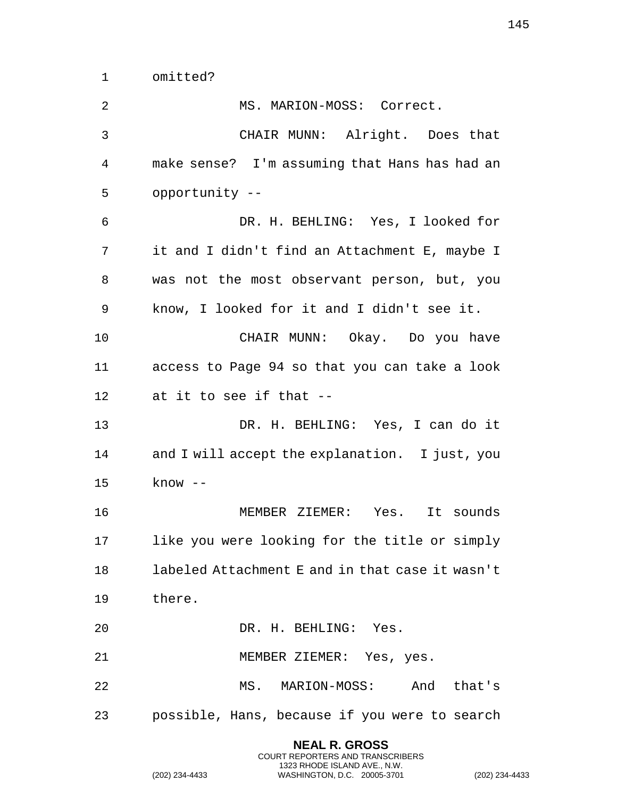omitted?

2 MS. MARION-MOSS: Correct. CHAIR MUNN: Alright. Does that make sense? I'm assuming that Hans has had an opportunity -- DR. H. BEHLING: Yes, I looked for it and I didn't find an Attachment E, maybe I was not the most observant person, but, you know, I looked for it and I didn't see it. CHAIR MUNN: Okay. Do you have access to Page 94 so that you can take a look at it to see if that -- DR. H. BEHLING: Yes, I can do it and I will accept the explanation. I just, you know -- MEMBER ZIEMER: Yes. It sounds like you were looking for the title or simply labeled Attachment E and in that case it wasn't there. DR. H. BEHLING: Yes. MEMBER ZIEMER: Yes, yes. MS. MARION-MOSS: And that's possible, Hans, because if you were to search

> **NEAL R. GROSS** COURT REPORTERS AND TRANSCRIBERS 1323 RHODE ISLAND AVE., N.W.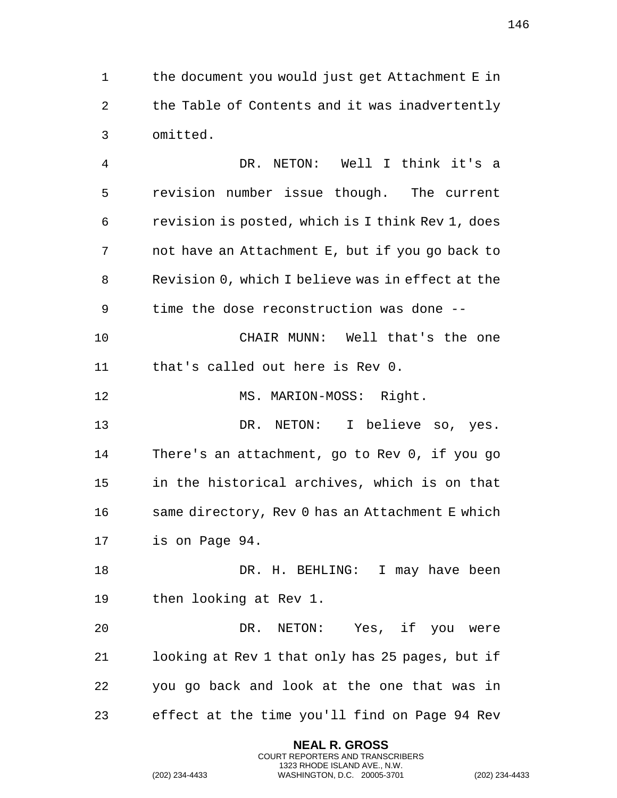the document you would just get Attachment E in the Table of Contents and it was inadvertently omitted.

 DR. NETON: Well I think it's a revision number issue though. The current revision is posted, which is I think Rev 1, does not have an Attachment E, but if you go back to Revision 0, which I believe was in effect at the time the dose reconstruction was done -- CHAIR MUNN: Well that's the one that's called out here is Rev 0. 12 MS. MARION-MOSS: Right. DR. NETON: I believe so, yes. There's an attachment, go to Rev 0, if you go in the historical archives, which is on that same directory, Rev 0 has an Attachment E which is on Page 94.

18 DR. H. BEHLING: I may have been then looking at Rev 1.

 DR. NETON: Yes, if you were looking at Rev 1 that only has 25 pages, but if you go back and look at the one that was in effect at the time you'll find on Page 94 Rev

> **NEAL R. GROSS** COURT REPORTERS AND TRANSCRIBERS 1323 RHODE ISLAND AVE., N.W.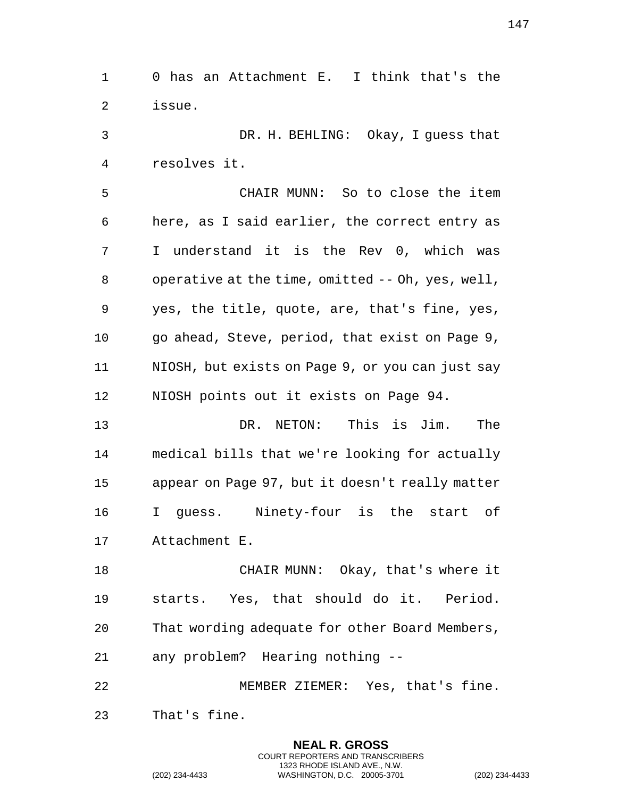0 has an Attachment E. I think that's the issue.

 DR. H. BEHLING: Okay, I guess that resolves it.

 CHAIR MUNN: So to close the item here, as I said earlier, the correct entry as I understand it is the Rev 0, which was operative at the time, omitted -- Oh, yes, well, yes, the title, quote, are, that's fine, yes, go ahead, Steve, period, that exist on Page 9, NIOSH, but exists on Page 9, or you can just say NIOSH points out it exists on Page 94.

 DR. NETON: This is Jim. The medical bills that we're looking for actually appear on Page 97, but it doesn't really matter I guess. Ninety-four is the start of Attachment E.

18 CHAIR MUNN: Okay, that's where it starts. Yes, that should do it. Period. That wording adequate for other Board Members, any problem? Hearing nothing --

 MEMBER ZIEMER: Yes, that's fine. That's fine.

> **NEAL R. GROSS** COURT REPORTERS AND TRANSCRIBERS 1323 RHODE ISLAND AVE., N.W.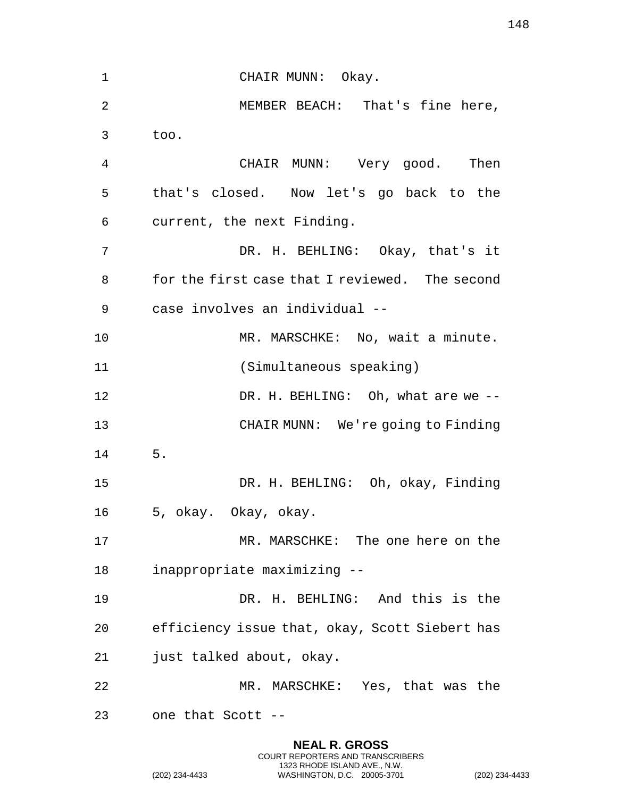1 CHAIR MUNN: Okay. MEMBER BEACH: That's fine here, too. CHAIR MUNN: Very good. Then that's closed. Now let's go back to the current, the next Finding. DR. H. BEHLING: Okay, that's it for the first case that I reviewed. The second case involves an individual -- MR. MARSCHKE: No, wait a minute. (Simultaneous speaking) DR. H. BEHLING: Oh, what are we -- CHAIR MUNN: We're going to Finding 5. DR. H. BEHLING: Oh, okay, Finding 5, okay. Okay, okay. MR. MARSCHKE: The one here on the inappropriate maximizing -- DR. H. BEHLING: And this is the efficiency issue that, okay, Scott Siebert has just talked about, okay. MR. MARSCHKE: Yes, that was the one that Scott --

> **NEAL R. GROSS** COURT REPORTERS AND TRANSCRIBERS 1323 RHODE ISLAND AVE., N.W.

(202) 234-4433 WASHINGTON, D.C. 20005-3701 (202) 234-4433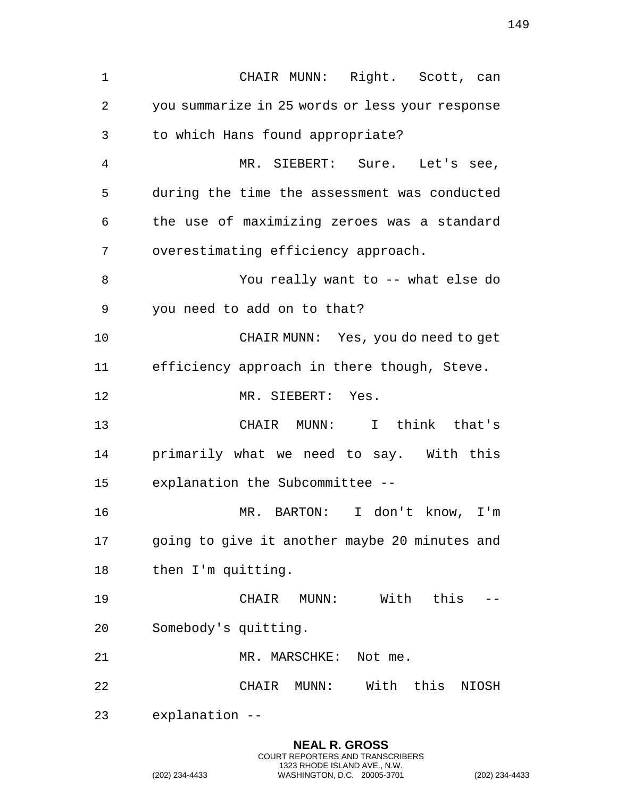CHAIR MUNN: Right. Scott, can you summarize in 25 words or less your response to which Hans found appropriate? MR. SIEBERT: Sure. Let's see, during the time the assessment was conducted the use of maximizing zeroes was a standard overestimating efficiency approach. You really want to -- what else do you need to add on to that? CHAIR MUNN: Yes, you do need to get efficiency approach in there though, Steve. MR. SIEBERT: Yes. CHAIR MUNN: I think that's primarily what we need to say. With this explanation the Subcommittee -- MR. BARTON: I don't know, I'm going to give it another maybe 20 minutes and then I'm quitting. CHAIR MUNN: With this -- Somebody's quitting. 21 MR. MARSCHKE: Not me. CHAIR MUNN: With this NIOSH explanation --

**NEAL R. GROSS**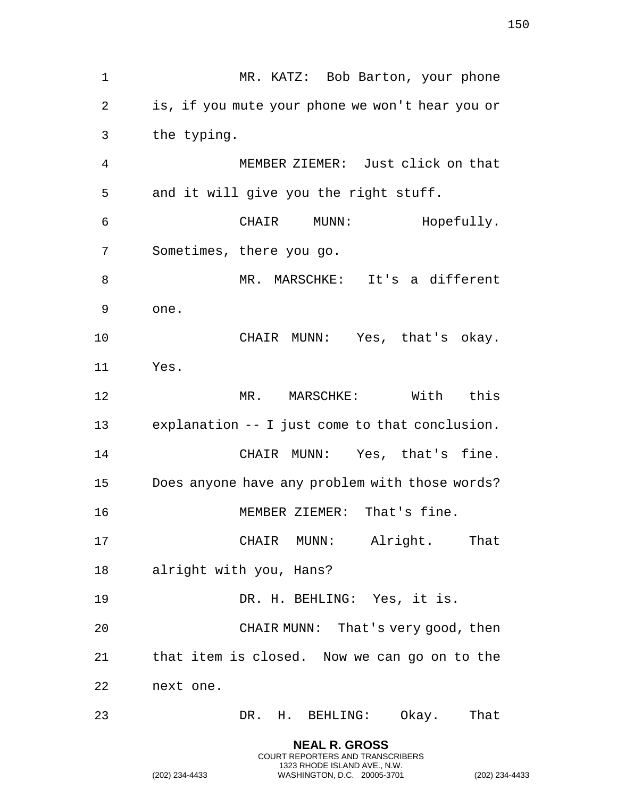1 MR. KATZ: Bob Barton, your phone is, if you mute your phone we won't hear you or the typing. MEMBER ZIEMER: Just click on that and it will give you the right stuff. CHAIR MUNN: Hopefully. Sometimes, there you go. MR. MARSCHKE: It's a different one. CHAIR MUNN: Yes, that's okay. Yes. MR. MARSCHKE: With this explanation -- I just come to that conclusion. CHAIR MUNN: Yes, that's fine. Does anyone have any problem with those words? MEMBER ZIEMER: That's fine. CHAIR MUNN: Alright. That alright with you, Hans? DR. H. BEHLING: Yes, it is. CHAIR MUNN: That's very good, then that item is closed. Now we can go on to the next one. DR. H. BEHLING: Okay. That

> **NEAL R. GROSS** COURT REPORTERS AND TRANSCRIBERS 1323 RHODE ISLAND AVE., N.W.

(202) 234-4433 WASHINGTON, D.C. 20005-3701 (202) 234-4433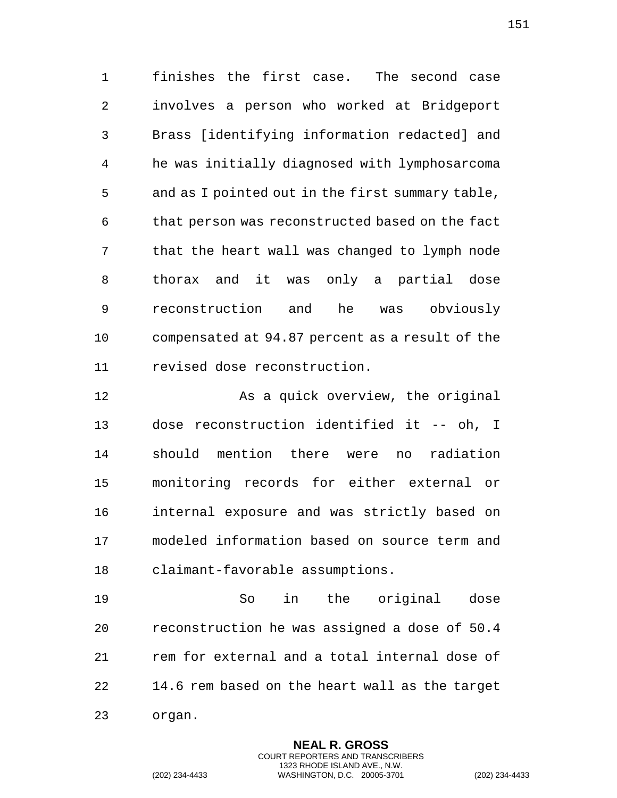finishes the first case. The second case involves a person who worked at Bridgeport Brass [identifying information redacted] and he was initially diagnosed with lymphosarcoma and as I pointed out in the first summary table, that person was reconstructed based on the fact that the heart wall was changed to lymph node thorax and it was only a partial dose reconstruction and he was obviously compensated at 94.87 percent as a result of the revised dose reconstruction.

12 As a quick overview, the original dose reconstruction identified it -- oh, I should mention there were no radiation monitoring records for either external or internal exposure and was strictly based on modeled information based on source term and claimant-favorable assumptions.

 So in the original dose reconstruction he was assigned a dose of 50.4 rem for external and a total internal dose of 14.6 rem based on the heart wall as the target

> **NEAL R. GROSS** COURT REPORTERS AND TRANSCRIBERS 1323 RHODE ISLAND AVE., N.W.

organ.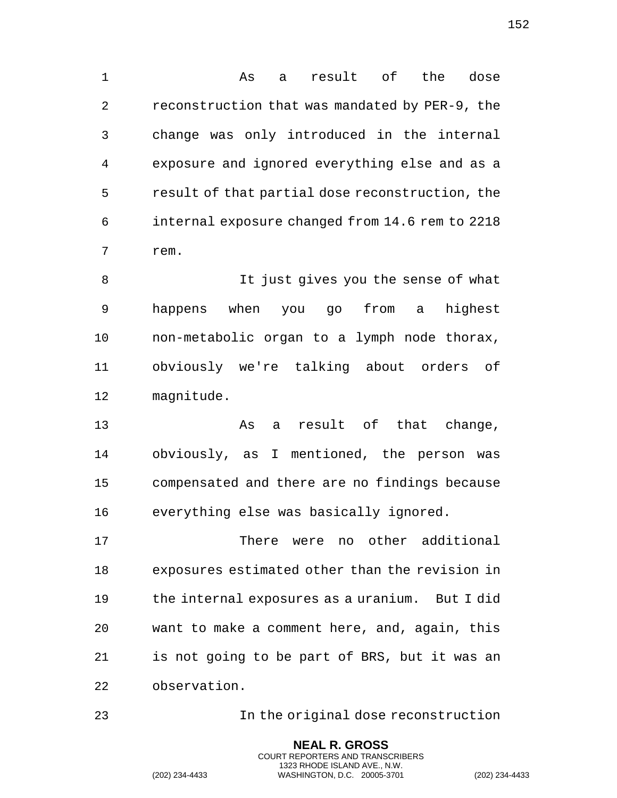As a result of the dose reconstruction that was mandated by PER-9, the change was only introduced in the internal exposure and ignored everything else and as a result of that partial dose reconstruction, the internal exposure changed from 14.6 rem to 2218 rem.

 It just gives you the sense of what happens when you go from a highest non-metabolic organ to a lymph node thorax, obviously we're talking about orders of magnitude.

13 As a result of that change, obviously, as I mentioned, the person was compensated and there are no findings because everything else was basically ignored.

 There were no other additional exposures estimated other than the revision in the internal exposures as a uranium. But I did want to make a comment here, and, again, this is not going to be part of BRS, but it was an observation.

In the original dose reconstruction

**NEAL R. GROSS** COURT REPORTERS AND TRANSCRIBERS 1323 RHODE ISLAND AVE., N.W.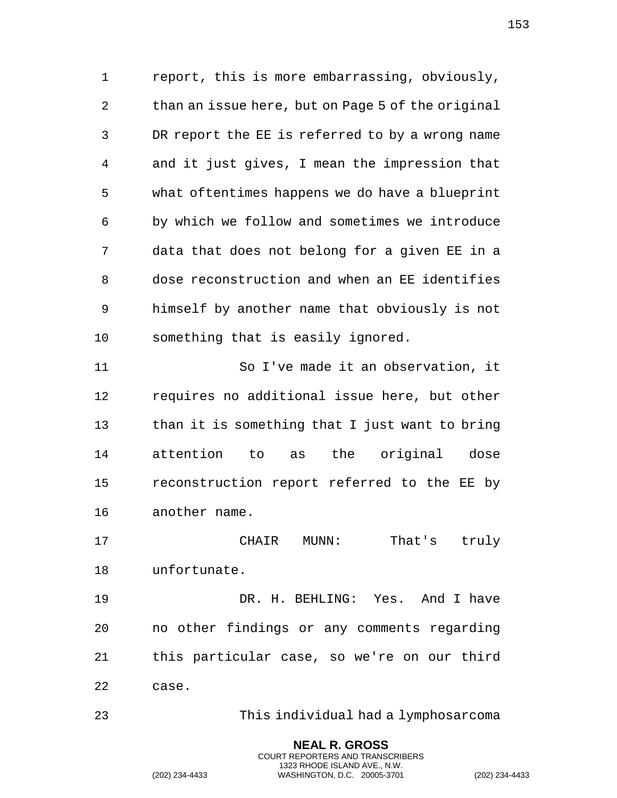report, this is more embarrassing, obviously, than an issue here, but on Page 5 of the original DR report the EE is referred to by a wrong name and it just gives, I mean the impression that what oftentimes happens we do have a blueprint by which we follow and sometimes we introduce data that does not belong for a given EE in a dose reconstruction and when an EE identifies himself by another name that obviously is not something that is easily ignored.

 So I've made it an observation, it requires no additional issue here, but other than it is something that I just want to bring attention to as the original dose reconstruction report referred to the EE by another name.

 CHAIR MUNN: That's truly unfortunate.

 DR. H. BEHLING: Yes. And I have no other findings or any comments regarding this particular case, so we're on our third case.

This individual had a lymphosarcoma

**NEAL R. GROSS** COURT REPORTERS AND TRANSCRIBERS 1323 RHODE ISLAND AVE., N.W.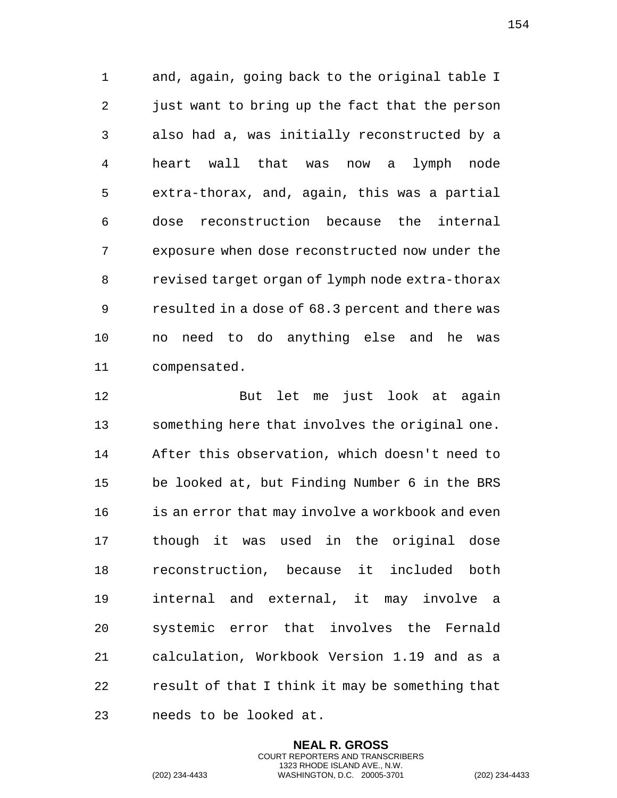and, again, going back to the original table I 2 just want to bring up the fact that the person also had a, was initially reconstructed by a heart wall that was now a lymph node extra-thorax, and, again, this was a partial dose reconstruction because the internal exposure when dose reconstructed now under the revised target organ of lymph node extra-thorax resulted in a dose of 68.3 percent and there was no need to do anything else and he was compensated.

 But let me just look at again something here that involves the original one. After this observation, which doesn't need to be looked at, but Finding Number 6 in the BRS is an error that may involve a workbook and even though it was used in the original dose reconstruction, because it included both internal and external, it may involve a systemic error that involves the Fernald calculation, Workbook Version 1.19 and as a result of that I think it may be something that needs to be looked at.

> **NEAL R. GROSS** COURT REPORTERS AND TRANSCRIBERS 1323 RHODE ISLAND AVE., N.W.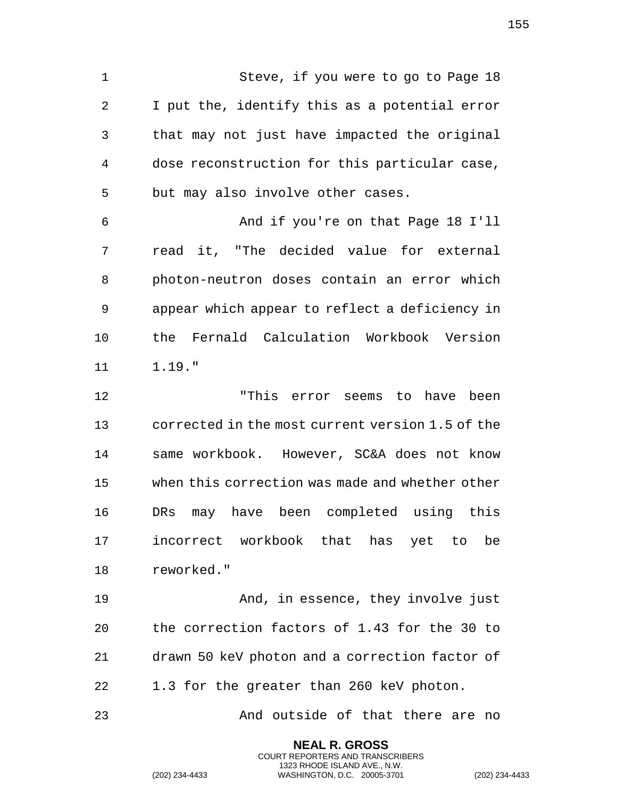Steve, if you were to go to Page 18 I put the, identify this as a potential error that may not just have impacted the original dose reconstruction for this particular case, but may also involve other cases.

 And if you're on that Page 18 I'll read it, "The decided value for external photon-neutron doses contain an error which appear which appear to reflect a deficiency in the Fernald Calculation Workbook Version 1.19."

 "This error seems to have been corrected in the most current version 1.5 of the same workbook. However, SC&A does not know when this correction was made and whether other DRs may have been completed using this incorrect workbook that has yet to be reworked."

 And, in essence, they involve just the correction factors of 1.43 for the 30 to drawn 50 keV photon and a correction factor of 1.3 for the greater than 260 keV photon.

And outside of that there are no

**NEAL R. GROSS** COURT REPORTERS AND TRANSCRIBERS 1323 RHODE ISLAND AVE., N.W.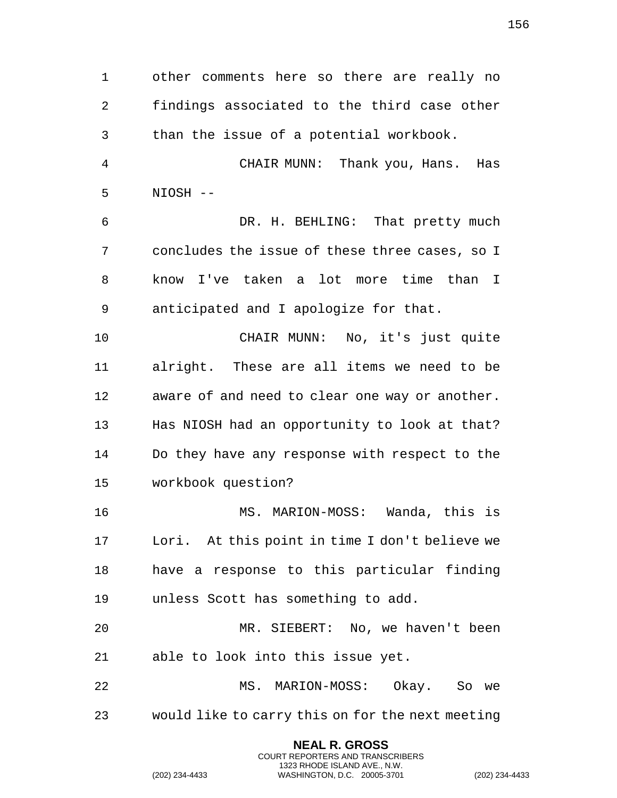other comments here so there are really no findings associated to the third case other than the issue of a potential workbook. CHAIR MUNN: Thank you, Hans. Has NIOSH -- DR. H. BEHLING: That pretty much concludes the issue of these three cases, so I know I've taken a lot more time than I anticipated and I apologize for that. CHAIR MUNN: No, it's just quite alright. These are all items we need to be aware of and need to clear one way or another. Has NIOSH had an opportunity to look at that? Do they have any response with respect to the workbook question? MS. MARION-MOSS: Wanda, this is Lori. At this point in time I don't believe we have a response to this particular finding unless Scott has something to add. MR. SIEBERT: No, we haven't been able to look into this issue yet. MS. MARION-MOSS: Okay. So we would like to carry this on for the next meeting

> **NEAL R. GROSS** COURT REPORTERS AND TRANSCRIBERS 1323 RHODE ISLAND AVE., N.W.

(202) 234-4433 WASHINGTON, D.C. 20005-3701 (202) 234-4433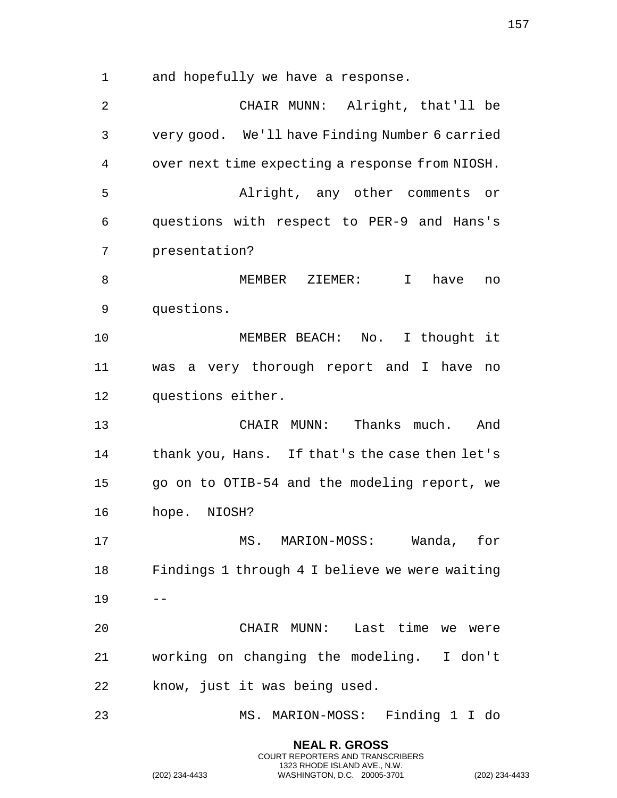and hopefully we have a response.

 CHAIR MUNN: Alright, that'll be very good. We'll have Finding Number 6 carried over next time expecting a response from NIOSH. Alright, any other comments or questions with respect to PER-9 and Hans's presentation? MEMBER ZIEMER: I have no questions. MEMBER BEACH: No. I thought it was a very thorough report and I have no questions either. CHAIR MUNN: Thanks much. And thank you, Hans. If that's the case then let's go on to OTIB-54 and the modeling report, we hope. NIOSH? MS. MARION-MOSS: Wanda, for Findings 1 through 4 I believe we were waiting  $19 - -$  CHAIR MUNN: Last time we were working on changing the modeling. I don't know, just it was being used. MS. MARION-MOSS: Finding 1 I do

> **NEAL R. GROSS** COURT REPORTERS AND TRANSCRIBERS 1323 RHODE ISLAND AVE., N.W.

(202) 234-4433 WASHINGTON, D.C. 20005-3701 (202) 234-4433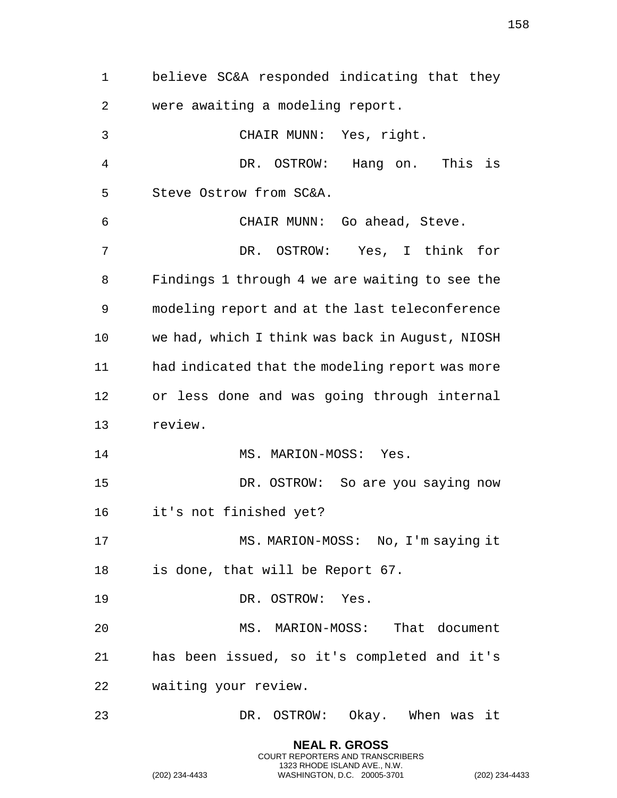believe SC&A responded indicating that they were awaiting a modeling report. CHAIR MUNN: Yes, right. DR. OSTROW: Hang on. This is Steve Ostrow from SC&A. CHAIR MUNN: Go ahead, Steve. DR. OSTROW: Yes, I think for Findings 1 through 4 we are waiting to see the modeling report and at the last teleconference we had, which I think was back in August, NIOSH had indicated that the modeling report was more or less done and was going through internal review. 14 MS. MARION-MOSS: Yes. DR. OSTROW: So are you saying now it's not finished yet? 17 MS. MARION-MOSS: No, I'm saying it is done, that will be Report 67. DR. OSTROW: Yes. MS. MARION-MOSS: That document has been issued, so it's completed and it's waiting your review. DR. OSTROW: Okay. When was it

> **NEAL R. GROSS** COURT REPORTERS AND TRANSCRIBERS 1323 RHODE ISLAND AVE., N.W.

(202) 234-4433 WASHINGTON, D.C. 20005-3701 (202) 234-4433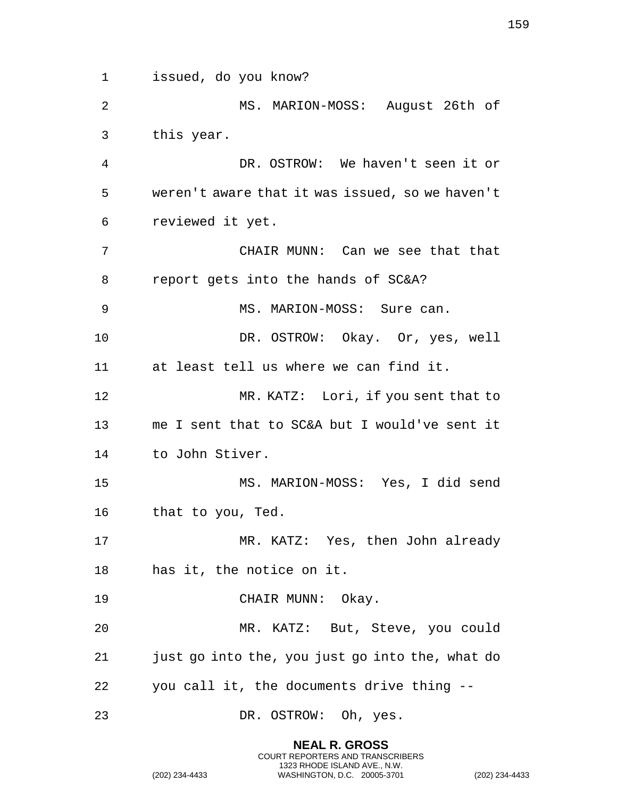issued, do you know? MS. MARION-MOSS: August 26th of this year. DR. OSTROW: We haven't seen it or weren't aware that it was issued, so we haven't reviewed it yet. CHAIR MUNN: Can we see that that report gets into the hands of SC&A? 9 MS. MARION-MOSS: Sure can. DR. OSTROW: Okay. Or, yes, well at least tell us where we can find it. MR. KATZ: Lori, if you sent that to me I sent that to SC&A but I would've sent it to John Stiver. MS. MARION-MOSS: Yes, I did send that to you, Ted. MR. KATZ: Yes, then John already has it, the notice on it. 19 CHAIR MUNN: Okay. MR. KATZ: But, Steve, you could just go into the, you just go into the, what do you call it, the documents drive thing -- DR. OSTROW: Oh, yes.

> **NEAL R. GROSS** COURT REPORTERS AND TRANSCRIBERS 1323 RHODE ISLAND AVE., N.W.

(202) 234-4433 WASHINGTON, D.C. 20005-3701 (202) 234-4433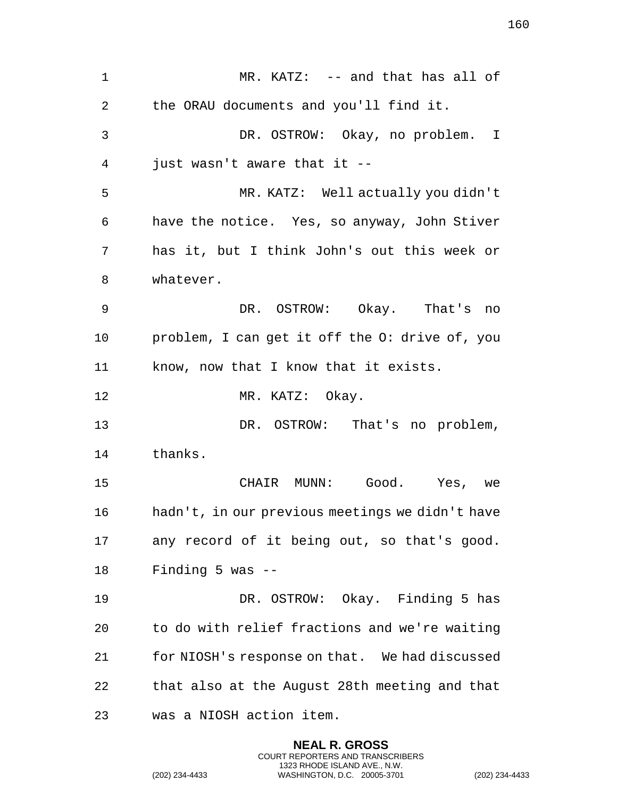1 MR. KATZ: -- and that has all of the ORAU documents and you'll find it. DR. OSTROW: Okay, no problem. I just wasn't aware that it -- MR. KATZ: Well actually you didn't have the notice. Yes, so anyway, John Stiver has it, but I think John's out this week or whatever. DR. OSTROW: Okay. That's no problem, I can get it off the O: drive of, you know, now that I know that it exists. 12 MR. KATZ: Okay. DR. OSTROW: That's no problem, thanks. CHAIR MUNN: Good. Yes, we hadn't, in our previous meetings we didn't have any record of it being out, so that's good. Finding 5 was -- DR. OSTROW: Okay. Finding 5 has to do with relief fractions and we're waiting for NIOSH's response on that. We had discussed that also at the August 28th meeting and that was a NIOSH action item.

> **NEAL R. GROSS** COURT REPORTERS AND TRANSCRIBERS 1323 RHODE ISLAND AVE., N.W.

(202) 234-4433 WASHINGTON, D.C. 20005-3701 (202) 234-4433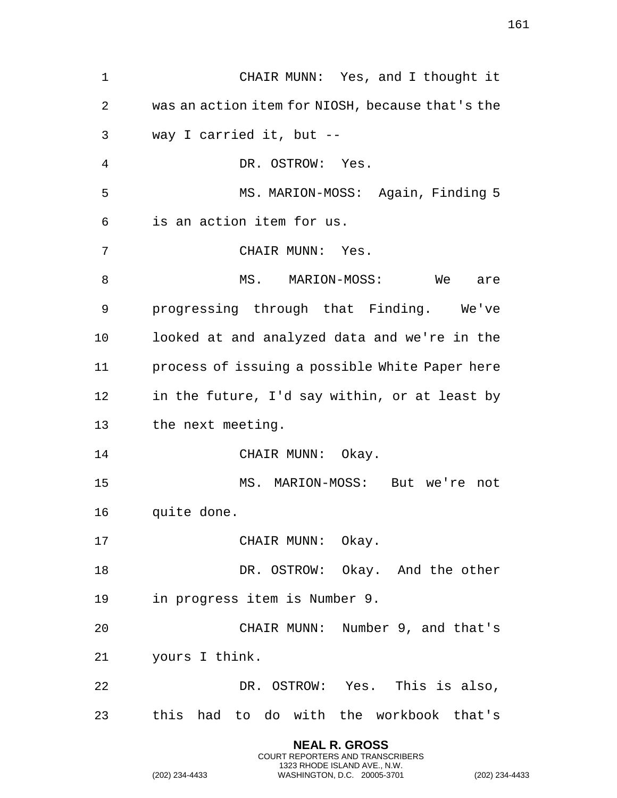| $\mathbf 1$ | CHAIR MUNN: Yes, and I thought it                |
|-------------|--------------------------------------------------|
| 2           | was an action item for NIOSH, because that's the |
| 3           | way I carried it, but --                         |
| 4           | DR. OSTROW: Yes.                                 |
| 5           | MS. MARION-MOSS: Again, Finding 5                |
| 6           | is an action item for us.                        |
| 7           | CHAIR MUNN: Yes.                                 |
| 8           | MS. MARION-MOSS: We<br>are                       |
| 9           | progressing through that Finding. We've          |
| 10          | looked at and analyzed data and we're in the     |
| 11          | process of issuing a possible White Paper here   |
| 12          | in the future, I'd say within, or at least by    |
| 13          | the next meeting.                                |
| 14          | CHAIR MUNN: Okay.                                |
| 15          | MS. MARION-MOSS: But we're not                   |
| 16          | quite done.                                      |
| 17          | CHAIR MUNN: Okay.                                |
| 18          | DR. OSTROW: Okay. And the other                  |
| 19          | in progress item is Number 9.                    |
| 20          | CHAIR MUNN: Number 9, and that's                 |
| 21          | yours I think.                                   |
| 22          | DR. OSTROW: Yes. This is also,                   |
| 23          | this had to do with the workbook that's          |
|             |                                                  |

**NEAL R. GROSS** COURT REPORTERS AND TRANSCRIBERS 1323 RHODE ISLAND AVE., N.W.

(202) 234-4433 WASHINGTON, D.C. 20005-3701 (202) 234-4433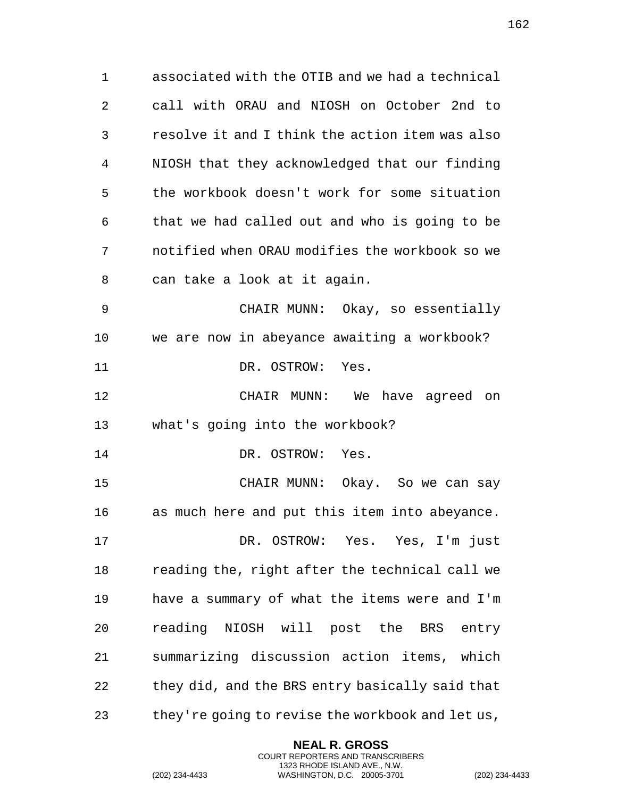associated with the OTIB and we had a technical call with ORAU and NIOSH on October 2nd to resolve it and I think the action item was also NIOSH that they acknowledged that our finding the workbook doesn't work for some situation that we had called out and who is going to be notified when ORAU modifies the workbook so we can take a look at it again. CHAIR MUNN: Okay, so essentially we are now in abeyance awaiting a workbook? 11 DR. OSTROW: Yes. CHAIR MUNN: We have agreed on what's going into the workbook? 14 DR. OSTROW: Yes. CHAIR MUNN: Okay. So we can say as much here and put this item into abeyance. DR. OSTROW: Yes. Yes, I'm just reading the, right after the technical call we have a summary of what the items were and I'm reading NIOSH will post the BRS entry summarizing discussion action items, which they did, and the BRS entry basically said that

they're going to revise the workbook and let us,

**NEAL R. GROSS** COURT REPORTERS AND TRANSCRIBERS 1323 RHODE ISLAND AVE., N.W.

(202) 234-4433 WASHINGTON, D.C. 20005-3701 (202) 234-4433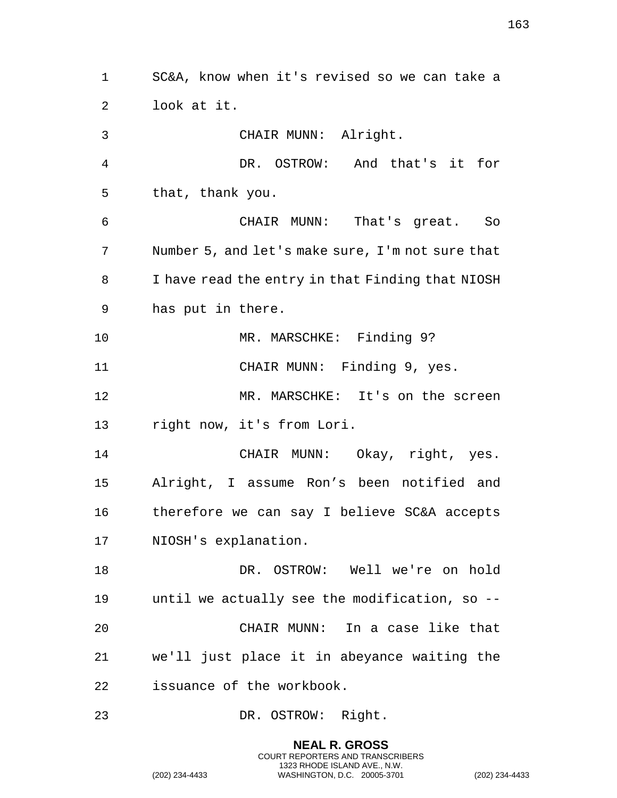SC&A, know when it's revised so we can take a look at it. CHAIR MUNN: Alright. DR. OSTROW: And that's it for that, thank you. CHAIR MUNN: That's great. So Number 5, and let's make sure, I'm not sure that I have read the entry in that Finding that NIOSH has put in there. 10 MR. MARSCHKE: Finding 9? 11 CHAIR MUNN: Finding 9, yes. MR. MARSCHKE: It's on the screen right now, it's from Lori. CHAIR MUNN: Okay, right, yes. Alright, I assume Ron's been notified and therefore we can say I believe SC&A accepts NIOSH's explanation. DR. OSTROW: Well we're on hold until we actually see the modification, so -- CHAIR MUNN: In a case like that we'll just place it in abeyance waiting the issuance of the workbook. DR. OSTROW: Right.

> **NEAL R. GROSS** COURT REPORTERS AND TRANSCRIBERS 1323 RHODE ISLAND AVE., N.W.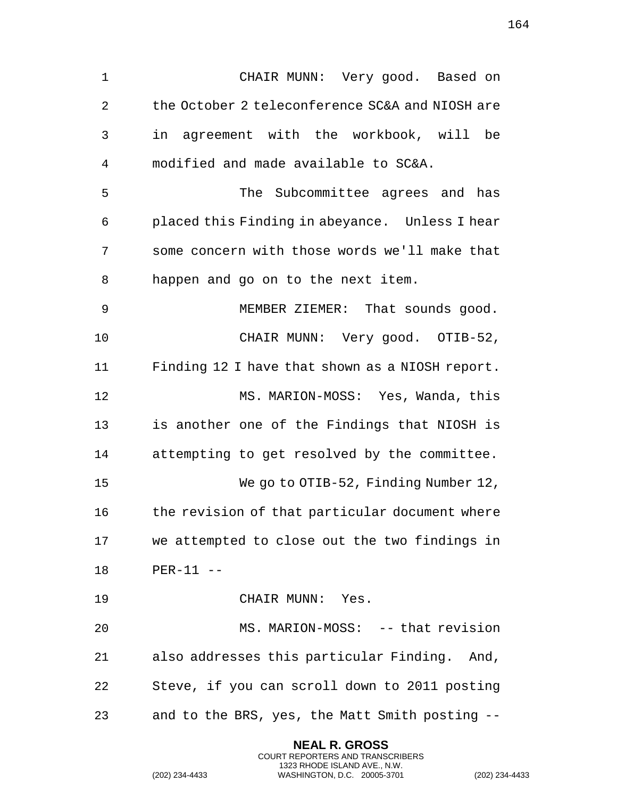CHAIR MUNN: Very good. Based on the October 2 teleconference SC&A and NIOSH are in agreement with the workbook, will be modified and made available to SC&A. The Subcommittee agrees and has placed this Finding in abeyance. Unless I hear some concern with those words we'll make that happen and go on to the next item. MEMBER ZIEMER: That sounds good. CHAIR MUNN: Very good. OTIB-52, Finding 12 I have that shown as a NIOSH report. MS. MARION-MOSS: Yes, Wanda, this is another one of the Findings that NIOSH is attempting to get resolved by the committee. We go to OTIB-52, Finding Number 12, 16 the revision of that particular document where we attempted to close out the two findings in PER-11 -- CHAIR MUNN: Yes. MS. MARION-MOSS: -- that revision also addresses this particular Finding. And, Steve, if you can scroll down to 2011 posting and to the BRS, yes, the Matt Smith posting --

> **NEAL R. GROSS** COURT REPORTERS AND TRANSCRIBERS 1323 RHODE ISLAND AVE., N.W.

(202) 234-4433 WASHINGTON, D.C. 20005-3701 (202) 234-4433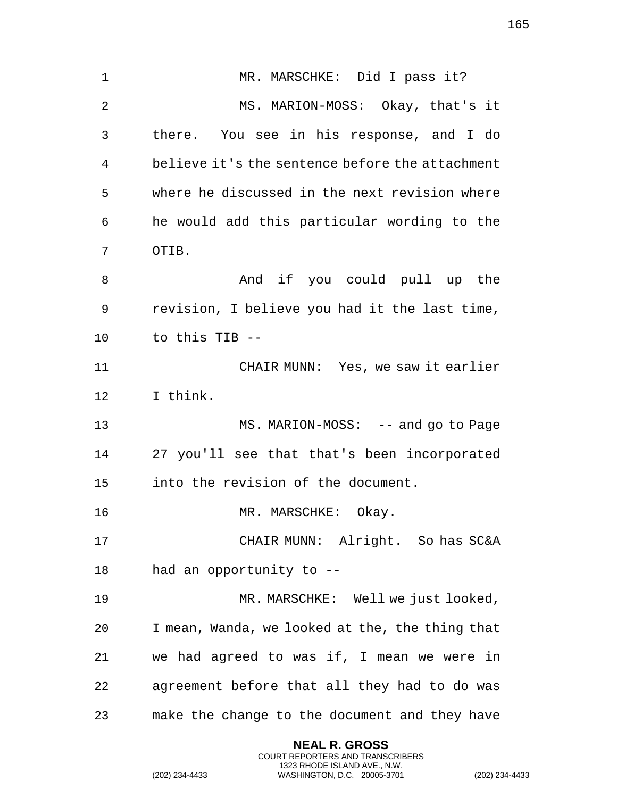1 MR. MARSCHKE: Did I pass it? MS. MARION-MOSS: Okay, that's it there. You see in his response, and I do believe it's the sentence before the attachment where he discussed in the next revision where he would add this particular wording to the OTIB. 8 And if you could pull up the revision, I believe you had it the last time, to this TIB -- CHAIR MUNN: Yes, we saw it earlier I think. 13 MS. MARION-MOSS: -- and go to Page 27 you'll see that that's been incorporated into the revision of the document. 16 MR. MARSCHKE: Okay. CHAIR MUNN: Alright. So has SC&A had an opportunity to -- MR. MARSCHKE: Well we just looked, I mean, Wanda, we looked at the, the thing that we had agreed to was if, I mean we were in agreement before that all they had to do was make the change to the document and they have

> **NEAL R. GROSS** COURT REPORTERS AND TRANSCRIBERS 1323 RHODE ISLAND AVE., N.W.

(202) 234-4433 WASHINGTON, D.C. 20005-3701 (202) 234-4433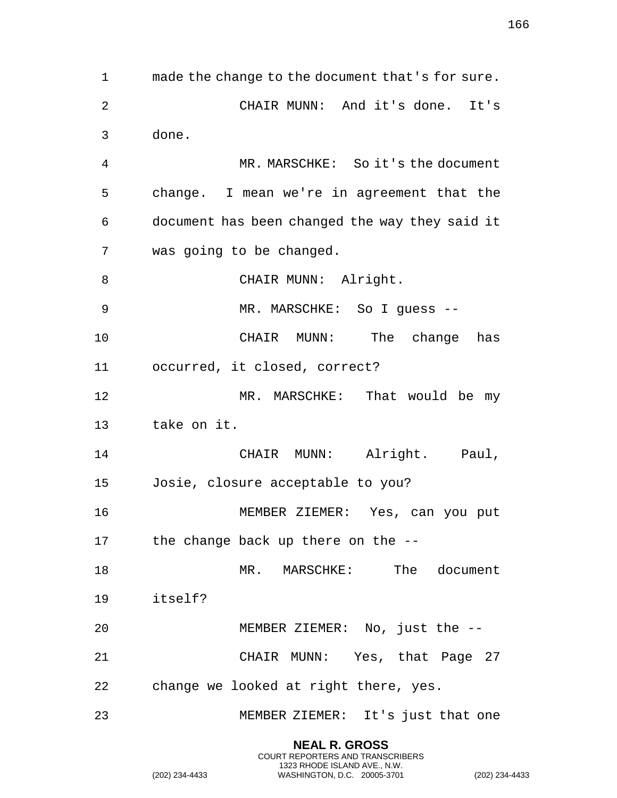made the change to the document that's for sure. CHAIR MUNN: And it's done. It's done. MR. MARSCHKE: So it's the document change. I mean we're in agreement that the document has been changed the way they said it was going to be changed. 8 CHAIR MUNN: Alright. MR. MARSCHKE: So I guess -- CHAIR MUNN: The change has occurred, it closed, correct? 12 MR. MARSCHKE: That would be my take on it. 14 CHAIR MUNN: Alright. Paul, Josie, closure acceptable to you? MEMBER ZIEMER: Yes, can you put 17 the change back up there on the --18 MR. MARSCHKE: The document itself? MEMBER ZIEMER: No, just the -- CHAIR MUNN: Yes, that Page 27 change we looked at right there, yes. MEMBER ZIEMER: It's just that one

> **NEAL R. GROSS** COURT REPORTERS AND TRANSCRIBERS 1323 RHODE ISLAND AVE., N.W.

(202) 234-4433 WASHINGTON, D.C. 20005-3701 (202) 234-4433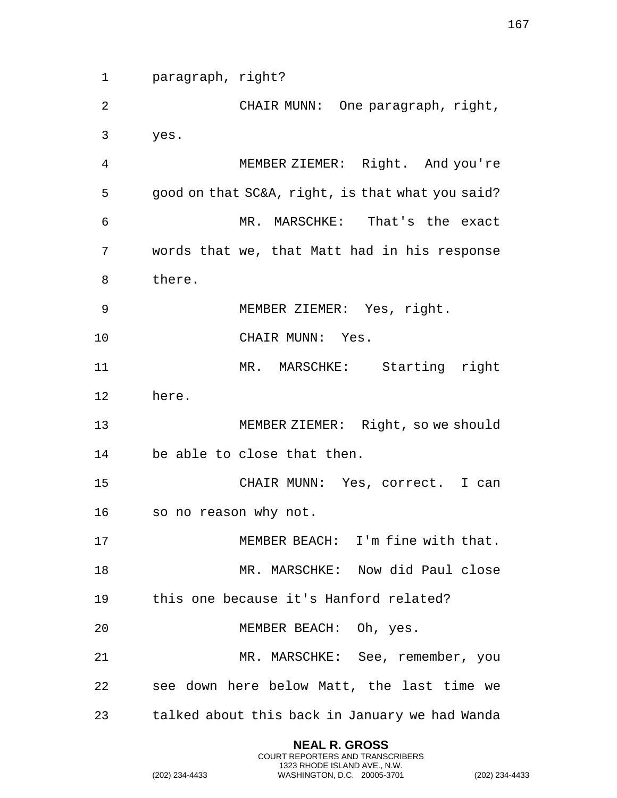paragraph, right?

 CHAIR MUNN: One paragraph, right, yes.

 MEMBER ZIEMER: Right. And you're good on that SC&A, right, is that what you said? MR. MARSCHKE: That's the exact words that we, that Matt had in his response there.

MEMBER ZIEMER: Yes, right.

10 CHAIR MUNN: Yes.

 MR. MARSCHKE: Starting right here.

 MEMBER ZIEMER: Right, so we should be able to close that then.

 CHAIR MUNN: Yes, correct. I can so no reason why not.

 MEMBER BEACH: I'm fine with that. MR. MARSCHKE: Now did Paul close this one because it's Hanford related?

MEMBER BEACH: Oh, yes.

 MR. MARSCHKE: See, remember, you see down here below Matt, the last time we talked about this back in January we had Wanda

> **NEAL R. GROSS** COURT REPORTERS AND TRANSCRIBERS 1323 RHODE ISLAND AVE., N.W.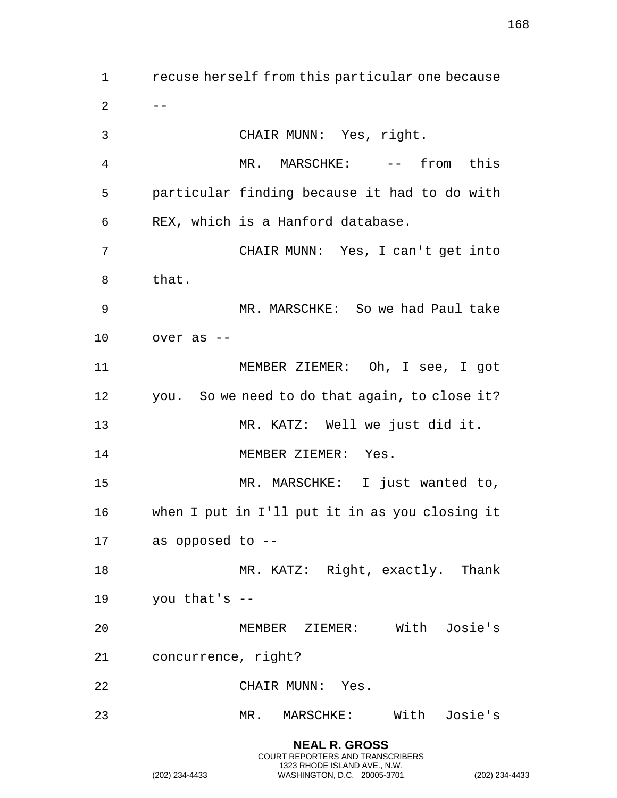recuse herself from this particular one because  $2 - -$  CHAIR MUNN: Yes, right. MR. MARSCHKE: -- from this particular finding because it had to do with REX, which is a Hanford database. CHAIR MUNN: Yes, I can't get into that. MR. MARSCHKE: So we had Paul take over as -- MEMBER ZIEMER: Oh, I see, I got you. So we need to do that again, to close it? MR. KATZ: Well we just did it. 14 MEMBER ZIEMER: Yes. MR. MARSCHKE: I just wanted to, when I put in I'll put it in as you closing it as opposed to -- 18 MR. KATZ: Right, exactly. Thank you that's -- MEMBER ZIEMER: With Josie's concurrence, right? CHAIR MUNN: Yes. MR. MARSCHKE: With Josie's

> **NEAL R. GROSS** COURT REPORTERS AND TRANSCRIBERS 1323 RHODE ISLAND AVE., N.W.

(202) 234-4433 WASHINGTON, D.C. 20005-3701 (202) 234-4433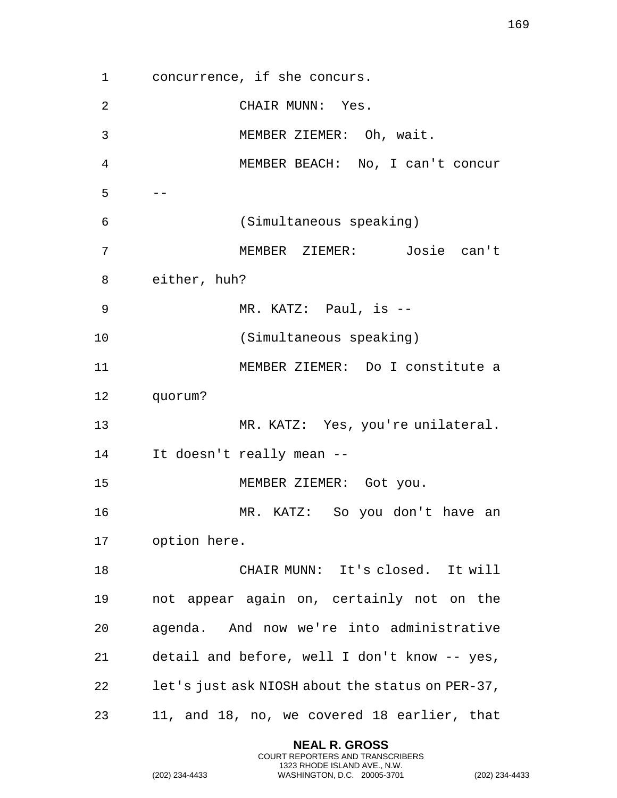concurrence, if she concurs. CHAIR MUNN: Yes. MEMBER ZIEMER: Oh, wait. MEMBER BEACH: No, I can't concur  $5 - -$  (Simultaneous speaking) MEMBER ZIEMER: Josie can't either, huh? MR. KATZ: Paul, is -- (Simultaneous speaking) MEMBER ZIEMER: Do I constitute a quorum? MR. KATZ: Yes, you're unilateral. It doesn't really mean -- 15 MEMBER ZIEMER: Got you. MR. KATZ: So you don't have an option here. CHAIR MUNN: It's closed. It will not appear again on, certainly not on the agenda. And now we're into administrative detail and before, well I don't know -- yes, let's just ask NIOSH about the status on PER-37, 11, and 18, no, we covered 18 earlier, that

> **NEAL R. GROSS** COURT REPORTERS AND TRANSCRIBERS 1323 RHODE ISLAND AVE., N.W.

(202) 234-4433 WASHINGTON, D.C. 20005-3701 (202) 234-4433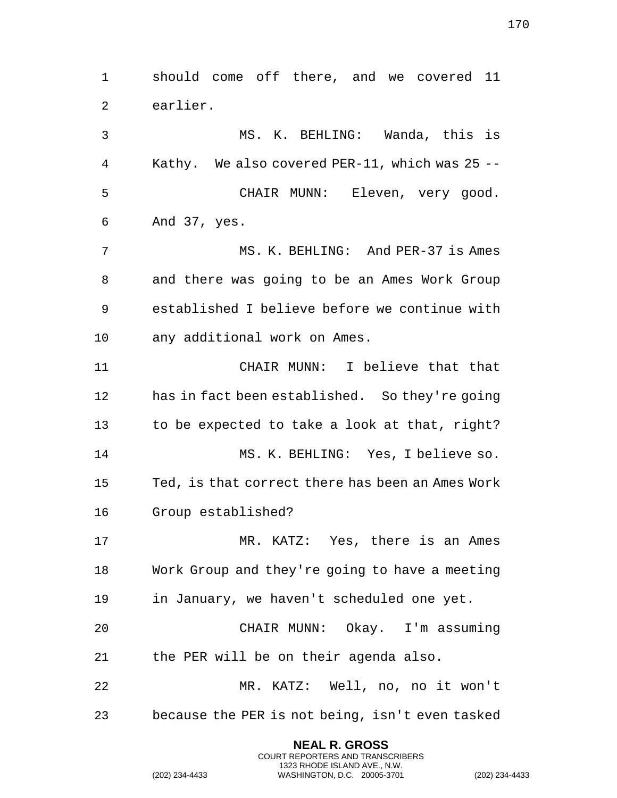**NEAL R. GROSS** COURT REPORTERS AND TRANSCRIBERS 1323 RHODE ISLAND AVE., N.W. earlier. MS. K. BEHLING: Wanda, this is Kathy. We also covered PER-11, which was 25 -- CHAIR MUNN: Eleven, very good. And 37, yes. 7 MS. K. BEHLING: And PER-37 is Ames and there was going to be an Ames Work Group established I believe before we continue with any additional work on Ames. CHAIR MUNN: I believe that that has in fact been established. So they're going to be expected to take a look at that, right? MS. K. BEHLING: Yes, I believe so. Ted, is that correct there has been an Ames Work Group established? MR. KATZ: Yes, there is an Ames Work Group and they're going to have a meeting in January, we haven't scheduled one yet. CHAIR MUNN: Okay. I'm assuming the PER will be on their agenda also. MR. KATZ: Well, no, no it won't because the PER is not being, isn't even tasked

should come off there, and we covered 11

(202) 234-4433 WASHINGTON, D.C. 20005-3701 (202) 234-4433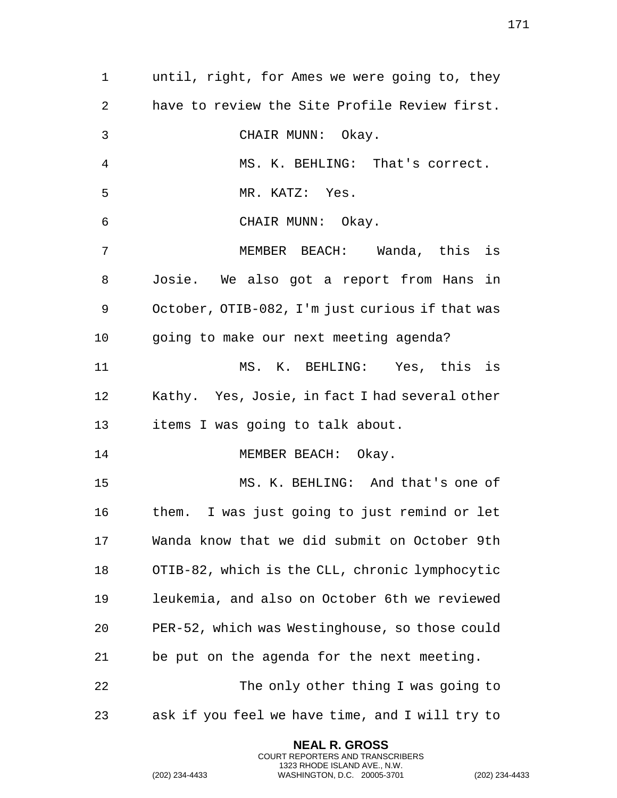until, right, for Ames we were going to, they have to review the Site Profile Review first. CHAIR MUNN: Okay. MS. K. BEHLING: That's correct. MR. KATZ: Yes. CHAIR MUNN: Okay. MEMBER BEACH: Wanda, this is Josie. We also got a report from Hans in October, OTIB-082, I'm just curious if that was going to make our next meeting agenda? MS. K. BEHLING: Yes, this is Kathy. Yes, Josie, in fact I had several other items I was going to talk about. 14 MEMBER BEACH: Okay. MS. K. BEHLING: And that's one of them. I was just going to just remind or let Wanda know that we did submit on October 9th OTIB-82, which is the CLL, chronic lymphocytic leukemia, and also on October 6th we reviewed PER-52, which was Westinghouse, so those could be put on the agenda for the next meeting. The only other thing I was going to ask if you feel we have time, and I will try to

> **NEAL R. GROSS** COURT REPORTERS AND TRANSCRIBERS 1323 RHODE ISLAND AVE., N.W.

(202) 234-4433 WASHINGTON, D.C. 20005-3701 (202) 234-4433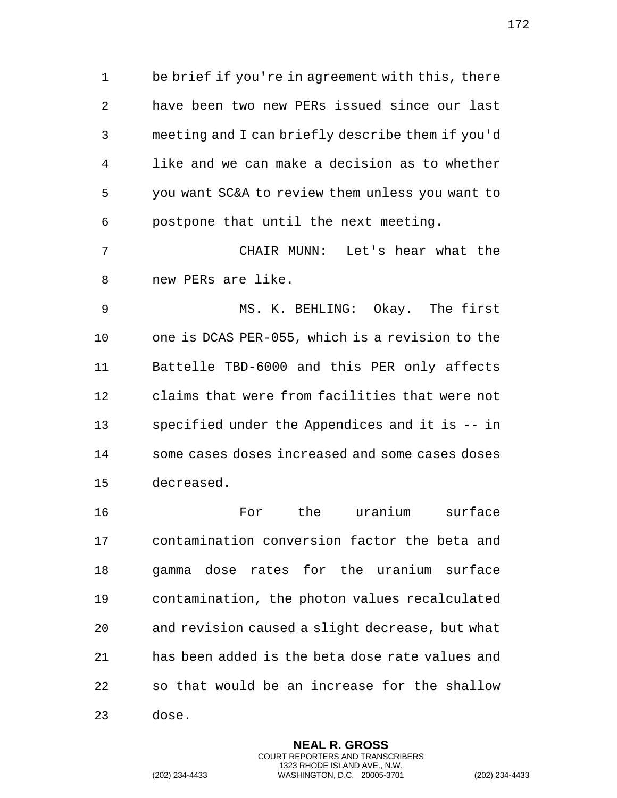be brief if you're in agreement with this, there have been two new PERs issued since our last meeting and I can briefly describe them if you'd like and we can make a decision as to whether you want SC&A to review them unless you want to postpone that until the next meeting.

 CHAIR MUNN: Let's hear what the new PERs are like.

 MS. K. BEHLING: Okay. The first one is DCAS PER-055, which is a revision to the Battelle TBD-6000 and this PER only affects claims that were from facilities that were not specified under the Appendices and it is -- in some cases doses increased and some cases doses decreased.

 For the uranium surface contamination conversion factor the beta and gamma dose rates for the uranium surface contamination, the photon values recalculated and revision caused a slight decrease, but what has been added is the beta dose rate values and so that would be an increase for the shallow dose.

> **NEAL R. GROSS** COURT REPORTERS AND TRANSCRIBERS 1323 RHODE ISLAND AVE., N.W.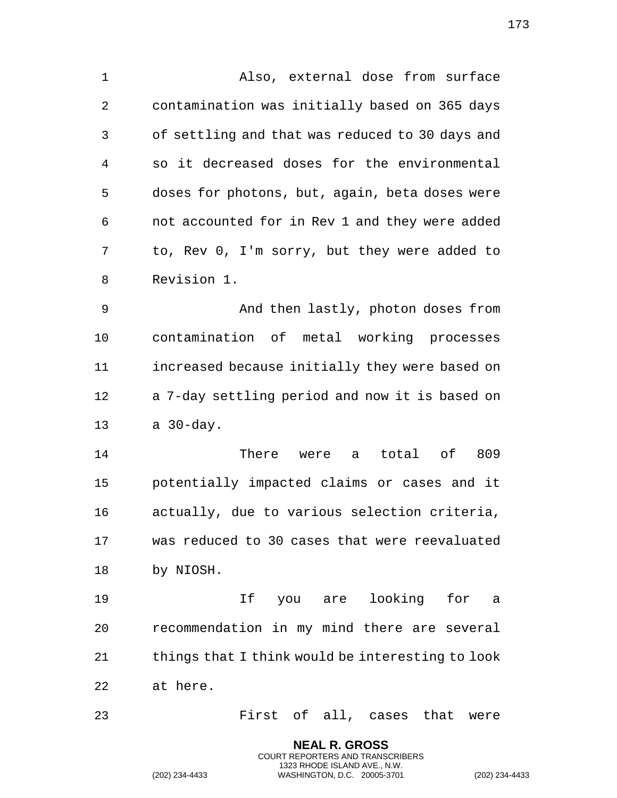Also, external dose from surface contamination was initially based on 365 days of settling and that was reduced to 30 days and so it decreased doses for the environmental doses for photons, but, again, beta doses were not accounted for in Rev 1 and they were added to, Rev 0, I'm sorry, but they were added to Revision 1.

 And then lastly, photon doses from contamination of metal working processes increased because initially they were based on a 7-day settling period and now it is based on a 30-day.

 There were a total of 809 potentially impacted claims or cases and it actually, due to various selection criteria, was reduced to 30 cases that were reevaluated by NIOSH.

 If you are looking for a recommendation in my mind there are several 21 things that I think would be interesting to look at here.

First of all, cases that were

**NEAL R. GROSS** COURT REPORTERS AND TRANSCRIBERS 1323 RHODE ISLAND AVE., N.W.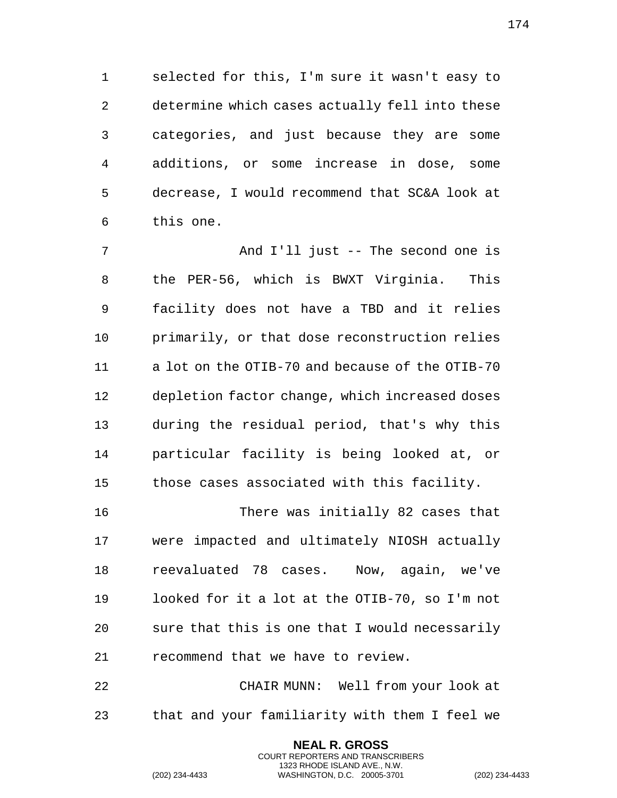selected for this, I'm sure it wasn't easy to determine which cases actually fell into these categories, and just because they are some additions, or some increase in dose, some decrease, I would recommend that SC&A look at this one.

7 And I'll just -- The second one is the PER-56, which is BWXT Virginia. This facility does not have a TBD and it relies primarily, or that dose reconstruction relies a lot on the OTIB-70 and because of the OTIB-70 depletion factor change, which increased doses during the residual period, that's why this particular facility is being looked at, or those cases associated with this facility.

 There was initially 82 cases that were impacted and ultimately NIOSH actually reevaluated 78 cases. Now, again, we've looked for it a lot at the OTIB-70, so I'm not sure that this is one that I would necessarily recommend that we have to review.

 CHAIR MUNN: Well from your look at that and your familiarity with them I feel we

> **NEAL R. GROSS** COURT REPORTERS AND TRANSCRIBERS 1323 RHODE ISLAND AVE., N.W.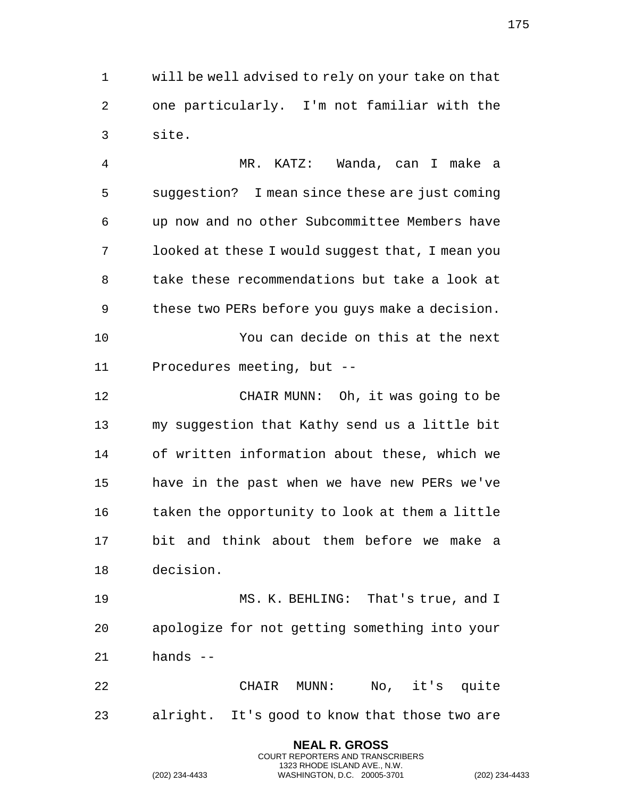will be well advised to rely on your take on that one particularly. I'm not familiar with the site.

 MR. KATZ: Wanda, can I make a suggestion? I mean since these are just coming up now and no other Subcommittee Members have looked at these I would suggest that, I mean you take these recommendations but take a look at these two PERs before you guys make a decision. You can decide on this at the next Procedures meeting, but -- CHAIR MUNN: Oh, it was going to be my suggestion that Kathy send us a little bit

 of written information about these, which we have in the past when we have new PERs we've 16 taken the opportunity to look at them a little bit and think about them before we make a decision.

 MS. K. BEHLING: That's true, and I apologize for not getting something into your hands --

 CHAIR MUNN: No, it's quite alright. It's good to know that those two are

> **NEAL R. GROSS** COURT REPORTERS AND TRANSCRIBERS 1323 RHODE ISLAND AVE., N.W.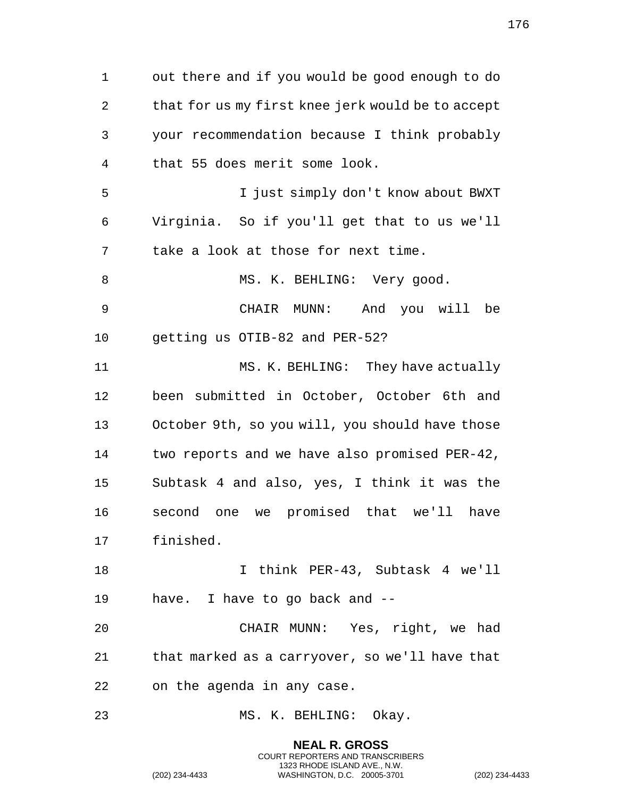out there and if you would be good enough to do that for us my first knee jerk would be to accept your recommendation because I think probably that 55 does merit some look. I just simply don't know about BWXT Virginia. So if you'll get that to us we'll take a look at those for next time. 8 MS. K. BEHLING: Very good. CHAIR MUNN: And you will be getting us OTIB-82 and PER-52? 11 MS. K. BEHLING: They have actually been submitted in October, October 6th and October 9th, so you will, you should have those two reports and we have also promised PER-42, Subtask 4 and also, yes, I think it was the second one we promised that we'll have finished. I think PER-43, Subtask 4 we'll have. I have to go back and -- CHAIR MUNN: Yes, right, we had that marked as a carryover, so we'll have that on the agenda in any case. 23 MS. K. BEHLING: Okay.

> **NEAL R. GROSS** COURT REPORTERS AND TRANSCRIBERS 1323 RHODE ISLAND AVE., N.W.

(202) 234-4433 WASHINGTON, D.C. 20005-3701 (202) 234-4433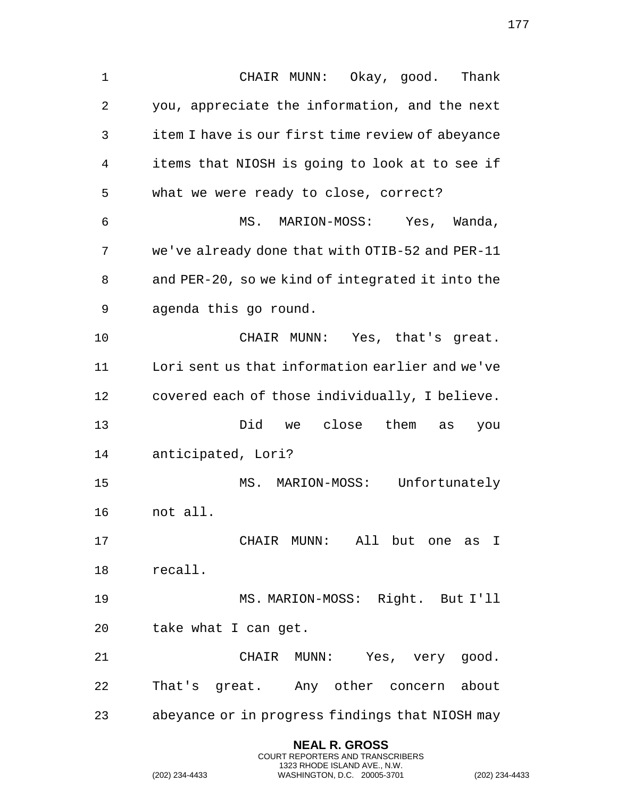CHAIR MUNN: Okay, good. Thank you, appreciate the information, and the next item I have is our first time review of abeyance items that NIOSH is going to look at to see if what we were ready to close, correct? MS. MARION-MOSS: Yes, Wanda, we've already done that with OTIB-52 and PER-11 and PER-20, so we kind of integrated it into the agenda this go round. CHAIR MUNN: Yes, that's great. Lori sent us that information earlier and we've covered each of those individually, I believe. Did we close them as you anticipated, Lori? MS. MARION-MOSS: Unfortunately not all. CHAIR MUNN: All but one as I recall. MS. MARION-MOSS: Right. But I'll take what I can get. CHAIR MUNN: Yes, very good. That's great. Any other concern about abeyance or in progress findings that NIOSH may

> **NEAL R. GROSS** COURT REPORTERS AND TRANSCRIBERS 1323 RHODE ISLAND AVE., N.W.

(202) 234-4433 WASHINGTON, D.C. 20005-3701 (202) 234-4433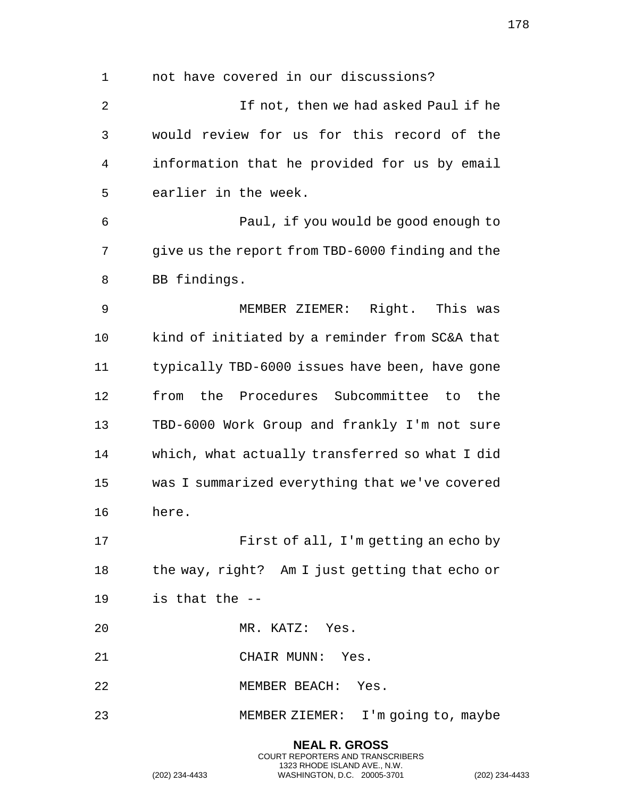not have covered in our discussions? If not, then we had asked Paul if he would review for us for this record of the information that he provided for us by email earlier in the week. Paul, if you would be good enough to give us the report from TBD-6000 finding and the BB findings. MEMBER ZIEMER: Right. This was kind of initiated by a reminder from SC&A that typically TBD-6000 issues have been, have gone from the Procedures Subcommittee to the TBD-6000 Work Group and frankly I'm not sure which, what actually transferred so what I did was I summarized everything that we've covered here. First of all, I'm getting an echo by the way, right? Am I just getting that echo or is that the -- MR. KATZ: Yes. CHAIR MUNN: Yes. MEMBER BEACH: Yes. MEMBER ZIEMER: I'm going to, maybe

> **NEAL R. GROSS** COURT REPORTERS AND TRANSCRIBERS 1323 RHODE ISLAND AVE., N.W.

```
(202) 234-4433 WASHINGTON, D.C. 20005-3701 (202) 234-4433
```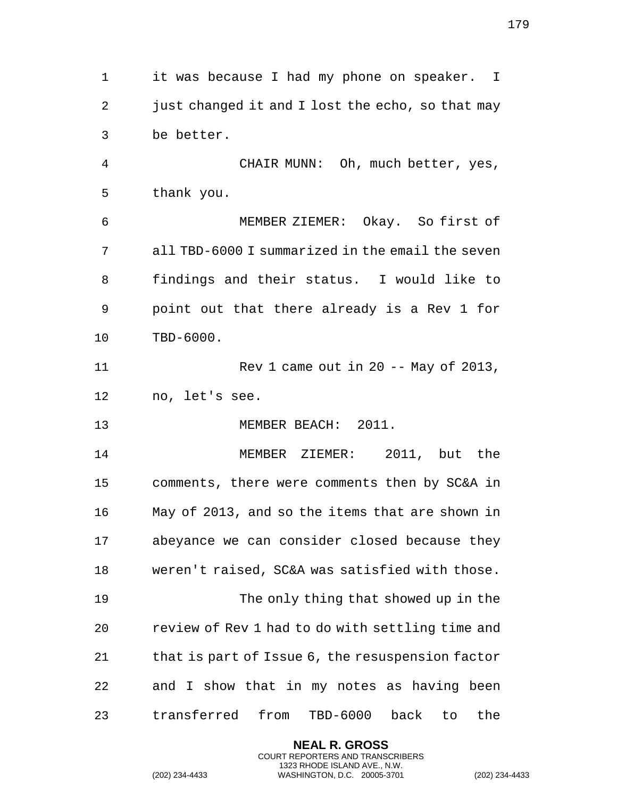it was because I had my phone on speaker. I 2 just changed it and I lost the echo, so that may be better. CHAIR MUNN: Oh, much better, yes, thank you. MEMBER ZIEMER: Okay. So first of all TBD-6000 I summarized in the email the seven findings and their status. I would like to point out that there already is a Rev 1 for TBD-6000. Rev 1 came out in 20 -- May of 2013, no, let's see. MEMBER BEACH: 2011. MEMBER ZIEMER: 2011, but the comments, there were comments then by SC&A in May of 2013, and so the items that are shown in abeyance we can consider closed because they weren't raised, SC&A was satisfied with those. The only thing that showed up in the review of Rev 1 had to do with settling time and that is part of Issue 6, the resuspension factor and I show that in my notes as having been transferred from TBD-6000 back to the

> **NEAL R. GROSS** COURT REPORTERS AND TRANSCRIBERS 1323 RHODE ISLAND AVE., N.W.

(202) 234-4433 WASHINGTON, D.C. 20005-3701 (202) 234-4433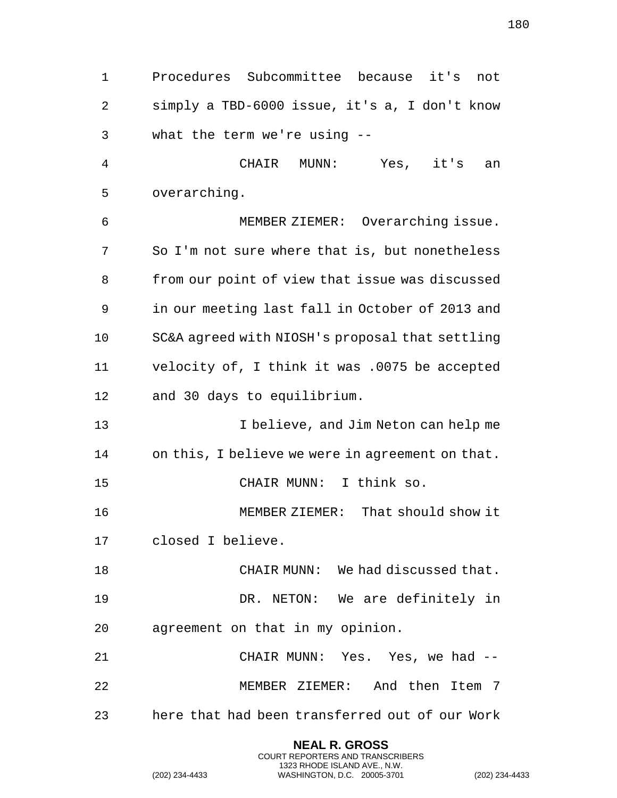Procedures Subcommittee because it's not simply a TBD-6000 issue, it's a, I don't know what the term we're using -- CHAIR MUNN: Yes, it's an overarching. MEMBER ZIEMER: Overarching issue. So I'm not sure where that is, but nonetheless from our point of view that issue was discussed in our meeting last fall in October of 2013 and SC&A agreed with NIOSH's proposal that settling velocity of, I think it was .0075 be accepted and 30 days to equilibrium. I believe, and Jim Neton can help me on this, I believe we were in agreement on that. CHAIR MUNN: I think so. MEMBER ZIEMER: That should show it closed I believe. 18 CHAIR MUNN: We had discussed that. DR. NETON: We are definitely in agreement on that in my opinion. CHAIR MUNN: Yes. Yes, we had -- MEMBER ZIEMER: And then Item 7 here that had been transferred out of our Work

> **NEAL R. GROSS** COURT REPORTERS AND TRANSCRIBERS 1323 RHODE ISLAND AVE., N.W.

(202) 234-4433 WASHINGTON, D.C. 20005-3701 (202) 234-4433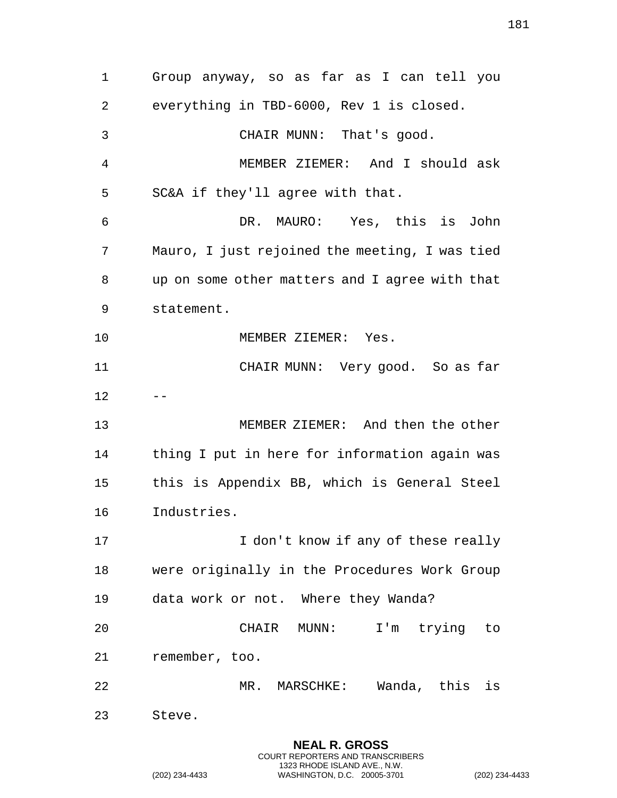Group anyway, so as far as I can tell you everything in TBD-6000, Rev 1 is closed. CHAIR MUNN: That's good. MEMBER ZIEMER: And I should ask SC&A if they'll agree with that. DR. MAURO: Yes, this is John Mauro, I just rejoined the meeting, I was tied up on some other matters and I agree with that statement. 10 MEMBER ZIEMER: Yes. CHAIR MUNN: Very good. So as far  $12 - -$  MEMBER ZIEMER: And then the other thing I put in here for information again was this is Appendix BB, which is General Steel Industries. 17 17 I don't know if any of these really were originally in the Procedures Work Group data work or not. Where they Wanda? CHAIR MUNN: I'm trying to remember, too. MR. MARSCHKE: Wanda, this is Steve.

> **NEAL R. GROSS** COURT REPORTERS AND TRANSCRIBERS 1323 RHODE ISLAND AVE., N.W.

(202) 234-4433 WASHINGTON, D.C. 20005-3701 (202) 234-4433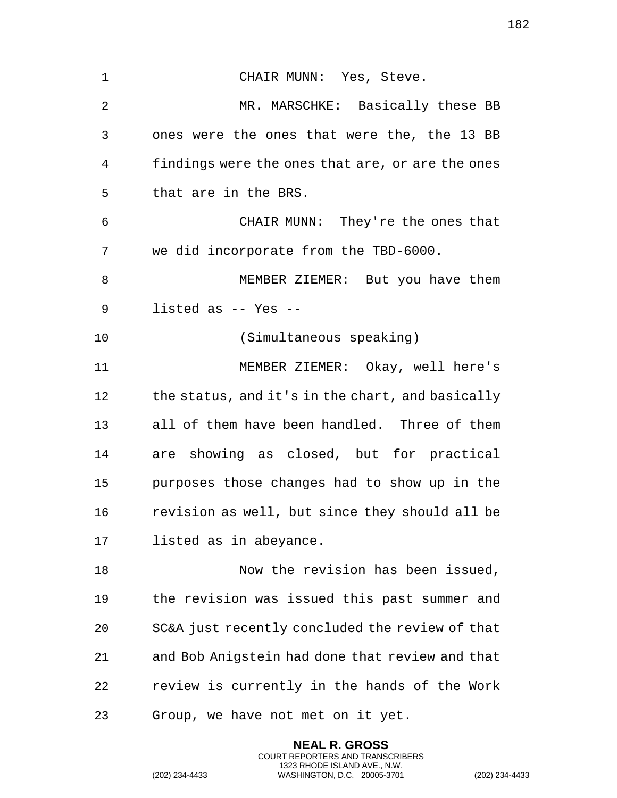CHAIR MUNN: Yes, Steve. MR. MARSCHKE: Basically these BB ones were the ones that were the, the 13 BB findings were the ones that are, or are the ones that are in the BRS. CHAIR MUNN: They're the ones that we did incorporate from the TBD-6000. MEMBER ZIEMER: But you have them listed as -- Yes -- (Simultaneous speaking) MEMBER ZIEMER: Okay, well here's 12 the status, and it's in the chart, and basically all of them have been handled. Three of them are showing as closed, but for practical purposes those changes had to show up in the revision as well, but since they should all be listed as in abeyance. Now the revision has been issued, the revision was issued this past summer and SC&A just recently concluded the review of that and Bob Anigstein had done that review and that review is currently in the hands of the Work Group, we have not met on it yet.

> **NEAL R. GROSS** COURT REPORTERS AND TRANSCRIBERS 1323 RHODE ISLAND AVE., N.W.

(202) 234-4433 WASHINGTON, D.C. 20005-3701 (202) 234-4433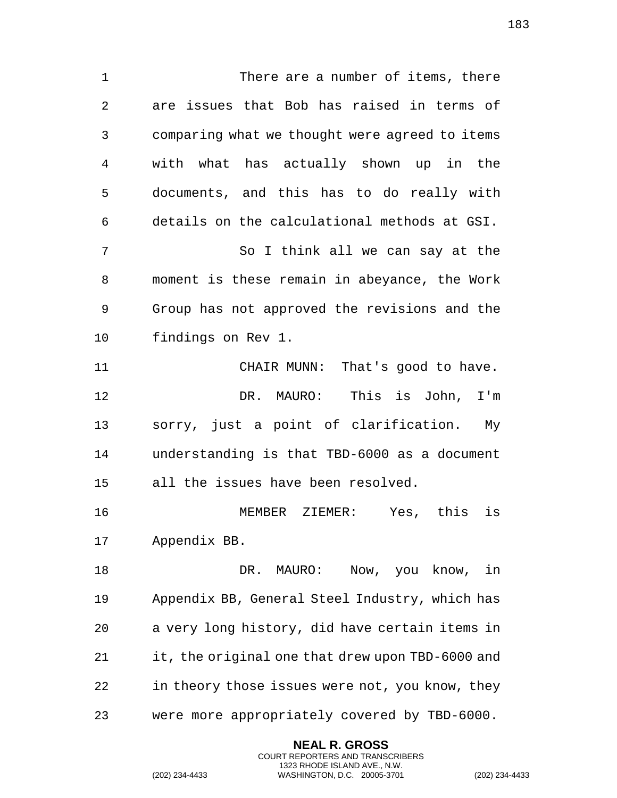There are a number of items, there are issues that Bob has raised in terms of comparing what we thought were agreed to items with what has actually shown up in the documents, and this has to do really with details on the calculational methods at GSI. So I think all we can say at the moment is these remain in abeyance, the Work Group has not approved the revisions and the findings on Rev 1. CHAIR MUNN: That's good to have. DR. MAURO: This is John, I'm sorry, just a point of clarification. My understanding is that TBD-6000 as a document all the issues have been resolved. MEMBER ZIEMER: Yes, this is Appendix BB. DR. MAURO: Now, you know, in Appendix BB, General Steel Industry, which has a very long history, did have certain items in it, the original one that drew upon TBD-6000 and in theory those issues were not, you know, they were more appropriately covered by TBD-6000.

> **NEAL R. GROSS** COURT REPORTERS AND TRANSCRIBERS 1323 RHODE ISLAND AVE., N.W.

(202) 234-4433 WASHINGTON, D.C. 20005-3701 (202) 234-4433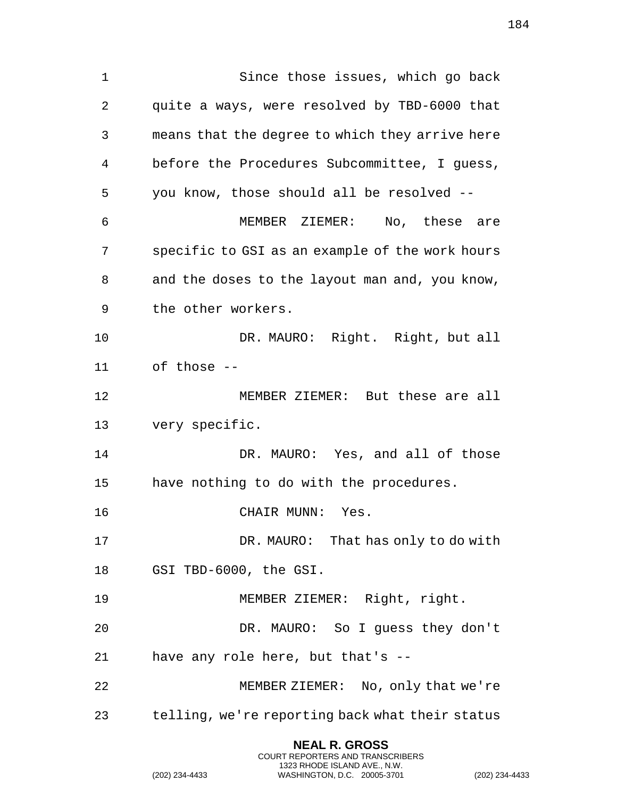Since those issues, which go back quite a ways, were resolved by TBD-6000 that means that the degree to which they arrive here before the Procedures Subcommittee, I guess, you know, those should all be resolved -- MEMBER ZIEMER: No, these are specific to GSI as an example of the work hours and the doses to the layout man and, you know, the other workers. DR. MAURO: Right. Right, but all of those -- MEMBER ZIEMER: But these are all very specific. DR. MAURO: Yes, and all of those have nothing to do with the procedures. CHAIR MUNN: Yes. DR. MAURO: That has only to do with GSI TBD-6000, the GSI. MEMBER ZIEMER: Right, right. DR. MAURO: So I guess they don't have any role here, but that's -- MEMBER ZIEMER: No, only that we're

> **NEAL R. GROSS** COURT REPORTERS AND TRANSCRIBERS 1323 RHODE ISLAND AVE., N.W.

telling, we're reporting back what their status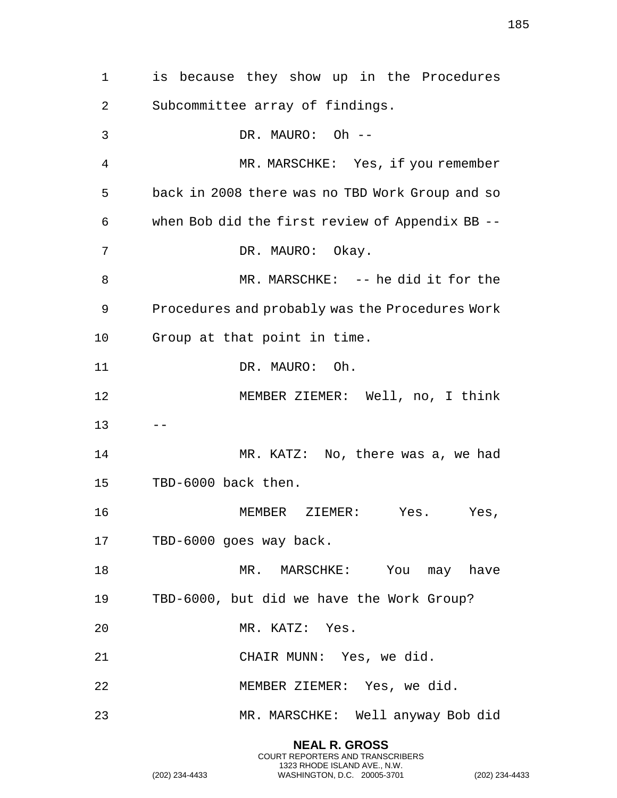is because they show up in the Procedures Subcommittee array of findings. DR. MAURO: Oh -- MR. MARSCHKE: Yes, if you remember back in 2008 there was no TBD Work Group and so when Bob did the first review of Appendix BB -- 7 DR. MAURO: Okay. MR. MARSCHKE: -- he did it for the Procedures and probably was the Procedures Work Group at that point in time. 11 DR. MAURO: Oh. MEMBER ZIEMER: Well, no, I think  $13 - -$ 14 MR. KATZ: No, there was a, we had TBD-6000 back then. MEMBER ZIEMER: Yes. Yes, TBD-6000 goes way back. 18 MR. MARSCHKE: You may have TBD-6000, but did we have the Work Group? MR. KATZ: Yes. CHAIR MUNN: Yes, we did. MEMBER ZIEMER: Yes, we did. MR. MARSCHKE: Well anyway Bob did

> **NEAL R. GROSS** COURT REPORTERS AND TRANSCRIBERS 1323 RHODE ISLAND AVE., N.W.

(202) 234-4433 WASHINGTON, D.C. 20005-3701 (202) 234-4433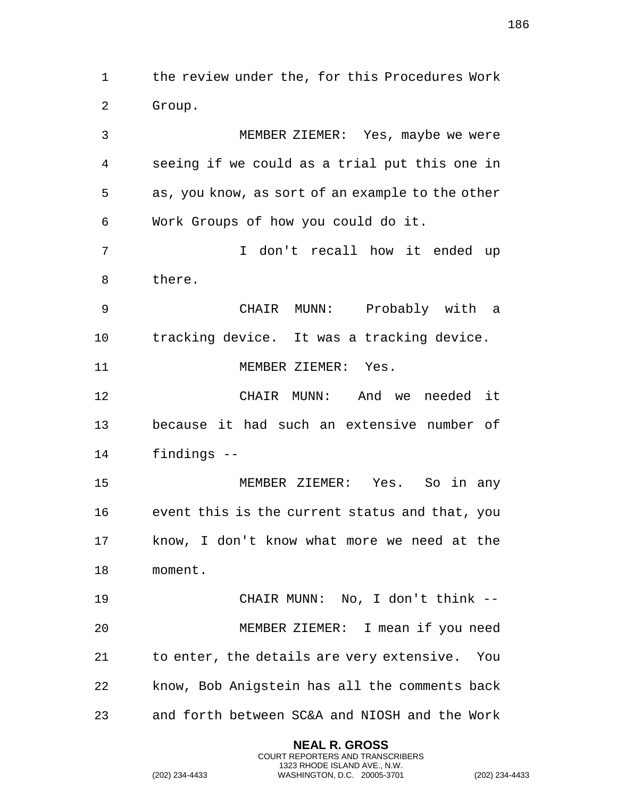the review under the, for this Procedures Work Group.

 MEMBER ZIEMER: Yes, maybe we were seeing if we could as a trial put this one in as, you know, as sort of an example to the other Work Groups of how you could do it. I don't recall how it ended up there. CHAIR MUNN: Probably with a tracking device. It was a tracking device. 11 MEMBER ZIEMER: Yes. CHAIR MUNN: And we needed it because it had such an extensive number of findings -- MEMBER ZIEMER: Yes. So in any event this is the current status and that, you know, I don't know what more we need at the moment. CHAIR MUNN: No, I don't think -- MEMBER ZIEMER: I mean if you need to enter, the details are very extensive. You know, Bob Anigstein has all the comments back and forth between SC&A and NIOSH and the Work

> **NEAL R. GROSS** COURT REPORTERS AND TRANSCRIBERS 1323 RHODE ISLAND AVE., N.W.

(202) 234-4433 WASHINGTON, D.C. 20005-3701 (202) 234-4433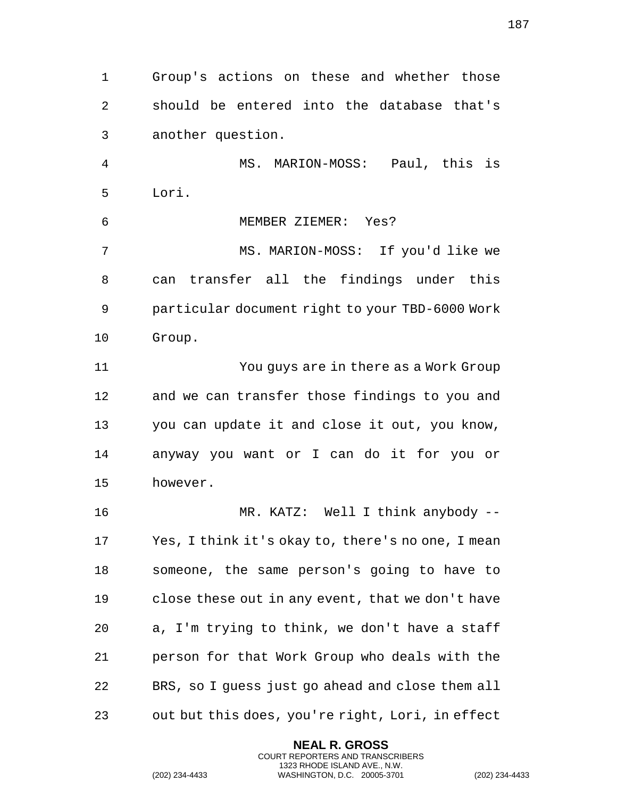Group's actions on these and whether those should be entered into the database that's another question. MS. MARION-MOSS: Paul, this is Lori. MEMBER ZIEMER: Yes? MS. MARION-MOSS: If you'd like we can transfer all the findings under this particular document right to your TBD-6000 Work Group. You guys are in there as a Work Group and we can transfer those findings to you and you can update it and close it out, you know, anyway you want or I can do it for you or however. MR. KATZ: Well I think anybody -- Yes, I think it's okay to, there's no one, I mean someone, the same person's going to have to close these out in any event, that we don't have a, I'm trying to think, we don't have a staff person for that Work Group who deals with the BRS, so I guess just go ahead and close them all out but this does, you're right, Lori, in effect

> **NEAL R. GROSS** COURT REPORTERS AND TRANSCRIBERS 1323 RHODE ISLAND AVE., N.W.

(202) 234-4433 WASHINGTON, D.C. 20005-3701 (202) 234-4433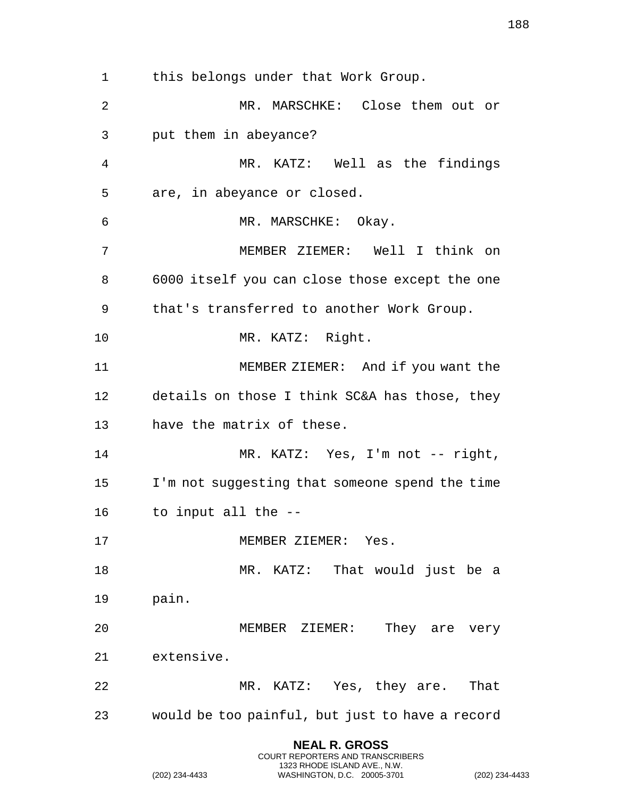this belongs under that Work Group. MR. MARSCHKE: Close them out or put them in abeyance? MR. KATZ: Well as the findings are, in abeyance or closed. MR. MARSCHKE: Okay. MEMBER ZIEMER: Well I think on 6000 itself you can close those except the one that's transferred to another Work Group. MR. KATZ: Right. MEMBER ZIEMER: And if you want the details on those I think SC&A has those, they have the matrix of these. 14 MR. KATZ: Yes, I'm not -- right, I'm not suggesting that someone spend the time to input all the -- 17 MEMBER ZIEMER: Yes. 18 MR. KATZ: That would just be a pain. MEMBER ZIEMER: They are very extensive. 22 MR. KATZ: Yes, they are. That would be too painful, but just to have a record

> **NEAL R. GROSS** COURT REPORTERS AND TRANSCRIBERS 1323 RHODE ISLAND AVE., N.W.

(202) 234-4433 WASHINGTON, D.C. 20005-3701 (202) 234-4433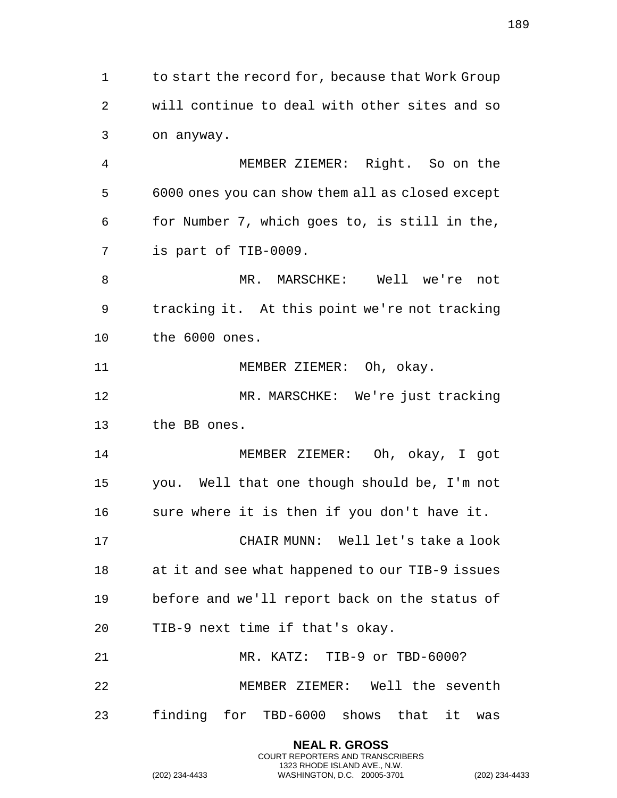1 to start the record for, because that Work Group will continue to deal with other sites and so on anyway. MEMBER ZIEMER: Right. So on the 6000 ones you can show them all as closed except for Number 7, which goes to, is still in the, is part of TIB-0009. MR. MARSCHKE: Well we're not tracking it. At this point we're not tracking the 6000 ones. 11 MEMBER ZIEMER: Oh, okay. MR. MARSCHKE: We're just tracking

the BB ones.

 MEMBER ZIEMER: Oh, okay, I got you. Well that one though should be, I'm not sure where it is then if you don't have it. CHAIR MUNN: Well let's take a look at it and see what happened to our TIB-9 issues before and we'll report back on the status of TIB-9 next time if that's okay. MR. KATZ: TIB-9 or TBD-6000? MEMBER ZIEMER: Well the seventh

finding for TBD-6000 shows that it was

**NEAL R. GROSS** COURT REPORTERS AND TRANSCRIBERS 1323 RHODE ISLAND AVE., N.W.

(202) 234-4433 WASHINGTON, D.C. 20005-3701 (202) 234-4433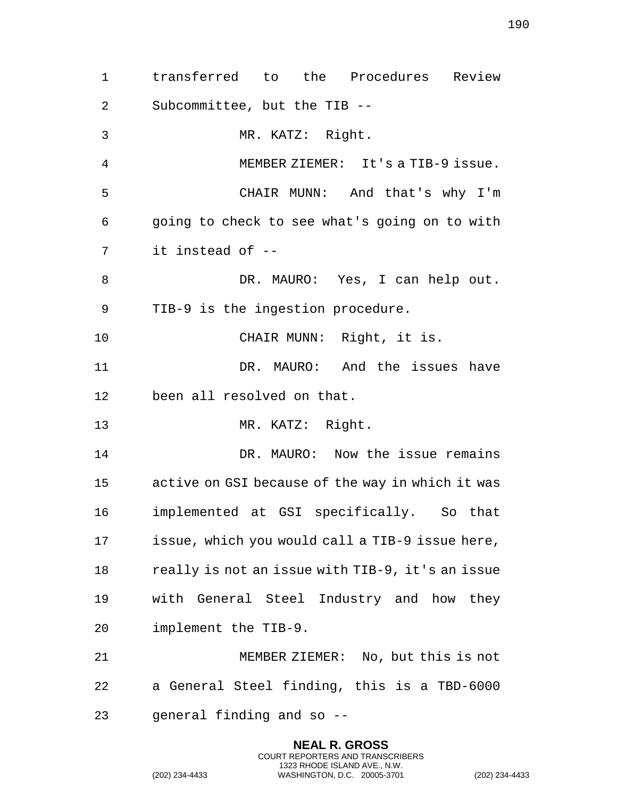transferred to the Procedures Review Subcommittee, but the TIB -- MR. KATZ: Right. MEMBER ZIEMER: It's a TIB-9 issue. CHAIR MUNN: And that's why I'm going to check to see what's going on to with it instead of -- 8 DR. MAURO: Yes, I can help out. TIB-9 is the ingestion procedure. CHAIR MUNN: Right, it is. DR. MAURO: And the issues have been all resolved on that. MR. KATZ: Right. DR. MAURO: Now the issue remains active on GSI because of the way in which it was implemented at GSI specifically. So that issue, which you would call a TIB-9 issue here, really is not an issue with TIB-9, it's an issue with General Steel Industry and how they implement the TIB-9. MEMBER ZIEMER: No, but this is not a General Steel finding, this is a TBD-6000 general finding and so --

> **NEAL R. GROSS** COURT REPORTERS AND TRANSCRIBERS 1323 RHODE ISLAND AVE., N.W.

(202) 234-4433 WASHINGTON, D.C. 20005-3701 (202) 234-4433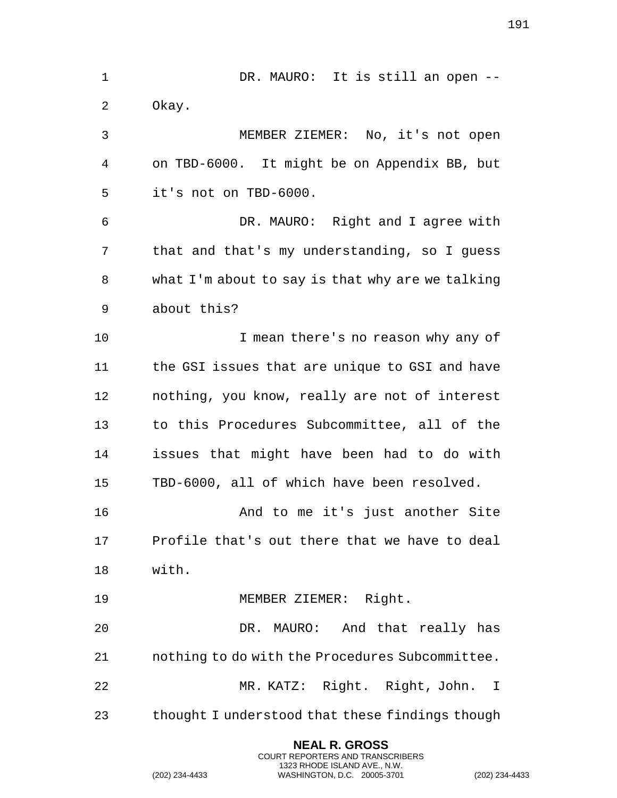1 DR. MAURO: It is still an open -- Okay. MEMBER ZIEMER: No, it's not open on TBD-6000. It might be on Appendix BB, but it's not on TBD-6000. DR. MAURO: Right and I agree with that and that's my understanding, so I guess what I'm about to say is that why are we talking about this? I mean there's no reason why any of the GSI issues that are unique to GSI and have nothing, you know, really are not of interest to this Procedures Subcommittee, all of the issues that might have been had to do with TBD-6000, all of which have been resolved. And to me it's just another Site Profile that's out there that we have to deal with. MEMBER ZIEMER: Right. DR. MAURO: And that really has nothing to do with the Procedures Subcommittee. MR. KATZ: Right. Right, John. I thought I understood that these findings though

> **NEAL R. GROSS** COURT REPORTERS AND TRANSCRIBERS 1323 RHODE ISLAND AVE., N.W.

(202) 234-4433 WASHINGTON, D.C. 20005-3701 (202) 234-4433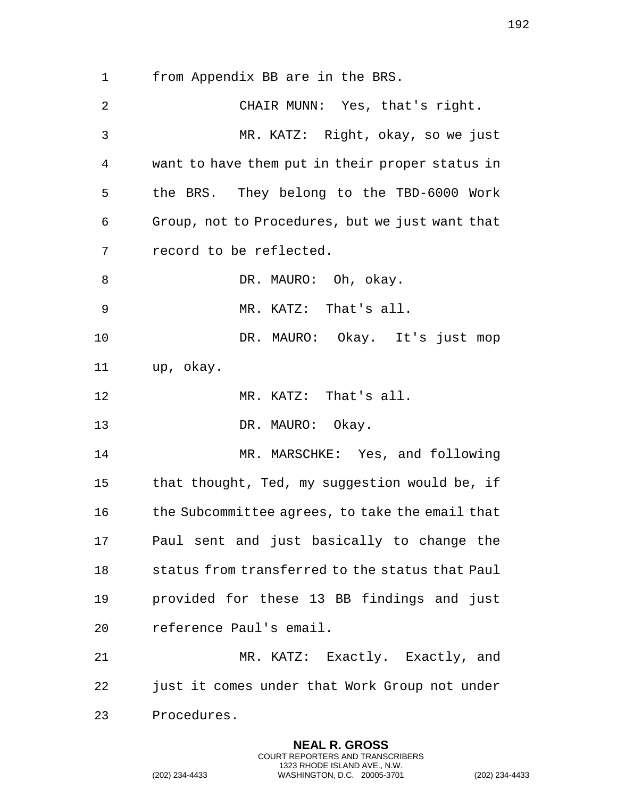from Appendix BB are in the BRS.

 CHAIR MUNN: Yes, that's right. MR. KATZ: Right, okay, so we just want to have them put in their proper status in the BRS. They belong to the TBD-6000 Work Group, not to Procedures, but we just want that record to be reflected. 8 DR. MAURO: Oh, okay. MR. KATZ: That's all. DR. MAURO: Okay. It's just mop up, okay. MR. KATZ: That's all. 13 DR. MAURO: Okay. 14 MR. MARSCHKE: Yes, and following 15 that thought, Ted, my suggestion would be, if the Subcommittee agrees, to take the email that Paul sent and just basically to change the status from transferred to the status that Paul provided for these 13 BB findings and just reference Paul's email. MR. KATZ: Exactly. Exactly, and just it comes under that Work Group not under Procedures.

> **NEAL R. GROSS** COURT REPORTERS AND TRANSCRIBERS 1323 RHODE ISLAND AVE., N.W.

(202) 234-4433 WASHINGTON, D.C. 20005-3701 (202) 234-4433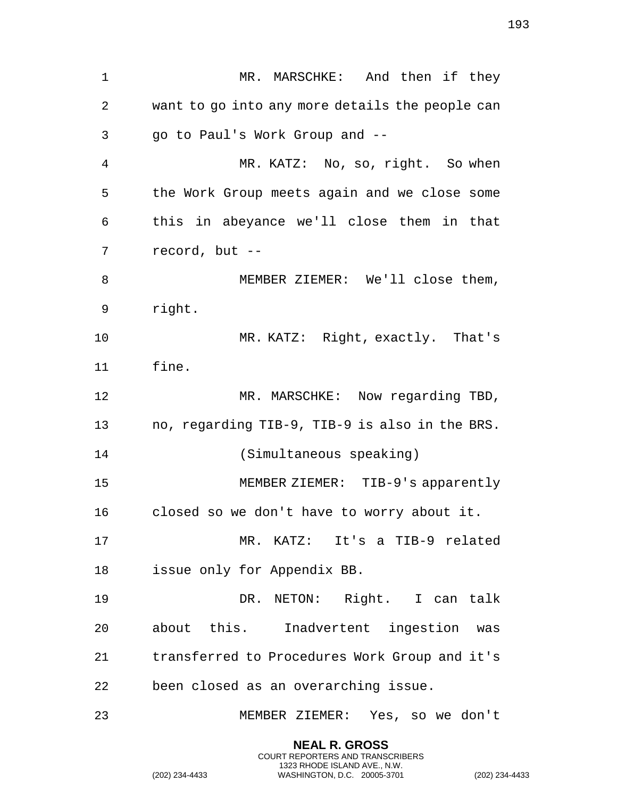1 MR. MARSCHKE: And then if they want to go into any more details the people can go to Paul's Work Group and -- MR. KATZ: No, so, right. So when the Work Group meets again and we close some this in abeyance we'll close them in that record, but -- MEMBER ZIEMER: We'll close them, right. MR. KATZ: Right, exactly. That's fine. 12 MR. MARSCHKE: Now regarding TBD, no, regarding TIB-9, TIB-9 is also in the BRS. (Simultaneous speaking) MEMBER ZIEMER: TIB-9's apparently closed so we don't have to worry about it. MR. KATZ: It's a TIB-9 related issue only for Appendix BB. DR. NETON: Right. I can talk about this. Inadvertent ingestion was transferred to Procedures Work Group and it's been closed as an overarching issue. MEMBER ZIEMER: Yes, so we don't

> **NEAL R. GROSS** COURT REPORTERS AND TRANSCRIBERS 1323 RHODE ISLAND AVE., N.W.

(202) 234-4433 WASHINGTON, D.C. 20005-3701 (202) 234-4433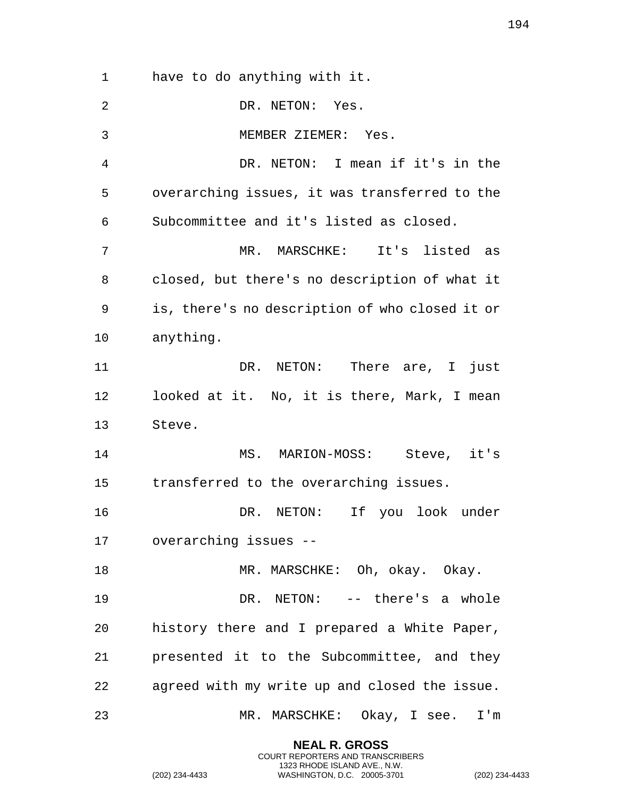have to do anything with it. DR. NETON: Yes. MEMBER ZIEMER: Yes. DR. NETON: I mean if it's in the overarching issues, it was transferred to the Subcommittee and it's listed as closed. MR. MARSCHKE: It's listed as closed, but there's no description of what it is, there's no description of who closed it or anything. DR. NETON: There are, I just looked at it. No, it is there, Mark, I mean Steve. MS. MARION-MOSS: Steve, it's transferred to the overarching issues. DR. NETON: If you look under overarching issues -- 18 MR. MARSCHKE: Oh, okay. Okay. DR. NETON: -- there's a whole history there and I prepared a White Paper, presented it to the Subcommittee, and they agreed with my write up and closed the issue. MR. MARSCHKE: Okay, I see. I'm

> **NEAL R. GROSS** COURT REPORTERS AND TRANSCRIBERS 1323 RHODE ISLAND AVE., N.W.

(202) 234-4433 WASHINGTON, D.C. 20005-3701 (202) 234-4433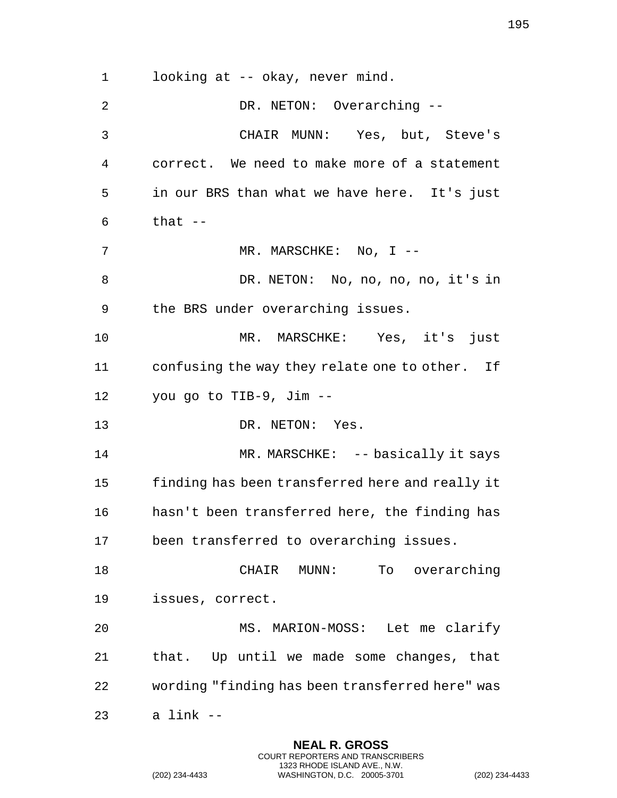looking at -- okay, never mind. 2 DR. NETON: Overarching -- CHAIR MUNN: Yes, but, Steve's correct. We need to make more of a statement in our BRS than what we have here. It's just that  $-$ 7 MR. MARSCHKE: No, I -- DR. NETON: No, no, no, no, it's in the BRS under overarching issues. MR. MARSCHKE: Yes, it's just confusing the way they relate one to other. If you go to TIB-9, Jim -- DR. NETON: Yes. 14 MR. MARSCHKE: -- basically it says finding has been transferred here and really it hasn't been transferred here, the finding has been transferred to overarching issues. CHAIR MUNN: To overarching issues, correct. MS. MARION-MOSS: Let me clarify that. Up until we made some changes, that wording "finding has been transferred here" was a link --

> **NEAL R. GROSS** COURT REPORTERS AND TRANSCRIBERS 1323 RHODE ISLAND AVE., N.W.

(202) 234-4433 WASHINGTON, D.C. 20005-3701 (202) 234-4433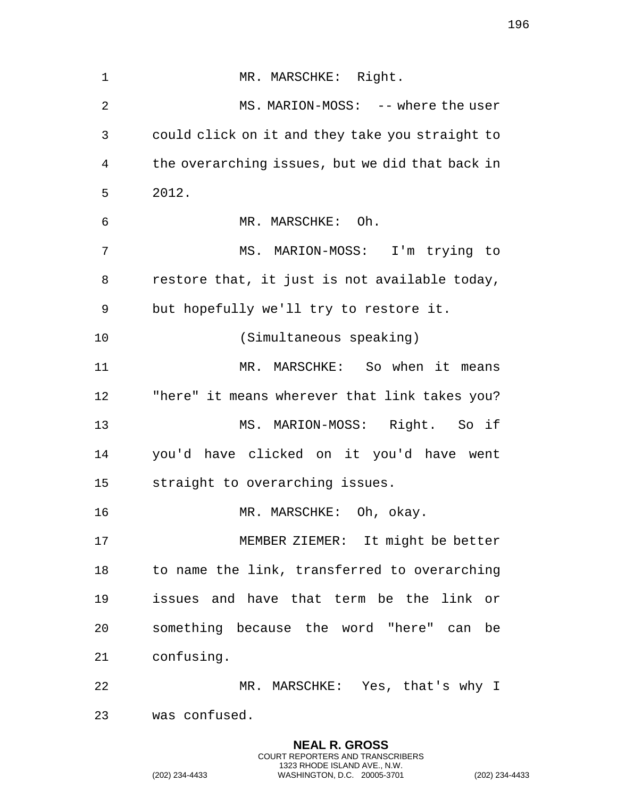| 1  | MR. MARSCHKE: Right.                            |
|----|-------------------------------------------------|
| 2  | MS. MARION-MOSS: -- where the user              |
| 3  | could click on it and they take you straight to |
| 4  | the overarching issues, but we did that back in |
| 5  | 2012.                                           |
| 6  | MR. MARSCHKE: Oh.                               |
| 7  | MS. MARION-MOSS: I'm trying to                  |
| 8  | restore that, it just is not available today,   |
| 9  | but hopefully we'll try to restore it.          |
| 10 | (Simultaneous speaking)                         |
| 11 | MR. MARSCHKE: So when it means                  |
| 12 | "here" it means wherever that link takes you?   |
| 13 | MS. MARION-MOSS: Right. So if                   |
| 14 | you'd have clicked on it you'd have went        |
| 15 | straight to overarching issues.                 |
| 16 | MR. MARSCHKE: Oh, okay.                         |
| 17 | MEMBER ZIEMER: It might be better               |
| 18 | to name the link, transferred to overarching    |
| 19 | issues and have that term be the link or        |
| 20 | something because the word "here" can be        |
| 21 | confusing.                                      |
| 22 | MR. MARSCHKE: Yes, that's why I                 |
| 23 | was confused.                                   |

**NEAL R. GROSS** COURT REPORTERS AND TRANSCRIBERS 1323 RHODE ISLAND AVE., N.W.

(202) 234-4433 WASHINGTON, D.C. 20005-3701 (202) 234-4433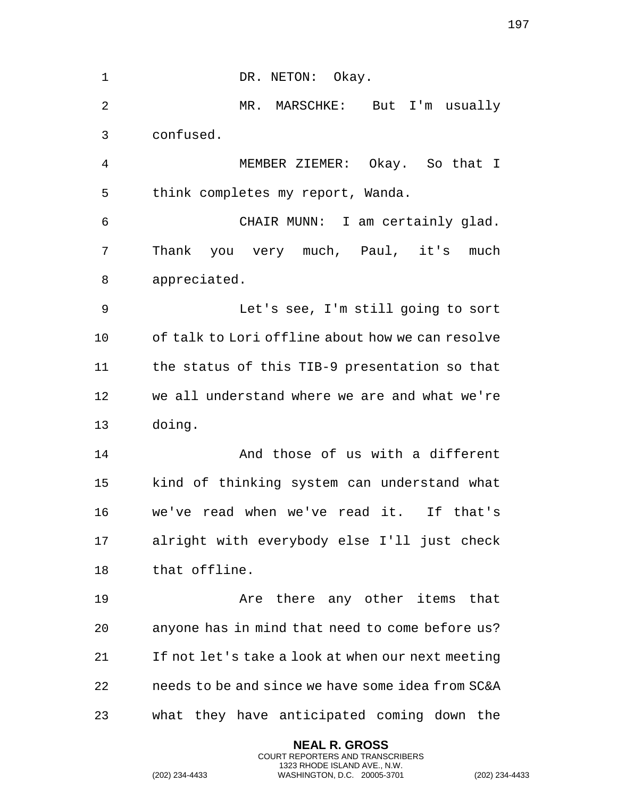1 DR. NETON: Okay. MR. MARSCHKE: But I'm usually confused. MEMBER ZIEMER: Okay. So that I think completes my report, Wanda. CHAIR MUNN: I am certainly glad. Thank you very much, Paul, it's much appreciated. Let's see, I'm still going to sort of talk to Lori offline about how we can resolve the status of this TIB-9 presentation so that we all understand where we are and what we're doing. And those of us with a different kind of thinking system can understand what we've read when we've read it. If that's alright with everybody else I'll just check that offline. **Are there any other items that**  anyone has in mind that need to come before us? If not let's take a look at when our next meeting needs to be and since we have some idea from SC&A what they have anticipated coming down the

> **NEAL R. GROSS** COURT REPORTERS AND TRANSCRIBERS 1323 RHODE ISLAND AVE., N.W.

(202) 234-4433 WASHINGTON, D.C. 20005-3701 (202) 234-4433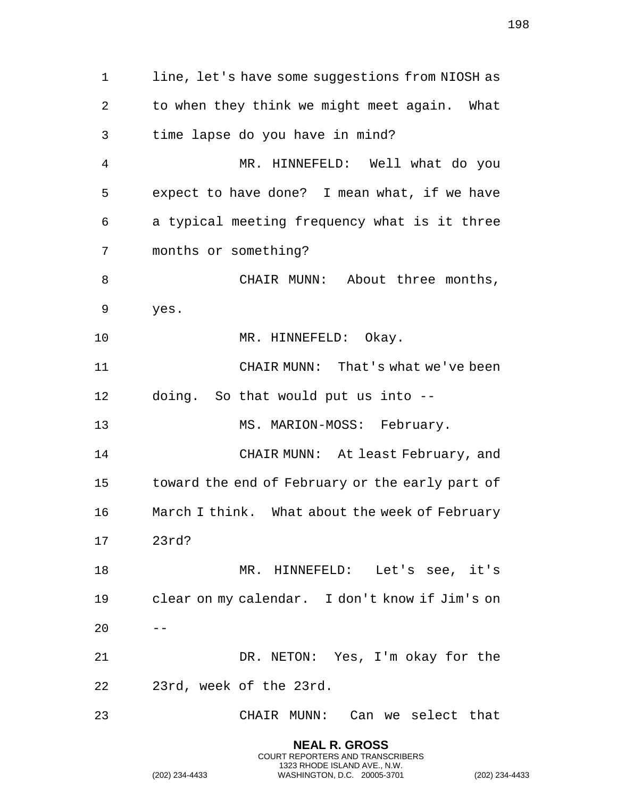line, let's have some suggestions from NIOSH as to when they think we might meet again. What time lapse do you have in mind? MR. HINNEFELD: Well what do you expect to have done? I mean what, if we have a typical meeting frequency what is it three months or something? 8 CHAIR MUNN: About three months, yes. 10 MR. HINNEFELD: Okay. CHAIR MUNN: That's what we've been doing. So that would put us into -- MS. MARION-MOSS: February. CHAIR MUNN: At least February, and toward the end of February or the early part of March I think. What about the week of February 23rd? MR. HINNEFELD: Let's see, it's clear on my calendar. I don't know if Jim's on  $20 - -$  DR. NETON: Yes, I'm okay for the 23rd, week of the 23rd. CHAIR MUNN: Can we select that

> **NEAL R. GROSS** COURT REPORTERS AND TRANSCRIBERS 1323 RHODE ISLAND AVE., N.W.

(202) 234-4433 WASHINGTON, D.C. 20005-3701 (202) 234-4433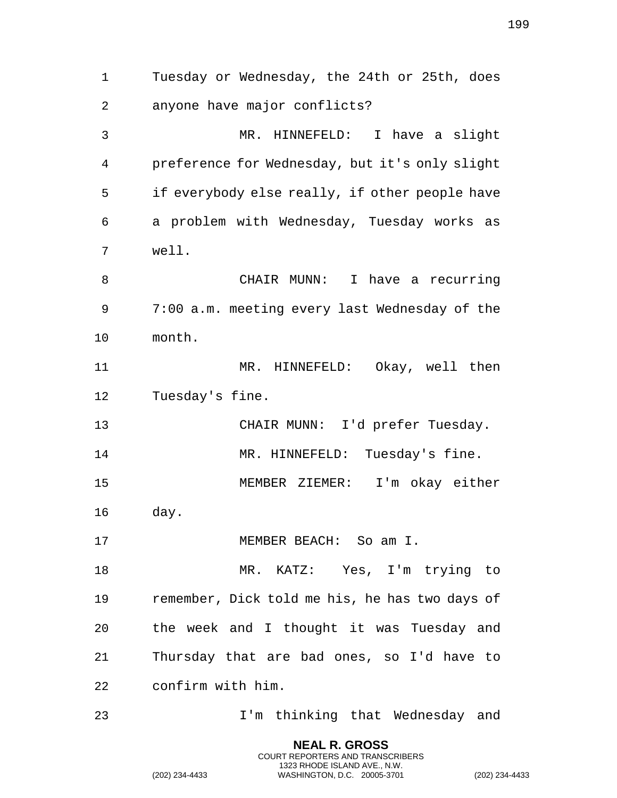**NEAL R. GROSS** Tuesday or Wednesday, the 24th or 25th, does anyone have major conflicts? MR. HINNEFELD: I have a slight preference for Wednesday, but it's only slight if everybody else really, if other people have a problem with Wednesday, Tuesday works as well. CHAIR MUNN: I have a recurring 7:00 a.m. meeting every last Wednesday of the month. 11 MR. HINNEFELD: Okay, well then Tuesday's fine. CHAIR MUNN: I'd prefer Tuesday. 14 MR. HINNEFELD: Tuesday's fine. MEMBER ZIEMER: I'm okay either day. 17 MEMBER BEACH: So am I. MR. KATZ: Yes, I'm trying to remember, Dick told me his, he has two days of the week and I thought it was Tuesday and Thursday that are bad ones, so I'd have to confirm with him. I'm thinking that Wednesday and

COURT REPORTERS AND TRANSCRIBERS 1323 RHODE ISLAND AVE., N.W.

(202) 234-4433 WASHINGTON, D.C. 20005-3701 (202) 234-4433